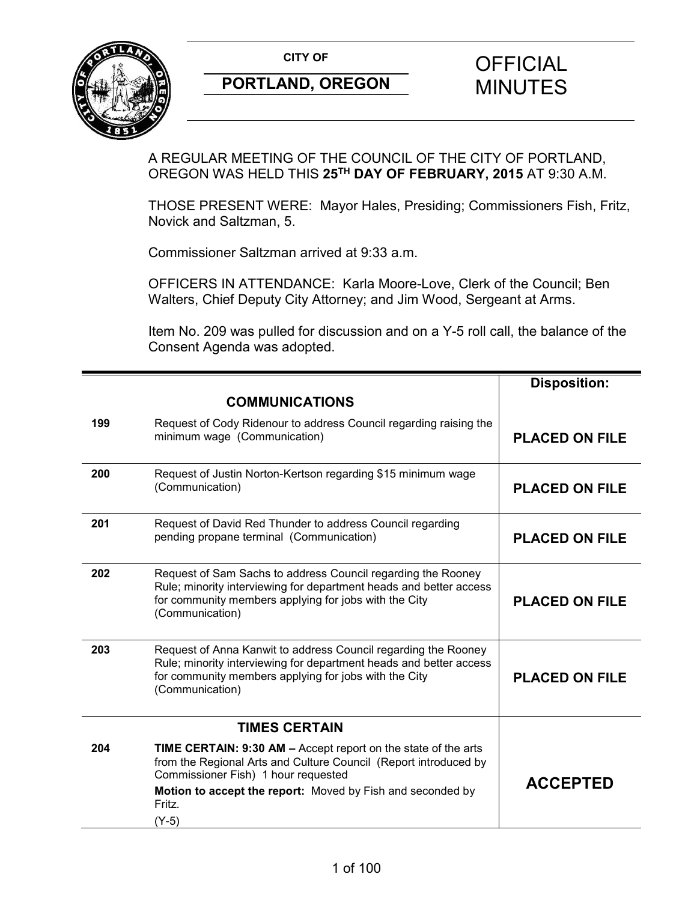

A REGULAR MEETING OF THE COUNCIL OF THE CITY OF PORTLAND, OREGON WAS HELD THIS **25TH DAY OF FEBRUARY, 2015** AT 9:30 A.M.

THOSE PRESENT WERE: Mayor Hales, Presiding; Commissioners Fish, Fritz, Novick and Saltzman, 5.

Commissioner Saltzman arrived at 9:33 a.m.

OFFICERS IN ATTENDANCE: Karla Moore-Love, Clerk of the Council; Ben Walters, Chief Deputy City Attorney; and Jim Wood, Sergeant at Arms.

Item No. 209 was pulled for discussion and on a Y-5 roll call, the balance of the Consent Agenda was adopted.

|     |                                                                                                                                                                                                                                                                   | <b>Disposition:</b>   |
|-----|-------------------------------------------------------------------------------------------------------------------------------------------------------------------------------------------------------------------------------------------------------------------|-----------------------|
|     | <b>COMMUNICATIONS</b>                                                                                                                                                                                                                                             |                       |
| 199 | Request of Cody Ridenour to address Council regarding raising the<br>minimum wage (Communication)                                                                                                                                                                 | <b>PLACED ON FILE</b> |
| 200 | Request of Justin Norton-Kertson regarding \$15 minimum wage<br>(Communication)                                                                                                                                                                                   | <b>PLACED ON FILE</b> |
| 201 | Request of David Red Thunder to address Council regarding<br>pending propane terminal (Communication)                                                                                                                                                             | <b>PLACED ON FILE</b> |
| 202 | Request of Sam Sachs to address Council regarding the Rooney<br>Rule; minority interviewing for department heads and better access<br>for community members applying for jobs with the City<br>(Communication)                                                    | <b>PLACED ON FILE</b> |
| 203 | Request of Anna Kanwit to address Council regarding the Rooney<br>Rule; minority interviewing for department heads and better access<br>for community members applying for jobs with the City<br>(Communication)                                                  | <b>PLACED ON FILE</b> |
|     | <b>TIMES CERTAIN</b>                                                                                                                                                                                                                                              |                       |
| 204 | <b>TIME CERTAIN: 9:30 AM - Accept report on the state of the arts</b><br>from the Regional Arts and Culture Council (Report introduced by<br>Commissioner Fish) 1 hour requested<br>Motion to accept the report: Moved by Fish and seconded by<br>Fritz.<br>(Y-5) | <b>ACCEPTED</b>       |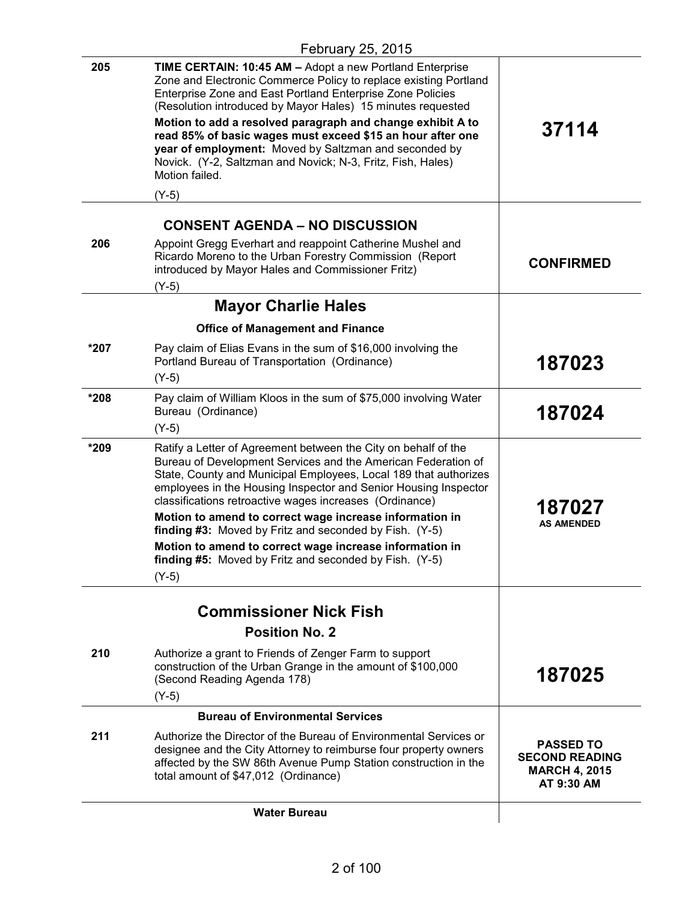| 205  | <b>TIME CERTAIN: 10:45 AM - Adopt a new Portland Enterprise</b><br>Zone and Electronic Commerce Policy to replace existing Portland<br>Enterprise Zone and East Portland Enterprise Zone Policies<br>(Resolution introduced by Mayor Hales) 15 minutes requested<br>Motion to add a resolved paragraph and change exhibit A to<br>read 85% of basic wages must exceed \$15 an hour after one<br>year of employment: Moved by Saltzman and seconded by<br>Novick. (Y-2, Saltzman and Novick; N-3, Fritz, Fish, Hales)<br>Motion failed.<br>$(Y-5)$ | 37114                                                                           |
|------|---------------------------------------------------------------------------------------------------------------------------------------------------------------------------------------------------------------------------------------------------------------------------------------------------------------------------------------------------------------------------------------------------------------------------------------------------------------------------------------------------------------------------------------------------|---------------------------------------------------------------------------------|
|      |                                                                                                                                                                                                                                                                                                                                                                                                                                                                                                                                                   |                                                                                 |
|      | <b>CONSENT AGENDA – NO DISCUSSION</b>                                                                                                                                                                                                                                                                                                                                                                                                                                                                                                             |                                                                                 |
| 206  | Appoint Gregg Everhart and reappoint Catherine Mushel and<br>Ricardo Moreno to the Urban Forestry Commission (Report<br>introduced by Mayor Hales and Commissioner Fritz)<br>$(Y-5)$                                                                                                                                                                                                                                                                                                                                                              | <b>CONFIRMED</b>                                                                |
|      | <b>Mayor Charlie Hales</b>                                                                                                                                                                                                                                                                                                                                                                                                                                                                                                                        |                                                                                 |
|      | <b>Office of Management and Finance</b>                                                                                                                                                                                                                                                                                                                                                                                                                                                                                                           |                                                                                 |
| *207 | Pay claim of Elias Evans in the sum of \$16,000 involving the<br>Portland Bureau of Transportation (Ordinance)<br>$(Y-5)$                                                                                                                                                                                                                                                                                                                                                                                                                         | 187023                                                                          |
| *208 | Pay claim of William Kloos in the sum of \$75,000 involving Water<br>Bureau (Ordinance)<br>$(Y-5)$                                                                                                                                                                                                                                                                                                                                                                                                                                                | 187024                                                                          |
| *209 | Ratify a Letter of Agreement between the City on behalf of the<br>Bureau of Development Services and the American Federation of<br>State, County and Municipal Employees, Local 189 that authorizes<br>employees in the Housing Inspector and Senior Housing Inspector<br>classifications retroactive wages increases (Ordinance)                                                                                                                                                                                                                 | 187027                                                                          |
|      | Motion to amend to correct wage increase information in<br>finding #3: Moved by Fritz and seconded by Fish. (Y-5)                                                                                                                                                                                                                                                                                                                                                                                                                                 | <b>AS AMENDED</b>                                                               |
|      | Motion to amend to correct wage increase information in<br>finding #5: Moved by Fritz and seconded by Fish. (Y-5)<br>$(Y-5)$                                                                                                                                                                                                                                                                                                                                                                                                                      |                                                                                 |
|      | <b>Commissioner Nick Fish</b>                                                                                                                                                                                                                                                                                                                                                                                                                                                                                                                     |                                                                                 |
|      | <b>Position No. 2</b>                                                                                                                                                                                                                                                                                                                                                                                                                                                                                                                             |                                                                                 |
| 210  | Authorize a grant to Friends of Zenger Farm to support<br>construction of the Urban Grange in the amount of \$100,000<br>(Second Reading Agenda 178)                                                                                                                                                                                                                                                                                                                                                                                              | 187025                                                                          |
|      | $(Y-5)$                                                                                                                                                                                                                                                                                                                                                                                                                                                                                                                                           |                                                                                 |
|      | <b>Bureau of Environmental Services</b>                                                                                                                                                                                                                                                                                                                                                                                                                                                                                                           |                                                                                 |
| 211  | Authorize the Director of the Bureau of Environmental Services or<br>designee and the City Attorney to reimburse four property owners<br>affected by the SW 86th Avenue Pump Station construction in the<br>total amount of \$47,012 (Ordinance)                                                                                                                                                                                                                                                                                                  | <b>PASSED TO</b><br><b>SECOND READING</b><br><b>MARCH 4, 2015</b><br>AT 9:30 AM |
|      | <b>Water Bureau</b>                                                                                                                                                                                                                                                                                                                                                                                                                                                                                                                               |                                                                                 |
|      |                                                                                                                                                                                                                                                                                                                                                                                                                                                                                                                                                   |                                                                                 |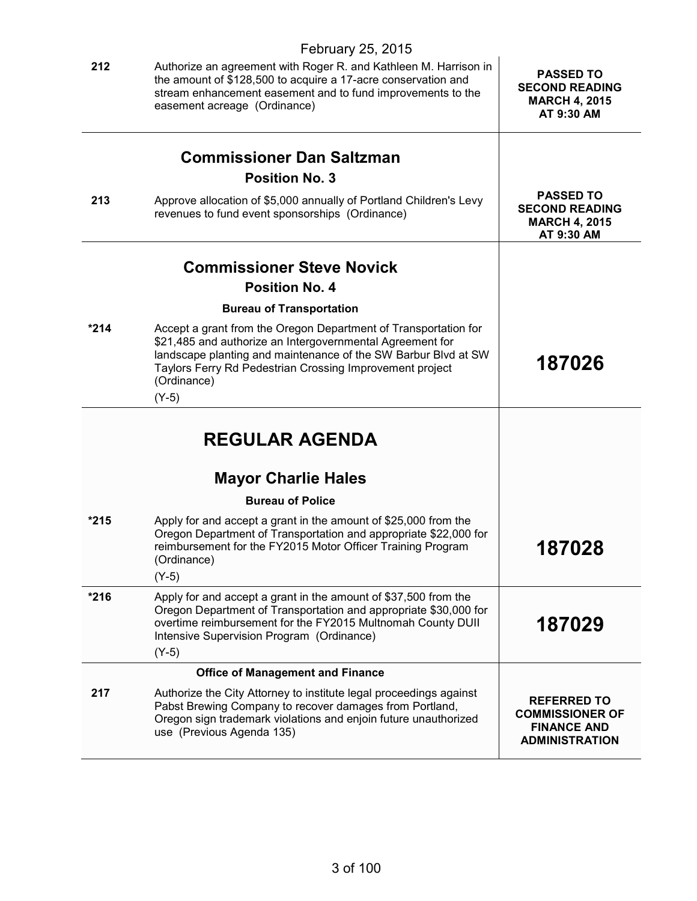|        | February 25, 2015                                                                                                                                                                                                                                                                    |                                                                                             |
|--------|--------------------------------------------------------------------------------------------------------------------------------------------------------------------------------------------------------------------------------------------------------------------------------------|---------------------------------------------------------------------------------------------|
| 212    | Authorize an agreement with Roger R. and Kathleen M. Harrison in<br>the amount of \$128,500 to acquire a 17-acre conservation and<br>stream enhancement easement and to fund improvements to the<br>easement acreage (Ordinance)                                                     | <b>PASSED TO</b><br><b>SECOND READING</b><br><b>MARCH 4, 2015</b><br>AT 9:30 AM             |
|        |                                                                                                                                                                                                                                                                                      |                                                                                             |
|        | <b>Commissioner Dan Saltzman</b><br><b>Position No. 3</b>                                                                                                                                                                                                                            |                                                                                             |
| 213    | Approve allocation of \$5,000 annually of Portland Children's Levy<br>revenues to fund event sponsorships (Ordinance)                                                                                                                                                                | <b>PASSED TO</b><br><b>SECOND READING</b><br><b>MARCH 4, 2015</b><br>AT 9:30 AM             |
|        |                                                                                                                                                                                                                                                                                      |                                                                                             |
|        | <b>Commissioner Steve Novick</b>                                                                                                                                                                                                                                                     |                                                                                             |
|        | <b>Position No. 4</b>                                                                                                                                                                                                                                                                |                                                                                             |
|        | <b>Bureau of Transportation</b>                                                                                                                                                                                                                                                      |                                                                                             |
| $*214$ | Accept a grant from the Oregon Department of Transportation for<br>\$21,485 and authorize an Intergovernmental Agreement for<br>landscape planting and maintenance of the SW Barbur Blvd at SW<br>Taylors Ferry Rd Pedestrian Crossing Improvement project<br>(Ordinance)<br>$(Y-5)$ | 187026                                                                                      |
|        | <b>REGULAR AGENDA</b>                                                                                                                                                                                                                                                                |                                                                                             |
|        | <b>Mayor Charlie Hales</b>                                                                                                                                                                                                                                                           |                                                                                             |
|        | <b>Bureau of Police</b>                                                                                                                                                                                                                                                              |                                                                                             |
| $*215$ | Apply for and accept a grant in the amount of \$25,000 from the<br>Oregon Department of Transportation and appropriate \$22,000 for<br>reimbursement for the FY2015 Motor Officer Training Program<br>(Ordinance)<br>$(Y-5)$                                                         | 187028                                                                                      |
| $*216$ | Apply for and accept a grant in the amount of \$37,500 from the<br>Oregon Department of Transportation and appropriate \$30,000 for<br>overtime reimbursement for the FY2015 Multnomah County DUII<br>Intensive Supervision Program (Ordinance)<br>$(Y-5)$                           | 187029                                                                                      |
|        | <b>Office of Management and Finance</b>                                                                                                                                                                                                                                              |                                                                                             |
| 217    | Authorize the City Attorney to institute legal proceedings against<br>Pabst Brewing Company to recover damages from Portland,<br>Oregon sign trademark violations and enjoin future unauthorized<br>use (Previous Agenda 135)                                                        | <b>REFERRED TO</b><br><b>COMMISSIONER OF</b><br><b>FINANCE AND</b><br><b>ADMINISTRATION</b> |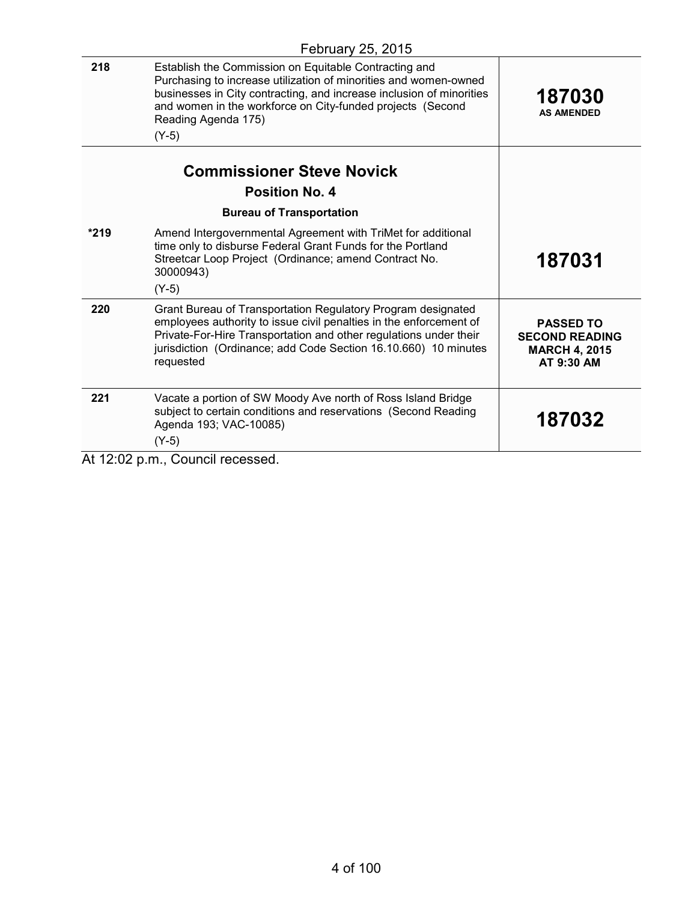|      | $1$ CDIUGIY LV, LV IV                                                                                                                                                                                                                                                                             |                                                                                 |
|------|---------------------------------------------------------------------------------------------------------------------------------------------------------------------------------------------------------------------------------------------------------------------------------------------------|---------------------------------------------------------------------------------|
| 218  | Establish the Commission on Equitable Contracting and<br>Purchasing to increase utilization of minorities and women-owned<br>businesses in City contracting, and increase inclusion of minorities<br>and women in the workforce on City-funded projects (Second<br>Reading Agenda 175)<br>$(Y-5)$ | 187030<br><b>AS AMENDED</b>                                                     |
|      | <b>Commissioner Steve Novick</b><br><b>Position No. 4</b>                                                                                                                                                                                                                                         |                                                                                 |
|      | <b>Bureau of Transportation</b>                                                                                                                                                                                                                                                                   |                                                                                 |
| *219 | Amend Intergovernmental Agreement with TriMet for additional<br>time only to disburse Federal Grant Funds for the Portland<br>Streetcar Loop Project (Ordinance; amend Contract No.<br>30000943)<br>$(Y-5)$                                                                                       | 187031                                                                          |
| 220  | Grant Bureau of Transportation Regulatory Program designated<br>employees authority to issue civil penalties in the enforcement of<br>Private-For-Hire Transportation and other regulations under their<br>jurisdiction (Ordinance; add Code Section 16.10.660) 10 minutes<br>requested           | <b>PASSED TO</b><br><b>SECOND READING</b><br><b>MARCH 4, 2015</b><br>AT 9:30 AM |
| 221  | Vacate a portion of SW Moody Ave north of Ross Island Bridge<br>subject to certain conditions and reservations (Second Reading<br>Agenda 193; VAC-10085)<br>$(Y-5)$                                                                                                                               | 187032                                                                          |
|      | $\Delta$ t 12:02 n m $\Gamma$ Ouncil recessed                                                                                                                                                                                                                                                     |                                                                                 |

At 12:02 p.m., Council recessed.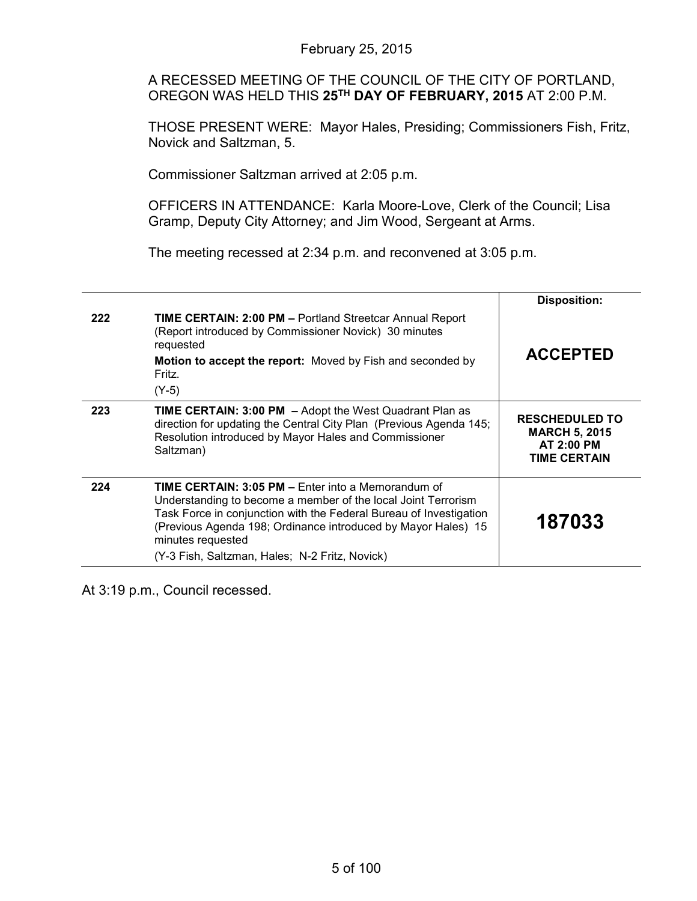A RECESSED MEETING OF THE COUNCIL OF THE CITY OF PORTLAND, OREGON WAS HELD THIS **25TH DAY OF FEBRUARY, 2015** AT 2:00 P.M.

THOSE PRESENT WERE: Mayor Hales, Presiding; Commissioners Fish, Fritz, Novick and Saltzman, 5.

Commissioner Saltzman arrived at 2:05 p.m.

OFFICERS IN ATTENDANCE: Karla Moore-Love, Clerk of the Council; Lisa Gramp, Deputy City Attorney; and Jim Wood, Sergeant at Arms.

The meeting recessed at 2:34 p.m. and reconvened at 3:05 p.m.

|     |                                                                                                                                                                                                                                                                                                                                          | <b>Disposition:</b>                                                                       |
|-----|------------------------------------------------------------------------------------------------------------------------------------------------------------------------------------------------------------------------------------------------------------------------------------------------------------------------------------------|-------------------------------------------------------------------------------------------|
| 222 | <b>TIME CERTAIN: 2:00 PM - Portland Streetcar Annual Report</b><br>(Report introduced by Commissioner Novick) 30 minutes<br>requested<br>Motion to accept the report: Moved by Fish and seconded by<br>Fritz.                                                                                                                            | <b>ACCEPTED</b>                                                                           |
|     | $(Y-5)$                                                                                                                                                                                                                                                                                                                                  |                                                                                           |
| 223 | <b>TIME CERTAIN: 3:00 PM - Adopt the West Quadrant Plan as</b><br>direction for updating the Central City Plan (Previous Agenda 145;<br>Resolution introduced by Mayor Hales and Commissioner<br>Saltzman)                                                                                                                               | <b>RESCHEDULED TO</b><br><b>MARCH 5, 2015</b><br><b>AT 2:00 PM</b><br><b>TIME CERTAIN</b> |
| 224 | <b>TIME CERTAIN: 3:05 PM – Enter into a Memorandum of</b><br>Understanding to become a member of the local Joint Terrorism<br>Task Force in conjunction with the Federal Bureau of Investigation<br>(Previous Agenda 198; Ordinance introduced by Mayor Hales) 15<br>minutes requested<br>(Y-3 Fish, Saltzman, Hales; N-2 Fritz, Novick) | 187033                                                                                    |

At 3:19 p.m., Council recessed.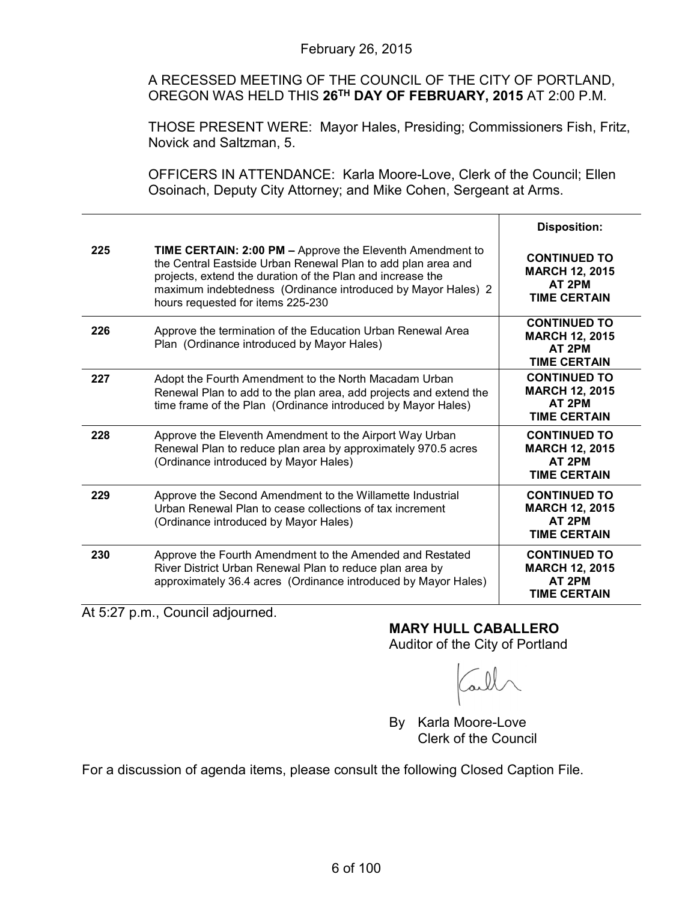A RECESSED MEETING OF THE COUNCIL OF THE CITY OF PORTLAND, OREGON WAS HELD THIS **26TH DAY OF FEBRUARY, 2015** AT 2:00 P.M.

THOSE PRESENT WERE: Mayor Hales, Presiding; Commissioners Fish, Fritz, Novick and Saltzman, 5.

OFFICERS IN ATTENDANCE: Karla Moore-Love, Clerk of the Council; Ellen Osoinach, Deputy City Attorney; and Mike Cohen, Sergeant at Arms.

|     |                                                                                                                                                                                                                                                                                                     | <b>Disposition:</b>                                                           |
|-----|-----------------------------------------------------------------------------------------------------------------------------------------------------------------------------------------------------------------------------------------------------------------------------------------------------|-------------------------------------------------------------------------------|
| 225 | <b>TIME CERTAIN: 2:00 PM - Approve the Eleventh Amendment to</b><br>the Central Eastside Urban Renewal Plan to add plan area and<br>projects, extend the duration of the Plan and increase the<br>maximum indebtedness (Ordinance introduced by Mayor Hales) 2<br>hours requested for items 225-230 | <b>CONTINUED TO</b><br><b>MARCH 12, 2015</b><br>AT 2PM<br><b>TIME CERTAIN</b> |
| 226 | Approve the termination of the Education Urban Renewal Area<br>Plan (Ordinance introduced by Mayor Hales)                                                                                                                                                                                           | <b>CONTINUED TO</b><br><b>MARCH 12, 2015</b><br>AT 2PM<br><b>TIME CERTAIN</b> |
| 227 | Adopt the Fourth Amendment to the North Macadam Urban<br>Renewal Plan to add to the plan area, add projects and extend the<br>time frame of the Plan (Ordinance introduced by Mayor Hales)                                                                                                          | <b>CONTINUED TO</b><br><b>MARCH 12, 2015</b><br>AT 2PM<br><b>TIME CERTAIN</b> |
| 228 | Approve the Eleventh Amendment to the Airport Way Urban<br>Renewal Plan to reduce plan area by approximately 970.5 acres<br>(Ordinance introduced by Mayor Hales)                                                                                                                                   | <b>CONTINUED TO</b><br><b>MARCH 12, 2015</b><br>AT 2PM<br><b>TIME CERTAIN</b> |
| 229 | Approve the Second Amendment to the Willamette Industrial<br>Urban Renewal Plan to cease collections of tax increment<br>(Ordinance introduced by Mayor Hales)                                                                                                                                      | <b>CONTINUED TO</b><br><b>MARCH 12, 2015</b><br>AT 2PM<br><b>TIME CERTAIN</b> |
| 230 | Approve the Fourth Amendment to the Amended and Restated<br>River District Urban Renewal Plan to reduce plan area by<br>approximately 36.4 acres (Ordinance introduced by Mayor Hales)                                                                                                              | <b>CONTINUED TO</b><br><b>MARCH 12, 2015</b><br>AT 2PM<br><b>TIME CERTAIN</b> |

At 5:27 p.m., Council adjourned.

**MARY HULL CABALLERO** Auditor of the City of Portland

By Karla Moore-Love Clerk of the Council

For a discussion of agenda items, please consult the following Closed Caption File.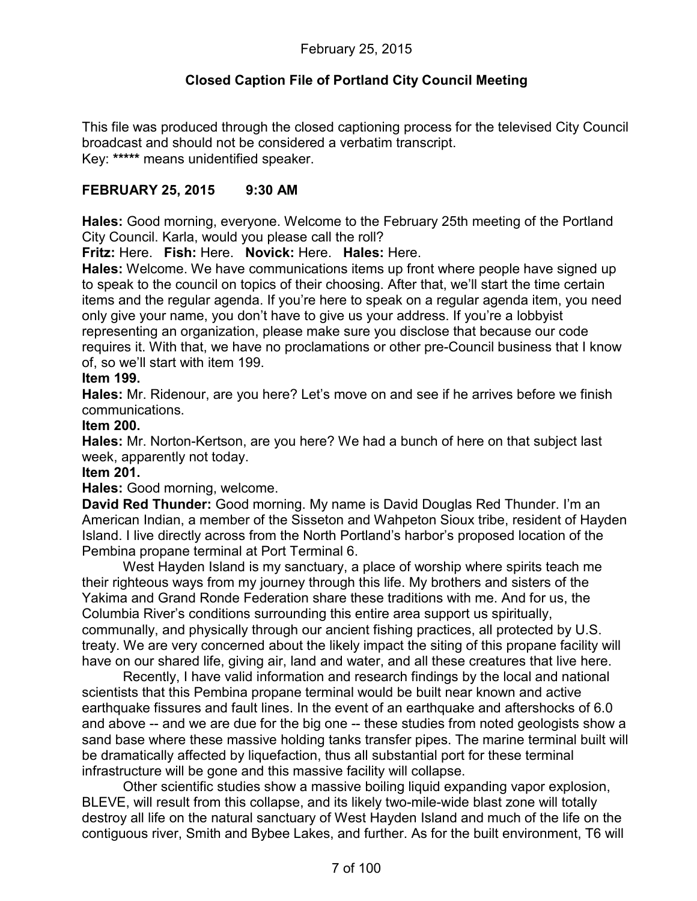# **Closed Caption File of Portland City Council Meeting**

This file was produced through the closed captioning process for the televised City Council broadcast and should not be considered a verbatim transcript. Key: **\*\*\*\*\*** means unidentified speaker.

# **FEBRUARY 25, 2015 9:30 AM**

**Hales:** Good morning, everyone. Welcome to the February 25th meeting of the Portland City Council. Karla, would you please call the roll?

**Fritz:** Here. **Fish:** Here. **Novick:** Here. **Hales:** Here.

**Hales:** Welcome. We have communications items up front where people have signed up to speak to the council on topics of their choosing. After that, we'll start the time certain items and the regular agenda. If you're here to speak on a regular agenda item, you need only give your name, you don't have to give us your address. If you're a lobbyist representing an organization, please make sure you disclose that because our code requires it. With that, we have no proclamations or other pre-Council business that I know of, so we'll start with item 199.

#### **Item 199.**

**Hales:** Mr. Ridenour, are you here? Let's move on and see if he arrives before we finish communications.

#### **Item 200.**

**Hales:** Mr. Norton-Kertson, are you here? We had a bunch of here on that subject last week, apparently not today.

#### **Item 201.**

**Hales:** Good morning, welcome.

**David Red Thunder:** Good morning. My name is David Douglas Red Thunder. I'm an American Indian, a member of the Sisseton and Wahpeton Sioux tribe, resident of Hayden Island. I live directly across from the North Portland's harbor's proposed location of the Pembina propane terminal at Port Terminal 6.

West Hayden Island is my sanctuary, a place of worship where spirits teach me their righteous ways from my journey through this life. My brothers and sisters of the Yakima and Grand Ronde Federation share these traditions with me. And for us, the Columbia River's conditions surrounding this entire area support us spiritually, communally, and physically through our ancient fishing practices, all protected by U.S. treaty. We are very concerned about the likely impact the siting of this propane facility will have on our shared life, giving air, land and water, and all these creatures that live here.

Recently, I have valid information and research findings by the local and national scientists that this Pembina propane terminal would be built near known and active earthquake fissures and fault lines. In the event of an earthquake and aftershocks of 6.0 and above -- and we are due for the big one -- these studies from noted geologists show a sand base where these massive holding tanks transfer pipes. The marine terminal built will be dramatically affected by liquefaction, thus all substantial port for these terminal infrastructure will be gone and this massive facility will collapse.

Other scientific studies show a massive boiling liquid expanding vapor explosion, BLEVE, will result from this collapse, and its likely two-mile-wide blast zone will totally destroy all life on the natural sanctuary of West Hayden Island and much of the life on the contiguous river, Smith and Bybee Lakes, and further. As for the built environment, T6 will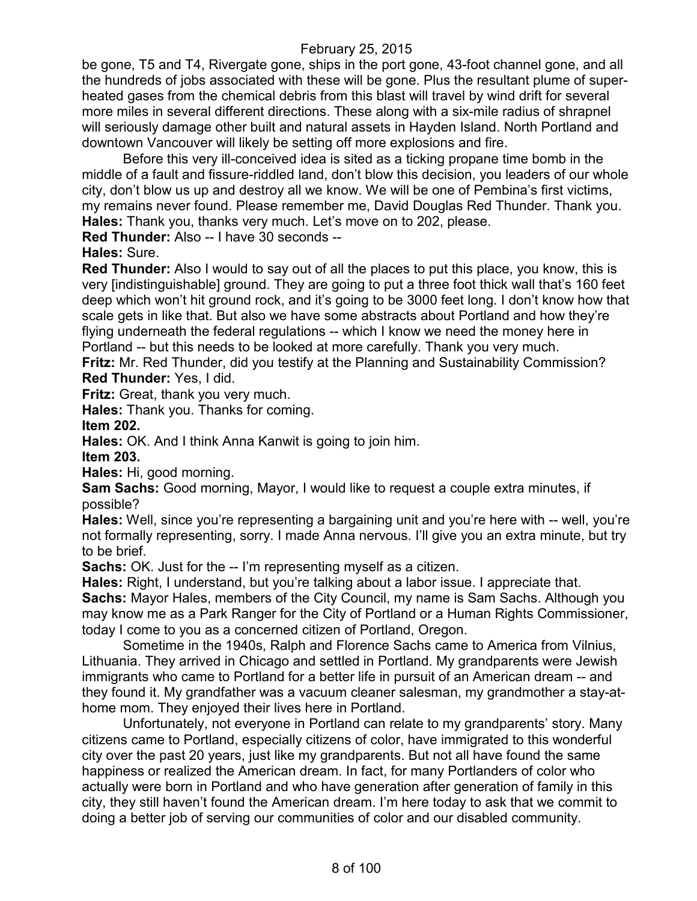be gone, T5 and T4, Rivergate gone, ships in the port gone, 43-foot channel gone, and all the hundreds of jobs associated with these will be gone. Plus the resultant plume of superheated gases from the chemical debris from this blast will travel by wind drift for several more miles in several different directions. These along with a six-mile radius of shrapnel will seriously damage other built and natural assets in Hayden Island. North Portland and downtown Vancouver will likely be setting off more explosions and fire.

Before this very ill-conceived idea is sited as a ticking propane time bomb in the middle of a fault and fissure-riddled land, don't blow this decision, you leaders of our whole city, don't blow us up and destroy all we know. We will be one of Pembina's first victims, my remains never found. Please remember me, David Douglas Red Thunder. Thank you. **Hales:** Thank you, thanks very much. Let's move on to 202, please.

**Red Thunder:** Also -- I have 30 seconds --

**Hales:** Sure.

**Red Thunder:** Also I would to say out of all the places to put this place, you know, this is very [indistinguishable] ground. They are going to put a three foot thick wall that's 160 feet deep which won't hit ground rock, and it's going to be 3000 feet long. I don't know how that scale gets in like that. But also we have some abstracts about Portland and how they're flying underneath the federal regulations -- which I know we need the money here in Portland -- but this needs to be looked at more carefully. Thank you very much. **Fritz:** Mr. Red Thunder, did you testify at the Planning and Sustainability Commission? **Red Thunder:** Yes, I did.

**Fritz:** Great, thank you very much.

**Hales:** Thank you. Thanks for coming.

**Item 202.**

**Hales:** OK. And I think Anna Kanwit is going to join him.

**Item 203.**

**Hales:** Hi, good morning.

**Sam Sachs:** Good morning, Mayor, I would like to request a couple extra minutes, if possible?

**Hales:** Well, since you're representing a bargaining unit and you're here with -- well, you're not formally representing, sorry. I made Anna nervous. I'll give you an extra minute, but try to be brief.

**Sachs:** OK. Just for the -- I'm representing myself as a citizen.

**Hales:** Right, I understand, but you're talking about a labor issue. I appreciate that. **Sachs:** Mayor Hales, members of the City Council, my name is Sam Sachs. Although you may know me as a Park Ranger for the City of Portland or a Human Rights Commissioner, today I come to you as a concerned citizen of Portland, Oregon.

Sometime in the 1940s, Ralph and Florence Sachs came to America from Vilnius, Lithuania. They arrived in Chicago and settled in Portland. My grandparents were Jewish immigrants who came to Portland for a better life in pursuit of an American dream -- and they found it. My grandfather was a vacuum cleaner salesman, my grandmother a stay-athome mom. They enjoyed their lives here in Portland.

Unfortunately, not everyone in Portland can relate to my grandparents' story. Many citizens came to Portland, especially citizens of color, have immigrated to this wonderful city over the past 20 years, just like my grandparents. But not all have found the same happiness or realized the American dream. In fact, for many Portlanders of color who actually were born in Portland and who have generation after generation of family in this city, they still haven't found the American dream. I'm here today to ask that we commit to doing a better job of serving our communities of color and our disabled community.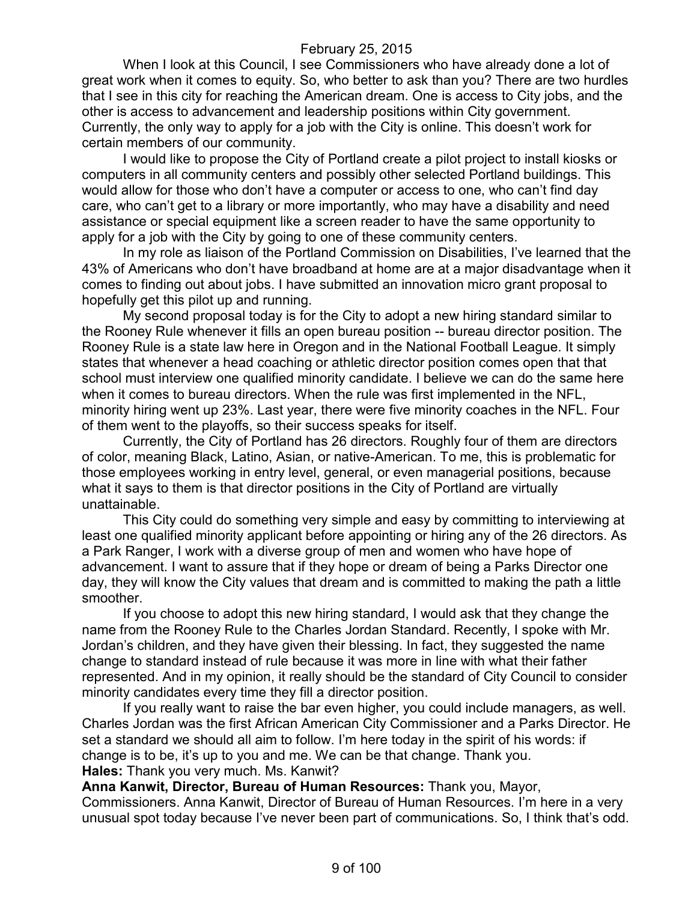When I look at this Council, I see Commissioners who have already done a lot of great work when it comes to equity. So, who better to ask than you? There are two hurdles that I see in this city for reaching the American dream. One is access to City jobs, and the other is access to advancement and leadership positions within City government. Currently, the only way to apply for a job with the City is online. This doesn't work for certain members of our community.

I would like to propose the City of Portland create a pilot project to install kiosks or computers in all community centers and possibly other selected Portland buildings. This would allow for those who don't have a computer or access to one, who can't find day care, who can't get to a library or more importantly, who may have a disability and need assistance or special equipment like a screen reader to have the same opportunity to apply for a job with the City by going to one of these community centers.

In my role as liaison of the Portland Commission on Disabilities, I've learned that the 43% of Americans who don't have broadband at home are at a major disadvantage when it comes to finding out about jobs. I have submitted an innovation micro grant proposal to hopefully get this pilot up and running.

My second proposal today is for the City to adopt a new hiring standard similar to the Rooney Rule whenever it fills an open bureau position -- bureau director position. The Rooney Rule is a state law here in Oregon and in the National Football League. It simply states that whenever a head coaching or athletic director position comes open that that school must interview one qualified minority candidate. I believe we can do the same here when it comes to bureau directors. When the rule was first implemented in the NFL, minority hiring went up 23%. Last year, there were five minority coaches in the NFL. Four of them went to the playoffs, so their success speaks for itself.

Currently, the City of Portland has 26 directors. Roughly four of them are directors of color, meaning Black, Latino, Asian, or native-American. To me, this is problematic for those employees working in entry level, general, or even managerial positions, because what it says to them is that director positions in the City of Portland are virtually unattainable.

This City could do something very simple and easy by committing to interviewing at least one qualified minority applicant before appointing or hiring any of the 26 directors. As a Park Ranger, I work with a diverse group of men and women who have hope of advancement. I want to assure that if they hope or dream of being a Parks Director one day, they will know the City values that dream and is committed to making the path a little smoother.

If you choose to adopt this new hiring standard, I would ask that they change the name from the Rooney Rule to the Charles Jordan Standard. Recently, I spoke with Mr. Jordan's children, and they have given their blessing. In fact, they suggested the name change to standard instead of rule because it was more in line with what their father represented. And in my opinion, it really should be the standard of City Council to consider minority candidates every time they fill a director position.

If you really want to raise the bar even higher, you could include managers, as well. Charles Jordan was the first African American City Commissioner and a Parks Director. He set a standard we should all aim to follow. I'm here today in the spirit of his words: if change is to be, it's up to you and me. We can be that change. Thank you. **Hales:** Thank you very much. Ms. Kanwit?

**Anna Kanwit, Director, Bureau of Human Resources:** Thank you, Mayor, Commissioners. Anna Kanwit, Director of Bureau of Human Resources. I'm here in a very unusual spot today because I've never been part of communications. So, I think that's odd.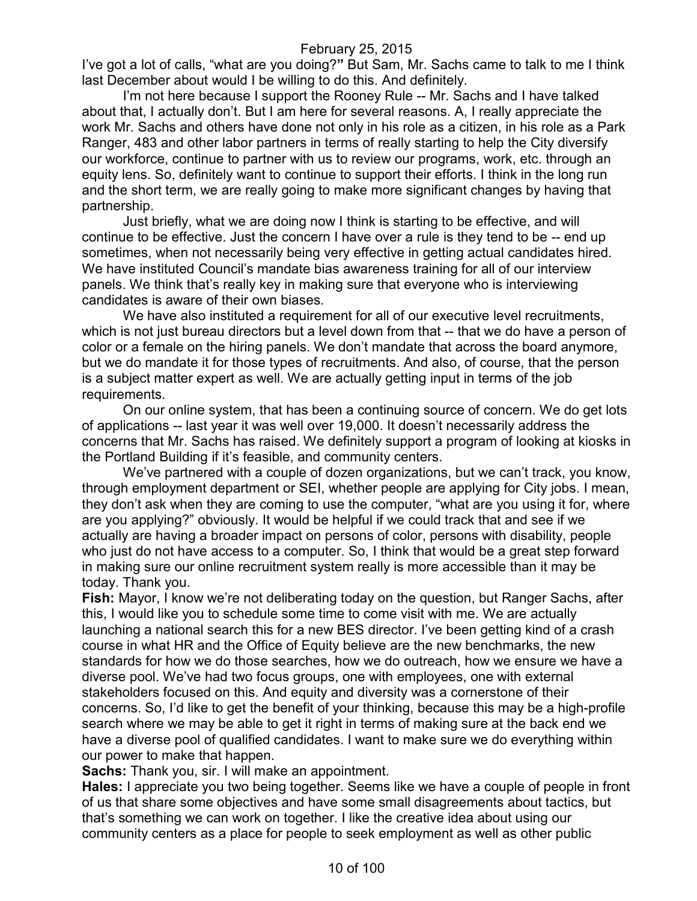I've got a lot of calls, "what are you doing?**"** But Sam, Mr. Sachs came to talk to me I think last December about would I be willing to do this. And definitely.

I'm not here because I support the Rooney Rule -- Mr. Sachs and I have talked about that, I actually don't. But I am here for several reasons. A, I really appreciate the work Mr. Sachs and others have done not only in his role as a citizen, in his role as a Park Ranger, 483 and other labor partners in terms of really starting to help the City diversify our workforce, continue to partner with us to review our programs, work, etc. through an equity lens. So, definitely want to continue to support their efforts. I think in the long run and the short term, we are really going to make more significant changes by having that partnership.

Just briefly, what we are doing now I think is starting to be effective, and will continue to be effective. Just the concern I have over a rule is they tend to be -- end up sometimes, when not necessarily being very effective in getting actual candidates hired. We have instituted Council's mandate bias awareness training for all of our interview panels. We think that's really key in making sure that everyone who is interviewing candidates is aware of their own biases.

We have also instituted a requirement for all of our executive level recruitments, which is not just bureau directors but a level down from that -- that we do have a person of color or a female on the hiring panels. We don't mandate that across the board anymore, but we do mandate it for those types of recruitments. And also, of course, that the person is a subject matter expert as well. We are actually getting input in terms of the job requirements.

On our online system, that has been a continuing source of concern. We do get lots of applications -- last year it was well over 19,000. It doesn't necessarily address the concerns that Mr. Sachs has raised. We definitely support a program of looking at kiosks in the Portland Building if it's feasible, and community centers.

We've partnered with a couple of dozen organizations, but we can't track, you know, through employment department or SEI, whether people are applying for City jobs. I mean, they don't ask when they are coming to use the computer, "what are you using it for, where are you applying?" obviously. It would be helpful if we could track that and see if we actually are having a broader impact on persons of color, persons with disability, people who just do not have access to a computer. So, I think that would be a great step forward in making sure our online recruitment system really is more accessible than it may be today. Thank you.

**Fish:** Mayor, I know we're not deliberating today on the question, but Ranger Sachs, after this, I would like you to schedule some time to come visit with me. We are actually launching a national search this for a new BES director. I've been getting kind of a crash course in what HR and the Office of Equity believe are the new benchmarks, the new standards for how we do those searches, how we do outreach, how we ensure we have a diverse pool. We've had two focus groups, one with employees, one with external stakeholders focused on this. And equity and diversity was a cornerstone of their concerns. So, I'd like to get the benefit of your thinking, because this may be a high-profile search where we may be able to get it right in terms of making sure at the back end we have a diverse pool of qualified candidates. I want to make sure we do everything within our power to make that happen.

**Sachs:** Thank you, sir. I will make an appointment.

**Hales:** I appreciate you two being together. Seems like we have a couple of people in front of us that share some objectives and have some small disagreements about tactics, but that's something we can work on together. I like the creative idea about using our community centers as a place for people to seek employment as well as other public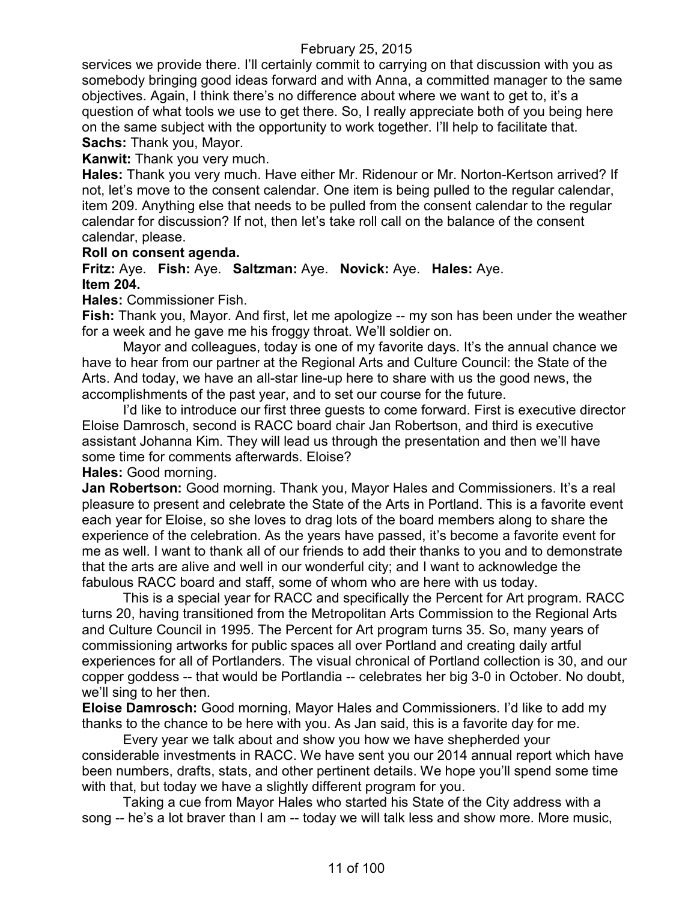services we provide there. I'll certainly commit to carrying on that discussion with you as somebody bringing good ideas forward and with Anna, a committed manager to the same objectives. Again, I think there's no difference about where we want to get to, it's a question of what tools we use to get there. So, I really appreciate both of you being here on the same subject with the opportunity to work together. I'll help to facilitate that. **Sachs:** Thank you, Mayor.

**Kanwit:** Thank you very much.

**Hales:** Thank you very much. Have either Mr. Ridenour or Mr. Norton-Kertson arrived? If not, let's move to the consent calendar. One item is being pulled to the regular calendar, item 209. Anything else that needs to be pulled from the consent calendar to the regular calendar for discussion? If not, then let's take roll call on the balance of the consent calendar, please.

#### **Roll on consent agenda.**

**Fritz:** Aye. **Fish:** Aye. **Saltzman:** Aye. **Novick:** Aye. **Hales:** Aye. **Item 204.**

**Hales:** Commissioner Fish.

**Fish:** Thank you, Mayor. And first, let me apologize -- my son has been under the weather for a week and he gave me his froggy throat. We'll soldier on.

Mayor and colleagues, today is one of my favorite days. It's the annual chance we have to hear from our partner at the Regional Arts and Culture Council: the State of the Arts. And today, we have an all-star line-up here to share with us the good news, the accomplishments of the past year, and to set our course for the future.

I'd like to introduce our first three guests to come forward. First is executive director Eloise Damrosch, second is RACC board chair Jan Robertson, and third is executive assistant Johanna Kim. They will lead us through the presentation and then we'll have some time for comments afterwards. Eloise?

**Hales:** Good morning.

**Jan Robertson:** Good morning. Thank you, Mayor Hales and Commissioners. It's a real pleasure to present and celebrate the State of the Arts in Portland. This is a favorite event each year for Eloise, so she loves to drag lots of the board members along to share the experience of the celebration. As the years have passed, it's become a favorite event for me as well. I want to thank all of our friends to add their thanks to you and to demonstrate that the arts are alive and well in our wonderful city; and I want to acknowledge the fabulous RACC board and staff, some of whom who are here with us today.

This is a special year for RACC and specifically the Percent for Art program. RACC turns 20, having transitioned from the Metropolitan Arts Commission to the Regional Arts and Culture Council in 1995. The Percent for Art program turns 35. So, many years of commissioning artworks for public spaces all over Portland and creating daily artful experiences for all of Portlanders. The visual chronical of Portland collection is 30, and our copper goddess -- that would be Portlandia -- celebrates her big 3-0 in October. No doubt, we'll sing to her then.

**Eloise Damrosch:** Good morning, Mayor Hales and Commissioners. I'd like to add my thanks to the chance to be here with you. As Jan said, this is a favorite day for me.

Every year we talk about and show you how we have shepherded your considerable investments in RACC. We have sent you our 2014 annual report which have been numbers, drafts, stats, and other pertinent details. We hope you'll spend some time with that, but today we have a slightly different program for you.

Taking a cue from Mayor Hales who started his State of the City address with a song -- he's a lot braver than I am -- today we will talk less and show more. More music,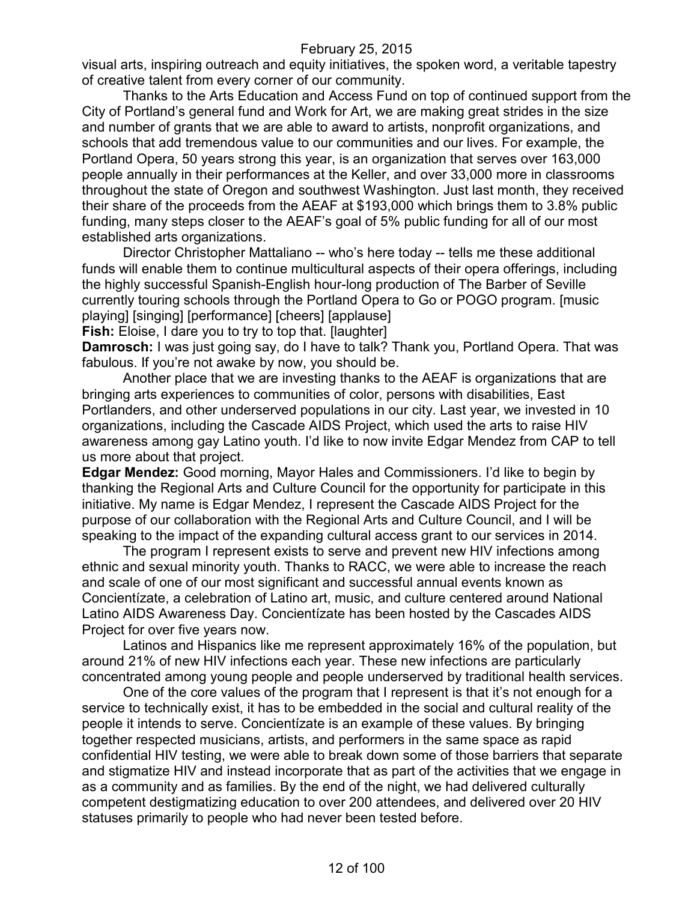visual arts, inspiring outreach and equity initiatives, the spoken word, a veritable tapestry of creative talent from every corner of our community.

Thanks to the Arts Education and Access Fund on top of continued support from the City of Portland's general fund and Work for Art, we are making great strides in the size and number of grants that we are able to award to artists, nonprofit organizations, and schools that add tremendous value to our communities and our lives. For example, the Portland Opera, 50 years strong this year, is an organization that serves over 163,000 people annually in their performances at the Keller, and over 33,000 more in classrooms throughout the state of Oregon and southwest Washington. Just last month, they received their share of the proceeds from the AEAF at \$193,000 which brings them to 3.8% public funding, many steps closer to the AEAF's goal of 5% public funding for all of our most established arts organizations.

Director Christopher Mattaliano -- who's here today -- tells me these additional funds will enable them to continue multicultural aspects of their opera offerings, including the highly successful Spanish-English hour-long production of The Barber of Seville currently touring schools through the Portland Opera to Go or POGO program. [music playing] [singing] [performance] [cheers] [applause]

**Fish:** Eloise, I dare you to try to top that. [laughter]

**Damrosch:** I was just going say, do I have to talk? Thank you, Portland Opera. That was fabulous. If you're not awake by now, you should be.

Another place that we are investing thanks to the AEAF is organizations that are bringing arts experiences to communities of color, persons with disabilities, East Portlanders, and other underserved populations in our city. Last year, we invested in 10 organizations, including the Cascade AIDS Project, which used the arts to raise HIV awareness among gay Latino youth. I'd like to now invite Edgar Mendez from CAP to tell us more about that project.

**Edgar Mendez:** Good morning, Mayor Hales and Commissioners. I'd like to begin by thanking the Regional Arts and Culture Council for the opportunity for participate in this initiative. My name is Edgar Mendez, I represent the Cascade AIDS Project for the purpose of our collaboration with the Regional Arts and Culture Council, and I will be speaking to the impact of the expanding cultural access grant to our services in 2014.

The program I represent exists to serve and prevent new HIV infections among ethnic and sexual minority youth. Thanks to RACC, we were able to increase the reach and scale of one of our most significant and successful annual events known as Concientízate, a celebration of Latino art, music, and culture centered around National Latino AIDS Awareness Day. Concientízate has been hosted by the Cascades AIDS Project for over five years now.

Latinos and Hispanics like me represent approximately 16% of the population, but around 21% of new HIV infections each year. These new infections are particularly concentrated among young people and people underserved by traditional health services.

One of the core values of the program that I represent is that it's not enough for a service to technically exist, it has to be embedded in the social and cultural reality of the people it intends to serve. Concientízate is an example of these values. By bringing together respected musicians, artists, and performers in the same space as rapid confidential HIV testing, we were able to break down some of those barriers that separate and stigmatize HIV and instead incorporate that as part of the activities that we engage in as a community and as families. By the end of the night, we had delivered culturally competent destigmatizing education to over 200 attendees, and delivered over 20 HIV statuses primarily to people who had never been tested before.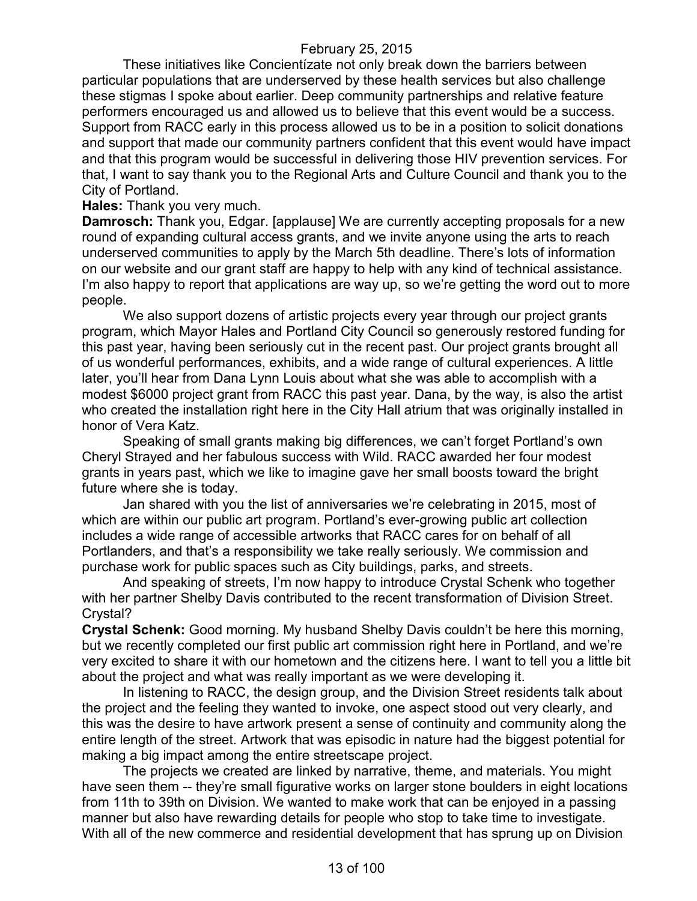These initiatives like Concientízate not only break down the barriers between particular populations that are underserved by these health services but also challenge these stigmas I spoke about earlier. Deep community partnerships and relative feature performers encouraged us and allowed us to believe that this event would be a success. Support from RACC early in this process allowed us to be in a position to solicit donations and support that made our community partners confident that this event would have impact and that this program would be successful in delivering those HIV prevention services. For that, I want to say thank you to the Regional Arts and Culture Council and thank you to the City of Portland.

**Hales:** Thank you very much.

**Damrosch:** Thank you, Edgar. [applause] We are currently accepting proposals for a new round of expanding cultural access grants, and we invite anyone using the arts to reach underserved communities to apply by the March 5th deadline. There's lots of information on our website and our grant staff are happy to help with any kind of technical assistance. I'm also happy to report that applications are way up, so we're getting the word out to more people.

We also support dozens of artistic projects every year through our project grants program, which Mayor Hales and Portland City Council so generously restored funding for this past year, having been seriously cut in the recent past. Our project grants brought all of us wonderful performances, exhibits, and a wide range of cultural experiences. A little later, you'll hear from Dana Lynn Louis about what she was able to accomplish with a modest \$6000 project grant from RACC this past year. Dana, by the way, is also the artist who created the installation right here in the City Hall atrium that was originally installed in honor of Vera Katz.

Speaking of small grants making big differences, we can't forget Portland's own Cheryl Strayed and her fabulous success with Wild. RACC awarded her four modest grants in years past, which we like to imagine gave her small boosts toward the bright future where she is today.

Jan shared with you the list of anniversaries we're celebrating in 2015, most of which are within our public art program. Portland's ever-growing public art collection includes a wide range of accessible artworks that RACC cares for on behalf of all Portlanders, and that's a responsibility we take really seriously. We commission and purchase work for public spaces such as City buildings, parks, and streets.

And speaking of streets, I'm now happy to introduce Crystal Schenk who together with her partner Shelby Davis contributed to the recent transformation of Division Street. Crystal?

**Crystal Schenk:** Good morning. My husband Shelby Davis couldn't be here this morning, but we recently completed our first public art commission right here in Portland, and we're very excited to share it with our hometown and the citizens here. I want to tell you a little bit about the project and what was really important as we were developing it.

In listening to RACC, the design group, and the Division Street residents talk about the project and the feeling they wanted to invoke, one aspect stood out very clearly, and this was the desire to have artwork present a sense of continuity and community along the entire length of the street. Artwork that was episodic in nature had the biggest potential for making a big impact among the entire streetscape project.

The projects we created are linked by narrative, theme, and materials. You might have seen them -- they're small figurative works on larger stone boulders in eight locations from 11th to 39th on Division. We wanted to make work that can be enjoyed in a passing manner but also have rewarding details for people who stop to take time to investigate. With all of the new commerce and residential development that has sprung up on Division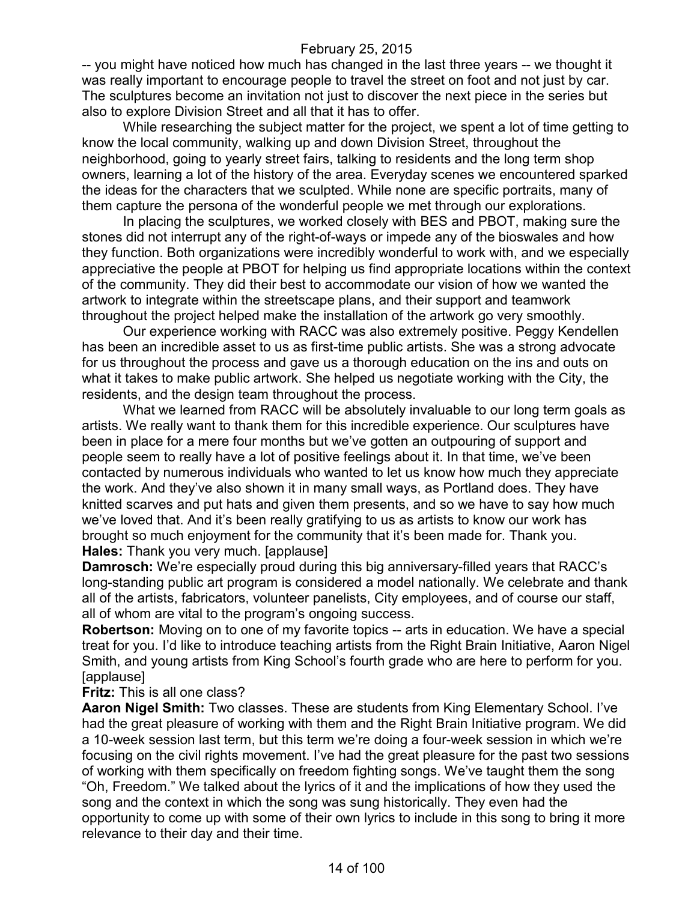-- you might have noticed how much has changed in the last three years -- we thought it was really important to encourage people to travel the street on foot and not just by car. The sculptures become an invitation not just to discover the next piece in the series but also to explore Division Street and all that it has to offer.

While researching the subject matter for the project, we spent a lot of time getting to know the local community, walking up and down Division Street, throughout the neighborhood, going to yearly street fairs, talking to residents and the long term shop owners, learning a lot of the history of the area. Everyday scenes we encountered sparked the ideas for the characters that we sculpted. While none are specific portraits, many of them capture the persona of the wonderful people we met through our explorations.

In placing the sculptures, we worked closely with BES and PBOT, making sure the stones did not interrupt any of the right-of-ways or impede any of the bioswales and how they function. Both organizations were incredibly wonderful to work with, and we especially appreciative the people at PBOT for helping us find appropriate locations within the context of the community. They did their best to accommodate our vision of how we wanted the artwork to integrate within the streetscape plans, and their support and teamwork throughout the project helped make the installation of the artwork go very smoothly.

Our experience working with RACC was also extremely positive. Peggy Kendellen has been an incredible asset to us as first-time public artists. She was a strong advocate for us throughout the process and gave us a thorough education on the ins and outs on what it takes to make public artwork. She helped us negotiate working with the City, the residents, and the design team throughout the process.

What we learned from RACC will be absolutely invaluable to our long term goals as artists. We really want to thank them for this incredible experience. Our sculptures have been in place for a mere four months but we've gotten an outpouring of support and people seem to really have a lot of positive feelings about it. In that time, we've been contacted by numerous individuals who wanted to let us know how much they appreciate the work. And they've also shown it in many small ways, as Portland does. They have knitted scarves and put hats and given them presents, and so we have to say how much we've loved that. And it's been really gratifying to us as artists to know our work has brought so much enjoyment for the community that it's been made for. Thank you. **Hales:** Thank you very much. [applause]

**Damrosch:** We're especially proud during this big anniversary-filled years that RACC's long-standing public art program is considered a model nationally. We celebrate and thank all of the artists, fabricators, volunteer panelists, City employees, and of course our staff, all of whom are vital to the program's ongoing success.

**Robertson:** Moving on to one of my favorite topics -- arts in education. We have a special treat for you. I'd like to introduce teaching artists from the Right Brain Initiative, Aaron Nigel Smith, and young artists from King School's fourth grade who are here to perform for you. [applause]

#### **Fritz:** This is all one class?

**Aaron Nigel Smith:** Two classes. These are students from King Elementary School. I've had the great pleasure of working with them and the Right Brain Initiative program. We did a 10-week session last term, but this term we're doing a four-week session in which we're focusing on the civil rights movement. I've had the great pleasure for the past two sessions of working with them specifically on freedom fighting songs. We've taught them the song "Oh, Freedom." We talked about the lyrics of it and the implications of how they used the song and the context in which the song was sung historically. They even had the opportunity to come up with some of their own lyrics to include in this song to bring it more relevance to their day and their time.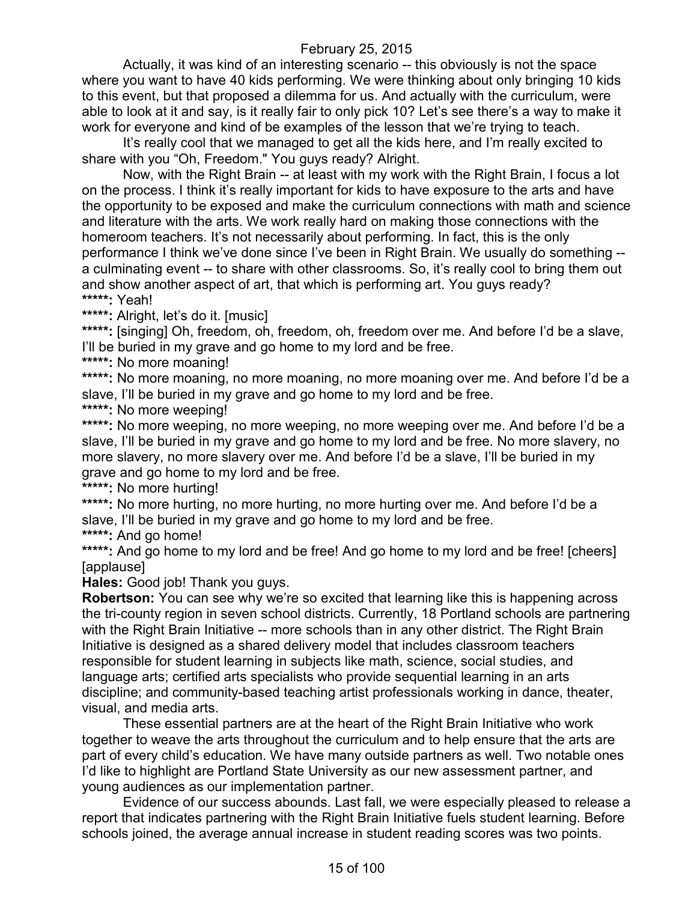Actually, it was kind of an interesting scenario -- this obviously is not the space where you want to have 40 kids performing. We were thinking about only bringing 10 kids to this event, but that proposed a dilemma for us. And actually with the curriculum, were able to look at it and say, is it really fair to only pick 10? Let's see there's a way to make it work for everyone and kind of be examples of the lesson that we're trying to teach.

It's really cool that we managed to get all the kids here, and I'm really excited to share with you "Oh, Freedom." You guys ready? Alright.

Now, with the Right Brain -- at least with my work with the Right Brain, I focus a lot on the process. I think it's really important for kids to have exposure to the arts and have the opportunity to be exposed and make the curriculum connections with math and science and literature with the arts. We work really hard on making those connections with the homeroom teachers. It's not necessarily about performing. In fact, this is the only performance I think we've done since I've been in Right Brain. We usually do something - a culminating event -- to share with other classrooms. So, it's really cool to bring them out and show another aspect of art, that which is performing art. You guys ready? **\*\*\*\*\*:** Yeah!

**\*\*\*\*\*:** Alright, let's do it. [music]

\*\*\*\*\*: [singing] Oh, freedom, oh, freedom, oh, freedom over me. And before I'd be a slave, I'll be buried in my grave and go home to my lord and be free.

**\*\*\*\*\*:** No more moaning!

\*\*\*\*\*: No more moaning, no more moaning, no more moaning over me. And before I'd be a slave, I'll be buried in my grave and go home to my lord and be free.

**\*\*\*\*\*:** No more weeping!

\*\*\*\*\*: No more weeping, no more weeping, no more weeping over me. And before I'd be a slave, I'll be buried in my grave and go home to my lord and be free. No more slavery, no more slavery, no more slavery over me. And before I'd be a slave, I'll be buried in my grave and go home to my lord and be free.

**\*\*\*\*\*:** No more hurting!

\*\*\*\*\*: No more hurting, no more hurting, no more hurting over me. And before I'd be a slave, I'll be buried in my grave and go home to my lord and be free.

**\*\*\*\*\*:** And go home!

\*\*\*\*\*: And go home to my lord and be free! And go home to my lord and be free! [cheers] [applause]

**Hales:** Good job! Thank you guys.

**Robertson:** You can see why we're so excited that learning like this is happening across the tri-county region in seven school districts. Currently, 18 Portland schools are partnering with the Right Brain Initiative -- more schools than in any other district. The Right Brain Initiative is designed as a shared delivery model that includes classroom teachers responsible for student learning in subjects like math, science, social studies, and language arts; certified arts specialists who provide sequential learning in an arts discipline; and community-based teaching artist professionals working in dance, theater, visual, and media arts.

These essential partners are at the heart of the Right Brain Initiative who work together to weave the arts throughout the curriculum and to help ensure that the arts are part of every child's education. We have many outside partners as well. Two notable ones I'd like to highlight are Portland State University as our new assessment partner, and young audiences as our implementation partner.

Evidence of our success abounds. Last fall, we were especially pleased to release a report that indicates partnering with the Right Brain Initiative fuels student learning. Before schools joined, the average annual increase in student reading scores was two points.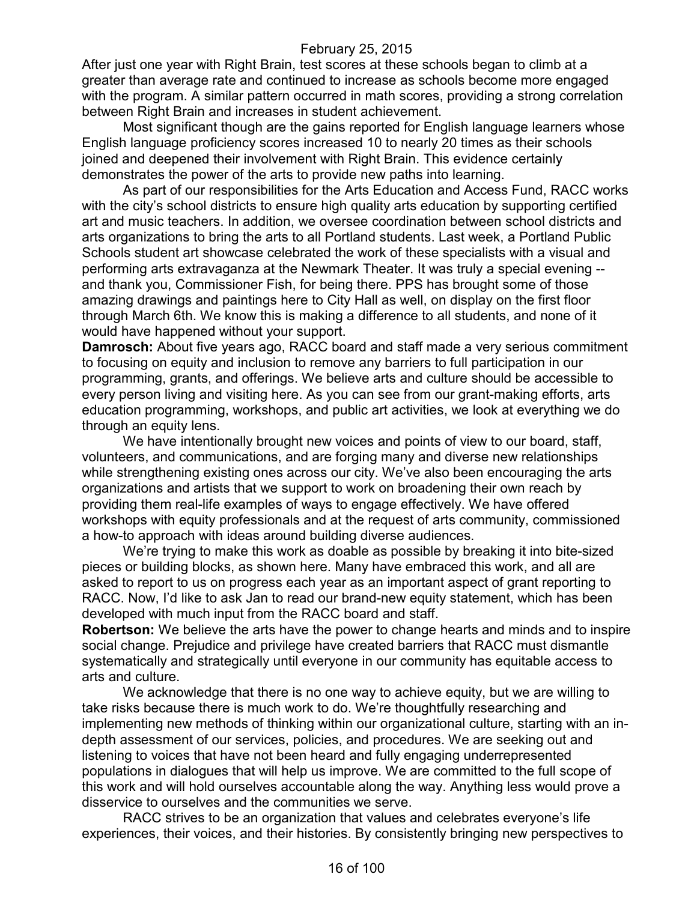After just one year with Right Brain, test scores at these schools began to climb at a greater than average rate and continued to increase as schools become more engaged with the program. A similar pattern occurred in math scores, providing a strong correlation between Right Brain and increases in student achievement.

Most significant though are the gains reported for English language learners whose English language proficiency scores increased 10 to nearly 20 times as their schools joined and deepened their involvement with Right Brain. This evidence certainly demonstrates the power of the arts to provide new paths into learning.

As part of our responsibilities for the Arts Education and Access Fund, RACC works with the city's school districts to ensure high quality arts education by supporting certified art and music teachers. In addition, we oversee coordination between school districts and arts organizations to bring the arts to all Portland students. Last week, a Portland Public Schools student art showcase celebrated the work of these specialists with a visual and performing arts extravaganza at the Newmark Theater. It was truly a special evening - and thank you, Commissioner Fish, for being there. PPS has brought some of those amazing drawings and paintings here to City Hall as well, on display on the first floor through March 6th. We know this is making a difference to all students, and none of it would have happened without your support.

**Damrosch:** About five years ago, RACC board and staff made a very serious commitment to focusing on equity and inclusion to remove any barriers to full participation in our programming, grants, and offerings. We believe arts and culture should be accessible to every person living and visiting here. As you can see from our grant-making efforts, arts education programming, workshops, and public art activities, we look at everything we do through an equity lens.

We have intentionally brought new voices and points of view to our board, staff, volunteers, and communications, and are forging many and diverse new relationships while strengthening existing ones across our city. We've also been encouraging the arts organizations and artists that we support to work on broadening their own reach by providing them real-life examples of ways to engage effectively. We have offered workshops with equity professionals and at the request of arts community, commissioned a how-to approach with ideas around building diverse audiences.

We're trying to make this work as doable as possible by breaking it into bite-sized pieces or building blocks, as shown here. Many have embraced this work, and all are asked to report to us on progress each year as an important aspect of grant reporting to RACC. Now, I'd like to ask Jan to read our brand-new equity statement, which has been developed with much input from the RACC board and staff.

**Robertson:** We believe the arts have the power to change hearts and minds and to inspire social change. Prejudice and privilege have created barriers that RACC must dismantle systematically and strategically until everyone in our community has equitable access to arts and culture.

We acknowledge that there is no one way to achieve equity, but we are willing to take risks because there is much work to do. We're thoughtfully researching and implementing new methods of thinking within our organizational culture, starting with an indepth assessment of our services, policies, and procedures. We are seeking out and listening to voices that have not been heard and fully engaging underrepresented populations in dialogues that will help us improve. We are committed to the full scope of this work and will hold ourselves accountable along the way. Anything less would prove a disservice to ourselves and the communities we serve.

RACC strives to be an organization that values and celebrates everyone's life experiences, their voices, and their histories. By consistently bringing new perspectives to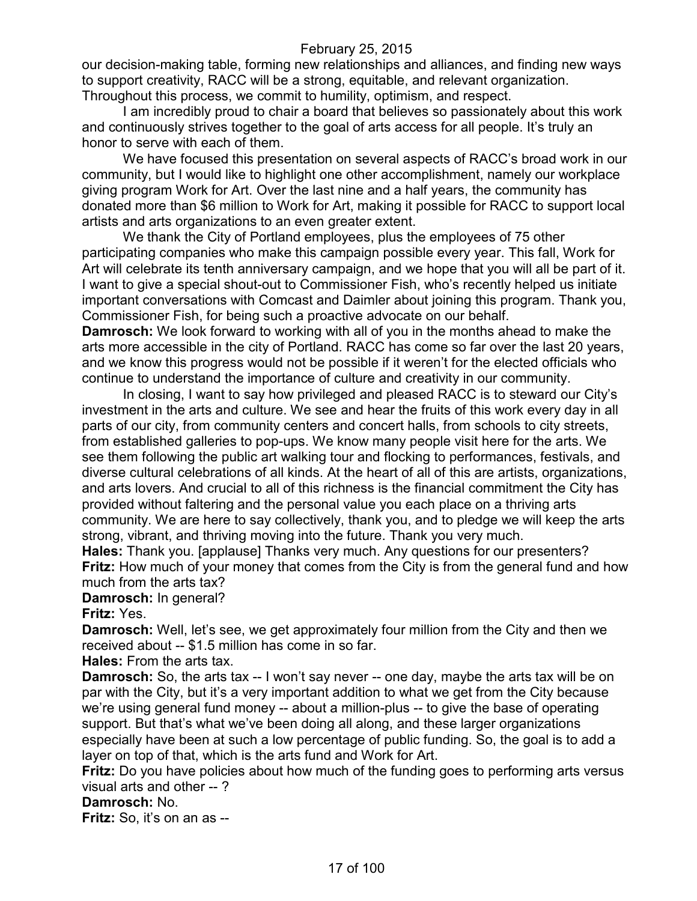our decision-making table, forming new relationships and alliances, and finding new ways to support creativity, RACC will be a strong, equitable, and relevant organization. Throughout this process, we commit to humility, optimism, and respect.

I am incredibly proud to chair a board that believes so passionately about this work and continuously strives together to the goal of arts access for all people. It's truly an honor to serve with each of them.

We have focused this presentation on several aspects of RACC's broad work in our community, but I would like to highlight one other accomplishment, namely our workplace giving program Work for Art. Over the last nine and a half years, the community has donated more than \$6 million to Work for Art, making it possible for RACC to support local artists and arts organizations to an even greater extent.

We thank the City of Portland employees, plus the employees of 75 other participating companies who make this campaign possible every year. This fall, Work for Art will celebrate its tenth anniversary campaign, and we hope that you will all be part of it. I want to give a special shout-out to Commissioner Fish, who's recently helped us initiate important conversations with Comcast and Daimler about joining this program. Thank you, Commissioner Fish, for being such a proactive advocate on our behalf. **Damrosch:** We look forward to working with all of you in the months ahead to make the

arts more accessible in the city of Portland. RACC has come so far over the last 20 years, and we know this progress would not be possible if it weren't for the elected officials who continue to understand the importance of culture and creativity in our community.

In closing, I want to say how privileged and pleased RACC is to steward our City's investment in the arts and culture. We see and hear the fruits of this work every day in all parts of our city, from community centers and concert halls, from schools to city streets, from established galleries to pop-ups. We know many people visit here for the arts. We see them following the public art walking tour and flocking to performances, festivals, and diverse cultural celebrations of all kinds. At the heart of all of this are artists, organizations, and arts lovers. And crucial to all of this richness is the financial commitment the City has provided without faltering and the personal value you each place on a thriving arts community. We are here to say collectively, thank you, and to pledge we will keep the arts strong, vibrant, and thriving moving into the future. Thank you very much.

**Hales:** Thank you. [applause] Thanks very much. Any questions for our presenters? **Fritz:** How much of your money that comes from the City is from the general fund and how much from the arts tax?

**Damrosch:** In general?

**Fritz:** Yes.

**Damrosch:** Well, let's see, we get approximately four million from the City and then we received about -- \$1.5 million has come in so far.

**Hales:** From the arts tax.

**Damrosch:** So, the arts tax -- I won't say never -- one day, maybe the arts tax will be on par with the City, but it's a very important addition to what we get from the City because we're using general fund money -- about a million-plus -- to give the base of operating support. But that's what we've been doing all along, and these larger organizations especially have been at such a low percentage of public funding. So, the goal is to add a layer on top of that, which is the arts fund and Work for Art.

**Fritz:** Do you have policies about how much of the funding goes to performing arts versus visual arts and other -- ?

#### **Damrosch:** No.

**Fritz:** So, it's on an as --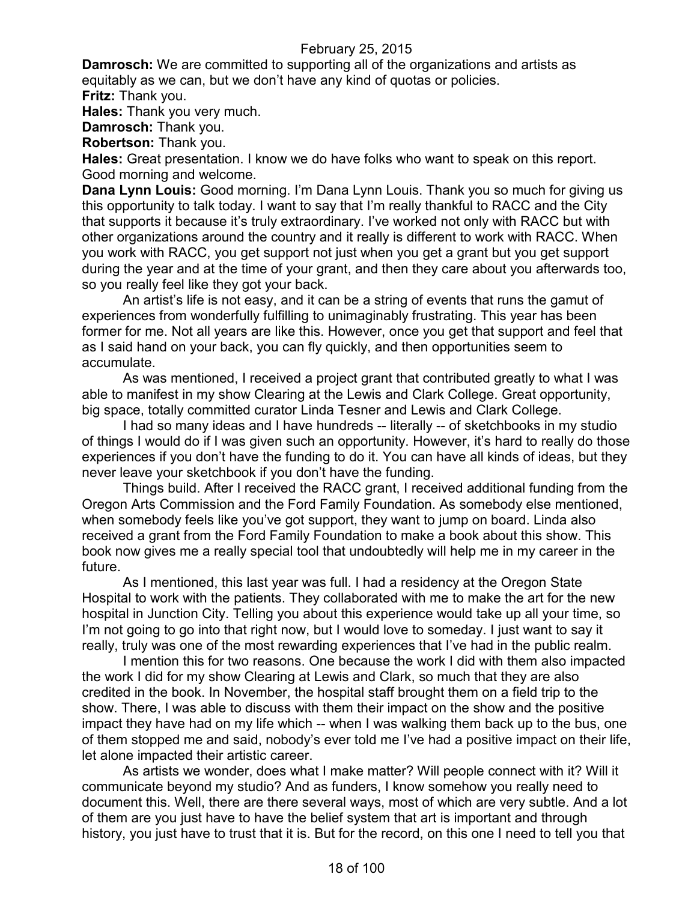**Damrosch:** We are committed to supporting all of the organizations and artists as equitably as we can, but we don't have any kind of quotas or policies. **Fritz:** Thank you.

**Hales:** Thank you very much.

**Damrosch:** Thank you.

**Robertson:** Thank you.

**Hales:** Great presentation. I know we do have folks who want to speak on this report. Good morning and welcome.

**Dana Lynn Louis:** Good morning. I'm Dana Lynn Louis. Thank you so much for giving us this opportunity to talk today. I want to say that I'm really thankful to RACC and the City that supports it because it's truly extraordinary. I've worked not only with RACC but with other organizations around the country and it really is different to work with RACC. When you work with RACC, you get support not just when you get a grant but you get support during the year and at the time of your grant, and then they care about you afterwards too, so you really feel like they got your back.

An artist's life is not easy, and it can be a string of events that runs the gamut of experiences from wonderfully fulfilling to unimaginably frustrating. This year has been former for me. Not all years are like this. However, once you get that support and feel that as I said hand on your back, you can fly quickly, and then opportunities seem to accumulate.

As was mentioned, I received a project grant that contributed greatly to what I was able to manifest in my show Clearing at the Lewis and Clark College. Great opportunity, big space, totally committed curator Linda Tesner and Lewis and Clark College.

I had so many ideas and I have hundreds -- literally -- of sketchbooks in my studio of things I would do if I was given such an opportunity. However, it's hard to really do those experiences if you don't have the funding to do it. You can have all kinds of ideas, but they never leave your sketchbook if you don't have the funding.

Things build. After I received the RACC grant, I received additional funding from the Oregon Arts Commission and the Ford Family Foundation. As somebody else mentioned, when somebody feels like you've got support, they want to jump on board. Linda also received a grant from the Ford Family Foundation to make a book about this show. This book now gives me a really special tool that undoubtedly will help me in my career in the future.

As I mentioned, this last year was full. I had a residency at the Oregon State Hospital to work with the patients. They collaborated with me to make the art for the new hospital in Junction City. Telling you about this experience would take up all your time, so I'm not going to go into that right now, but I would love to someday. I just want to say it really, truly was one of the most rewarding experiences that I've had in the public realm.

I mention this for two reasons. One because the work I did with them also impacted the work I did for my show Clearing at Lewis and Clark, so much that they are also credited in the book. In November, the hospital staff brought them on a field trip to the show. There, I was able to discuss with them their impact on the show and the positive impact they have had on my life which -- when I was walking them back up to the bus, one of them stopped me and said, nobody's ever told me I've had a positive impact on their life, let alone impacted their artistic career.

As artists we wonder, does what I make matter? Will people connect with it? Will it communicate beyond my studio? And as funders, I know somehow you really need to document this. Well, there are there several ways, most of which are very subtle. And a lot of them are you just have to have the belief system that art is important and through history, you just have to trust that it is. But for the record, on this one I need to tell you that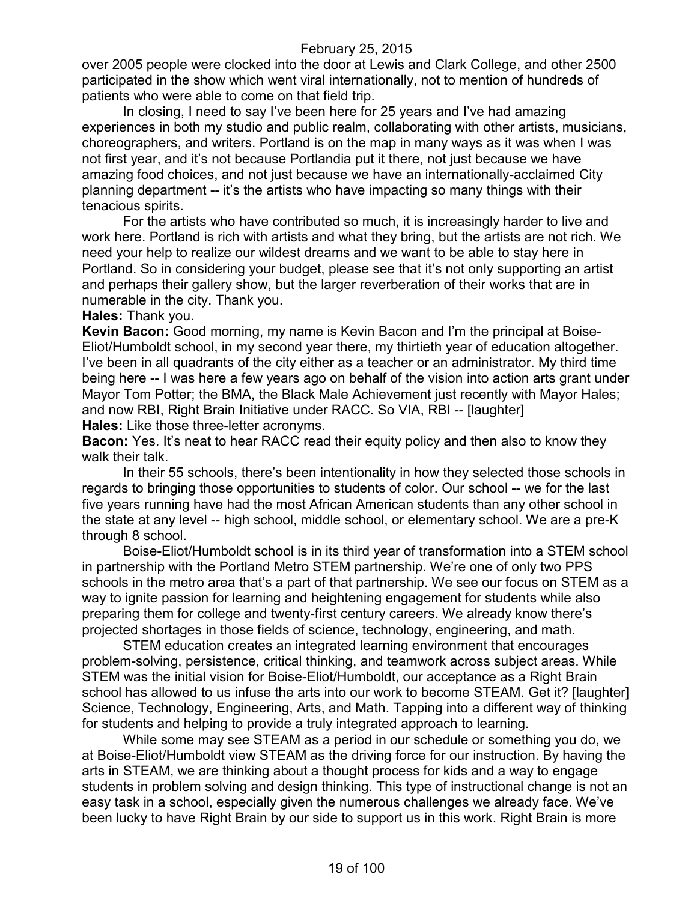over 2005 people were clocked into the door at Lewis and Clark College, and other 2500 participated in the show which went viral internationally, not to mention of hundreds of patients who were able to come on that field trip.

In closing, I need to say I've been here for 25 years and I've had amazing experiences in both my studio and public realm, collaborating with other artists, musicians, choreographers, and writers. Portland is on the map in many ways as it was when I was not first year, and it's not because Portlandia put it there, not just because we have amazing food choices, and not just because we have an internationally-acclaimed City planning department -- it's the artists who have impacting so many things with their tenacious spirits.

For the artists who have contributed so much, it is increasingly harder to live and work here. Portland is rich with artists and what they bring, but the artists are not rich. We need your help to realize our wildest dreams and we want to be able to stay here in Portland. So in considering your budget, please see that it's not only supporting an artist and perhaps their gallery show, but the larger reverberation of their works that are in numerable in the city. Thank you.

#### **Hales:** Thank you.

**Kevin Bacon:** Good morning, my name is Kevin Bacon and I'm the principal at Boise-Eliot/Humboldt school, in my second year there, my thirtieth year of education altogether. I've been in all quadrants of the city either as a teacher or an administrator. My third time being here -- I was here a few years ago on behalf of the vision into action arts grant under Mayor Tom Potter; the BMA, the Black Male Achievement just recently with Mayor Hales; and now RBI, Right Brain Initiative under RACC. So VIA, RBI -- [laughter] **Hales:** Like those three-letter acronyms.

**Bacon:** Yes. It's neat to hear RACC read their equity policy and then also to know they walk their talk.

In their 55 schools, there's been intentionality in how they selected those schools in regards to bringing those opportunities to students of color. Our school -- we for the last five years running have had the most African American students than any other school in the state at any level -- high school, middle school, or elementary school. We are a pre-K through 8 school.

Boise-Eliot/Humboldt school is in its third year of transformation into a STEM school in partnership with the Portland Metro STEM partnership. We're one of only two PPS schools in the metro area that's a part of that partnership. We see our focus on STEM as a way to ignite passion for learning and heightening engagement for students while also preparing them for college and twenty-first century careers. We already know there's projected shortages in those fields of science, technology, engineering, and math.

STEM education creates an integrated learning environment that encourages problem-solving, persistence, critical thinking, and teamwork across subject areas. While STEM was the initial vision for Boise-Eliot/Humboldt, our acceptance as a Right Brain school has allowed to us infuse the arts into our work to become STEAM. Get it? [laughter] Science, Technology, Engineering, Arts, and Math. Tapping into a different way of thinking for students and helping to provide a truly integrated approach to learning.

While some may see STEAM as a period in our schedule or something you do, we at Boise-Eliot/Humboldt view STEAM as the driving force for our instruction. By having the arts in STEAM, we are thinking about a thought process for kids and a way to engage students in problem solving and design thinking. This type of instructional change is not an easy task in a school, especially given the numerous challenges we already face. We've been lucky to have Right Brain by our side to support us in this work. Right Brain is more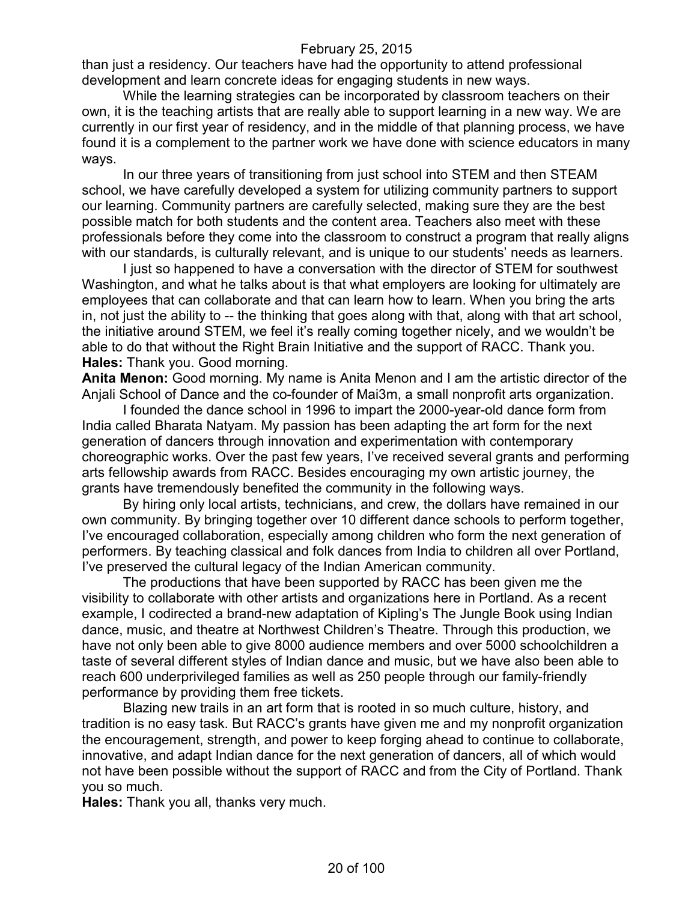than just a residency. Our teachers have had the opportunity to attend professional development and learn concrete ideas for engaging students in new ways.

While the learning strategies can be incorporated by classroom teachers on their own, it is the teaching artists that are really able to support learning in a new way. We are currently in our first year of residency, and in the middle of that planning process, we have found it is a complement to the partner work we have done with science educators in many ways.

In our three years of transitioning from just school into STEM and then STEAM school, we have carefully developed a system for utilizing community partners to support our learning. Community partners are carefully selected, making sure they are the best possible match for both students and the content area. Teachers also meet with these professionals before they come into the classroom to construct a program that really aligns with our standards, is culturally relevant, and is unique to our students' needs as learners.

I just so happened to have a conversation with the director of STEM for southwest Washington, and what he talks about is that what employers are looking for ultimately are employees that can collaborate and that can learn how to learn. When you bring the arts in, not just the ability to -- the thinking that goes along with that, along with that art school, the initiative around STEM, we feel it's really coming together nicely, and we wouldn't be able to do that without the Right Brain Initiative and the support of RACC. Thank you. **Hales:** Thank you. Good morning.

**Anita Menon:** Good morning. My name is Anita Menon and I am the artistic director of the Anjali School of Dance and the co-founder of Mai3m, a small nonprofit arts organization.

I founded the dance school in 1996 to impart the 2000-year-old dance form from India called Bharata Natyam. My passion has been adapting the art form for the next generation of dancers through innovation and experimentation with contemporary choreographic works. Over the past few years, I've received several grants and performing arts fellowship awards from RACC. Besides encouraging my own artistic journey, the grants have tremendously benefited the community in the following ways.

By hiring only local artists, technicians, and crew, the dollars have remained in our own community. By bringing together over 10 different dance schools to perform together, I've encouraged collaboration, especially among children who form the next generation of performers. By teaching classical and folk dances from India to children all over Portland, I've preserved the cultural legacy of the Indian American community.

The productions that have been supported by RACC has been given me the visibility to collaborate with other artists and organizations here in Portland. As a recent example, I codirected a brand-new adaptation of Kipling's The Jungle Book using Indian dance, music, and theatre at Northwest Children's Theatre. Through this production, we have not only been able to give 8000 audience members and over 5000 schoolchildren a taste of several different styles of Indian dance and music, but we have also been able to reach 600 underprivileged families as well as 250 people through our family-friendly performance by providing them free tickets.

Blazing new trails in an art form that is rooted in so much culture, history, and tradition is no easy task. But RACC's grants have given me and my nonprofit organization the encouragement, strength, and power to keep forging ahead to continue to collaborate, innovative, and adapt Indian dance for the next generation of dancers, all of which would not have been possible without the support of RACC and from the City of Portland. Thank you so much.

**Hales:** Thank you all, thanks very much.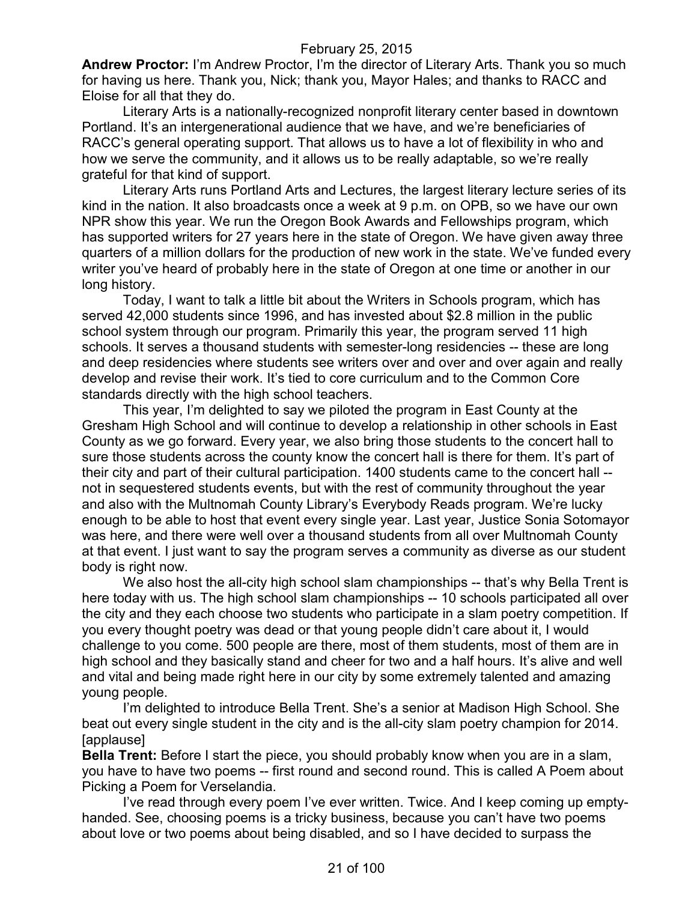**Andrew Proctor:** I'm Andrew Proctor, I'm the director of Literary Arts. Thank you so much for having us here. Thank you, Nick; thank you, Mayor Hales; and thanks to RACC and Eloise for all that they do.

Literary Arts is a nationally-recognized nonprofit literary center based in downtown Portland. It's an intergenerational audience that we have, and we're beneficiaries of RACC's general operating support. That allows us to have a lot of flexibility in who and how we serve the community, and it allows us to be really adaptable, so we're really grateful for that kind of support.

Literary Arts runs Portland Arts and Lectures, the largest literary lecture series of its kind in the nation. It also broadcasts once a week at 9 p.m. on OPB, so we have our own NPR show this year. We run the Oregon Book Awards and Fellowships program, which has supported writers for 27 years here in the state of Oregon. We have given away three quarters of a million dollars for the production of new work in the state. We've funded every writer you've heard of probably here in the state of Oregon at one time or another in our long history.

Today, I want to talk a little bit about the Writers in Schools program, which has served 42,000 students since 1996, and has invested about \$2.8 million in the public school system through our program. Primarily this year, the program served 11 high schools. It serves a thousand students with semester-long residencies -- these are long and deep residencies where students see writers over and over and over again and really develop and revise their work. It's tied to core curriculum and to the Common Core standards directly with the high school teachers.

This year, I'm delighted to say we piloted the program in East County at the Gresham High School and will continue to develop a relationship in other schools in East County as we go forward. Every year, we also bring those students to the concert hall to sure those students across the county know the concert hall is there for them. It's part of their city and part of their cultural participation. 1400 students came to the concert hall - not in sequestered students events, but with the rest of community throughout the year and also with the Multnomah County Library's Everybody Reads program. We're lucky enough to be able to host that event every single year. Last year, Justice Sonia Sotomayor was here, and there were well over a thousand students from all over Multnomah County at that event. I just want to say the program serves a community as diverse as our student body is right now.

We also host the all-city high school slam championships -- that's why Bella Trent is here today with us. The high school slam championships -- 10 schools participated all over the city and they each choose two students who participate in a slam poetry competition. If you every thought poetry was dead or that young people didn't care about it, I would challenge to you come. 500 people are there, most of them students, most of them are in high school and they basically stand and cheer for two and a half hours. It's alive and well and vital and being made right here in our city by some extremely talented and amazing young people.

I'm delighted to introduce Bella Trent. She's a senior at Madison High School. She beat out every single student in the city and is the all-city slam poetry champion for 2014. [applause]

**Bella Trent:** Before I start the piece, you should probably know when you are in a slam, you have to have two poems -- first round and second round. This is called A Poem about Picking a Poem for Verselandia.

I've read through every poem I've ever written. Twice. And I keep coming up emptyhanded. See, choosing poems is a tricky business, because you can't have two poems about love or two poems about being disabled, and so I have decided to surpass the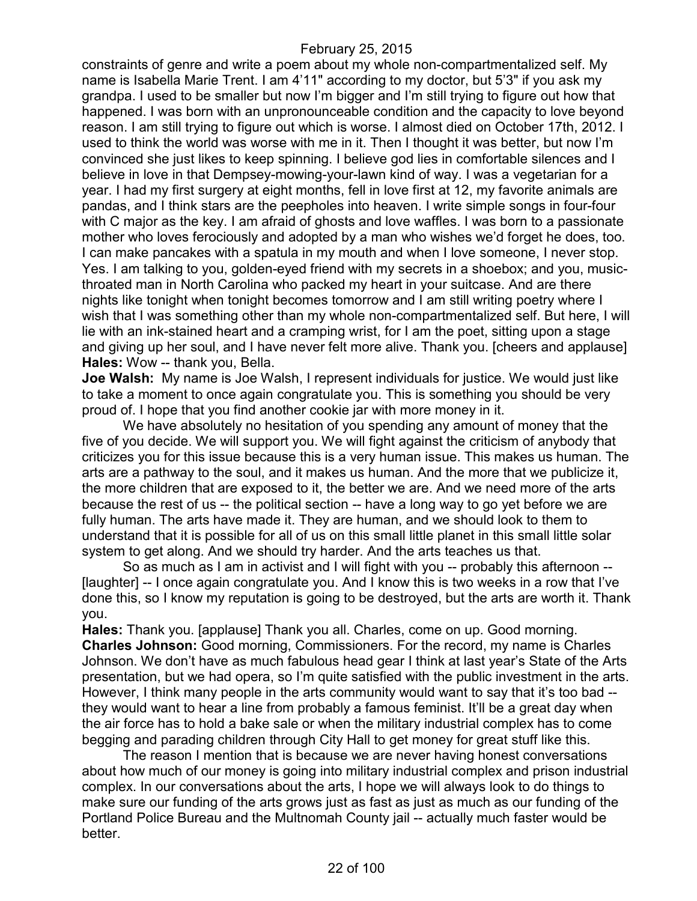constraints of genre and write a poem about my whole non-compartmentalized self. My name is Isabella Marie Trent. I am 4'11" according to my doctor, but 5'3" if you ask my grandpa. I used to be smaller but now I'm bigger and I'm still trying to figure out how that happened. I was born with an unpronounceable condition and the capacity to love beyond reason. I am still trying to figure out which is worse. I almost died on October 17th, 2012. I used to think the world was worse with me in it. Then I thought it was better, but now I'm convinced she just likes to keep spinning. I believe god lies in comfortable silences and I believe in love in that Dempsey-mowing-your-lawn kind of way. I was a vegetarian for a year. I had my first surgery at eight months, fell in love first at 12, my favorite animals are pandas, and I think stars are the peepholes into heaven. I write simple songs in four-four with C major as the key. I am afraid of ghosts and love waffles. I was born to a passionate mother who loves ferociously and adopted by a man who wishes we'd forget he does, too. I can make pancakes with a spatula in my mouth and when I love someone, I never stop. Yes. I am talking to you, golden-eyed friend with my secrets in a shoebox; and you, musicthroated man in North Carolina who packed my heart in your suitcase. And are there nights like tonight when tonight becomes tomorrow and I am still writing poetry where I wish that I was something other than my whole non-compartmentalized self. But here, I will lie with an ink-stained heart and a cramping wrist, for I am the poet, sitting upon a stage and giving up her soul, and I have never felt more alive. Thank you. [cheers and applause] **Hales:** Wow -- thank you, Bella.

**Joe Walsh:** My name is Joe Walsh, I represent individuals for justice. We would just like to take a moment to once again congratulate you. This is something you should be very proud of. I hope that you find another cookie jar with more money in it.

We have absolutely no hesitation of you spending any amount of money that the five of you decide. We will support you. We will fight against the criticism of anybody that criticizes you for this issue because this is a very human issue. This makes us human. The arts are a pathway to the soul, and it makes us human. And the more that we publicize it, the more children that are exposed to it, the better we are. And we need more of the arts because the rest of us -- the political section -- have a long way to go yet before we are fully human. The arts have made it. They are human, and we should look to them to understand that it is possible for all of us on this small little planet in this small little solar system to get along. And we should try harder. And the arts teaches us that.

So as much as I am in activist and I will fight with you -- probably this afternoon -- [laughter] -- I once again congratulate you. And I know this is two weeks in a row that I've done this, so I know my reputation is going to be destroyed, but the arts are worth it. Thank you.

**Hales:** Thank you. [applause] Thank you all. Charles, come on up. Good morning. **Charles Johnson:** Good morning, Commissioners. For the record, my name is Charles Johnson. We don't have as much fabulous head gear I think at last year's State of the Arts presentation, but we had opera, so I'm quite satisfied with the public investment in the arts. However, I think many people in the arts community would want to say that it's too bad - they would want to hear a line from probably a famous feminist. It'll be a great day when the air force has to hold a bake sale or when the military industrial complex has to come begging and parading children through City Hall to get money for great stuff like this.

The reason I mention that is because we are never having honest conversations about how much of our money is going into military industrial complex and prison industrial complex. In our conversations about the arts, I hope we will always look to do things to make sure our funding of the arts grows just as fast as just as much as our funding of the Portland Police Bureau and the Multnomah County jail -- actually much faster would be better.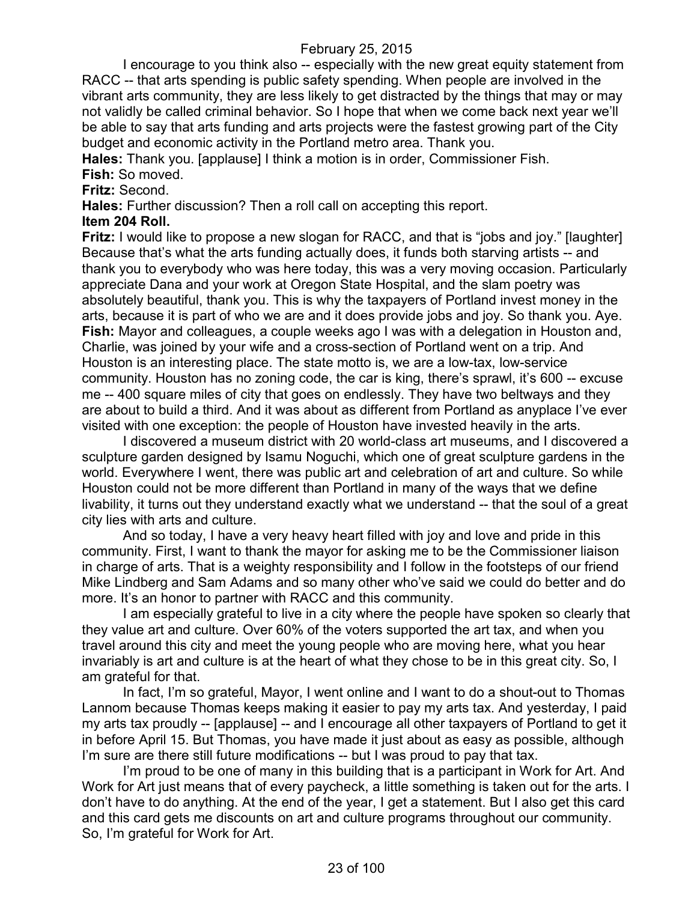I encourage to you think also -- especially with the new great equity statement from RACC -- that arts spending is public safety spending. When people are involved in the vibrant arts community, they are less likely to get distracted by the things that may or may not validly be called criminal behavior. So I hope that when we come back next year we'll be able to say that arts funding and arts projects were the fastest growing part of the City budget and economic activity in the Portland metro area. Thank you.

**Hales:** Thank you. [applause] I think a motion is in order, Commissioner Fish.

**Fish:** So moved.

**Fritz:** Second.

**Hales:** Further discussion? Then a roll call on accepting this report.

# **Item 204 Roll.**

**Fritz:** I would like to propose a new slogan for RACC, and that is "jobs and joy." [laughter] Because that's what the arts funding actually does, it funds both starving artists -- and thank you to everybody who was here today, this was a very moving occasion. Particularly appreciate Dana and your work at Oregon State Hospital, and the slam poetry was absolutely beautiful, thank you. This is why the taxpayers of Portland invest money in the arts, because it is part of who we are and it does provide jobs and joy. So thank you. Aye. **Fish:** Mayor and colleagues, a couple weeks ago I was with a delegation in Houston and, Charlie, was joined by your wife and a cross-section of Portland went on a trip. And Houston is an interesting place. The state motto is, we are a low-tax, low-service community. Houston has no zoning code, the car is king, there's sprawl, it's 600 -- excuse me -- 400 square miles of city that goes on endlessly. They have two beltways and they are about to build a third. And it was about as different from Portland as anyplace I've ever visited with one exception: the people of Houston have invested heavily in the arts.

I discovered a museum district with 20 world-class art museums, and I discovered a sculpture garden designed by Isamu Noguchi, which one of great sculpture gardens in the world. Everywhere I went, there was public art and celebration of art and culture. So while Houston could not be more different than Portland in many of the ways that we define livability, it turns out they understand exactly what we understand -- that the soul of a great city lies with arts and culture.

And so today, I have a very heavy heart filled with joy and love and pride in this community. First, I want to thank the mayor for asking me to be the Commissioner liaison in charge of arts. That is a weighty responsibility and I follow in the footsteps of our friend Mike Lindberg and Sam Adams and so many other who've said we could do better and do more. It's an honor to partner with RACC and this community.

I am especially grateful to live in a city where the people have spoken so clearly that they value art and culture. Over 60% of the voters supported the art tax, and when you travel around this city and meet the young people who are moving here, what you hear invariably is art and culture is at the heart of what they chose to be in this great city. So, I am grateful for that.

In fact, I'm so grateful, Mayor, I went online and I want to do a shout-out to Thomas Lannom because Thomas keeps making it easier to pay my arts tax. And yesterday, I paid my arts tax proudly -- [applause] -- and I encourage all other taxpayers of Portland to get it in before April 15. But Thomas, you have made it just about as easy as possible, although I'm sure are there still future modifications -- but I was proud to pay that tax.

I'm proud to be one of many in this building that is a participant in Work for Art. And Work for Art just means that of every paycheck, a little something is taken out for the arts. I don't have to do anything. At the end of the year, I get a statement. But I also get this card and this card gets me discounts on art and culture programs throughout our community. So, I'm grateful for Work for Art.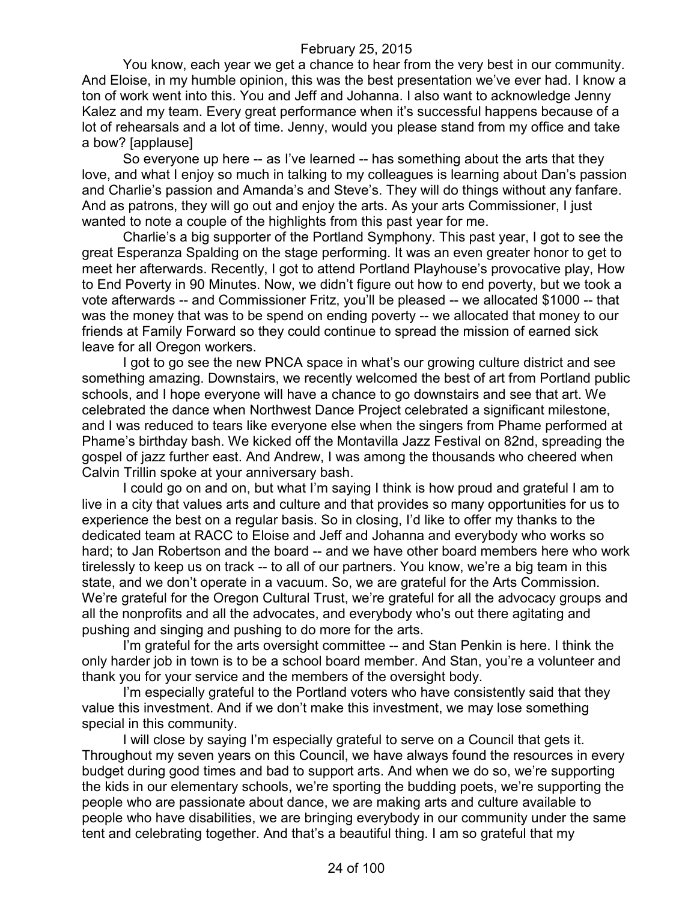You know, each year we get a chance to hear from the very best in our community. And Eloise, in my humble opinion, this was the best presentation we've ever had. I know a ton of work went into this. You and Jeff and Johanna. I also want to acknowledge Jenny Kalez and my team. Every great performance when it's successful happens because of a lot of rehearsals and a lot of time. Jenny, would you please stand from my office and take a bow? [applause]

So everyone up here -- as I've learned -- has something about the arts that they love, and what I enjoy so much in talking to my colleagues is learning about Dan's passion and Charlie's passion and Amanda's and Steve's. They will do things without any fanfare. And as patrons, they will go out and enjoy the arts. As your arts Commissioner, I just wanted to note a couple of the highlights from this past year for me.

Charlie's a big supporter of the Portland Symphony. This past year, I got to see the great Esperanza Spalding on the stage performing. It was an even greater honor to get to meet her afterwards. Recently, I got to attend Portland Playhouse's provocative play, How to End Poverty in 90 Minutes. Now, we didn't figure out how to end poverty, but we took a vote afterwards -- and Commissioner Fritz, you'll be pleased -- we allocated \$1000 -- that was the money that was to be spend on ending poverty -- we allocated that money to our friends at Family Forward so they could continue to spread the mission of earned sick leave for all Oregon workers.

I got to go see the new PNCA space in what's our growing culture district and see something amazing. Downstairs, we recently welcomed the best of art from Portland public schools, and I hope everyone will have a chance to go downstairs and see that art. We celebrated the dance when Northwest Dance Project celebrated a significant milestone, and I was reduced to tears like everyone else when the singers from Phame performed at Phame's birthday bash. We kicked off the Montavilla Jazz Festival on 82nd, spreading the gospel of jazz further east. And Andrew, I was among the thousands who cheered when Calvin Trillin spoke at your anniversary bash.

I could go on and on, but what I'm saying I think is how proud and grateful I am to live in a city that values arts and culture and that provides so many opportunities for us to experience the best on a regular basis. So in closing, I'd like to offer my thanks to the dedicated team at RACC to Eloise and Jeff and Johanna and everybody who works so hard; to Jan Robertson and the board -- and we have other board members here who work tirelessly to keep us on track -- to all of our partners. You know, we're a big team in this state, and we don't operate in a vacuum. So, we are grateful for the Arts Commission. We're grateful for the Oregon Cultural Trust, we're grateful for all the advocacy groups and all the nonprofits and all the advocates, and everybody who's out there agitating and pushing and singing and pushing to do more for the arts.

I'm grateful for the arts oversight committee -- and Stan Penkin is here. I think the only harder job in town is to be a school board member. And Stan, you're a volunteer and thank you for your service and the members of the oversight body.

I'm especially grateful to the Portland voters who have consistently said that they value this investment. And if we don't make this investment, we may lose something special in this community.

I will close by saying I'm especially grateful to serve on a Council that gets it. Throughout my seven years on this Council, we have always found the resources in every budget during good times and bad to support arts. And when we do so, we're supporting the kids in our elementary schools, we're sporting the budding poets, we're supporting the people who are passionate about dance, we are making arts and culture available to people who have disabilities, we are bringing everybody in our community under the same tent and celebrating together. And that's a beautiful thing. I am so grateful that my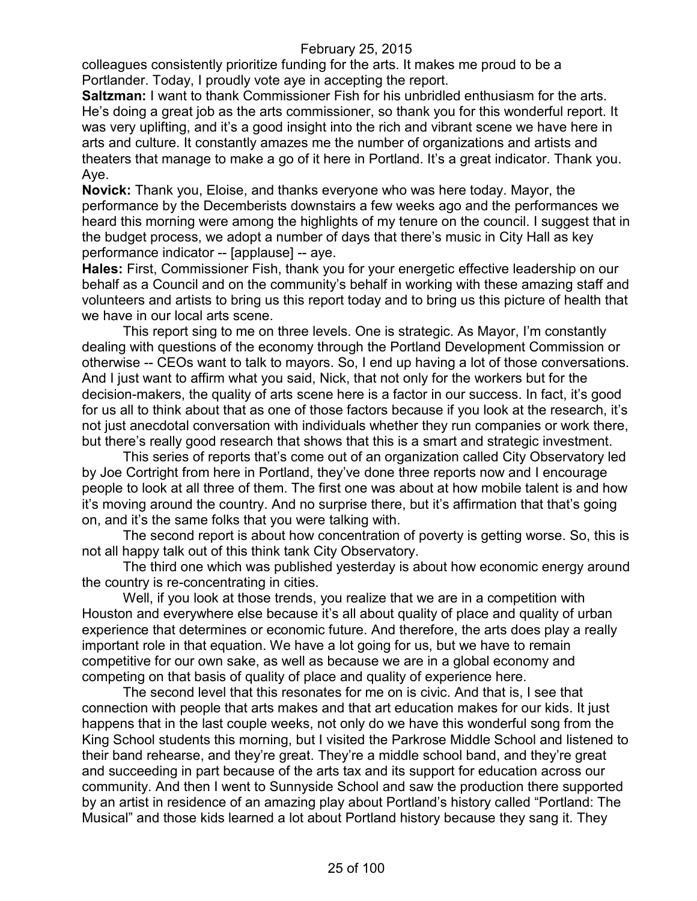colleagues consistently prioritize funding for the arts. It makes me proud to be a Portlander. Today, I proudly vote aye in accepting the report.

**Saltzman:** I want to thank Commissioner Fish for his unbridled enthusiasm for the arts. He's doing a great job as the arts commissioner, so thank you for this wonderful report. It was very uplifting, and it's a good insight into the rich and vibrant scene we have here in arts and culture. It constantly amazes me the number of organizations and artists and theaters that manage to make a go of it here in Portland. It's a great indicator. Thank you. Aye.

**Novick:** Thank you, Eloise, and thanks everyone who was here today. Mayor, the performance by the Decemberists downstairs a few weeks ago and the performances we heard this morning were among the highlights of my tenure on the council. I suggest that in the budget process, we adopt a number of days that there's music in City Hall as key performance indicator -- [applause] -- aye.

**Hales:** First, Commissioner Fish, thank you for your energetic effective leadership on our behalf as a Council and on the community's behalf in working with these amazing staff and volunteers and artists to bring us this report today and to bring us this picture of health that we have in our local arts scene.

This report sing to me on three levels. One is strategic. As Mayor, I'm constantly dealing with questions of the economy through the Portland Development Commission or otherwise -- CEOs want to talk to mayors. So, I end up having a lot of those conversations. And I just want to affirm what you said, Nick, that not only for the workers but for the decision-makers, the quality of arts scene here is a factor in our success. In fact, it's good for us all to think about that as one of those factors because if you look at the research, it's not just anecdotal conversation with individuals whether they run companies or work there, but there's really good research that shows that this is a smart and strategic investment.

This series of reports that's come out of an organization called City Observatory led by Joe Cortright from here in Portland, they've done three reports now and I encourage people to look at all three of them. The first one was about at how mobile talent is and how it's moving around the country. And no surprise there, but it's affirmation that that's going on, and it's the same folks that you were talking with.

The second report is about how concentration of poverty is getting worse. So, this is not all happy talk out of this think tank City Observatory.

The third one which was published yesterday is about how economic energy around the country is re-concentrating in cities.

Well, if you look at those trends, you realize that we are in a competition with Houston and everywhere else because it's all about quality of place and quality of urban experience that determines or economic future. And therefore, the arts does play a really important role in that equation. We have a lot going for us, but we have to remain competitive for our own sake, as well as because we are in a global economy and competing on that basis of quality of place and quality of experience here.

The second level that this resonates for me on is civic. And that is, I see that connection with people that arts makes and that art education makes for our kids. It just happens that in the last couple weeks, not only do we have this wonderful song from the King School students this morning, but I visited the Parkrose Middle School and listened to their band rehearse, and they're great. They're a middle school band, and they're great and succeeding in part because of the arts tax and its support for education across our community. And then I went to Sunnyside School and saw the production there supported by an artist in residence of an amazing play about Portland's history called "Portland: The Musical" and those kids learned a lot about Portland history because they sang it. They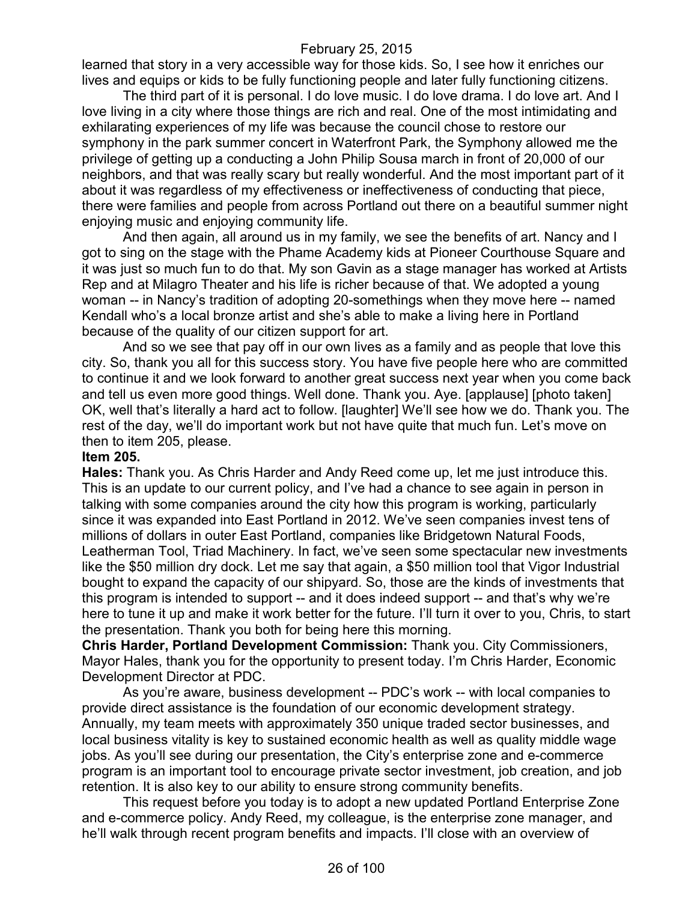learned that story in a very accessible way for those kids. So, I see how it enriches our lives and equips or kids to be fully functioning people and later fully functioning citizens.

The third part of it is personal. I do love music. I do love drama. I do love art. And I love living in a city where those things are rich and real. One of the most intimidating and exhilarating experiences of my life was because the council chose to restore our symphony in the park summer concert in Waterfront Park, the Symphony allowed me the privilege of getting up a conducting a John Philip Sousa march in front of 20,000 of our neighbors, and that was really scary but really wonderful. And the most important part of it about it was regardless of my effectiveness or ineffectiveness of conducting that piece, there were families and people from across Portland out there on a beautiful summer night enjoying music and enjoying community life.

And then again, all around us in my family, we see the benefits of art. Nancy and I got to sing on the stage with the Phame Academy kids at Pioneer Courthouse Square and it was just so much fun to do that. My son Gavin as a stage manager has worked at Artists Rep and at Milagro Theater and his life is richer because of that. We adopted a young woman -- in Nancy's tradition of adopting 20-somethings when they move here -- named Kendall who's a local bronze artist and she's able to make a living here in Portland because of the quality of our citizen support for art.

And so we see that pay off in our own lives as a family and as people that love this city. So, thank you all for this success story. You have five people here who are committed to continue it and we look forward to another great success next year when you come back and tell us even more good things. Well done. Thank you. Aye. [applause] [photo taken] OK, well that's literally a hard act to follow. [laughter] We'll see how we do. Thank you. The rest of the day, we'll do important work but not have quite that much fun. Let's move on then to item 205, please.

#### **Item 205.**

**Hales:** Thank you. As Chris Harder and Andy Reed come up, let me just introduce this. This is an update to our current policy, and I've had a chance to see again in person in talking with some companies around the city how this program is working, particularly since it was expanded into East Portland in 2012. We've seen companies invest tens of millions of dollars in outer East Portland, companies like Bridgetown Natural Foods, Leatherman Tool, Triad Machinery. In fact, we've seen some spectacular new investments like the \$50 million dry dock. Let me say that again, a \$50 million tool that Vigor Industrial bought to expand the capacity of our shipyard. So, those are the kinds of investments that this program is intended to support -- and it does indeed support -- and that's why we're here to tune it up and make it work better for the future. I'll turn it over to you, Chris, to start the presentation. Thank you both for being here this morning.

**Chris Harder, Portland Development Commission:** Thank you. City Commissioners, Mayor Hales, thank you for the opportunity to present today. I'm Chris Harder, Economic Development Director at PDC.

As you're aware, business development -- PDC's work -- with local companies to provide direct assistance is the foundation of our economic development strategy. Annually, my team meets with approximately 350 unique traded sector businesses, and local business vitality is key to sustained economic health as well as quality middle wage jobs. As you'll see during our presentation, the City's enterprise zone and e-commerce program is an important tool to encourage private sector investment, job creation, and job retention. It is also key to our ability to ensure strong community benefits.

This request before you today is to adopt a new updated Portland Enterprise Zone and e-commerce policy. Andy Reed, my colleague, is the enterprise zone manager, and he'll walk through recent program benefits and impacts. I'll close with an overview of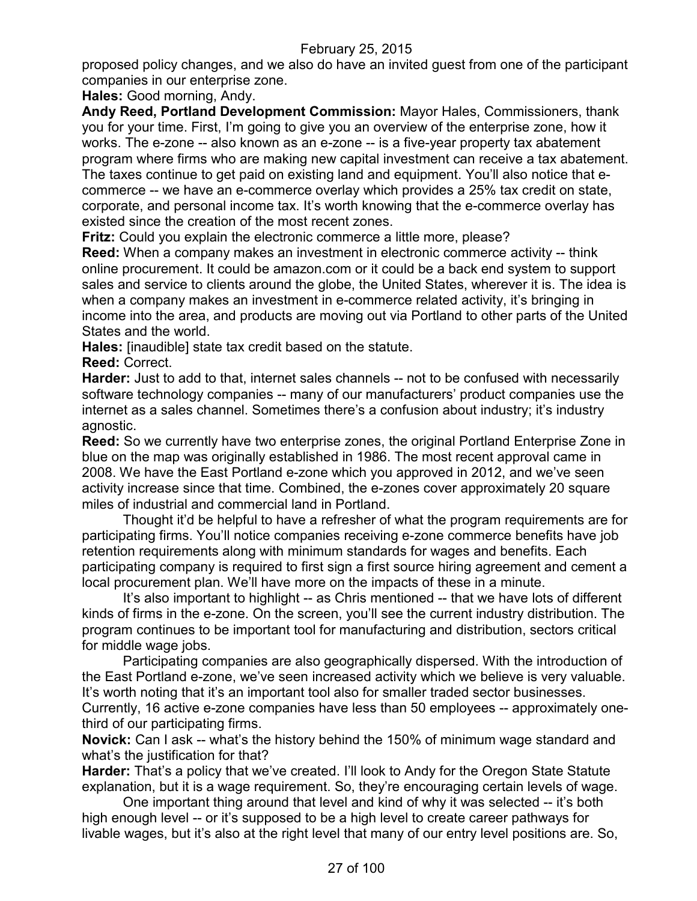proposed policy changes, and we also do have an invited guest from one of the participant companies in our enterprise zone.

**Hales:** Good morning, Andy.

**Andy Reed, Portland Development Commission:** Mayor Hales, Commissioners, thank you for your time. First, I'm going to give you an overview of the enterprise zone, how it works. The e-zone -- also known as an e-zone -- is a five-year property tax abatement program where firms who are making new capital investment can receive a tax abatement. The taxes continue to get paid on existing land and equipment. You'll also notice that ecommerce -- we have an e-commerce overlay which provides a 25% tax credit on state, corporate, and personal income tax. It's worth knowing that the e-commerce overlay has existed since the creation of the most recent zones.

**Fritz:** Could you explain the electronic commerce a little more, please?

**Reed:** When a company makes an investment in electronic commerce activity -- think online procurement. It could be amazon.com or it could be a back end system to support sales and service to clients around the globe, the United States, wherever it is. The idea is when a company makes an investment in e-commerce related activity, it's bringing in income into the area, and products are moving out via Portland to other parts of the United States and the world.

**Hales:** [inaudible] state tax credit based on the statute.

**Reed:** Correct.

**Harder:** Just to add to that, internet sales channels -- not to be confused with necessarily software technology companies -- many of our manufacturers' product companies use the internet as a sales channel. Sometimes there's a confusion about industry; it's industry agnostic.

**Reed:** So we currently have two enterprise zones, the original Portland Enterprise Zone in blue on the map was originally established in 1986. The most recent approval came in 2008. We have the East Portland e-zone which you approved in 2012, and we've seen activity increase since that time. Combined, the e-zones cover approximately 20 square miles of industrial and commercial land in Portland.

Thought it'd be helpful to have a refresher of what the program requirements are for participating firms. You'll notice companies receiving e-zone commerce benefits have job retention requirements along with minimum standards for wages and benefits. Each participating company is required to first sign a first source hiring agreement and cement a local procurement plan. We'll have more on the impacts of these in a minute.

It's also important to highlight -- as Chris mentioned -- that we have lots of different kinds of firms in the e-zone. On the screen, you'll see the current industry distribution. The program continues to be important tool for manufacturing and distribution, sectors critical for middle wage jobs.

Participating companies are also geographically dispersed. With the introduction of the East Portland e-zone, we've seen increased activity which we believe is very valuable. It's worth noting that it's an important tool also for smaller traded sector businesses. Currently, 16 active e-zone companies have less than 50 employees -- approximately onethird of our participating firms.

**Novick:** Can I ask -- what's the history behind the 150% of minimum wage standard and what's the justification for that?

**Harder:** That's a policy that we've created. I'll look to Andy for the Oregon State Statute explanation, but it is a wage requirement. So, they're encouraging certain levels of wage.

One important thing around that level and kind of why it was selected -- it's both high enough level -- or it's supposed to be a high level to create career pathways for livable wages, but it's also at the right level that many of our entry level positions are. So,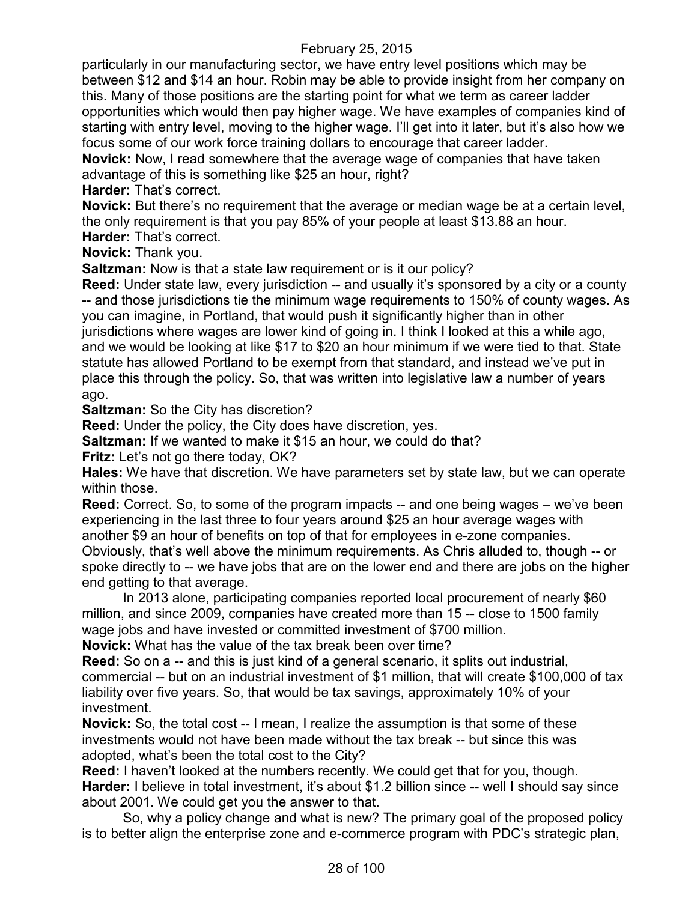particularly in our manufacturing sector, we have entry level positions which may be between \$12 and \$14 an hour. Robin may be able to provide insight from her company on this. Many of those positions are the starting point for what we term as career ladder opportunities which would then pay higher wage. We have examples of companies kind of starting with entry level, moving to the higher wage. I'll get into it later, but it's also how we focus some of our work force training dollars to encourage that career ladder.

**Novick:** Now, I read somewhere that the average wage of companies that have taken advantage of this is something like \$25 an hour, right?

**Harder:** That's correct.

**Novick:** But there's no requirement that the average or median wage be at a certain level, the only requirement is that you pay 85% of your people at least \$13.88 an hour.

**Harder:** That's correct.

**Novick:** Thank you.

**Saltzman:** Now is that a state law requirement or is it our policy?

**Reed:** Under state law, every jurisdiction -- and usually it's sponsored by a city or a county -- and those jurisdictions tie the minimum wage requirements to 150% of county wages. As you can imagine, in Portland, that would push it significantly higher than in other jurisdictions where wages are lower kind of going in. I think I looked at this a while ago, and we would be looking at like \$17 to \$20 an hour minimum if we were tied to that. State statute has allowed Portland to be exempt from that standard, and instead we've put in place this through the policy. So, that was written into legislative law a number of years ago.

**Saltzman:** So the City has discretion?

**Reed:** Under the policy, the City does have discretion, yes.

**Saltzman:** If we wanted to make it \$15 an hour, we could do that?

**Fritz:** Let's not go there today, OK?

**Hales:** We have that discretion. We have parameters set by state law, but we can operate within those.

**Reed:** Correct. So, to some of the program impacts -- and one being wages – we've been experiencing in the last three to four years around \$25 an hour average wages with another \$9 an hour of benefits on top of that for employees in e-zone companies.

Obviously, that's well above the minimum requirements. As Chris alluded to, though -- or spoke directly to -- we have jobs that are on the lower end and there are jobs on the higher end getting to that average.

In 2013 alone, participating companies reported local procurement of nearly \$60 million, and since 2009, companies have created more than 15 -- close to 1500 family wage jobs and have invested or committed investment of \$700 million.

**Novick:** What has the value of the tax break been over time?

**Reed:** So on a -- and this is just kind of a general scenario, it splits out industrial, commercial -- but on an industrial investment of \$1 million, that will create \$100,000 of tax liability over five years. So, that would be tax savings, approximately 10% of your investment.

**Novick:** So, the total cost -- I mean, I realize the assumption is that some of these investments would not have been made without the tax break -- but since this was adopted, what's been the total cost to the City?

**Reed:** I haven't looked at the numbers recently. We could get that for you, though. **Harder:** I believe in total investment, it's about \$1.2 billion since -- well I should say since about 2001. We could get you the answer to that.

So, why a policy change and what is new? The primary goal of the proposed policy is to better align the enterprise zone and e-commerce program with PDC's strategic plan,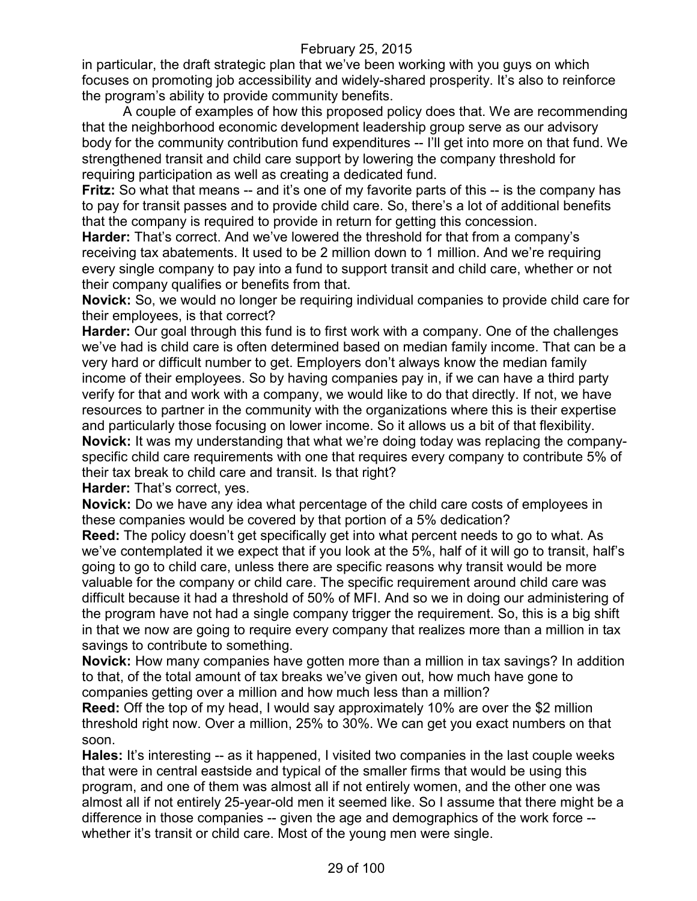in particular, the draft strategic plan that we've been working with you guys on which focuses on promoting job accessibility and widely-shared prosperity. It's also to reinforce the program's ability to provide community benefits.

A couple of examples of how this proposed policy does that. We are recommending that the neighborhood economic development leadership group serve as our advisory body for the community contribution fund expenditures -- I'll get into more on that fund. We strengthened transit and child care support by lowering the company threshold for requiring participation as well as creating a dedicated fund.

**Fritz:** So what that means -- and it's one of my favorite parts of this -- is the company has to pay for transit passes and to provide child care. So, there's a lot of additional benefits that the company is required to provide in return for getting this concession.

**Harder:** That's correct. And we've lowered the threshold for that from a company's receiving tax abatements. It used to be 2 million down to 1 million. And we're requiring every single company to pay into a fund to support transit and child care, whether or not their company qualifies or benefits from that.

**Novick:** So, we would no longer be requiring individual companies to provide child care for their employees, is that correct?

**Harder:** Our goal through this fund is to first work with a company. One of the challenges we've had is child care is often determined based on median family income. That can be a very hard or difficult number to get. Employers don't always know the median family income of their employees. So by having companies pay in, if we can have a third party verify for that and work with a company, we would like to do that directly. If not, we have resources to partner in the community with the organizations where this is their expertise and particularly those focusing on lower income. So it allows us a bit of that flexibility. **Novick:** It was my understanding that what we're doing today was replacing the companyspecific child care requirements with one that requires every company to contribute 5% of their tax break to child care and transit. Is that right?

**Harder:** That's correct, yes.

**Novick:** Do we have any idea what percentage of the child care costs of employees in these companies would be covered by that portion of a 5% dedication?

**Reed:** The policy doesn't get specifically get into what percent needs to go to what. As we've contemplated it we expect that if you look at the 5%, half of it will go to transit, half's going to go to child care, unless there are specific reasons why transit would be more valuable for the company or child care. The specific requirement around child care was difficult because it had a threshold of 50% of MFI. And so we in doing our administering of the program have not had a single company trigger the requirement. So, this is a big shift in that we now are going to require every company that realizes more than a million in tax savings to contribute to something.

**Novick:** How many companies have gotten more than a million in tax savings? In addition to that, of the total amount of tax breaks we've given out, how much have gone to companies getting over a million and how much less than a million?

**Reed:** Off the top of my head, I would say approximately 10% are over the \$2 million threshold right now. Over a million, 25% to 30%. We can get you exact numbers on that soon.

**Hales:** It's interesting -- as it happened, I visited two companies in the last couple weeks that were in central eastside and typical of the smaller firms that would be using this program, and one of them was almost all if not entirely women, and the other one was almost all if not entirely 25-year-old men it seemed like. So I assume that there might be a difference in those companies -- given the age and demographics of the work force - whether it's transit or child care. Most of the young men were single.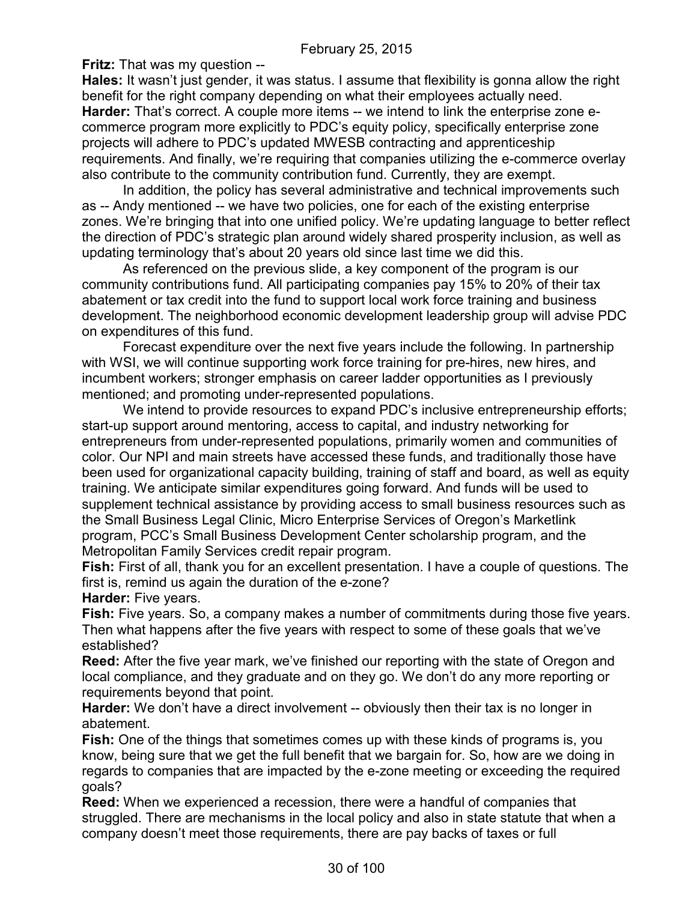**Fritz:** That was my question --

**Hales:** It wasn't just gender, it was status. I assume that flexibility is gonna allow the right benefit for the right company depending on what their employees actually need. **Harder:** That's correct. A couple more items -- we intend to link the enterprise zone ecommerce program more explicitly to PDC's equity policy, specifically enterprise zone projects will adhere to PDC's updated MWESB contracting and apprenticeship requirements. And finally, we're requiring that companies utilizing the e-commerce overlay also contribute to the community contribution fund. Currently, they are exempt.

In addition, the policy has several administrative and technical improvements such as -- Andy mentioned -- we have two policies, one for each of the existing enterprise zones. We're bringing that into one unified policy. We're updating language to better reflect the direction of PDC's strategic plan around widely shared prosperity inclusion, as well as updating terminology that's about 20 years old since last time we did this.

As referenced on the previous slide, a key component of the program is our community contributions fund. All participating companies pay 15% to 20% of their tax abatement or tax credit into the fund to support local work force training and business development. The neighborhood economic development leadership group will advise PDC on expenditures of this fund.

Forecast expenditure over the next five years include the following. In partnership with WSI, we will continue supporting work force training for pre-hires, new hires, and incumbent workers; stronger emphasis on career ladder opportunities as I previously mentioned; and promoting under-represented populations.

We intend to provide resources to expand PDC's inclusive entrepreneurship efforts; start-up support around mentoring, access to capital, and industry networking for entrepreneurs from under-represented populations, primarily women and communities of color. Our NPI and main streets have accessed these funds, and traditionally those have been used for organizational capacity building, training of staff and board, as well as equity training. We anticipate similar expenditures going forward. And funds will be used to supplement technical assistance by providing access to small business resources such as the Small Business Legal Clinic, Micro Enterprise Services of Oregon's Marketlink program, PCC's Small Business Development Center scholarship program, and the Metropolitan Family Services credit repair program.

**Fish:** First of all, thank you for an excellent presentation. I have a couple of questions. The first is, remind us again the duration of the e-zone?

**Harder:** Five years.

**Fish:** Five years. So, a company makes a number of commitments during those five years. Then what happens after the five years with respect to some of these goals that we've established?

**Reed:** After the five year mark, we've finished our reporting with the state of Oregon and local compliance, and they graduate and on they go. We don't do any more reporting or requirements beyond that point.

**Harder:** We don't have a direct involvement -- obviously then their tax is no longer in abatement.

**Fish:** One of the things that sometimes comes up with these kinds of programs is, you know, being sure that we get the full benefit that we bargain for. So, how are we doing in regards to companies that are impacted by the e-zone meeting or exceeding the required goals?

**Reed:** When we experienced a recession, there were a handful of companies that struggled. There are mechanisms in the local policy and also in state statute that when a company doesn't meet those requirements, there are pay backs of taxes or full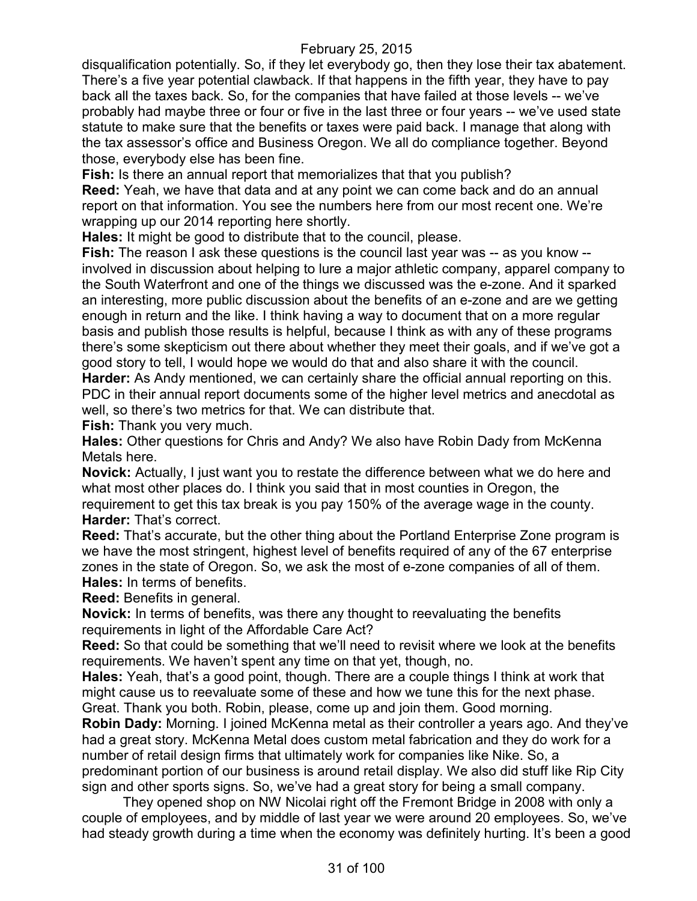disqualification potentially. So, if they let everybody go, then they lose their tax abatement. There's a five year potential clawback. If that happens in the fifth year, they have to pay back all the taxes back. So, for the companies that have failed at those levels -- we've probably had maybe three or four or five in the last three or four years -- we've used state statute to make sure that the benefits or taxes were paid back. I manage that along with the tax assessor's office and Business Oregon. We all do compliance together. Beyond those, everybody else has been fine.

**Fish:** Is there an annual report that memorializes that that you publish?

**Reed:** Yeah, we have that data and at any point we can come back and do an annual report on that information. You see the numbers here from our most recent one. We're wrapping up our 2014 reporting here shortly.

**Hales:** It might be good to distribute that to the council, please.

**Fish:** The reason I ask these questions is the council last year was -- as you know - involved in discussion about helping to lure a major athletic company, apparel company to the South Waterfront and one of the things we discussed was the e-zone. And it sparked an interesting, more public discussion about the benefits of an e-zone and are we getting enough in return and the like. I think having a way to document that on a more regular basis and publish those results is helpful, because I think as with any of these programs there's some skepticism out there about whether they meet their goals, and if we've got a good story to tell, I would hope we would do that and also share it with the council. **Harder:** As Andy mentioned, we can certainly share the official annual reporting on this.

PDC in their annual report documents some of the higher level metrics and anecdotal as well, so there's two metrics for that. We can distribute that.

**Fish:** Thank you very much.

**Hales:** Other questions for Chris and Andy? We also have Robin Dady from McKenna Metals here.

**Novick:** Actually, I just want you to restate the difference between what we do here and what most other places do. I think you said that in most counties in Oregon, the requirement to get this tax break is you pay 150% of the average wage in the county. **Harder:** That's correct.

**Reed:** That's accurate, but the other thing about the Portland Enterprise Zone program is we have the most stringent, highest level of benefits required of any of the 67 enterprise zones in the state of Oregon. So, we ask the most of e-zone companies of all of them. **Hales:** In terms of benefits.

**Reed:** Benefits in general.

**Novick:** In terms of benefits, was there any thought to reevaluating the benefits requirements in light of the Affordable Care Act?

**Reed:** So that could be something that we'll need to revisit where we look at the benefits requirements. We haven't spent any time on that yet, though, no.

**Hales:** Yeah, that's a good point, though. There are a couple things I think at work that might cause us to reevaluate some of these and how we tune this for the next phase. Great. Thank you both. Robin, please, come up and join them. Good morning.

**Robin Dady:** Morning. I joined McKenna metal as their controller a years ago. And they've had a great story. McKenna Metal does custom metal fabrication and they do work for a number of retail design firms that ultimately work for companies like Nike. So, a predominant portion of our business is around retail display. We also did stuff like Rip City sign and other sports signs. So, we've had a great story for being a small company.

They opened shop on NW Nicolai right off the Fremont Bridge in 2008 with only a couple of employees, and by middle of last year we were around 20 employees. So, we've had steady growth during a time when the economy was definitely hurting. It's been a good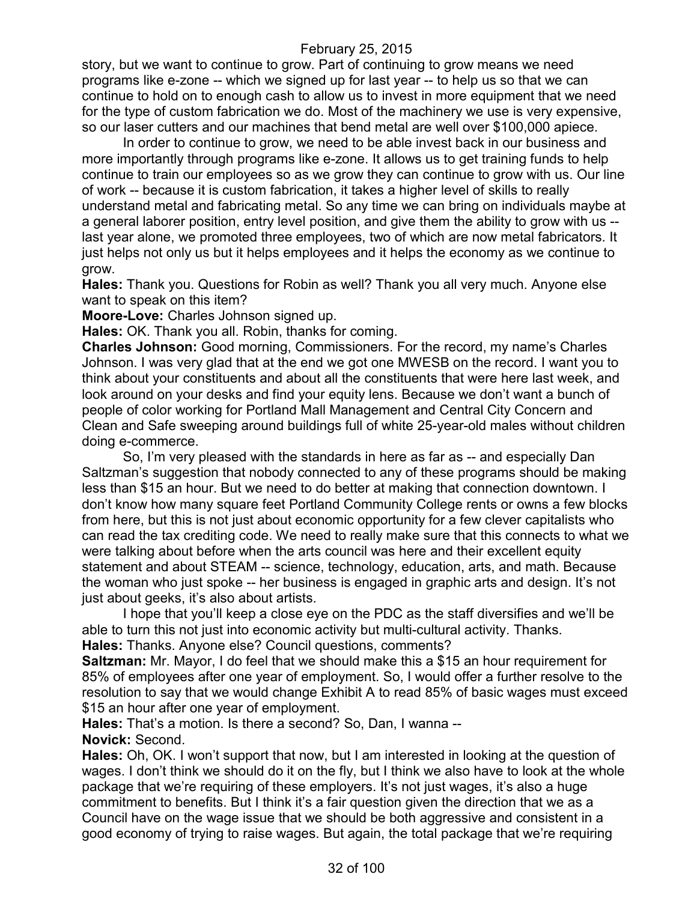story, but we want to continue to grow. Part of continuing to grow means we need programs like e-zone -- which we signed up for last year -- to help us so that we can continue to hold on to enough cash to allow us to invest in more equipment that we need for the type of custom fabrication we do. Most of the machinery we use is very expensive, so our laser cutters and our machines that bend metal are well over \$100,000 apiece.

In order to continue to grow, we need to be able invest back in our business and more importantly through programs like e-zone. It allows us to get training funds to help continue to train our employees so as we grow they can continue to grow with us. Our line of work -- because it is custom fabrication, it takes a higher level of skills to really understand metal and fabricating metal. So any time we can bring on individuals maybe at a general laborer position, entry level position, and give them the ability to grow with us - last year alone, we promoted three employees, two of which are now metal fabricators. It just helps not only us but it helps employees and it helps the economy as we continue to grow.

**Hales:** Thank you. Questions for Robin as well? Thank you all very much. Anyone else want to speak on this item?

**Moore-Love:** Charles Johnson signed up.

**Hales:** OK. Thank you all. Robin, thanks for coming.

**Charles Johnson:** Good morning, Commissioners. For the record, my name's Charles Johnson. I was very glad that at the end we got one MWESB on the record. I want you to think about your constituents and about all the constituents that were here last week, and look around on your desks and find your equity lens. Because we don't want a bunch of people of color working for Portland Mall Management and Central City Concern and Clean and Safe sweeping around buildings full of white 25-year-old males without children doing e-commerce.

So, I'm very pleased with the standards in here as far as -- and especially Dan Saltzman's suggestion that nobody connected to any of these programs should be making less than \$15 an hour. But we need to do better at making that connection downtown. I don't know how many square feet Portland Community College rents or owns a few blocks from here, but this is not just about economic opportunity for a few clever capitalists who can read the tax crediting code. We need to really make sure that this connects to what we were talking about before when the arts council was here and their excellent equity statement and about STEAM -- science, technology, education, arts, and math. Because the woman who just spoke -- her business is engaged in graphic arts and design. It's not just about geeks, it's also about artists.

I hope that you'll keep a close eye on the PDC as the staff diversifies and we'll be able to turn this not just into economic activity but multi-cultural activity. Thanks. **Hales:** Thanks. Anyone else? Council questions, comments?

**Saltzman:** Mr. Mayor, I do feel that we should make this a \$15 an hour requirement for 85% of employees after one year of employment. So, I would offer a further resolve to the resolution to say that we would change Exhibit A to read 85% of basic wages must exceed \$15 an hour after one year of employment.

**Hales:** That's a motion. Is there a second? So, Dan, I wanna -- **Novick:** Second.

**Hales:** Oh, OK. I won't support that now, but I am interested in looking at the question of wages. I don't think we should do it on the fly, but I think we also have to look at the whole package that we're requiring of these employers. It's not just wages, it's also a huge commitment to benefits. But I think it's a fair question given the direction that we as a Council have on the wage issue that we should be both aggressive and consistent in a good economy of trying to raise wages. But again, the total package that we're requiring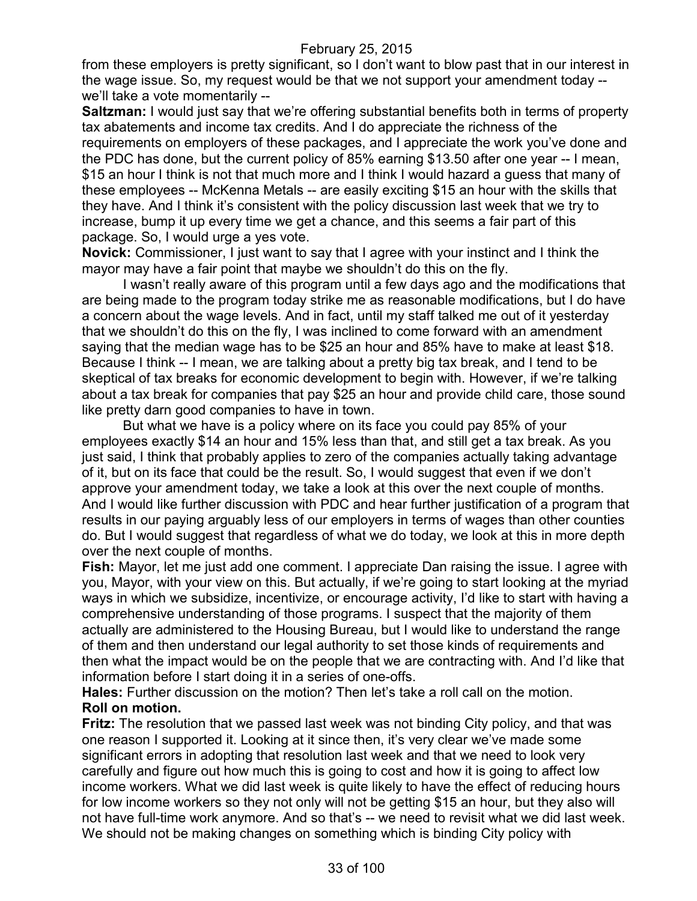from these employers is pretty significant, so I don't want to blow past that in our interest in the wage issue. So, my request would be that we not support your amendment today - we'll take a vote momentarily --

**Saltzman:** I would just say that we're offering substantial benefits both in terms of property tax abatements and income tax credits. And I do appreciate the richness of the requirements on employers of these packages, and I appreciate the work you've done and the PDC has done, but the current policy of 85% earning \$13.50 after one year -- I mean, \$15 an hour I think is not that much more and I think I would hazard a guess that many of these employees -- McKenna Metals -- are easily exciting \$15 an hour with the skills that they have. And I think it's consistent with the policy discussion last week that we try to increase, bump it up every time we get a chance, and this seems a fair part of this package. So, I would urge a yes vote.

**Novick:** Commissioner, I just want to say that I agree with your instinct and I think the mayor may have a fair point that maybe we shouldn't do this on the fly.

I wasn't really aware of this program until a few days ago and the modifications that are being made to the program today strike me as reasonable modifications, but I do have a concern about the wage levels. And in fact, until my staff talked me out of it yesterday that we shouldn't do this on the fly, I was inclined to come forward with an amendment saying that the median wage has to be \$25 an hour and 85% have to make at least \$18. Because I think -- I mean, we are talking about a pretty big tax break, and I tend to be skeptical of tax breaks for economic development to begin with. However, if we're talking about a tax break for companies that pay \$25 an hour and provide child care, those sound like pretty darn good companies to have in town.

But what we have is a policy where on its face you could pay 85% of your employees exactly \$14 an hour and 15% less than that, and still get a tax break. As you just said, I think that probably applies to zero of the companies actually taking advantage of it, but on its face that could be the result. So, I would suggest that even if we don't approve your amendment today, we take a look at this over the next couple of months. And I would like further discussion with PDC and hear further justification of a program that results in our paying arguably less of our employers in terms of wages than other counties do. But I would suggest that regardless of what we do today, we look at this in more depth over the next couple of months.

**Fish:** Mayor, let me just add one comment. I appreciate Dan raising the issue. I agree with you, Mayor, with your view on this. But actually, if we're going to start looking at the myriad ways in which we subsidize, incentivize, or encourage activity, I'd like to start with having a comprehensive understanding of those programs. I suspect that the majority of them actually are administered to the Housing Bureau, but I would like to understand the range of them and then understand our legal authority to set those kinds of requirements and then what the impact would be on the people that we are contracting with. And I'd like that information before I start doing it in a series of one-offs.

**Hales:** Further discussion on the motion? Then let's take a roll call on the motion. **Roll on motion.**

**Fritz:** The resolution that we passed last week was not binding City policy, and that was one reason I supported it. Looking at it since then, it's very clear we've made some significant errors in adopting that resolution last week and that we need to look very carefully and figure out how much this is going to cost and how it is going to affect low income workers. What we did last week is quite likely to have the effect of reducing hours for low income workers so they not only will not be getting \$15 an hour, but they also will not have full-time work anymore. And so that's -- we need to revisit what we did last week. We should not be making changes on something which is binding City policy with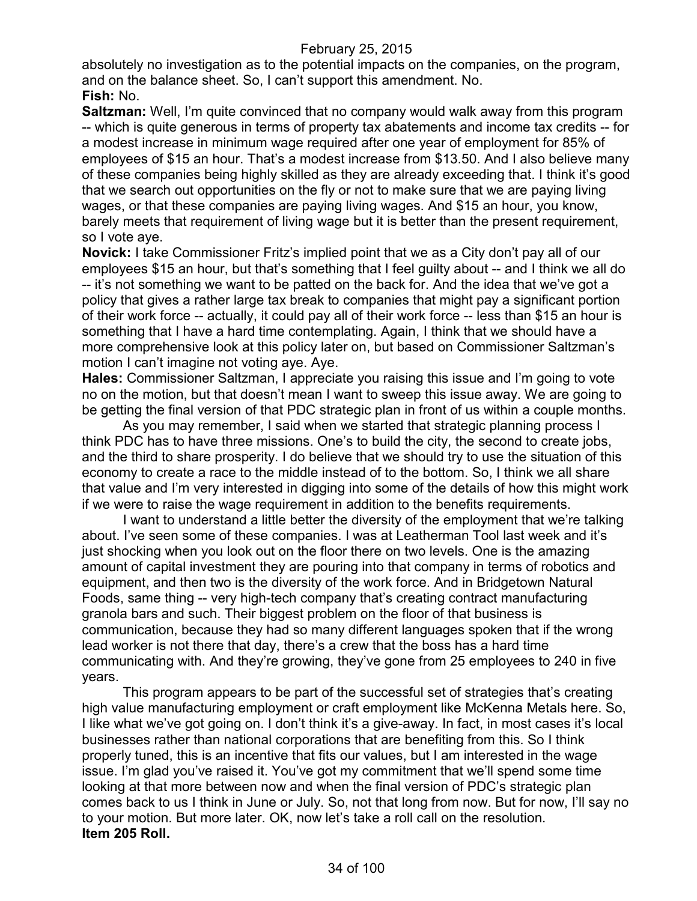absolutely no investigation as to the potential impacts on the companies, on the program, and on the balance sheet. So, I can't support this amendment. No. **Fish:** No.

**Saltzman:** Well, I'm quite convinced that no company would walk away from this program -- which is quite generous in terms of property tax abatements and income tax credits -- for a modest increase in minimum wage required after one year of employment for 85% of employees of \$15 an hour. That's a modest increase from \$13.50. And I also believe many of these companies being highly skilled as they are already exceeding that. I think it's good that we search out opportunities on the fly or not to make sure that we are paying living wages, or that these companies are paying living wages. And \$15 an hour, you know, barely meets that requirement of living wage but it is better than the present requirement, so I vote aye.

**Novick:** I take Commissioner Fritz's implied point that we as a City don't pay all of our employees \$15 an hour, but that's something that I feel guilty about -- and I think we all do -- it's not something we want to be patted on the back for. And the idea that we've got a policy that gives a rather large tax break to companies that might pay a significant portion of their work force -- actually, it could pay all of their work force -- less than \$15 an hour is something that I have a hard time contemplating. Again, I think that we should have a more comprehensive look at this policy later on, but based on Commissioner Saltzman's motion I can't imagine not voting aye. Aye.

**Hales:** Commissioner Saltzman, I appreciate you raising this issue and I'm going to vote no on the motion, but that doesn't mean I want to sweep this issue away. We are going to be getting the final version of that PDC strategic plan in front of us within a couple months.

As you may remember, I said when we started that strategic planning process I think PDC has to have three missions. One's to build the city, the second to create jobs, and the third to share prosperity. I do believe that we should try to use the situation of this economy to create a race to the middle instead of to the bottom. So, I think we all share that value and I'm very interested in digging into some of the details of how this might work if we were to raise the wage requirement in addition to the benefits requirements.

I want to understand a little better the diversity of the employment that we're talking about. I've seen some of these companies. I was at Leatherman Tool last week and it's just shocking when you look out on the floor there on two levels. One is the amazing amount of capital investment they are pouring into that company in terms of robotics and equipment, and then two is the diversity of the work force. And in Bridgetown Natural Foods, same thing -- very high-tech company that's creating contract manufacturing granola bars and such. Their biggest problem on the floor of that business is communication, because they had so many different languages spoken that if the wrong lead worker is not there that day, there's a crew that the boss has a hard time communicating with. And they're growing, they've gone from 25 employees to 240 in five years.

This program appears to be part of the successful set of strategies that's creating high value manufacturing employment or craft employment like McKenna Metals here. So, I like what we've got going on. I don't think it's a give-away. In fact, in most cases it's local businesses rather than national corporations that are benefiting from this. So I think properly tuned, this is an incentive that fits our values, but I am interested in the wage issue. I'm glad you've raised it. You've got my commitment that we'll spend some time looking at that more between now and when the final version of PDC's strategic plan comes back to us I think in June or July. So, not that long from now. But for now, I'll say no to your motion. But more later. OK, now let's take a roll call on the resolution. **Item 205 Roll.**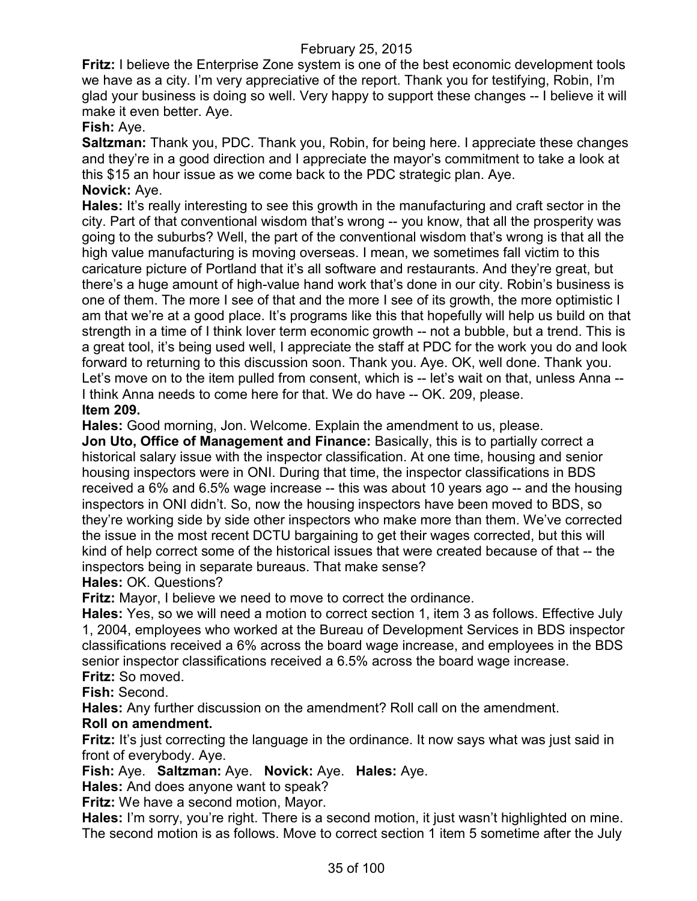**Fritz:** I believe the Enterprise Zone system is one of the best economic development tools we have as a city. I'm very appreciative of the report. Thank you for testifying, Robin, I'm glad your business is doing so well. Very happy to support these changes -- I believe it will make it even better. Aye.

# **Fish:** Aye.

**Saltzman:** Thank you, PDC. Thank you, Robin, for being here. I appreciate these changes and they're in a good direction and I appreciate the mayor's commitment to take a look at this \$15 an hour issue as we come back to the PDC strategic plan. Aye. **Novick:** Aye.

**Hales:** It's really interesting to see this growth in the manufacturing and craft sector in the city. Part of that conventional wisdom that's wrong -- you know, that all the prosperity was going to the suburbs? Well, the part of the conventional wisdom that's wrong is that all the high value manufacturing is moving overseas. I mean, we sometimes fall victim to this caricature picture of Portland that it's all software and restaurants. And they're great, but there's a huge amount of high-value hand work that's done in our city. Robin's business is one of them. The more I see of that and the more I see of its growth, the more optimistic I am that we're at a good place. It's programs like this that hopefully will help us build on that strength in a time of I think lover term economic growth -- not a bubble, but a trend. This is a great tool, it's being used well, I appreciate the staff at PDC for the work you do and look forward to returning to this discussion soon. Thank you. Aye. OK, well done. Thank you. Let's move on to the item pulled from consent, which is -- let's wait on that, unless Anna --I think Anna needs to come here for that. We do have -- OK. 209, please. **Item 209.**

**Hales:** Good morning, Jon. Welcome. Explain the amendment to us, please.

**Jon Uto, Office of Management and Finance:** Basically, this is to partially correct a historical salary issue with the inspector classification. At one time, housing and senior housing inspectors were in ONI. During that time, the inspector classifications in BDS received a 6% and 6.5% wage increase -- this was about 10 years ago -- and the housing inspectors in ONI didn't. So, now the housing inspectors have been moved to BDS, so they're working side by side other inspectors who make more than them. We've corrected the issue in the most recent DCTU bargaining to get their wages corrected, but this will kind of help correct some of the historical issues that were created because of that -- the inspectors being in separate bureaus. That make sense?

**Hales:** OK. Questions?

**Fritz:** Mayor, I believe we need to move to correct the ordinance.

**Hales:** Yes, so we will need a motion to correct section 1, item 3 as follows. Effective July 1, 2004, employees who worked at the Bureau of Development Services in BDS inspector classifications received a 6% across the board wage increase, and employees in the BDS senior inspector classifications received a 6.5% across the board wage increase. **Fritz:** So moved.

**Fish:** Second.

**Hales:** Any further discussion on the amendment? Roll call on the amendment.

# **Roll on amendment.**

**Fritz:** It's just correcting the language in the ordinance. It now says what was just said in front of everybody. Aye.

**Fish:** Aye. **Saltzman:** Aye. **Novick:** Aye. **Hales:** Aye.

**Hales:** And does anyone want to speak?

**Fritz:** We have a second motion, Mayor.

**Hales:** I'm sorry, you're right. There is a second motion, it just wasn't highlighted on mine. The second motion is as follows. Move to correct section 1 item 5 sometime after the July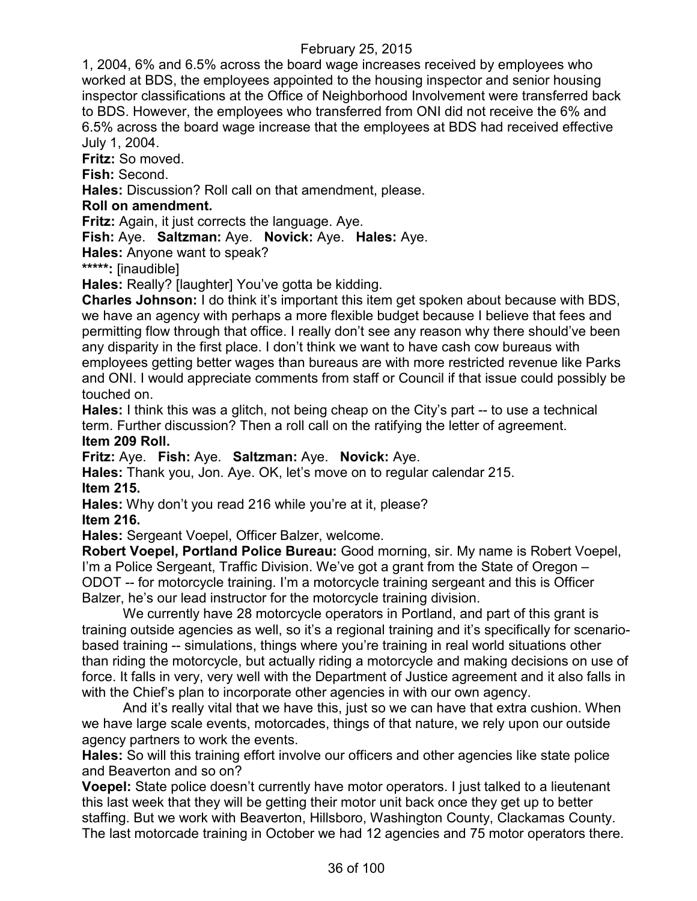1, 2004, 6% and 6.5% across the board wage increases received by employees who worked at BDS, the employees appointed to the housing inspector and senior housing inspector classifications at the Office of Neighborhood Involvement were transferred back to BDS. However, the employees who transferred from ONI did not receive the 6% and 6.5% across the board wage increase that the employees at BDS had received effective July 1, 2004.

**Fritz:** So moved.

**Fish:** Second.

**Hales:** Discussion? Roll call on that amendment, please.

# **Roll on amendment.**

**Fritz:** Again, it just corrects the language. Aye.

**Fish:** Aye. **Saltzman:** Aye. **Novick:** Aye. **Hales:** Aye.

**Hales:** Anyone want to speak?

**\*\*\*\*\*:** [inaudible]

**Hales:** Really? [laughter] You've gotta be kidding.

**Charles Johnson:** I do think it's important this item get spoken about because with BDS, we have an agency with perhaps a more flexible budget because I believe that fees and permitting flow through that office. I really don't see any reason why there should've been any disparity in the first place. I don't think we want to have cash cow bureaus with employees getting better wages than bureaus are with more restricted revenue like Parks and ONI. I would appreciate comments from staff or Council if that issue could possibly be touched on.

**Hales:** I think this was a glitch, not being cheap on the City's part -- to use a technical term. Further discussion? Then a roll call on the ratifying the letter of agreement.

#### **Item 209 Roll.**

**Fritz:** Aye. **Fish:** Aye. **Saltzman:** Aye. **Novick:** Aye.

**Hales:** Thank you, Jon. Aye. OK, let's move on to regular calendar 215. **Item 215.**

**Hales:** Why don't you read 216 while you're at it, please?

**Item 216.**

**Hales:** Sergeant Voepel, Officer Balzer, welcome.

**Robert Voepel, Portland Police Bureau:** Good morning, sir. My name is Robert Voepel, I'm a Police Sergeant, Traffic Division. We've got a grant from the State of Oregon – ODOT -- for motorcycle training. I'm a motorcycle training sergeant and this is Officer Balzer, he's our lead instructor for the motorcycle training division.

We currently have 28 motorcycle operators in Portland, and part of this grant is training outside agencies as well, so it's a regional training and it's specifically for scenariobased training -- simulations, things where you're training in real world situations other than riding the motorcycle, but actually riding a motorcycle and making decisions on use of force. It falls in very, very well with the Department of Justice agreement and it also falls in with the Chief's plan to incorporate other agencies in with our own agency.

And it's really vital that we have this, just so we can have that extra cushion. When we have large scale events, motorcades, things of that nature, we rely upon our outside agency partners to work the events.

**Hales:** So will this training effort involve our officers and other agencies like state police and Beaverton and so on?

**Voepel:** State police doesn't currently have motor operators. I just talked to a lieutenant this last week that they will be getting their motor unit back once they get up to better staffing. But we work with Beaverton, Hillsboro, Washington County, Clackamas County. The last motorcade training in October we had 12 agencies and 75 motor operators there.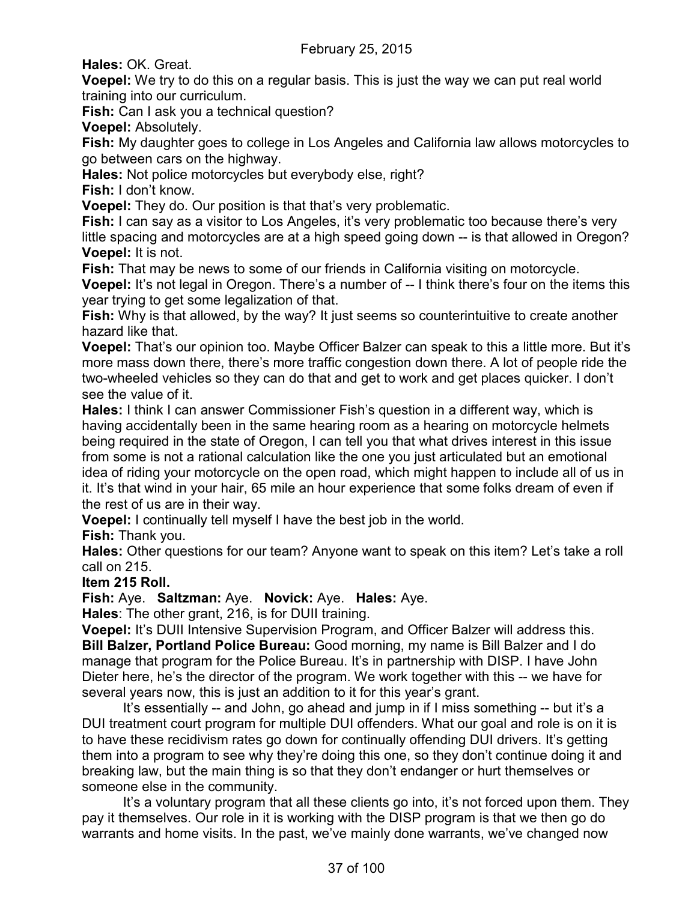**Hales:** OK. Great.

**Voepel:** We try to do this on a regular basis. This is just the way we can put real world training into our curriculum.

**Fish:** Can I ask you a technical question?

**Voepel:** Absolutely.

**Fish:** My daughter goes to college in Los Angeles and California law allows motorcycles to go between cars on the highway.

**Hales:** Not police motorcycles but everybody else, right?

**Fish:** I don't know.

**Voepel:** They do. Our position is that that's very problematic.

**Fish:** I can say as a visitor to Los Angeles, it's very problematic too because there's very little spacing and motorcycles are at a high speed going down -- is that allowed in Oregon? **Voepel:** It is not.

**Fish:** That may be news to some of our friends in California visiting on motorcycle.

**Voepel:** It's not legal in Oregon. There's a number of -- I think there's four on the items this year trying to get some legalization of that.

**Fish:** Why is that allowed, by the way? It just seems so counterintuitive to create another hazard like that.

**Voepel:** That's our opinion too. Maybe Officer Balzer can speak to this a little more. But it's more mass down there, there's more traffic congestion down there. A lot of people ride the two-wheeled vehicles so they can do that and get to work and get places quicker. I don't see the value of it.

**Hales:** I think I can answer Commissioner Fish's question in a different way, which is having accidentally been in the same hearing room as a hearing on motorcycle helmets being required in the state of Oregon, I can tell you that what drives interest in this issue from some is not a rational calculation like the one you just articulated but an emotional idea of riding your motorcycle on the open road, which might happen to include all of us in it. It's that wind in your hair, 65 mile an hour experience that some folks dream of even if the rest of us are in their way.

**Voepel:** I continually tell myself I have the best job in the world.

**Fish:** Thank you.

**Hales:** Other questions for our team? Anyone want to speak on this item? Let's take a roll call on 215.

**Item 215 Roll.**

**Fish:** Aye. **Saltzman:** Aye. **Novick:** Aye. **Hales:** Aye.

**Hales**: The other grant, 216, is for DUII training.

**Voepel:** It's DUII Intensive Supervision Program, and Officer Balzer will address this. **Bill Balzer, Portland Police Bureau:** Good morning, my name is Bill Balzer and I do manage that program for the Police Bureau. It's in partnership with DISP. I have John Dieter here, he's the director of the program. We work together with this -- we have for several years now, this is just an addition to it for this year's grant.

It's essentially -- and John, go ahead and jump in if I miss something -- but it's a DUI treatment court program for multiple DUI offenders. What our goal and role is on it is to have these recidivism rates go down for continually offending DUI drivers. It's getting them into a program to see why they're doing this one, so they don't continue doing it and breaking law, but the main thing is so that they don't endanger or hurt themselves or someone else in the community.

It's a voluntary program that all these clients go into, it's not forced upon them. They pay it themselves. Our role in it is working with the DISP program is that we then go do warrants and home visits. In the past, we've mainly done warrants, we've changed now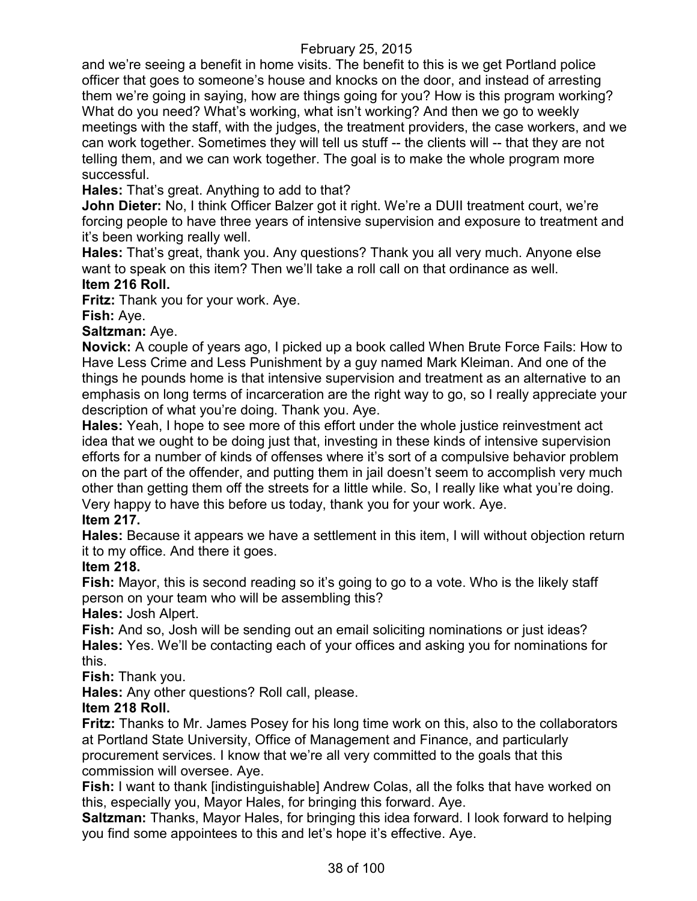and we're seeing a benefit in home visits. The benefit to this is we get Portland police officer that goes to someone's house and knocks on the door, and instead of arresting them we're going in saying, how are things going for you? How is this program working? What do you need? What's working, what isn't working? And then we go to weekly meetings with the staff, with the judges, the treatment providers, the case workers, and we can work together. Sometimes they will tell us stuff -- the clients will -- that they are not telling them, and we can work together. The goal is to make the whole program more successful.

**Hales:** That's great. Anything to add to that?

**John Dieter:** No, I think Officer Balzer got it right. We're a DUII treatment court, we're forcing people to have three years of intensive supervision and exposure to treatment and it's been working really well.

**Hales:** That's great, thank you. Any questions? Thank you all very much. Anyone else want to speak on this item? Then we'll take a roll call on that ordinance as well. **Item 216 Roll.**

**Fritz:** Thank you for your work. Aye.

**Fish:** Aye.

**Saltzman:** Aye.

**Novick:** A couple of years ago, I picked up a book called When Brute Force Fails: How to Have Less Crime and Less Punishment by a guy named Mark Kleiman. And one of the things he pounds home is that intensive supervision and treatment as an alternative to an emphasis on long terms of incarceration are the right way to go, so I really appreciate your description of what you're doing. Thank you. Aye.

**Hales:** Yeah, I hope to see more of this effort under the whole justice reinvestment act idea that we ought to be doing just that, investing in these kinds of intensive supervision efforts for a number of kinds of offenses where it's sort of a compulsive behavior problem on the part of the offender, and putting them in jail doesn't seem to accomplish very much other than getting them off the streets for a little while. So, I really like what you're doing. Very happy to have this before us today, thank you for your work. Aye.

# **Item 217.**

**Hales:** Because it appears we have a settlement in this item, I will without objection return it to my office. And there it goes.

# **Item 218.**

**Fish:** Mayor, this is second reading so it's going to go to a vote. Who is the likely staff person on your team who will be assembling this?

**Hales:** Josh Alpert.

**Fish:** And so, Josh will be sending out an email soliciting nominations or just ideas? **Hales:** Yes. We'll be contacting each of your offices and asking you for nominations for this.

**Fish:** Thank you.

**Hales:** Any other questions? Roll call, please.

# **Item 218 Roll.**

**Fritz:** Thanks to Mr. James Posey for his long time work on this, also to the collaborators at Portland State University, Office of Management and Finance, and particularly procurement services. I know that we're all very committed to the goals that this commission will oversee. Aye.

**Fish:** I want to thank [indistinguishable] Andrew Colas, all the folks that have worked on this, especially you, Mayor Hales, for bringing this forward. Aye.

**Saltzman:** Thanks, Mayor Hales, for bringing this idea forward. I look forward to helping you find some appointees to this and let's hope it's effective. Aye.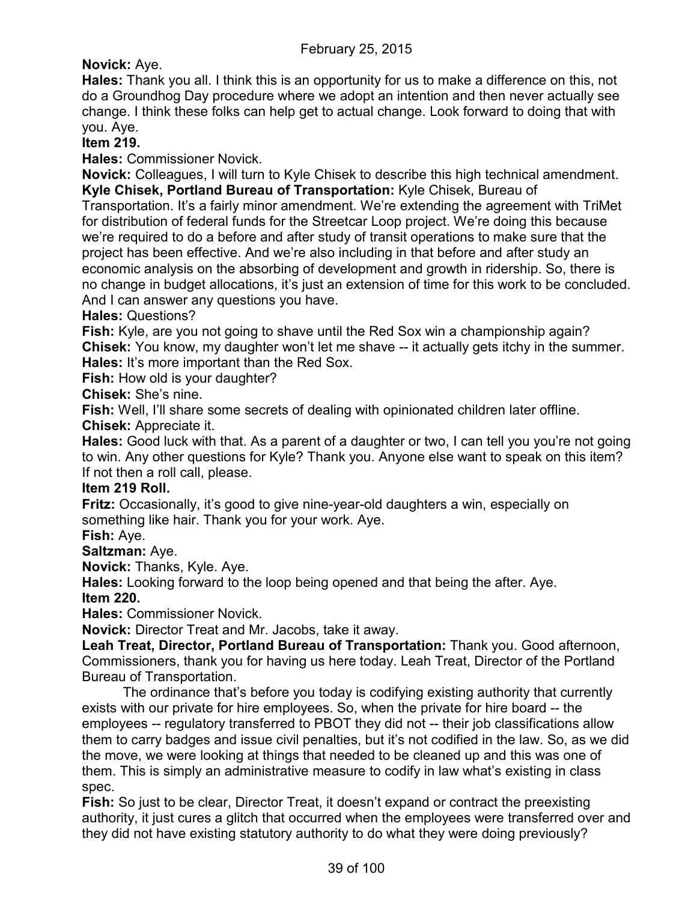**Novick:** Aye.

**Hales:** Thank you all. I think this is an opportunity for us to make a difference on this, not do a Groundhog Day procedure where we adopt an intention and then never actually see change. I think these folks can help get to actual change. Look forward to doing that with you. Aye.

**Item 219.**

**Hales:** Commissioner Novick.

**Novick:** Colleagues, I will turn to Kyle Chisek to describe this high technical amendment. **Kyle Chisek, Portland Bureau of Transportation:** Kyle Chisek, Bureau of Transportation. It's a fairly minor amendment. We're extending the agreement with TriMet for distribution of federal funds for the Streetcar Loop project. We're doing this because we're required to do a before and after study of transit operations to make sure that the project has been effective. And we're also including in that before and after study an economic analysis on the absorbing of development and growth in ridership. So, there is no change in budget allocations, it's just an extension of time for this work to be concluded. And I can answer any questions you have.

**Hales:** Questions?

**Fish:** Kyle, are you not going to shave until the Red Sox win a championship again? **Chisek:** You know, my daughter won't let me shave -- it actually gets itchy in the summer. **Hales:** It's more important than the Red Sox.

**Fish:** How old is your daughter?

**Chisek:** She's nine.

**Fish:** Well, I'll share some secrets of dealing with opinionated children later offline. **Chisek:** Appreciate it.

**Hales:** Good luck with that. As a parent of a daughter or two, I can tell you you're not going to win. Any other questions for Kyle? Thank you. Anyone else want to speak on this item? If not then a roll call, please.

# **Item 219 Roll.**

**Fritz:** Occasionally, it's good to give nine-year-old daughters a win, especially on something like hair. Thank you for your work. Aye.

**Fish:** Aye.

# **Saltzman:** Aye.

**Novick:** Thanks, Kyle. Aye.

**Hales:** Looking forward to the loop being opened and that being the after. Aye.

# **Item 220.**

**Hales:** Commissioner Novick.

**Novick:** Director Treat and Mr. Jacobs, take it away.

**Leah Treat, Director, Portland Bureau of Transportation:** Thank you. Good afternoon, Commissioners, thank you for having us here today. Leah Treat, Director of the Portland Bureau of Transportation.

The ordinance that's before you today is codifying existing authority that currently exists with our private for hire employees. So, when the private for hire board -- the employees -- regulatory transferred to PBOT they did not -- their job classifications allow them to carry badges and issue civil penalties, but it's not codified in the law. So, as we did the move, we were looking at things that needed to be cleaned up and this was one of them. This is simply an administrative measure to codify in law what's existing in class spec.

**Fish:** So just to be clear, Director Treat, it doesn't expand or contract the preexisting authority, it just cures a glitch that occurred when the employees were transferred over and they did not have existing statutory authority to do what they were doing previously?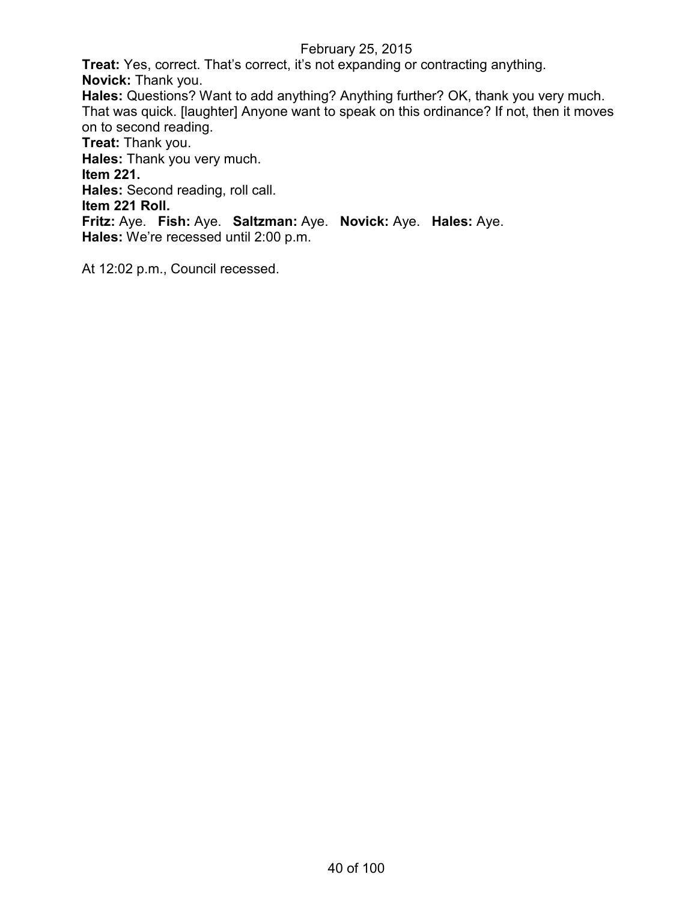**Treat:** Yes, correct. That's correct, it's not expanding or contracting anything. **Novick:** Thank you. **Hales:** Questions? Want to add anything? Anything further? OK, thank you very much. That was quick. [laughter] Anyone want to speak on this ordinance? If not, then it moves on to second reading. **Treat:** Thank you. **Hales:** Thank you very much. **Item 221. Hales:** Second reading, roll call. **Item 221 Roll. Fritz:** Aye. **Fish:** Aye. **Saltzman:** Aye. **Novick:** Aye. **Hales:** Aye. **Hales:** We're recessed until 2:00 p.m.

At 12:02 p.m., Council recessed.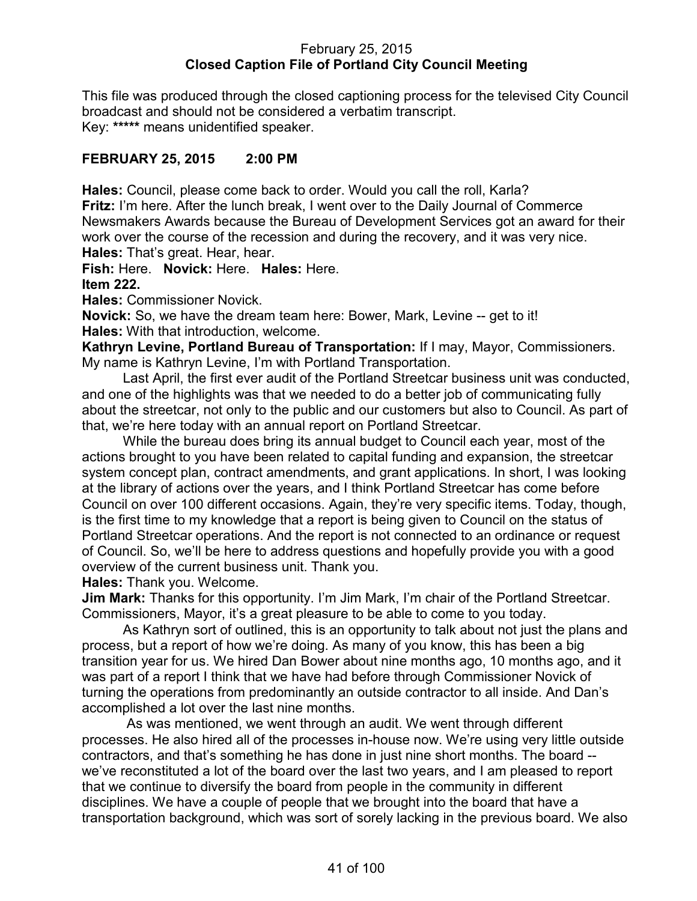# February 25, 2015 **Closed Caption File of Portland City Council Meeting**

This file was produced through the closed captioning process for the televised City Council broadcast and should not be considered a verbatim transcript. Key: **\*\*\*\*\*** means unidentified speaker.

# **FEBRUARY 25, 2015 2:00 PM**

**Hales:** Council, please come back to order. Would you call the roll, Karla? **Fritz:** I'm here. After the lunch break, I went over to the Daily Journal of Commerce Newsmakers Awards because the Bureau of Development Services got an award for their work over the course of the recession and during the recovery, and it was very nice. **Hales:** That's great. Hear, hear.

**Fish:** Here. **Novick:** Here. **Hales:** Here.

**Item 222.**

**Hales:** Commissioner Novick.

**Novick:** So, we have the dream team here: Bower, Mark, Levine -- get to it! **Hales:** With that introduction, welcome.

**Kathryn Levine, Portland Bureau of Transportation:** If I may, Mayor, Commissioners. My name is Kathryn Levine, I'm with Portland Transportation.

Last April, the first ever audit of the Portland Streetcar business unit was conducted, and one of the highlights was that we needed to do a better job of communicating fully about the streetcar, not only to the public and our customers but also to Council. As part of that, we're here today with an annual report on Portland Streetcar.

While the bureau does bring its annual budget to Council each year, most of the actions brought to you have been related to capital funding and expansion, the streetcar system concept plan, contract amendments, and grant applications. In short, I was looking at the library of actions over the years, and I think Portland Streetcar has come before Council on over 100 different occasions. Again, they're very specific items. Today, though, is the first time to my knowledge that a report is being given to Council on the status of Portland Streetcar operations. And the report is not connected to an ordinance or request of Council. So, we'll be here to address questions and hopefully provide you with a good overview of the current business unit. Thank you.

**Hales:** Thank you. Welcome.

**Jim Mark:** Thanks for this opportunity. I'm Jim Mark, I'm chair of the Portland Streetcar. Commissioners, Mayor, it's a great pleasure to be able to come to you today.

As Kathryn sort of outlined, this is an opportunity to talk about not just the plans and process, but a report of how we're doing. As many of you know, this has been a big transition year for us. We hired Dan Bower about nine months ago, 10 months ago, and it was part of a report I think that we have had before through Commissioner Novick of turning the operations from predominantly an outside contractor to all inside. And Dan's accomplished a lot over the last nine months.

As was mentioned, we went through an audit. We went through different processes. He also hired all of the processes in-house now. We're using very little outside contractors, and that's something he has done in just nine short months. The board - we've reconstituted a lot of the board over the last two years, and I am pleased to report that we continue to diversify the board from people in the community in different disciplines. We have a couple of people that we brought into the board that have a transportation background, which was sort of sorely lacking in the previous board. We also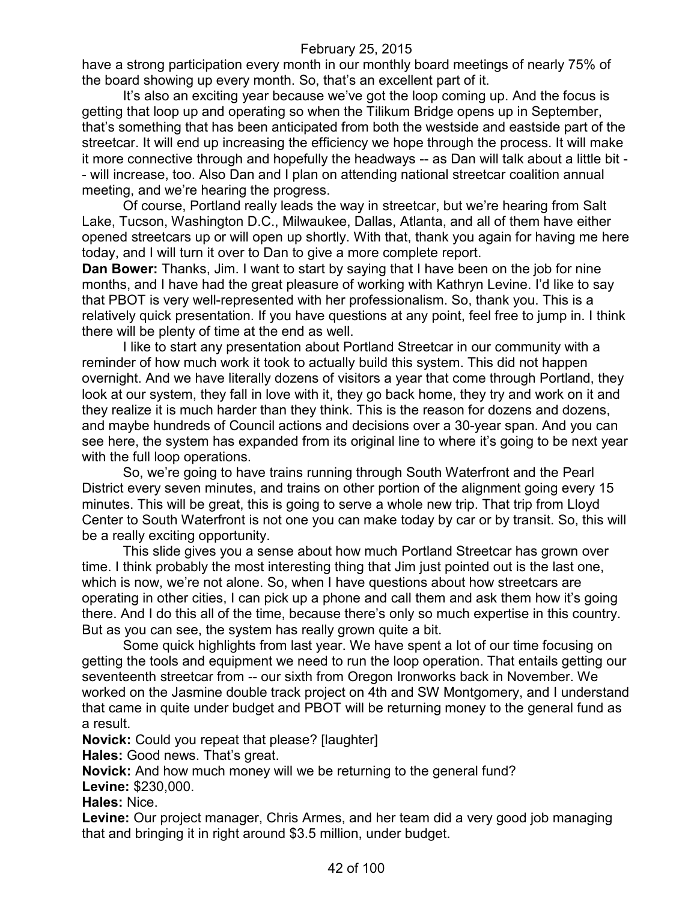have a strong participation every month in our monthly board meetings of nearly 75% of the board showing up every month. So, that's an excellent part of it.

It's also an exciting year because we've got the loop coming up. And the focus is getting that loop up and operating so when the Tilikum Bridge opens up in September, that's something that has been anticipated from both the westside and eastside part of the streetcar. It will end up increasing the efficiency we hope through the process. It will make it more connective through and hopefully the headways -- as Dan will talk about a little bit - - will increase, too. Also Dan and I plan on attending national streetcar coalition annual meeting, and we're hearing the progress.

Of course, Portland really leads the way in streetcar, but we're hearing from Salt Lake, Tucson, Washington D.C., Milwaukee, Dallas, Atlanta, and all of them have either opened streetcars up or will open up shortly. With that, thank you again for having me here today, and I will turn it over to Dan to give a more complete report.

**Dan Bower:** Thanks, Jim. I want to start by saying that I have been on the job for nine months, and I have had the great pleasure of working with Kathryn Levine. I'd like to say that PBOT is very well-represented with her professionalism. So, thank you. This is a relatively quick presentation. If you have questions at any point, feel free to jump in. I think there will be plenty of time at the end as well.

I like to start any presentation about Portland Streetcar in our community with a reminder of how much work it took to actually build this system. This did not happen overnight. And we have literally dozens of visitors a year that come through Portland, they look at our system, they fall in love with it, they go back home, they try and work on it and they realize it is much harder than they think. This is the reason for dozens and dozens, and maybe hundreds of Council actions and decisions over a 30-year span. And you can see here, the system has expanded from its original line to where it's going to be next year with the full loop operations.

So, we're going to have trains running through South Waterfront and the Pearl District every seven minutes, and trains on other portion of the alignment going every 15 minutes. This will be great, this is going to serve a whole new trip. That trip from Lloyd Center to South Waterfront is not one you can make today by car or by transit. So, this will be a really exciting opportunity.

This slide gives you a sense about how much Portland Streetcar has grown over time. I think probably the most interesting thing that Jim just pointed out is the last one, which is now, we're not alone. So, when I have questions about how streetcars are operating in other cities, I can pick up a phone and call them and ask them how it's going there. And I do this all of the time, because there's only so much expertise in this country. But as you can see, the system has really grown quite a bit.

Some quick highlights from last year. We have spent a lot of our time focusing on getting the tools and equipment we need to run the loop operation. That entails getting our seventeenth streetcar from -- our sixth from Oregon Ironworks back in November. We worked on the Jasmine double track project on 4th and SW Montgomery, and I understand that came in quite under budget and PBOT will be returning money to the general fund as a result.

**Novick:** Could you repeat that please? [laughter]

**Hales:** Good news. That's great.

**Novick:** And how much money will we be returning to the general fund?

**Levine:** \$230,000.

**Hales:** Nice.

**Levine:** Our project manager, Chris Armes, and her team did a very good job managing that and bringing it in right around \$3.5 million, under budget.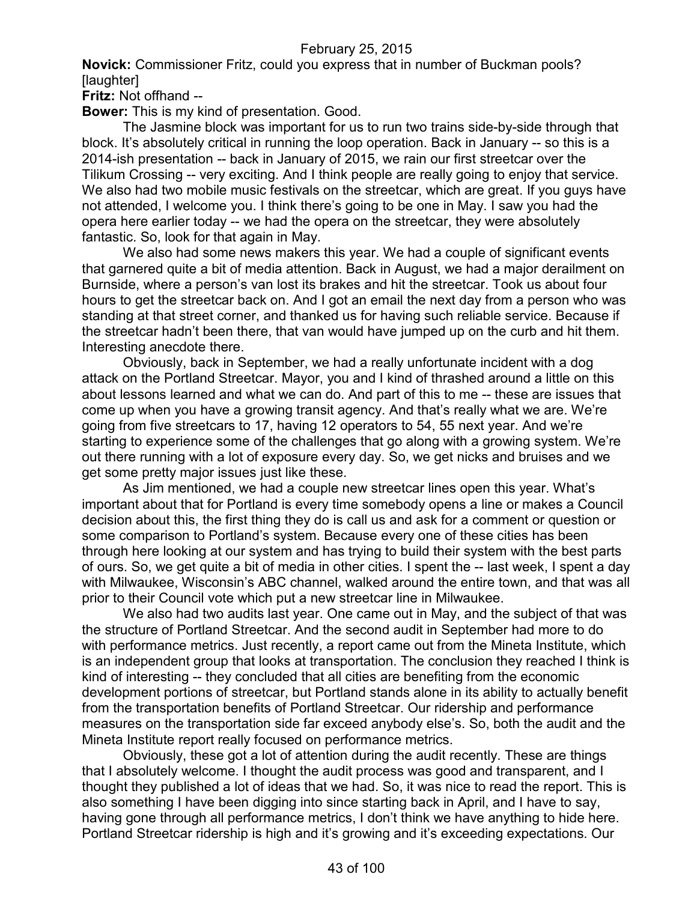**Novick:** Commissioner Fritz, could you express that in number of Buckman pools? [laughter]

**Fritz:** Not offhand --

**Bower:** This is my kind of presentation. Good.

The Jasmine block was important for us to run two trains side-by-side through that block. It's absolutely critical in running the loop operation. Back in January -- so this is a 2014-ish presentation -- back in January of 2015, we rain our first streetcar over the Tilikum Crossing -- very exciting. And I think people are really going to enjoy that service. We also had two mobile music festivals on the streetcar, which are great. If you guys have not attended, I welcome you. I think there's going to be one in May. I saw you had the opera here earlier today -- we had the opera on the streetcar, they were absolutely fantastic. So, look for that again in May.

We also had some news makers this year. We had a couple of significant events that garnered quite a bit of media attention. Back in August, we had a major derailment on Burnside, where a person's van lost its brakes and hit the streetcar. Took us about four hours to get the streetcar back on. And I got an email the next day from a person who was standing at that street corner, and thanked us for having such reliable service. Because if the streetcar hadn't been there, that van would have jumped up on the curb and hit them. Interesting anecdote there.

Obviously, back in September, we had a really unfortunate incident with a dog attack on the Portland Streetcar. Mayor, you and I kind of thrashed around a little on this about lessons learned and what we can do. And part of this to me -- these are issues that come up when you have a growing transit agency. And that's really what we are. We're going from five streetcars to 17, having 12 operators to 54, 55 next year. And we're starting to experience some of the challenges that go along with a growing system. We're out there running with a lot of exposure every day. So, we get nicks and bruises and we get some pretty major issues just like these.

As Jim mentioned, we had a couple new streetcar lines open this year. What's important about that for Portland is every time somebody opens a line or makes a Council decision about this, the first thing they do is call us and ask for a comment or question or some comparison to Portland's system. Because every one of these cities has been through here looking at our system and has trying to build their system with the best parts of ours. So, we get quite a bit of media in other cities. I spent the -- last week, I spent a day with Milwaukee, Wisconsin's ABC channel, walked around the entire town, and that was all prior to their Council vote which put a new streetcar line in Milwaukee.

We also had two audits last year. One came out in May, and the subject of that was the structure of Portland Streetcar. And the second audit in September had more to do with performance metrics. Just recently, a report came out from the Mineta Institute, which is an independent group that looks at transportation. The conclusion they reached I think is kind of interesting -- they concluded that all cities are benefiting from the economic development portions of streetcar, but Portland stands alone in its ability to actually benefit from the transportation benefits of Portland Streetcar. Our ridership and performance measures on the transportation side far exceed anybody else's. So, both the audit and the Mineta Institute report really focused on performance metrics.

Obviously, these got a lot of attention during the audit recently. These are things that I absolutely welcome. I thought the audit process was good and transparent, and I thought they published a lot of ideas that we had. So, it was nice to read the report. This is also something I have been digging into since starting back in April, and I have to say, having gone through all performance metrics, I don't think we have anything to hide here. Portland Streetcar ridership is high and it's growing and it's exceeding expectations. Our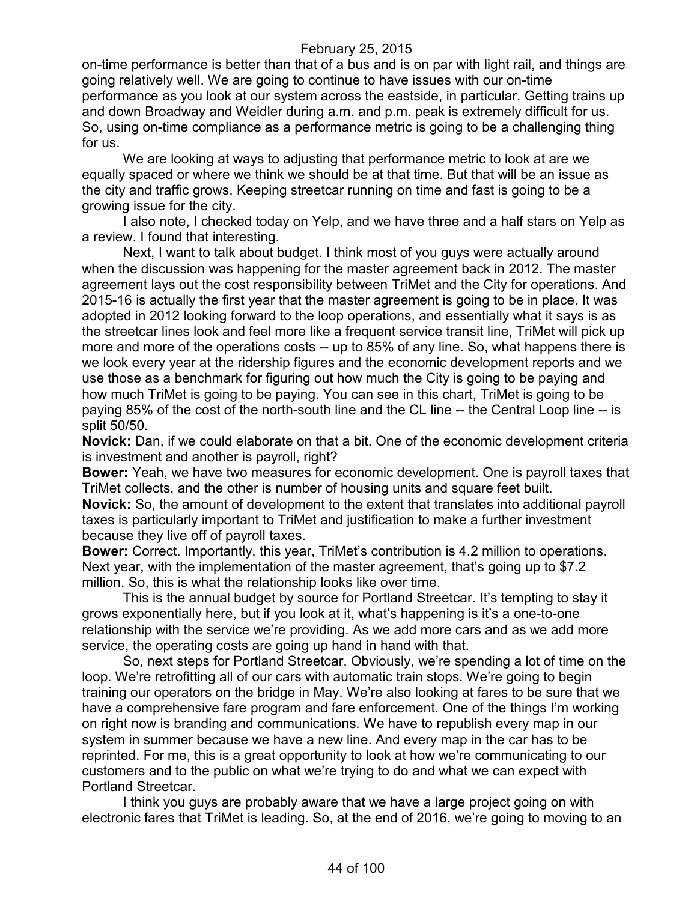on-time performance is better than that of a bus and is on par with light rail, and things are going relatively well. We are going to continue to have issues with our on-time performance as you look at our system across the eastside, in particular. Getting trains up and down Broadway and Weidler during a.m. and p.m. peak is extremely difficult for us. So, using on-time compliance as a performance metric is going to be a challenging thing for us.

We are looking at ways to adjusting that performance metric to look at are we equally spaced or where we think we should be at that time. But that will be an issue as the city and traffic grows. Keeping streetcar running on time and fast is going to be a growing issue for the city.

I also note, I checked today on Yelp, and we have three and a half stars on Yelp as a review. I found that interesting.

Next, I want to talk about budget. I think most of you guys were actually around when the discussion was happening for the master agreement back in 2012. The master agreement lays out the cost responsibility between TriMet and the City for operations. And 2015-16 is actually the first year that the master agreement is going to be in place. It was adopted in 2012 looking forward to the loop operations, and essentially what it says is as the streetcar lines look and feel more like a frequent service transit line, TriMet will pick up more and more of the operations costs -- up to 85% of any line. So, what happens there is we look every year at the ridership figures and the economic development reports and we use those as a benchmark for figuring out how much the City is going to be paying and how much TriMet is going to be paying. You can see in this chart, TriMet is going to be paying 85% of the cost of the north-south line and the CL line -- the Central Loop line -- is split 50/50.

**Novick:** Dan, if we could elaborate on that a bit. One of the economic development criteria is investment and another is payroll, right?

**Bower:** Yeah, we have two measures for economic development. One is payroll taxes that TriMet collects, and the other is number of housing units and square feet built.

**Novick:** So, the amount of development to the extent that translates into additional payroll taxes is particularly important to TriMet and justification to make a further investment because they live off of payroll taxes.

**Bower:** Correct. Importantly, this year, TriMet's contribution is 4.2 million to operations. Next year, with the implementation of the master agreement, that's going up to \$7.2 million. So, this is what the relationship looks like over time.

This is the annual budget by source for Portland Streetcar. It's tempting to stay it grows exponentially here, but if you look at it, what's happening is it's a one-to-one relationship with the service we're providing. As we add more cars and as we add more service, the operating costs are going up hand in hand with that.

So, next steps for Portland Streetcar. Obviously, we're spending a lot of time on the loop. We're retrofitting all of our cars with automatic train stops. We're going to begin training our operators on the bridge in May. We're also looking at fares to be sure that we have a comprehensive fare program and fare enforcement. One of the things I'm working on right now is branding and communications. We have to republish every map in our system in summer because we have a new line. And every map in the car has to be reprinted. For me, this is a great opportunity to look at how we're communicating to our customers and to the public on what we're trying to do and what we can expect with Portland Streetcar.

I think you guys are probably aware that we have a large project going on with electronic fares that TriMet is leading. So, at the end of 2016, we're going to moving to an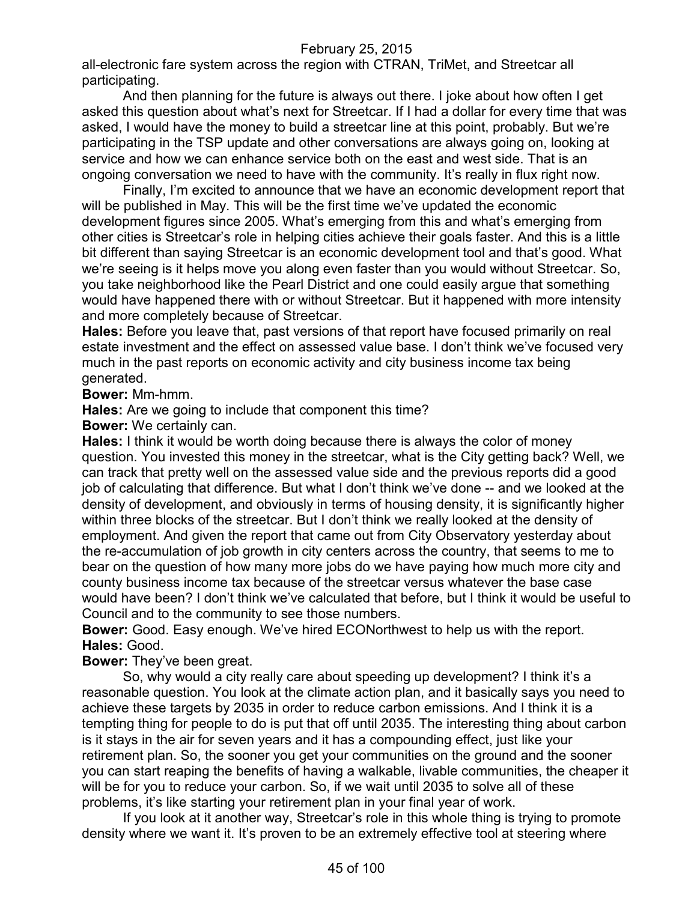all-electronic fare system across the region with CTRAN, TriMet, and Streetcar all participating.

And then planning for the future is always out there. I joke about how often I get asked this question about what's next for Streetcar. If I had a dollar for every time that was asked, I would have the money to build a streetcar line at this point, probably. But we're participating in the TSP update and other conversations are always going on, looking at service and how we can enhance service both on the east and west side. That is an ongoing conversation we need to have with the community. It's really in flux right now.

Finally, I'm excited to announce that we have an economic development report that will be published in May. This will be the first time we've updated the economic development figures since 2005. What's emerging from this and what's emerging from other cities is Streetcar's role in helping cities achieve their goals faster. And this is a little bit different than saying Streetcar is an economic development tool and that's good. What we're seeing is it helps move you along even faster than you would without Streetcar. So, you take neighborhood like the Pearl District and one could easily argue that something would have happened there with or without Streetcar. But it happened with more intensity and more completely because of Streetcar.

**Hales:** Before you leave that, past versions of that report have focused primarily on real estate investment and the effect on assessed value base. I don't think we've focused very much in the past reports on economic activity and city business income tax being generated.

**Bower:** Mm-hmm.

**Hales:** Are we going to include that component this time?

**Bower:** We certainly can.

**Hales:** I think it would be worth doing because there is always the color of money question. You invested this money in the streetcar, what is the City getting back? Well, we can track that pretty well on the assessed value side and the previous reports did a good job of calculating that difference. But what I don't think we've done -- and we looked at the density of development, and obviously in terms of housing density, it is significantly higher within three blocks of the streetcar. But I don't think we really looked at the density of employment. And given the report that came out from City Observatory yesterday about the re-accumulation of job growth in city centers across the country, that seems to me to bear on the question of how many more jobs do we have paying how much more city and county business income tax because of the streetcar versus whatever the base case would have been? I don't think we've calculated that before, but I think it would be useful to Council and to the community to see those numbers.

**Bower:** Good. Easy enough. We've hired ECONorthwest to help us with the report. **Hales:** Good.

**Bower:** They've been great.

So, why would a city really care about speeding up development? I think it's a reasonable question. You look at the climate action plan, and it basically says you need to achieve these targets by 2035 in order to reduce carbon emissions. And I think it is a tempting thing for people to do is put that off until 2035. The interesting thing about carbon is it stays in the air for seven years and it has a compounding effect, just like your retirement plan. So, the sooner you get your communities on the ground and the sooner you can start reaping the benefits of having a walkable, livable communities, the cheaper it will be for you to reduce your carbon. So, if we wait until 2035 to solve all of these problems, it's like starting your retirement plan in your final year of work.

If you look at it another way, Streetcar's role in this whole thing is trying to promote density where we want it. It's proven to be an extremely effective tool at steering where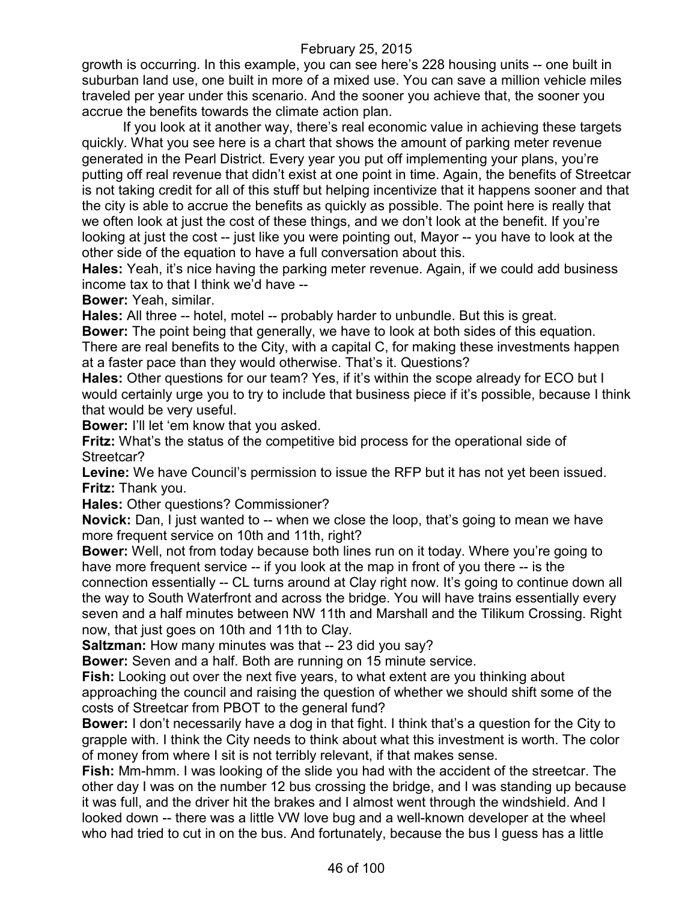growth is occurring. In this example, you can see here's 228 housing units -- one built in suburban land use, one built in more of a mixed use. You can save a million vehicle miles traveled per year under this scenario. And the sooner you achieve that, the sooner you accrue the benefits towards the climate action plan.

If you look at it another way, there's real economic value in achieving these targets quickly. What you see here is a chart that shows the amount of parking meter revenue generated in the Pearl District. Every year you put off implementing your plans, you're putting off real revenue that didn't exist at one point in time. Again, the benefits of Streetcar is not taking credit for all of this stuff but helping incentivize that it happens sooner and that the city is able to accrue the benefits as quickly as possible. The point here is really that we often look at just the cost of these things, and we don't look at the benefit. If you're looking at just the cost -- just like you were pointing out, Mayor -- you have to look at the other side of the equation to have a full conversation about this.

**Hales:** Yeah, it's nice having the parking meter revenue. Again, if we could add business income tax to that I think we'd have --

**Bower:** Yeah, similar.

**Hales:** All three -- hotel, motel -- probably harder to unbundle. But this is great. **Bower:** The point being that generally, we have to look at both sides of this equation. There are real benefits to the City, with a capital C, for making these investments happen at a faster pace than they would otherwise. That's it. Questions?

**Hales:** Other questions for our team? Yes, if it's within the scope already for ECO but I would certainly urge you to try to include that business piece if it's possible, because I think that would be very useful.

**Bower:** I'll let 'em know that you asked.

**Fritz:** What's the status of the competitive bid process for the operational side of Streetcar?

**Levine:** We have Council's permission to issue the RFP but it has not yet been issued. **Fritz:** Thank you.

**Hales:** Other questions? Commissioner?

**Novick:** Dan, I just wanted to -- when we close the loop, that's going to mean we have more frequent service on 10th and 11th, right?

**Bower:** Well, not from today because both lines run on it today. Where you're going to have more frequent service -- if you look at the map in front of you there -- is the connection essentially -- CL turns around at Clay right now. It's going to continue down all the way to South Waterfront and across the bridge. You will have trains essentially every seven and a half minutes between NW 11th and Marshall and the Tilikum Crossing. Right now, that just goes on 10th and 11th to Clay.

**Saltzman:** How many minutes was that -- 23 did you say?

**Bower:** Seven and a half. Both are running on 15 minute service.

**Fish:** Looking out over the next five years, to what extent are you thinking about approaching the council and raising the question of whether we should shift some of the costs of Streetcar from PBOT to the general fund?

**Bower:** I don't necessarily have a dog in that fight. I think that's a question for the City to grapple with. I think the City needs to think about what this investment is worth. The color of money from where I sit is not terribly relevant, if that makes sense.

**Fish:** Mm-hmm. I was looking of the slide you had with the accident of the streetcar. The other day I was on the number 12 bus crossing the bridge, and I was standing up because it was full, and the driver hit the brakes and I almost went through the windshield. And I looked down -- there was a little VW love bug and a well-known developer at the wheel who had tried to cut in on the bus. And fortunately, because the bus I guess has a little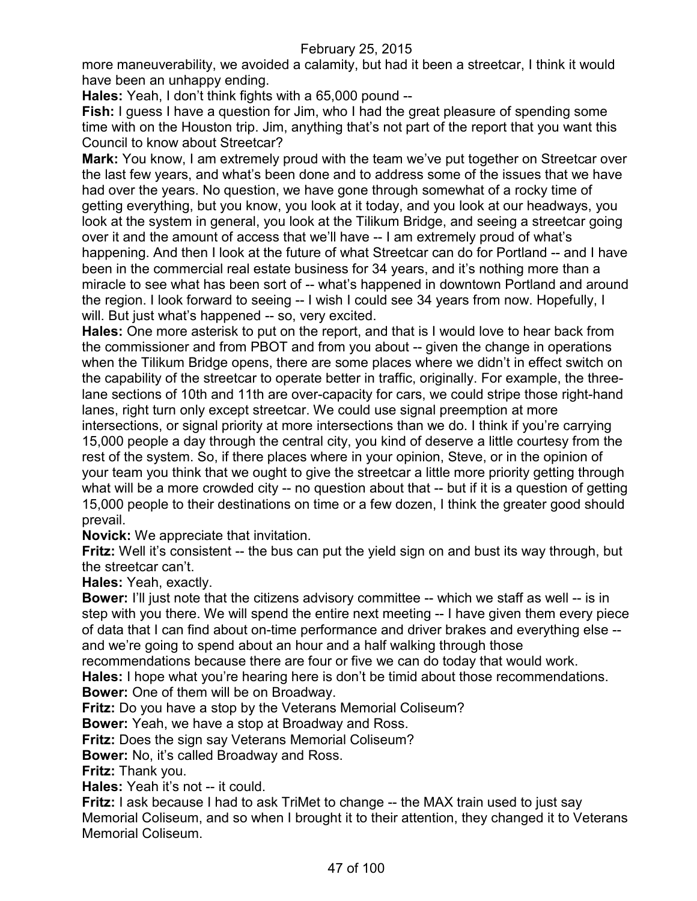more maneuverability, we avoided a calamity, but had it been a streetcar, I think it would have been an unhappy ending.

**Hales:** Yeah, I don't think fights with a 65,000 pound --

**Fish:** I guess I have a question for Jim, who I had the great pleasure of spending some time with on the Houston trip. Jim, anything that's not part of the report that you want this Council to know about Streetcar?

**Mark:** You know, I am extremely proud with the team we've put together on Streetcar over the last few years, and what's been done and to address some of the issues that we have had over the years. No question, we have gone through somewhat of a rocky time of getting everything, but you know, you look at it today, and you look at our headways, you look at the system in general, you look at the Tilikum Bridge, and seeing a streetcar going over it and the amount of access that we'll have -- I am extremely proud of what's happening. And then I look at the future of what Streetcar can do for Portland -- and I have been in the commercial real estate business for 34 years, and it's nothing more than a miracle to see what has been sort of -- what's happened in downtown Portland and around the region. I look forward to seeing -- I wish I could see 34 years from now. Hopefully, I will. But just what's happened -- so, very excited.

**Hales:** One more asterisk to put on the report, and that is I would love to hear back from the commissioner and from PBOT and from you about -- given the change in operations when the Tilikum Bridge opens, there are some places where we didn't in effect switch on the capability of the streetcar to operate better in traffic, originally. For example, the threelane sections of 10th and 11th are over-capacity for cars, we could stripe those right-hand lanes, right turn only except streetcar. We could use signal preemption at more intersections, or signal priority at more intersections than we do. I think if you're carrying 15,000 people a day through the central city, you kind of deserve a little courtesy from the rest of the system. So, if there places where in your opinion, Steve, or in the opinion of your team you think that we ought to give the streetcar a little more priority getting through what will be a more crowded city -- no question about that -- but if it is a question of getting 15,000 people to their destinations on time or a few dozen, I think the greater good should prevail.

**Novick:** We appreciate that invitation.

**Fritz:** Well it's consistent -- the bus can put the yield sign on and bust its way through, but the streetcar can't.

**Hales:** Yeah, exactly.

**Bower:** I'll just note that the citizens advisory committee -- which we staff as well -- is in step with you there. We will spend the entire next meeting -- I have given them every piece of data that I can find about on-time performance and driver brakes and everything else - and we're going to spend about an hour and a half walking through those

recommendations because there are four or five we can do today that would work.

**Hales:** I hope what you're hearing here is don't be timid about those recommendations. **Bower:** One of them will be on Broadway.

**Fritz:** Do you have a stop by the Veterans Memorial Coliseum?

**Bower:** Yeah, we have a stop at Broadway and Ross.

**Fritz:** Does the sign say Veterans Memorial Coliseum?

**Bower:** No, it's called Broadway and Ross.

**Fritz:** Thank you.

**Hales:** Yeah it's not -- it could.

**Fritz:** I ask because I had to ask TriMet to change -- the MAX train used to just say Memorial Coliseum, and so when I brought it to their attention, they changed it to Veterans Memorial Coliseum.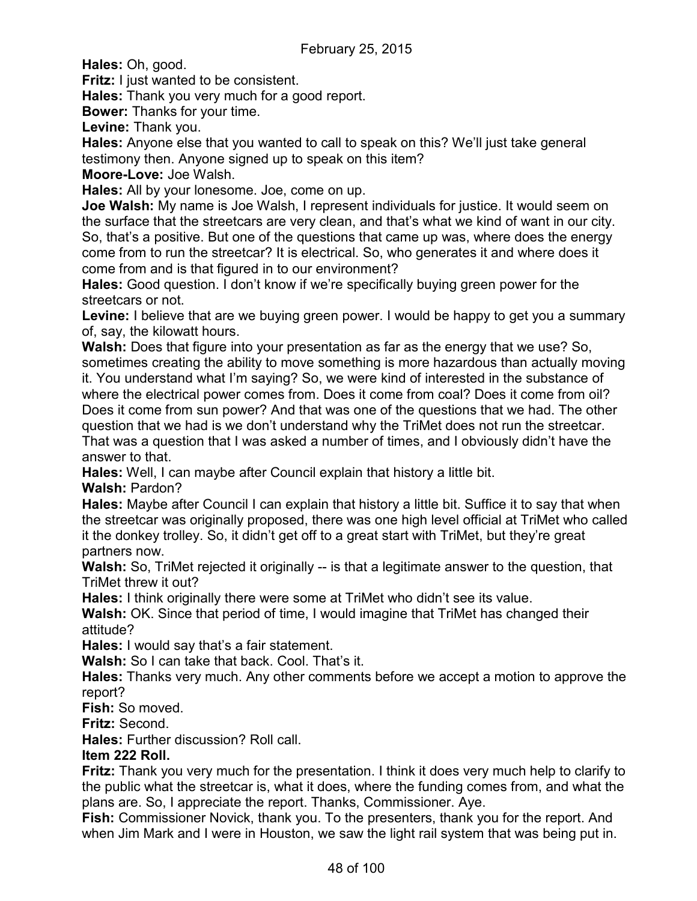**Hales:** Oh, good.

**Fritz:** I just wanted to be consistent.

**Hales:** Thank you very much for a good report.

**Bower:** Thanks for your time.

**Levine:** Thank you.

**Hales:** Anyone else that you wanted to call to speak on this? We'll just take general testimony then. Anyone signed up to speak on this item?

**Moore-Love:** Joe Walsh.

**Hales:** All by your lonesome. Joe, come on up.

**Joe Walsh:** My name is Joe Walsh, I represent individuals for justice. It would seem on the surface that the streetcars are very clean, and that's what we kind of want in our city. So, that's a positive. But one of the questions that came up was, where does the energy come from to run the streetcar? It is electrical. So, who generates it and where does it come from and is that figured in to our environment?

**Hales:** Good question. I don't know if we're specifically buying green power for the streetcars or not.

**Levine:** I believe that are we buying green power. I would be happy to get you a summary of, say, the kilowatt hours.

**Walsh:** Does that figure into your presentation as far as the energy that we use? So, sometimes creating the ability to move something is more hazardous than actually moving it. You understand what I'm saying? So, we were kind of interested in the substance of where the electrical power comes from. Does it come from coal? Does it come from oil? Does it come from sun power? And that was one of the questions that we had. The other question that we had is we don't understand why the TriMet does not run the streetcar. That was a question that I was asked a number of times, and I obviously didn't have the answer to that.

**Hales:** Well, I can maybe after Council explain that history a little bit.

**Walsh:** Pardon?

**Hales:** Maybe after Council I can explain that history a little bit. Suffice it to say that when the streetcar was originally proposed, there was one high level official at TriMet who called it the donkey trolley. So, it didn't get off to a great start with TriMet, but they're great partners now.

**Walsh:** So, TriMet rejected it originally -- is that a legitimate answer to the question, that TriMet threw it out?

**Hales:** I think originally there were some at TriMet who didn't see its value.

**Walsh:** OK. Since that period of time, I would imagine that TriMet has changed their attitude?

**Hales:** I would say that's a fair statement.

**Walsh:** So I can take that back. Cool. That's it.

**Hales:** Thanks very much. Any other comments before we accept a motion to approve the report?

**Fish:** So moved.

**Fritz:** Second.

**Hales:** Further discussion? Roll call.

# **Item 222 Roll.**

**Fritz:** Thank you very much for the presentation. I think it does very much help to clarify to the public what the streetcar is, what it does, where the funding comes from, and what the plans are. So, I appreciate the report. Thanks, Commissioner. Aye.

**Fish:** Commissioner Novick, thank you. To the presenters, thank you for the report. And when Jim Mark and I were in Houston, we saw the light rail system that was being put in.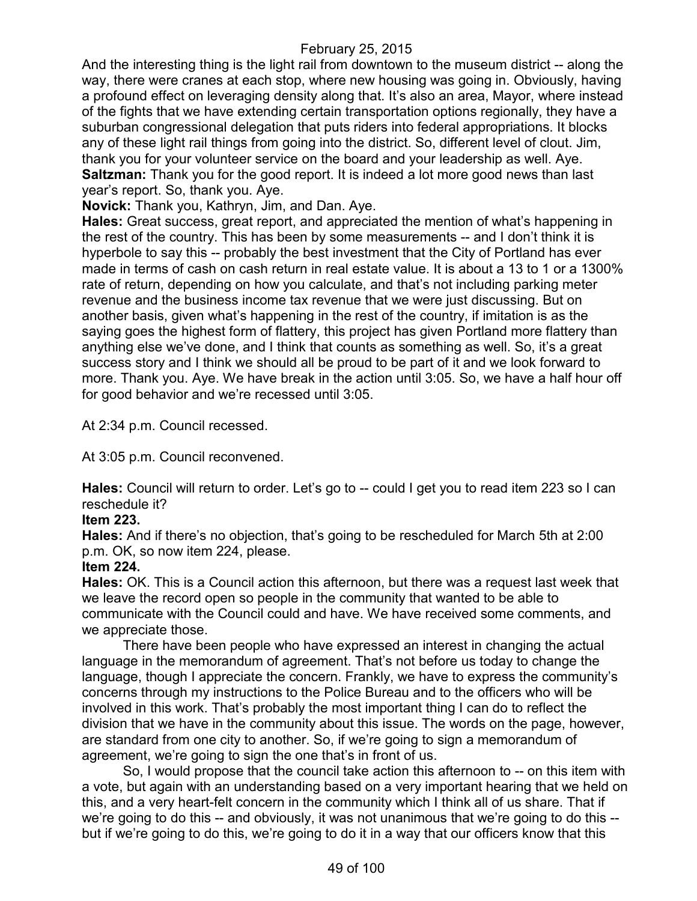And the interesting thing is the light rail from downtown to the museum district -- along the way, there were cranes at each stop, where new housing was going in. Obviously, having a profound effect on leveraging density along that. It's also an area, Mayor, where instead of the fights that we have extending certain transportation options regionally, they have a suburban congressional delegation that puts riders into federal appropriations. It blocks any of these light rail things from going into the district. So, different level of clout. Jim, thank you for your volunteer service on the board and your leadership as well. Aye. **Saltzman:** Thank you for the good report. It is indeed a lot more good news than last year's report. So, thank you. Aye.

**Novick:** Thank you, Kathryn, Jim, and Dan. Aye.

**Hales:** Great success, great report, and appreciated the mention of what's happening in the rest of the country. This has been by some measurements -- and I don't think it is hyperbole to say this -- probably the best investment that the City of Portland has ever made in terms of cash on cash return in real estate value. It is about a 13 to 1 or a 1300% rate of return, depending on how you calculate, and that's not including parking meter revenue and the business income tax revenue that we were just discussing. But on another basis, given what's happening in the rest of the country, if imitation is as the saying goes the highest form of flattery, this project has given Portland more flattery than anything else we've done, and I think that counts as something as well. So, it's a great success story and I think we should all be proud to be part of it and we look forward to more. Thank you. Aye. We have break in the action until 3:05. So, we have a half hour off for good behavior and we're recessed until 3:05.

At 2:34 p.m. Council recessed.

At 3:05 p.m. Council reconvened.

**Hales:** Council will return to order. Let's go to -- could I get you to read item 223 so I can reschedule it?

#### **Item 223.**

**Hales:** And if there's no objection, that's going to be rescheduled for March 5th at 2:00 p.m. OK, so now item 224, please.

#### **Item 224.**

**Hales:** OK. This is a Council action this afternoon, but there was a request last week that we leave the record open so people in the community that wanted to be able to communicate with the Council could and have. We have received some comments, and we appreciate those.

There have been people who have expressed an interest in changing the actual language in the memorandum of agreement. That's not before us today to change the language, though I appreciate the concern. Frankly, we have to express the community's concerns through my instructions to the Police Bureau and to the officers who will be involved in this work. That's probably the most important thing I can do to reflect the division that we have in the community about this issue. The words on the page, however, are standard from one city to another. So, if we're going to sign a memorandum of agreement, we're going to sign the one that's in front of us.

So, I would propose that the council take action this afternoon to -- on this item with a vote, but again with an understanding based on a very important hearing that we held on this, and a very heart-felt concern in the community which I think all of us share. That if we're going to do this -- and obviously, it was not unanimous that we're going to do this - but if we're going to do this, we're going to do it in a way that our officers know that this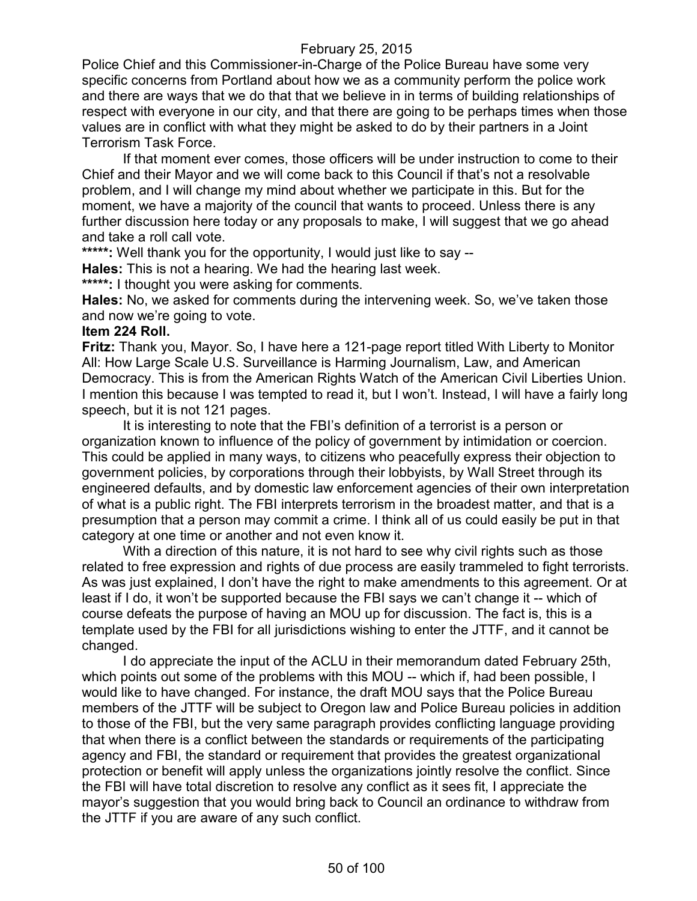Police Chief and this Commissioner-in-Charge of the Police Bureau have some very specific concerns from Portland about how we as a community perform the police work and there are ways that we do that that we believe in in terms of building relationships of respect with everyone in our city, and that there are going to be perhaps times when those values are in conflict with what they might be asked to do by their partners in a Joint Terrorism Task Force.

If that moment ever comes, those officers will be under instruction to come to their Chief and their Mayor and we will come back to this Council if that's not a resolvable problem, and I will change my mind about whether we participate in this. But for the moment, we have a majority of the council that wants to proceed. Unless there is any further discussion here today or any proposals to make, I will suggest that we go ahead and take a roll call vote.

**\*\*\*\*\*:** Well thank you for the opportunity, I would just like to say --

**Hales:** This is not a hearing. We had the hearing last week.

**\*\*\*\*\*:** I thought you were asking for comments.

**Hales:** No, we asked for comments during the intervening week. So, we've taken those and now we're going to vote.

#### **Item 224 Roll.**

**Fritz:** Thank you, Mayor. So, I have here a 121-page report titled With Liberty to Monitor All: How Large Scale U.S. Surveillance is Harming Journalism, Law, and American Democracy. This is from the American Rights Watch of the American Civil Liberties Union. I mention this because I was tempted to read it, but I won't. Instead, I will have a fairly long speech, but it is not 121 pages.

It is interesting to note that the FBI's definition of a terrorist is a person or organization known to influence of the policy of government by intimidation or coercion. This could be applied in many ways, to citizens who peacefully express their objection to government policies, by corporations through their lobbyists, by Wall Street through its engineered defaults, and by domestic law enforcement agencies of their own interpretation of what is a public right. The FBI interprets terrorism in the broadest matter, and that is a presumption that a person may commit a crime. I think all of us could easily be put in that category at one time or another and not even know it.

With a direction of this nature, it is not hard to see why civil rights such as those related to free expression and rights of due process are easily trammeled to fight terrorists. As was just explained, I don't have the right to make amendments to this agreement. Or at least if I do, it won't be supported because the FBI says we can't change it -- which of course defeats the purpose of having an MOU up for discussion. The fact is, this is a template used by the FBI for all jurisdictions wishing to enter the JTTF, and it cannot be changed.

I do appreciate the input of the ACLU in their memorandum dated February 25th, which points out some of the problems with this MOU -- which if, had been possible, I would like to have changed. For instance, the draft MOU says that the Police Bureau members of the JTTF will be subject to Oregon law and Police Bureau policies in addition to those of the FBI, but the very same paragraph provides conflicting language providing that when there is a conflict between the standards or requirements of the participating agency and FBI, the standard or requirement that provides the greatest organizational protection or benefit will apply unless the organizations jointly resolve the conflict. Since the FBI will have total discretion to resolve any conflict as it sees fit, I appreciate the mayor's suggestion that you would bring back to Council an ordinance to withdraw from the JTTF if you are aware of any such conflict.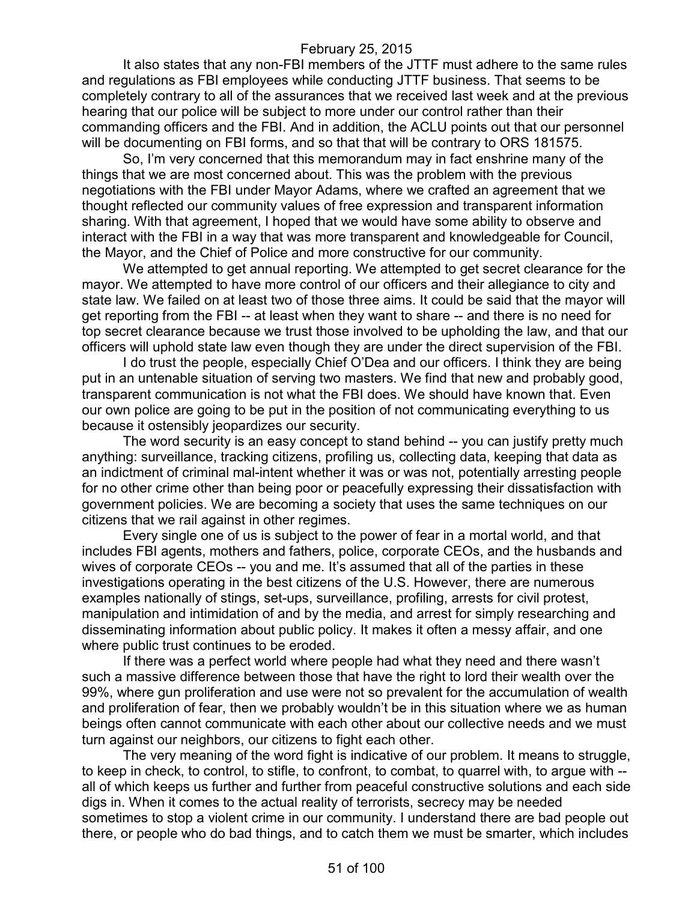It also states that any non-FBI members of the JTTF must adhere to the same rules and regulations as FBI employees while conducting JTTF business. That seems to be completely contrary to all of the assurances that we received last week and at the previous hearing that our police will be subject to more under our control rather than their commanding officers and the FBI. And in addition, the ACLU points out that our personnel will be documenting on FBI forms, and so that that will be contrary to ORS 181575.

So, I'm very concerned that this memorandum may in fact enshrine many of the things that we are most concerned about. This was the problem with the previous negotiations with the FBI under Mayor Adams, where we crafted an agreement that we thought reflected our community values of free expression and transparent information sharing. With that agreement, I hoped that we would have some ability to observe and interact with the FBI in a way that was more transparent and knowledgeable for Council, the Mayor, and the Chief of Police and more constructive for our community.

We attempted to get annual reporting. We attempted to get secret clearance for the mayor. We attempted to have more control of our officers and their allegiance to city and state law. We failed on at least two of those three aims. It could be said that the mayor will get reporting from the FBI -- at least when they want to share -- and there is no need for top secret clearance because we trust those involved to be upholding the law, and that our officers will uphold state law even though they are under the direct supervision of the FBI.

I do trust the people, especially Chief O'Dea and our officers. I think they are being put in an untenable situation of serving two masters. We find that new and probably good, transparent communication is not what the FBI does. We should have known that. Even our own police are going to be put in the position of not communicating everything to us because it ostensibly jeopardizes our security.

The word security is an easy concept to stand behind -- you can justify pretty much anything: surveillance, tracking citizens, profiling us, collecting data, keeping that data as an indictment of criminal mal-intent whether it was or was not, potentially arresting people for no other crime other than being poor or peacefully expressing their dissatisfaction with government policies. We are becoming a society that uses the same techniques on our citizens that we rail against in other regimes.

Every single one of us is subject to the power of fear in a mortal world, and that includes FBI agents, mothers and fathers, police, corporate CEOs, and the husbands and wives of corporate CEOs -- you and me. It's assumed that all of the parties in these investigations operating in the best citizens of the U.S. However, there are numerous examples nationally of stings, set-ups, surveillance, profiling, arrests for civil protest, manipulation and intimidation of and by the media, and arrest for simply researching and disseminating information about public policy. It makes it often a messy affair, and one where public trust continues to be eroded.

If there was a perfect world where people had what they need and there wasn't such a massive difference between those that have the right to lord their wealth over the 99%, where gun proliferation and use were not so prevalent for the accumulation of wealth and proliferation of fear, then we probably wouldn't be in this situation where we as human beings often cannot communicate with each other about our collective needs and we must turn against our neighbors, our citizens to fight each other.

The very meaning of the word fight is indicative of our problem. It means to struggle, to keep in check, to control, to stifle, to confront, to combat, to quarrel with, to argue with - all of which keeps us further and further from peaceful constructive solutions and each side digs in. When it comes to the actual reality of terrorists, secrecy may be needed sometimes to stop a violent crime in our community. I understand there are bad people out there, or people who do bad things, and to catch them we must be smarter, which includes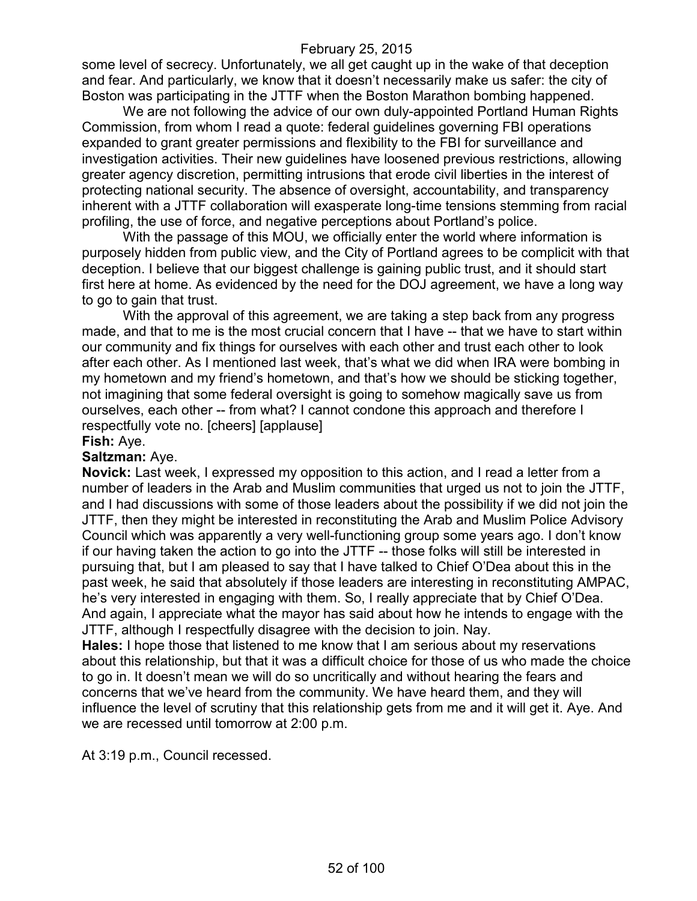some level of secrecy. Unfortunately, we all get caught up in the wake of that deception and fear. And particularly, we know that it doesn't necessarily make us safer: the city of Boston was participating in the JTTF when the Boston Marathon bombing happened.

We are not following the advice of our own duly-appointed Portland Human Rights Commission, from whom I read a quote: federal guidelines governing FBI operations expanded to grant greater permissions and flexibility to the FBI for surveillance and investigation activities. Their new guidelines have loosened previous restrictions, allowing greater agency discretion, permitting intrusions that erode civil liberties in the interest of protecting national security. The absence of oversight, accountability, and transparency inherent with a JTTF collaboration will exasperate long-time tensions stemming from racial profiling, the use of force, and negative perceptions about Portland's police.

With the passage of this MOU, we officially enter the world where information is purposely hidden from public view, and the City of Portland agrees to be complicit with that deception. I believe that our biggest challenge is gaining public trust, and it should start first here at home. As evidenced by the need for the DOJ agreement, we have a long way to go to gain that trust.

With the approval of this agreement, we are taking a step back from any progress made, and that to me is the most crucial concern that I have -- that we have to start within our community and fix things for ourselves with each other and trust each other to look after each other. As I mentioned last week, that's what we did when IRA were bombing in my hometown and my friend's hometown, and that's how we should be sticking together, not imagining that some federal oversight is going to somehow magically save us from ourselves, each other -- from what? I cannot condone this approach and therefore I respectfully vote no. [cheers] [applause]

**Fish:** Aye.

#### **Saltzman:** Aye.

**Novick:** Last week, I expressed my opposition to this action, and I read a letter from a number of leaders in the Arab and Muslim communities that urged us not to join the JTTF, and I had discussions with some of those leaders about the possibility if we did not join the JTTF, then they might be interested in reconstituting the Arab and Muslim Police Advisory Council which was apparently a very well-functioning group some years ago. I don't know if our having taken the action to go into the JTTF -- those folks will still be interested in pursuing that, but I am pleased to say that I have talked to Chief O'Dea about this in the past week, he said that absolutely if those leaders are interesting in reconstituting AMPAC, he's very interested in engaging with them. So, I really appreciate that by Chief O'Dea. And again, I appreciate what the mayor has said about how he intends to engage with the JTTF, although I respectfully disagree with the decision to join. Nay.

**Hales:** I hope those that listened to me know that I am serious about my reservations about this relationship, but that it was a difficult choice for those of us who made the choice to go in. It doesn't mean we will do so uncritically and without hearing the fears and concerns that we've heard from the community. We have heard them, and they will influence the level of scrutiny that this relationship gets from me and it will get it. Aye. And we are recessed until tomorrow at 2:00 p.m.

At 3:19 p.m., Council recessed.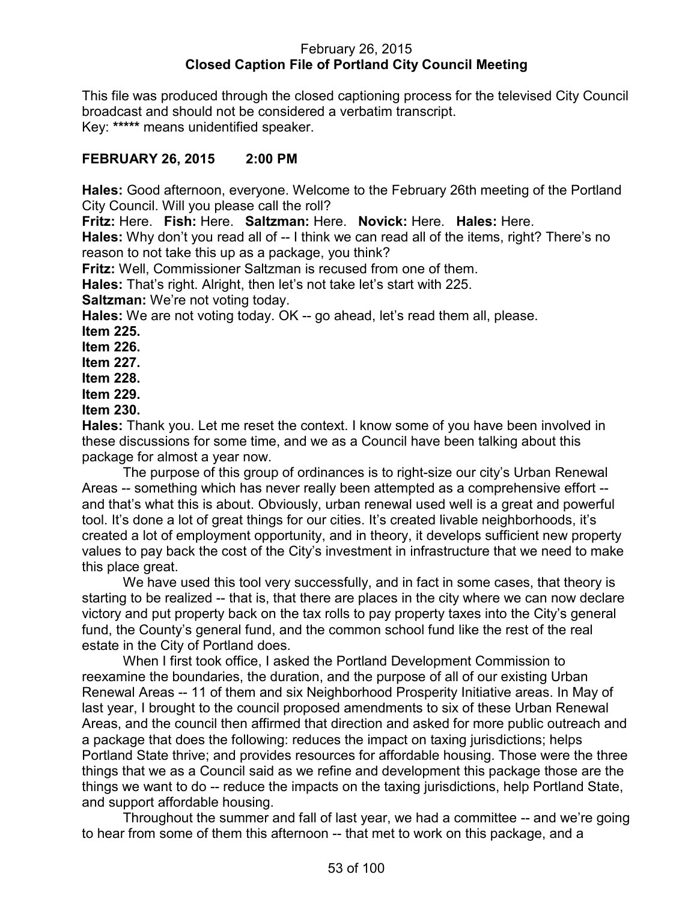## February 26, 2015 **Closed Caption File of Portland City Council Meeting**

This file was produced through the closed captioning process for the televised City Council broadcast and should not be considered a verbatim transcript. Key: **\*\*\*\*\*** means unidentified speaker.

# **FEBRUARY 26, 2015 2:00 PM**

**Hales:** Good afternoon, everyone. Welcome to the February 26th meeting of the Portland City Council. Will you please call the roll?

**Fritz:** Here. **Fish:** Here. **Saltzman:** Here. **Novick:** Here. **Hales:** Here.

**Hales:** Why don't you read all of -- I think we can read all of the items, right? There's no reason to not take this up as a package, you think?

**Fritz:** Well, Commissioner Saltzman is recused from one of them.

**Hales:** That's right. Alright, then let's not take let's start with 225.

**Saltzman:** We're not voting today.

**Hales:** We are not voting today. OK -- go ahead, let's read them all, please. **Item 225.**

**Item 226.**

**Item 227.**

**Item 228.**

**Item 229.**

**Item 230.**

**Hales:** Thank you. Let me reset the context. I know some of you have been involved in these discussions for some time, and we as a Council have been talking about this package for almost a year now.

The purpose of this group of ordinances is to right-size our city's Urban Renewal Areas -- something which has never really been attempted as a comprehensive effort - and that's what this is about. Obviously, urban renewal used well is a great and powerful tool. It's done a lot of great things for our cities. It's created livable neighborhoods, it's created a lot of employment opportunity, and in theory, it develops sufficient new property values to pay back the cost of the City's investment in infrastructure that we need to make this place great.

We have used this tool very successfully, and in fact in some cases, that theory is starting to be realized -- that is, that there are places in the city where we can now declare victory and put property back on the tax rolls to pay property taxes into the City's general fund, the County's general fund, and the common school fund like the rest of the real estate in the City of Portland does.

When I first took office, I asked the Portland Development Commission to reexamine the boundaries, the duration, and the purpose of all of our existing Urban Renewal Areas -- 11 of them and six Neighborhood Prosperity Initiative areas. In May of last year, I brought to the council proposed amendments to six of these Urban Renewal Areas, and the council then affirmed that direction and asked for more public outreach and a package that does the following: reduces the impact on taxing jurisdictions; helps Portland State thrive; and provides resources for affordable housing. Those were the three things that we as a Council said as we refine and development this package those are the things we want to do -- reduce the impacts on the taxing jurisdictions, help Portland State, and support affordable housing.

Throughout the summer and fall of last year, we had a committee -- and we're going to hear from some of them this afternoon -- that met to work on this package, and a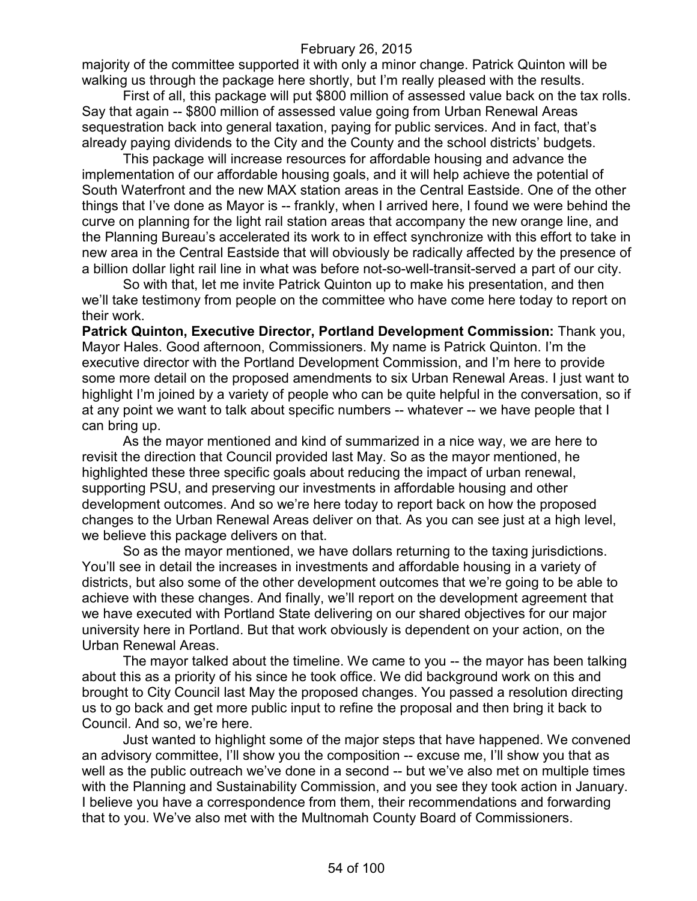majority of the committee supported it with only a minor change. Patrick Quinton will be walking us through the package here shortly, but I'm really pleased with the results.

First of all, this package will put \$800 million of assessed value back on the tax rolls. Say that again -- \$800 million of assessed value going from Urban Renewal Areas sequestration back into general taxation, paying for public services. And in fact, that's already paying dividends to the City and the County and the school districts' budgets.

This package will increase resources for affordable housing and advance the implementation of our affordable housing goals, and it will help achieve the potential of South Waterfront and the new MAX station areas in the Central Eastside. One of the other things that I've done as Mayor is -- frankly, when I arrived here, I found we were behind the curve on planning for the light rail station areas that accompany the new orange line, and the Planning Bureau's accelerated its work to in effect synchronize with this effort to take in new area in the Central Eastside that will obviously be radically affected by the presence of a billion dollar light rail line in what was before not-so-well-transit-served a part of our city.

So with that, let me invite Patrick Quinton up to make his presentation, and then we'll take testimony from people on the committee who have come here today to report on their work.

**Patrick Quinton, Executive Director, Portland Development Commission:** Thank you, Mayor Hales. Good afternoon, Commissioners. My name is Patrick Quinton. I'm the executive director with the Portland Development Commission, and I'm here to provide some more detail on the proposed amendments to six Urban Renewal Areas. I just want to highlight I'm joined by a variety of people who can be quite helpful in the conversation, so if at any point we want to talk about specific numbers -- whatever -- we have people that I can bring up.

As the mayor mentioned and kind of summarized in a nice way, we are here to revisit the direction that Council provided last May. So as the mayor mentioned, he highlighted these three specific goals about reducing the impact of urban renewal, supporting PSU, and preserving our investments in affordable housing and other development outcomes. And so we're here today to report back on how the proposed changes to the Urban Renewal Areas deliver on that. As you can see just at a high level, we believe this package delivers on that.

So as the mayor mentioned, we have dollars returning to the taxing jurisdictions. You'll see in detail the increases in investments and affordable housing in a variety of districts, but also some of the other development outcomes that we're going to be able to achieve with these changes. And finally, we'll report on the development agreement that we have executed with Portland State delivering on our shared objectives for our major university here in Portland. But that work obviously is dependent on your action, on the Urban Renewal Areas.

The mayor talked about the timeline. We came to you -- the mayor has been talking about this as a priority of his since he took office. We did background work on this and brought to City Council last May the proposed changes. You passed a resolution directing us to go back and get more public input to refine the proposal and then bring it back to Council. And so, we're here.

Just wanted to highlight some of the major steps that have happened. We convened an advisory committee, I'll show you the composition -- excuse me, I'll show you that as well as the public outreach we've done in a second -- but we've also met on multiple times with the Planning and Sustainability Commission, and you see they took action in January. I believe you have a correspondence from them, their recommendations and forwarding that to you. We've also met with the Multnomah County Board of Commissioners.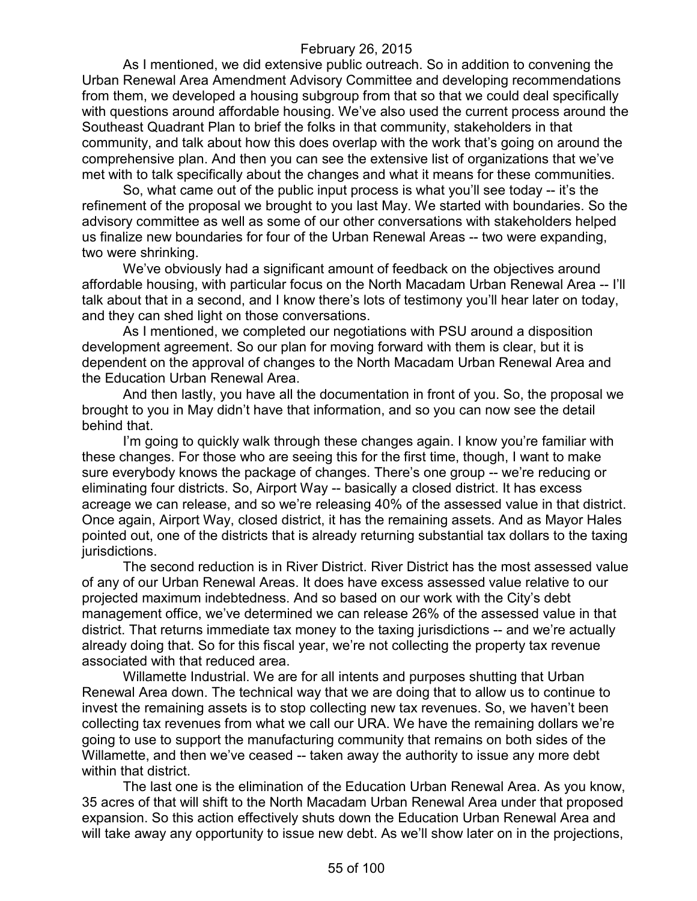As I mentioned, we did extensive public outreach. So in addition to convening the Urban Renewal Area Amendment Advisory Committee and developing recommendations from them, we developed a housing subgroup from that so that we could deal specifically with questions around affordable housing. We've also used the current process around the Southeast Quadrant Plan to brief the folks in that community, stakeholders in that community, and talk about how this does overlap with the work that's going on around the comprehensive plan. And then you can see the extensive list of organizations that we've met with to talk specifically about the changes and what it means for these communities.

So, what came out of the public input process is what you'll see today -- it's the refinement of the proposal we brought to you last May. We started with boundaries. So the advisory committee as well as some of our other conversations with stakeholders helped us finalize new boundaries for four of the Urban Renewal Areas -- two were expanding, two were shrinking.

We've obviously had a significant amount of feedback on the objectives around affordable housing, with particular focus on the North Macadam Urban Renewal Area -- I'll talk about that in a second, and I know there's lots of testimony you'll hear later on today, and they can shed light on those conversations.

As I mentioned, we completed our negotiations with PSU around a disposition development agreement. So our plan for moving forward with them is clear, but it is dependent on the approval of changes to the North Macadam Urban Renewal Area and the Education Urban Renewal Area.

And then lastly, you have all the documentation in front of you. So, the proposal we brought to you in May didn't have that information, and so you can now see the detail behind that.

I'm going to quickly walk through these changes again. I know you're familiar with these changes. For those who are seeing this for the first time, though, I want to make sure everybody knows the package of changes. There's one group -- we're reducing or eliminating four districts. So, Airport Way -- basically a closed district. It has excess acreage we can release, and so we're releasing 40% of the assessed value in that district. Once again, Airport Way, closed district, it has the remaining assets. And as Mayor Hales pointed out, one of the districts that is already returning substantial tax dollars to the taxing jurisdictions.

The second reduction is in River District. River District has the most assessed value of any of our Urban Renewal Areas. It does have excess assessed value relative to our projected maximum indebtedness. And so based on our work with the City's debt management office, we've determined we can release 26% of the assessed value in that district. That returns immediate tax money to the taxing jurisdictions -- and we're actually already doing that. So for this fiscal year, we're not collecting the property tax revenue associated with that reduced area.

Willamette Industrial. We are for all intents and purposes shutting that Urban Renewal Area down. The technical way that we are doing that to allow us to continue to invest the remaining assets is to stop collecting new tax revenues. So, we haven't been collecting tax revenues from what we call our URA. We have the remaining dollars we're going to use to support the manufacturing community that remains on both sides of the Willamette, and then we've ceased -- taken away the authority to issue any more debt within that district.

The last one is the elimination of the Education Urban Renewal Area. As you know, 35 acres of that will shift to the North Macadam Urban Renewal Area under that proposed expansion. So this action effectively shuts down the Education Urban Renewal Area and will take away any opportunity to issue new debt. As we'll show later on in the projections,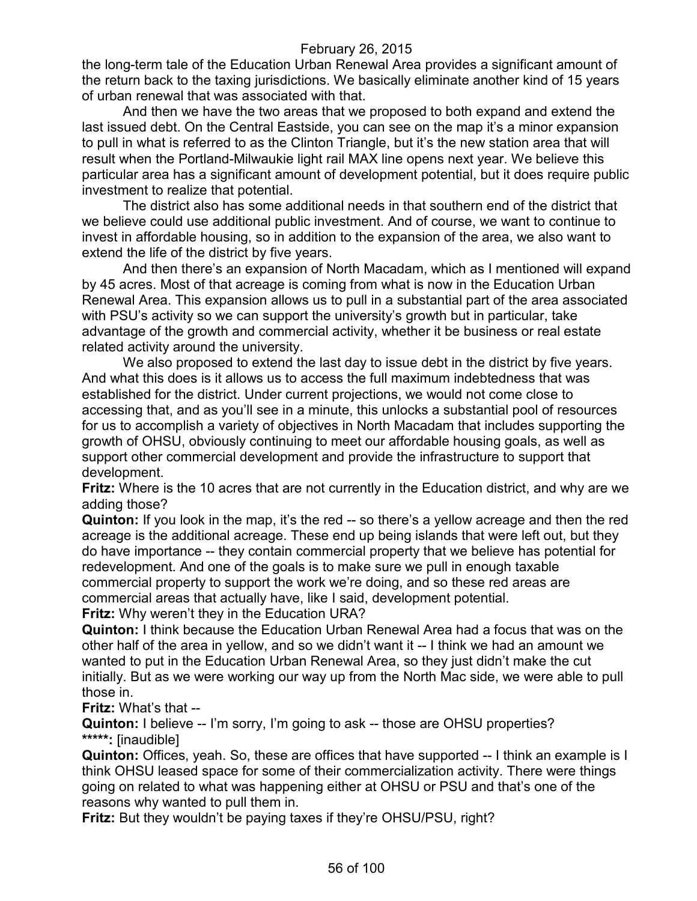the long-term tale of the Education Urban Renewal Area provides a significant amount of the return back to the taxing jurisdictions. We basically eliminate another kind of 15 years of urban renewal that was associated with that.

And then we have the two areas that we proposed to both expand and extend the last issued debt. On the Central Eastside, you can see on the map it's a minor expansion to pull in what is referred to as the Clinton Triangle, but it's the new station area that will result when the Portland-Milwaukie light rail MAX line opens next year. We believe this particular area has a significant amount of development potential, but it does require public investment to realize that potential.

The district also has some additional needs in that southern end of the district that we believe could use additional public investment. And of course, we want to continue to invest in affordable housing, so in addition to the expansion of the area, we also want to extend the life of the district by five years.

And then there's an expansion of North Macadam, which as I mentioned will expand by 45 acres. Most of that acreage is coming from what is now in the Education Urban Renewal Area. This expansion allows us to pull in a substantial part of the area associated with PSU's activity so we can support the university's growth but in particular, take advantage of the growth and commercial activity, whether it be business or real estate related activity around the university.

We also proposed to extend the last day to issue debt in the district by five years. And what this does is it allows us to access the full maximum indebtedness that was established for the district. Under current projections, we would not come close to accessing that, and as you'll see in a minute, this unlocks a substantial pool of resources for us to accomplish a variety of objectives in North Macadam that includes supporting the growth of OHSU, obviously continuing to meet our affordable housing goals, as well as support other commercial development and provide the infrastructure to support that development.

**Fritz:** Where is the 10 acres that are not currently in the Education district, and why are we adding those?

**Quinton:** If you look in the map, it's the red -- so there's a yellow acreage and then the red acreage is the additional acreage. These end up being islands that were left out, but they do have importance -- they contain commercial property that we believe has potential for redevelopment. And one of the goals is to make sure we pull in enough taxable commercial property to support the work we're doing, and so these red areas are commercial areas that actually have, like I said, development potential. **Fritz:** Why weren't they in the Education URA?

**Quinton:** I think because the Education Urban Renewal Area had a focus that was on the other half of the area in yellow, and so we didn't want it -- I think we had an amount we wanted to put in the Education Urban Renewal Area, so they just didn't make the cut initially. But as we were working our way up from the North Mac side, we were able to pull those in.

**Fritz:** What's that --

**Quinton:** I believe -- I'm sorry, I'm going to ask -- those are OHSU properties? **\*\*\*\*\*:** [inaudible]

**Quinton:** Offices, yeah. So, these are offices that have supported -- I think an example is I think OHSU leased space for some of their commercialization activity. There were things going on related to what was happening either at OHSU or PSU and that's one of the reasons why wanted to pull them in.

**Fritz:** But they wouldn't be paying taxes if they're OHSU/PSU, right?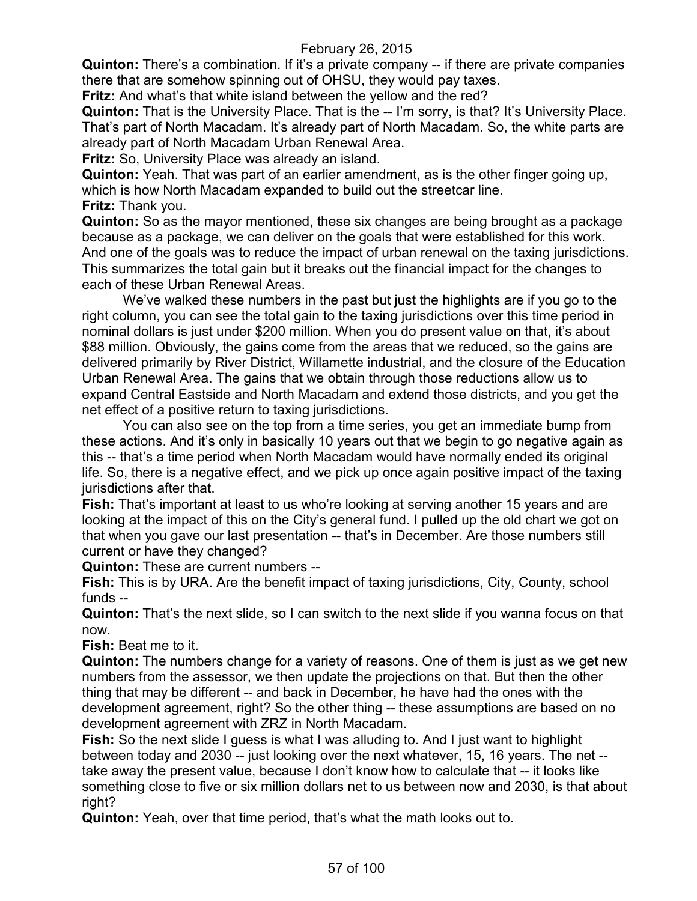**Quinton:** There's a combination. If it's a private company -- if there are private companies there that are somehow spinning out of OHSU, they would pay taxes.

**Fritz:** And what's that white island between the yellow and the red?

**Quinton:** That is the University Place. That is the -- I'm sorry, is that? It's University Place. That's part of North Macadam. It's already part of North Macadam. So, the white parts are already part of North Macadam Urban Renewal Area.

**Fritz:** So, University Place was already an island.

**Quinton:** Yeah. That was part of an earlier amendment, as is the other finger going up, which is how North Macadam expanded to build out the streetcar line. **Fritz:** Thank you.

**Quinton:** So as the mayor mentioned, these six changes are being brought as a package because as a package, we can deliver on the goals that were established for this work. And one of the goals was to reduce the impact of urban renewal on the taxing jurisdictions. This summarizes the total gain but it breaks out the financial impact for the changes to each of these Urban Renewal Areas.

We've walked these numbers in the past but just the highlights are if you go to the right column, you can see the total gain to the taxing jurisdictions over this time period in nominal dollars is just under \$200 million. When you do present value on that, it's about \$88 million. Obviously, the gains come from the areas that we reduced, so the gains are delivered primarily by River District, Willamette industrial, and the closure of the Education Urban Renewal Area. The gains that we obtain through those reductions allow us to expand Central Eastside and North Macadam and extend those districts, and you get the net effect of a positive return to taxing jurisdictions.

You can also see on the top from a time series, you get an immediate bump from these actions. And it's only in basically 10 years out that we begin to go negative again as this -- that's a time period when North Macadam would have normally ended its original life. So, there is a negative effect, and we pick up once again positive impact of the taxing jurisdictions after that.

**Fish:** That's important at least to us who're looking at serving another 15 years and are looking at the impact of this on the City's general fund. I pulled up the old chart we got on that when you gave our last presentation -- that's in December. Are those numbers still current or have they changed?

**Quinton:** These are current numbers --

**Fish:** This is by URA. Are the benefit impact of taxing jurisdictions, City, County, school funds --

**Quinton:** That's the next slide, so I can switch to the next slide if you wanna focus on that now.

**Fish:** Beat me to it.

**Quinton:** The numbers change for a variety of reasons. One of them is just as we get new numbers from the assessor, we then update the projections on that. But then the other thing that may be different -- and back in December, he have had the ones with the development agreement, right? So the other thing -- these assumptions are based on no development agreement with ZRZ in North Macadam.

**Fish:** So the next slide I guess is what I was alluding to. And I just want to highlight between today and 2030 -- just looking over the next whatever, 15, 16 years. The net - take away the present value, because I don't know how to calculate that -- it looks like something close to five or six million dollars net to us between now and 2030, is that about right?

**Quinton:** Yeah, over that time period, that's what the math looks out to.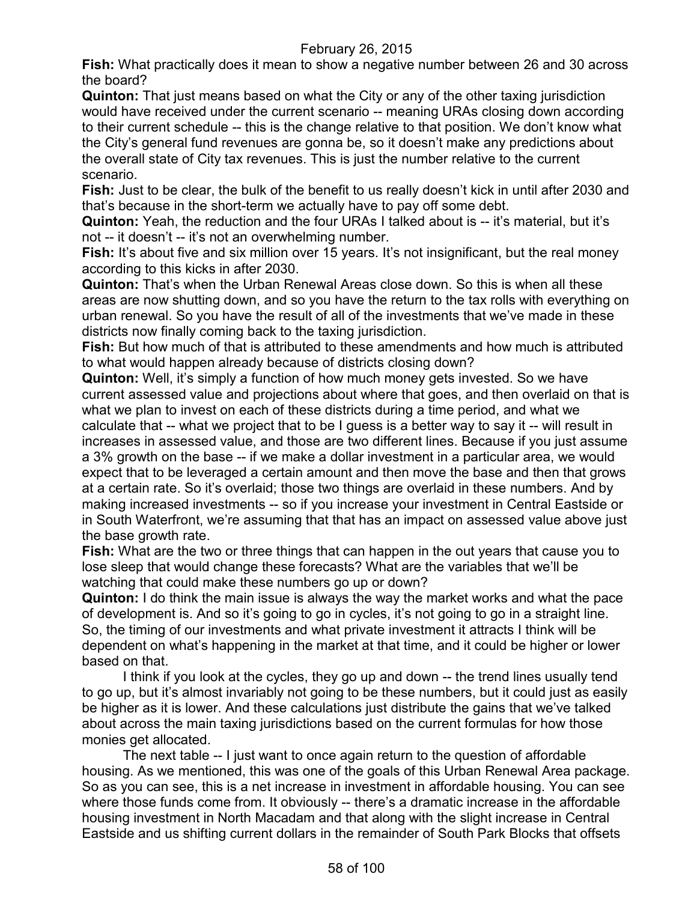**Fish:** What practically does it mean to show a negative number between 26 and 30 across the board?

**Quinton:** That just means based on what the City or any of the other taxing jurisdiction would have received under the current scenario -- meaning URAs closing down according to their current schedule -- this is the change relative to that position. We don't know what the City's general fund revenues are gonna be, so it doesn't make any predictions about the overall state of City tax revenues. This is just the number relative to the current scenario.

**Fish:** Just to be clear, the bulk of the benefit to us really doesn't kick in until after 2030 and that's because in the short-term we actually have to pay off some debt.

**Quinton:** Yeah, the reduction and the four URAs I talked about is -- it's material, but it's not -- it doesn't -- it's not an overwhelming number.

**Fish:** It's about five and six million over 15 years. It's not insignificant, but the real money according to this kicks in after 2030.

**Quinton:** That's when the Urban Renewal Areas close down. So this is when all these areas are now shutting down, and so you have the return to the tax rolls with everything on urban renewal. So you have the result of all of the investments that we've made in these districts now finally coming back to the taxing jurisdiction.

**Fish:** But how much of that is attributed to these amendments and how much is attributed to what would happen already because of districts closing down?

**Quinton:** Well, it's simply a function of how much money gets invested. So we have current assessed value and projections about where that goes, and then overlaid on that is what we plan to invest on each of these districts during a time period, and what we calculate that -- what we project that to be I guess is a better way to say it -- will result in increases in assessed value, and those are two different lines. Because if you just assume a 3% growth on the base -- if we make a dollar investment in a particular area, we would expect that to be leveraged a certain amount and then move the base and then that grows at a certain rate. So it's overlaid; those two things are overlaid in these numbers. And by making increased investments -- so if you increase your investment in Central Eastside or in South Waterfront, we're assuming that that has an impact on assessed value above just the base growth rate.

**Fish:** What are the two or three things that can happen in the out years that cause you to lose sleep that would change these forecasts? What are the variables that we'll be watching that could make these numbers go up or down?

**Quinton:** I do think the main issue is always the way the market works and what the pace of development is. And so it's going to go in cycles, it's not going to go in a straight line. So, the timing of our investments and what private investment it attracts I think will be dependent on what's happening in the market at that time, and it could be higher or lower based on that.

I think if you look at the cycles, they go up and down -- the trend lines usually tend to go up, but it's almost invariably not going to be these numbers, but it could just as easily be higher as it is lower. And these calculations just distribute the gains that we've talked about across the main taxing jurisdictions based on the current formulas for how those monies get allocated.

The next table -- I just want to once again return to the question of affordable housing. As we mentioned, this was one of the goals of this Urban Renewal Area package. So as you can see, this is a net increase in investment in affordable housing. You can see where those funds come from. It obviously -- there's a dramatic increase in the affordable housing investment in North Macadam and that along with the slight increase in Central Eastside and us shifting current dollars in the remainder of South Park Blocks that offsets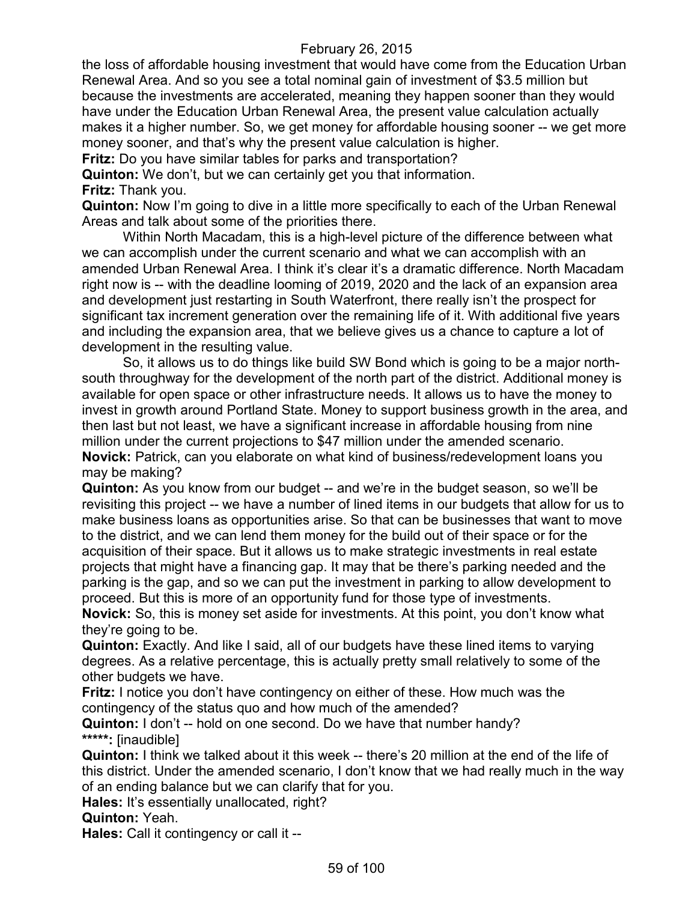the loss of affordable housing investment that would have come from the Education Urban Renewal Area. And so you see a total nominal gain of investment of \$3.5 million but because the investments are accelerated, meaning they happen sooner than they would have under the Education Urban Renewal Area, the present value calculation actually makes it a higher number. So, we get money for affordable housing sooner -- we get more money sooner, and that's why the present value calculation is higher.

**Fritz:** Do you have similar tables for parks and transportation?

**Quinton:** We don't, but we can certainly get you that information. **Fritz:** Thank you.

**Quinton:** Now I'm going to dive in a little more specifically to each of the Urban Renewal Areas and talk about some of the priorities there.

Within North Macadam, this is a high-level picture of the difference between what we can accomplish under the current scenario and what we can accomplish with an amended Urban Renewal Area. I think it's clear it's a dramatic difference. North Macadam right now is -- with the deadline looming of 2019, 2020 and the lack of an expansion area and development just restarting in South Waterfront, there really isn't the prospect for significant tax increment generation over the remaining life of it. With additional five years and including the expansion area, that we believe gives us a chance to capture a lot of development in the resulting value.

So, it allows us to do things like build SW Bond which is going to be a major northsouth throughway for the development of the north part of the district. Additional money is available for open space or other infrastructure needs. It allows us to have the money to invest in growth around Portland State. Money to support business growth in the area, and then last but not least, we have a significant increase in affordable housing from nine million under the current projections to \$47 million under the amended scenario. **Novick:** Patrick, can you elaborate on what kind of business/redevelopment loans you may be making?

**Quinton:** As you know from our budget -- and we're in the budget season, so we'll be revisiting this project -- we have a number of lined items in our budgets that allow for us to make business loans as opportunities arise. So that can be businesses that want to move to the district, and we can lend them money for the build out of their space or for the acquisition of their space. But it allows us to make strategic investments in real estate projects that might have a financing gap. It may that be there's parking needed and the parking is the gap, and so we can put the investment in parking to allow development to proceed. But this is more of an opportunity fund for those type of investments.

**Novick:** So, this is money set aside for investments. At this point, you don't know what they're going to be.

**Quinton:** Exactly. And like I said, all of our budgets have these lined items to varying degrees. As a relative percentage, this is actually pretty small relatively to some of the other budgets we have.

**Fritz:** I notice you don't have contingency on either of these. How much was the contingency of the status quo and how much of the amended?

**Quinton:** I don't -- hold on one second. Do we have that number handy? **\*\*\*\*\*:** [inaudible]

**Quinton:** I think we talked about it this week -- there's 20 million at the end of the life of this district. Under the amended scenario, I don't know that we had really much in the way of an ending balance but we can clarify that for you.

Hales: It's essentially unallocated, right?

**Quinton:** Yeah.

**Hales:** Call it contingency or call it --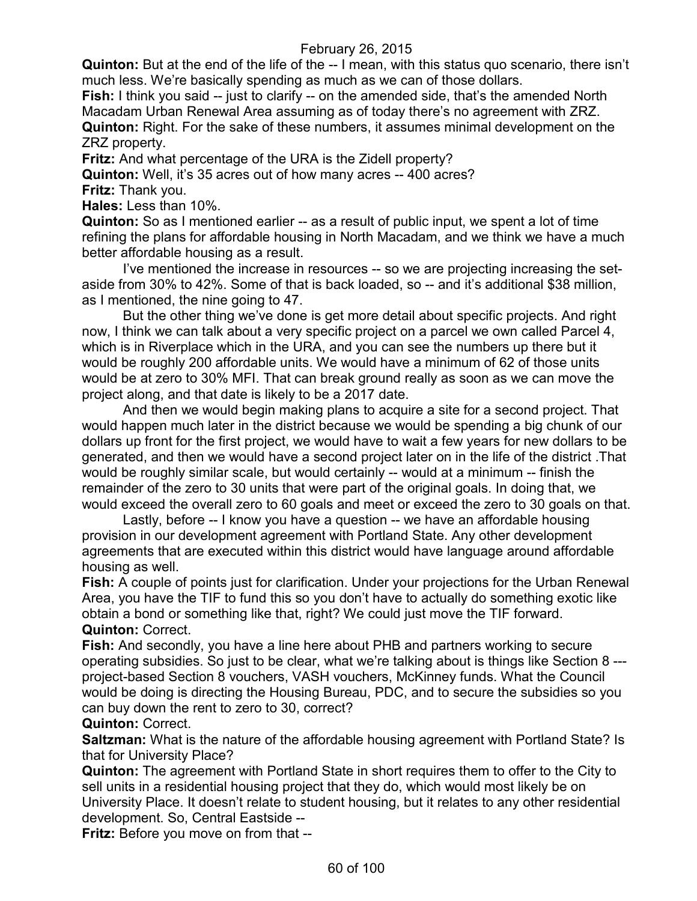**Quinton:** But at the end of the life of the -- I mean, with this status quo scenario, there isn't much less. We're basically spending as much as we can of those dollars.

**Fish:** I think you said -- just to clarify -- on the amended side, that's the amended North Macadam Urban Renewal Area assuming as of today there's no agreement with ZRZ. **Quinton:** Right. For the sake of these numbers, it assumes minimal development on the ZRZ property.

**Fritz:** And what percentage of the URA is the Zidell property?

**Quinton:** Well, it's 35 acres out of how many acres -- 400 acres? **Fritz:** Thank you.

**Hales:** Less than 10%.

**Quinton:** So as I mentioned earlier -- as a result of public input, we spent a lot of time refining the plans for affordable housing in North Macadam, and we think we have a much better affordable housing as a result.

I've mentioned the increase in resources -- so we are projecting increasing the setaside from 30% to 42%. Some of that is back loaded, so -- and it's additional \$38 million, as I mentioned, the nine going to 47.

But the other thing we've done is get more detail about specific projects. And right now, I think we can talk about a very specific project on a parcel we own called Parcel 4, which is in Riverplace which in the URA, and you can see the numbers up there but it would be roughly 200 affordable units. We would have a minimum of 62 of those units would be at zero to 30% MFI. That can break ground really as soon as we can move the project along, and that date is likely to be a 2017 date.

And then we would begin making plans to acquire a site for a second project. That would happen much later in the district because we would be spending a big chunk of our dollars up front for the first project, we would have to wait a few years for new dollars to be generated, and then we would have a second project later on in the life of the district .That would be roughly similar scale, but would certainly -- would at a minimum -- finish the remainder of the zero to 30 units that were part of the original goals. In doing that, we would exceed the overall zero to 60 goals and meet or exceed the zero to 30 goals on that.

Lastly, before -- I know you have a question -- we have an affordable housing provision in our development agreement with Portland State. Any other development agreements that are executed within this district would have language around affordable housing as well.

**Fish:** A couple of points just for clarification. Under your projections for the Urban Renewal Area, you have the TIF to fund this so you don't have to actually do something exotic like obtain a bond or something like that, right? We could just move the TIF forward. **Quinton:** Correct.

**Fish:** And secondly, you have a line here about PHB and partners working to secure operating subsidies. So just to be clear, what we're talking about is things like Section 8 -- project-based Section 8 vouchers, VASH vouchers, McKinney funds. What the Council would be doing is directing the Housing Bureau, PDC, and to secure the subsidies so you can buy down the rent to zero to 30, correct?

# **Quinton:** Correct.

**Saltzman:** What is the nature of the affordable housing agreement with Portland State? Is that for University Place?

**Quinton:** The agreement with Portland State in short requires them to offer to the City to sell units in a residential housing project that they do, which would most likely be on University Place. It doesn't relate to student housing, but it relates to any other residential development. So, Central Eastside --

**Fritz:** Before you move on from that --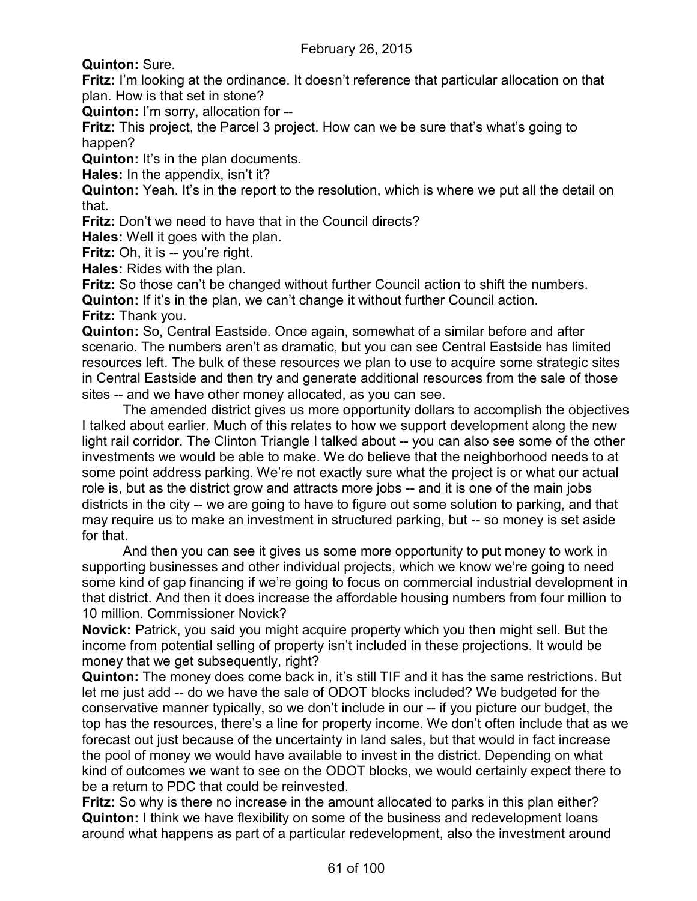**Quinton:** Sure.

**Fritz:** I'm looking at the ordinance. It doesn't reference that particular allocation on that plan. How is that set in stone?

**Quinton:** I'm sorry, allocation for --

**Fritz:** This project, the Parcel 3 project. How can we be sure that's what's going to happen?

**Quinton:** It's in the plan documents.

**Hales:** In the appendix, isn't it?

**Quinton:** Yeah. It's in the report to the resolution, which is where we put all the detail on that.

**Fritz:** Don't we need to have that in the Council directs?

**Hales:** Well it goes with the plan.

**Fritz:** Oh, it is -- you're right.

**Hales:** Rides with the plan.

**Fritz:** So those can't be changed without further Council action to shift the numbers. **Quinton:** If it's in the plan, we can't change it without further Council action.

**Fritz:** Thank you.

**Quinton:** So, Central Eastside. Once again, somewhat of a similar before and after scenario. The numbers aren't as dramatic, but you can see Central Eastside has limited resources left. The bulk of these resources we plan to use to acquire some strategic sites in Central Eastside and then try and generate additional resources from the sale of those sites -- and we have other money allocated, as you can see.

The amended district gives us more opportunity dollars to accomplish the objectives I talked about earlier. Much of this relates to how we support development along the new light rail corridor. The Clinton Triangle I talked about -- you can also see some of the other investments we would be able to make. We do believe that the neighborhood needs to at some point address parking. We're not exactly sure what the project is or what our actual role is, but as the district grow and attracts more jobs -- and it is one of the main jobs districts in the city -- we are going to have to figure out some solution to parking, and that may require us to make an investment in structured parking, but -- so money is set aside for that.

And then you can see it gives us some more opportunity to put money to work in supporting businesses and other individual projects, which we know we're going to need some kind of gap financing if we're going to focus on commercial industrial development in that district. And then it does increase the affordable housing numbers from four million to 10 million. Commissioner Novick?

**Novick:** Patrick, you said you might acquire property which you then might sell. But the income from potential selling of property isn't included in these projections. It would be money that we get subsequently, right?

**Quinton:** The money does come back in, it's still TIF and it has the same restrictions. But let me just add -- do we have the sale of ODOT blocks included? We budgeted for the conservative manner typically, so we don't include in our -- if you picture our budget, the top has the resources, there's a line for property income. We don't often include that as we forecast out just because of the uncertainty in land sales, but that would in fact increase the pool of money we would have available to invest in the district. Depending on what kind of outcomes we want to see on the ODOT blocks, we would certainly expect there to be a return to PDC that could be reinvested.

**Fritz:** So why is there no increase in the amount allocated to parks in this plan either? **Quinton:** I think we have flexibility on some of the business and redevelopment loans around what happens as part of a particular redevelopment, also the investment around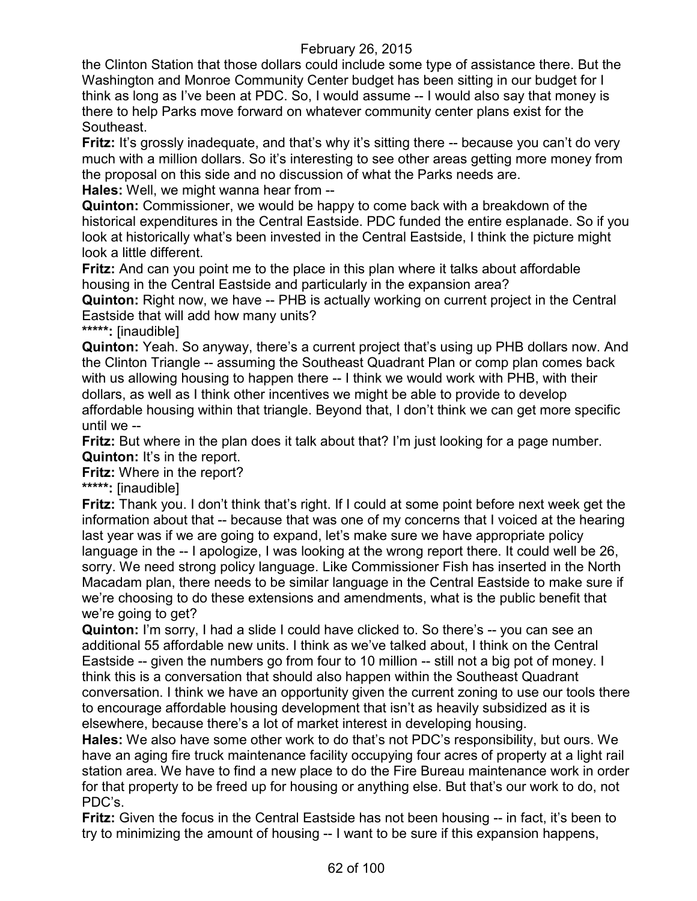the Clinton Station that those dollars could include some type of assistance there. But the Washington and Monroe Community Center budget has been sitting in our budget for I think as long as I've been at PDC. So, I would assume -- I would also say that money is there to help Parks move forward on whatever community center plans exist for the Southeast.

**Fritz:** It's grossly inadequate, and that's why it's sitting there -- because you can't do very much with a million dollars. So it's interesting to see other areas getting more money from the proposal on this side and no discussion of what the Parks needs are.

**Hales:** Well, we might wanna hear from --

**Quinton:** Commissioner, we would be happy to come back with a breakdown of the historical expenditures in the Central Eastside. PDC funded the entire esplanade. So if you look at historically what's been invested in the Central Eastside, I think the picture might look a little different.

**Fritz:** And can you point me to the place in this plan where it talks about affordable housing in the Central Eastside and particularly in the expansion area?

**Quinton:** Right now, we have -- PHB is actually working on current project in the Central Eastside that will add how many units?

**\*\*\*\*\*:** [inaudible]

**Quinton:** Yeah. So anyway, there's a current project that's using up PHB dollars now. And the Clinton Triangle -- assuming the Southeast Quadrant Plan or comp plan comes back with us allowing housing to happen there -- I think we would work with PHB, with their dollars, as well as I think other incentives we might be able to provide to develop affordable housing within that triangle. Beyond that, I don't think we can get more specific until we --

**Fritz:** But where in the plan does it talk about that? I'm just looking for a page number. **Quinton:** It's in the report.

**Fritz:** Where in the report?

**\*\*\*\*\*:** [inaudible]

**Fritz:** Thank you. I don't think that's right. If I could at some point before next week get the information about that -- because that was one of my concerns that I voiced at the hearing last year was if we are going to expand, let's make sure we have appropriate policy language in the -- I apologize, I was looking at the wrong report there. It could well be 26, sorry. We need strong policy language. Like Commissioner Fish has inserted in the North Macadam plan, there needs to be similar language in the Central Eastside to make sure if we're choosing to do these extensions and amendments, what is the public benefit that we're going to get?

**Quinton:** I'm sorry, I had a slide I could have clicked to. So there's -- you can see an additional 55 affordable new units. I think as we've talked about, I think on the Central Eastside -- given the numbers go from four to 10 million -- still not a big pot of money. I think this is a conversation that should also happen within the Southeast Quadrant conversation. I think we have an opportunity given the current zoning to use our tools there to encourage affordable housing development that isn't as heavily subsidized as it is elsewhere, because there's a lot of market interest in developing housing.

**Hales:** We also have some other work to do that's not PDC's responsibility, but ours. We have an aging fire truck maintenance facility occupying four acres of property at a light rail station area. We have to find a new place to do the Fire Bureau maintenance work in order for that property to be freed up for housing or anything else. But that's our work to do, not PDC's.

**Fritz:** Given the focus in the Central Eastside has not been housing -- in fact, it's been to try to minimizing the amount of housing -- I want to be sure if this expansion happens,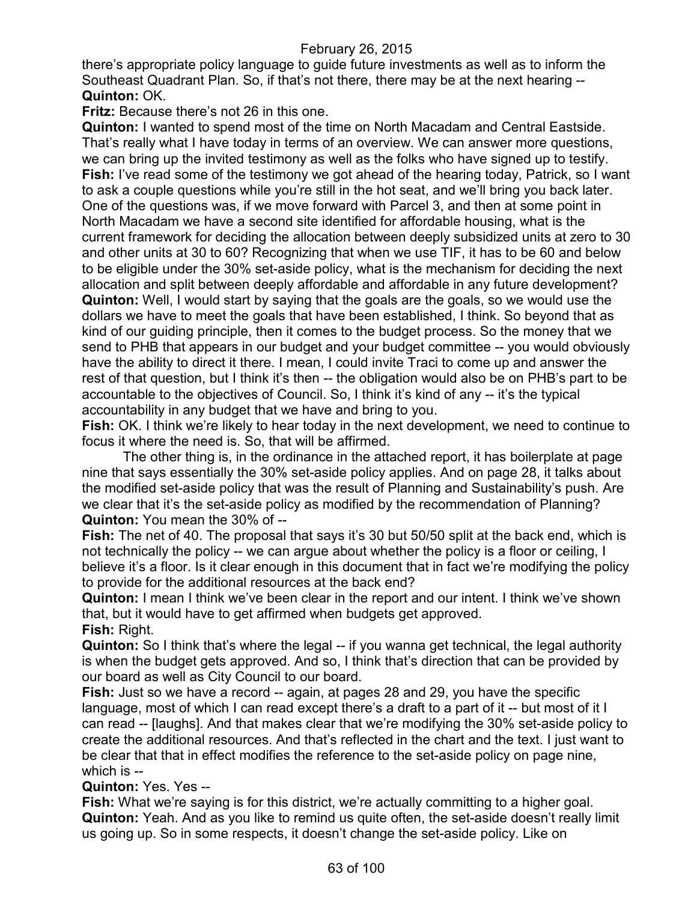there's appropriate policy language to guide future investments as well as to inform the Southeast Quadrant Plan. So, if that's not there, there may be at the next hearing -- **Quinton:** OK.

**Fritz:** Because there's not 26 in this one.

**Quinton:** I wanted to spend most of the time on North Macadam and Central Eastside. That's really what I have today in terms of an overview. We can answer more questions, we can bring up the invited testimony as well as the folks who have signed up to testify. **Fish:** I've read some of the testimony we got ahead of the hearing today, Patrick, so I want to ask a couple questions while you're still in the hot seat, and we'll bring you back later. One of the questions was, if we move forward with Parcel 3, and then at some point in North Macadam we have a second site identified for affordable housing, what is the current framework for deciding the allocation between deeply subsidized units at zero to 30 and other units at 30 to 60? Recognizing that when we use TIF, it has to be 60 and below to be eligible under the 30% set-aside policy, what is the mechanism for deciding the next allocation and split between deeply affordable and affordable in any future development? **Quinton:** Well, I would start by saying that the goals are the goals, so we would use the dollars we have to meet the goals that have been established, I think. So beyond that as kind of our guiding principle, then it comes to the budget process. So the money that we send to PHB that appears in our budget and your budget committee -- you would obviously have the ability to direct it there. I mean, I could invite Traci to come up and answer the rest of that question, but I think it's then -- the obligation would also be on PHB's part to be accountable to the objectives of Council. So, I think it's kind of any -- it's the typical accountability in any budget that we have and bring to you.

**Fish:** OK. I think we're likely to hear today in the next development, we need to continue to focus it where the need is. So, that will be affirmed.

The other thing is, in the ordinance in the attached report, it has boilerplate at page nine that says essentially the 30% set-aside policy applies. And on page 28, it talks about the modified set-aside policy that was the result of Planning and Sustainability's push. Are we clear that it's the set-aside policy as modified by the recommendation of Planning? **Quinton:** You mean the 30% of --

**Fish:** The net of 40. The proposal that says it's 30 but 50/50 split at the back end, which is not technically the policy -- we can argue about whether the policy is a floor or ceiling, I believe it's a floor. Is it clear enough in this document that in fact we're modifying the policy to provide for the additional resources at the back end?

**Quinton:** I mean I think we've been clear in the report and our intent. I think we've shown that, but it would have to get affirmed when budgets get approved. **Fish:** Right.

**Quinton:** So I think that's where the legal -- if you wanna get technical, the legal authority is when the budget gets approved. And so, I think that's direction that can be provided by our board as well as City Council to our board.

**Fish:** Just so we have a record -- again, at pages 28 and 29, you have the specific language, most of which I can read except there's a draft to a part of it -- but most of it I can read -- [laughs]. And that makes clear that we're modifying the 30% set-aside policy to create the additional resources. And that's reflected in the chart and the text. I just want to be clear that that in effect modifies the reference to the set-aside policy on page nine, which is --

**Quinton:** Yes. Yes --

**Fish:** What we're saying is for this district, we're actually committing to a higher goal. **Quinton:** Yeah. And as you like to remind us quite often, the set-aside doesn't really limit us going up. So in some respects, it doesn't change the set-aside policy. Like on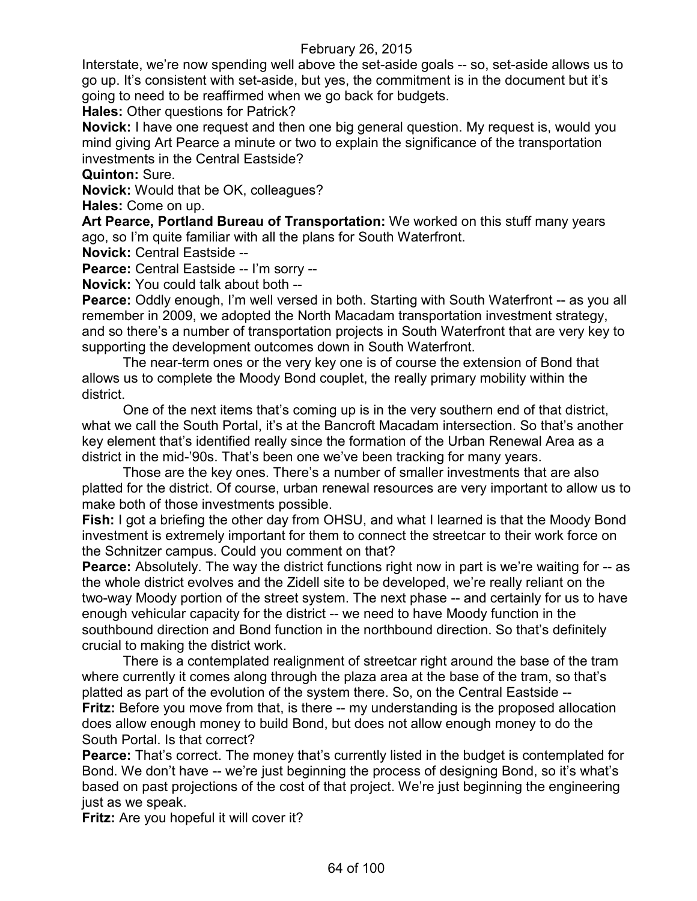Interstate, we're now spending well above the set-aside goals -- so, set-aside allows us to go up. It's consistent with set-aside, but yes, the commitment is in the document but it's going to need to be reaffirmed when we go back for budgets.

**Hales:** Other questions for Patrick?

**Novick:** I have one request and then one big general question. My request is, would you mind giving Art Pearce a minute or two to explain the significance of the transportation investments in the Central Eastside?

# **Quinton:** Sure.

**Novick:** Would that be OK, colleagues?

**Hales:** Come on up.

**Art Pearce, Portland Bureau of Transportation:** We worked on this stuff many years ago, so I'm quite familiar with all the plans for South Waterfront.

**Novick:** Central Eastside --

**Pearce:** Central Eastside -- I'm sorry --

**Novick:** You could talk about both --

**Pearce:** Oddly enough, I'm well versed in both. Starting with South Waterfront -- as you all remember in 2009, we adopted the North Macadam transportation investment strategy, and so there's a number of transportation projects in South Waterfront that are very key to supporting the development outcomes down in South Waterfront.

The near-term ones or the very key one is of course the extension of Bond that allows us to complete the Moody Bond couplet, the really primary mobility within the district.

One of the next items that's coming up is in the very southern end of that district, what we call the South Portal, it's at the Bancroft Macadam intersection. So that's another key element that's identified really since the formation of the Urban Renewal Area as a district in the mid-'90s. That's been one we've been tracking for many years.

Those are the key ones. There's a number of smaller investments that are also platted for the district. Of course, urban renewal resources are very important to allow us to make both of those investments possible.

**Fish:** I got a briefing the other day from OHSU, and what I learned is that the Moody Bond investment is extremely important for them to connect the streetcar to their work force on the Schnitzer campus. Could you comment on that?

**Pearce:** Absolutely. The way the district functions right now in part is we're waiting for -- as the whole district evolves and the Zidell site to be developed, we're really reliant on the two-way Moody portion of the street system. The next phase -- and certainly for us to have enough vehicular capacity for the district -- we need to have Moody function in the southbound direction and Bond function in the northbound direction. So that's definitely crucial to making the district work.

There is a contemplated realignment of streetcar right around the base of the tram where currently it comes along through the plaza area at the base of the tram, so that's platted as part of the evolution of the system there. So, on the Central Eastside -- **Fritz:** Before you move from that, is there -- my understanding is the proposed allocation does allow enough money to build Bond, but does not allow enough money to do the South Portal. Is that correct?

**Pearce:** That's correct. The money that's currently listed in the budget is contemplated for Bond. We don't have -- we're just beginning the process of designing Bond, so it's what's based on past projections of the cost of that project. We're just beginning the engineering just as we speak.

**Fritz:** Are you hopeful it will cover it?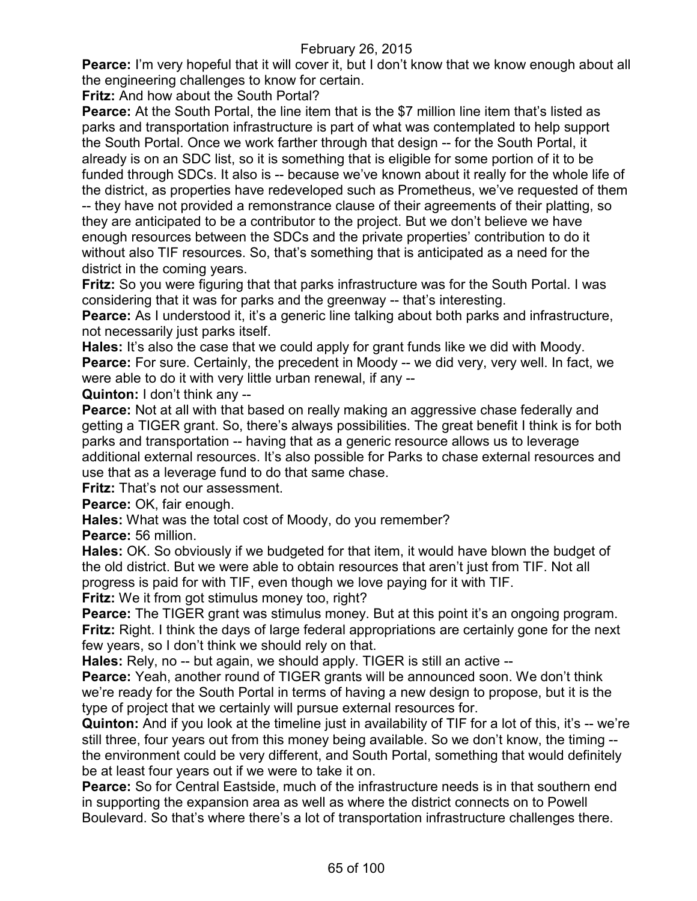**Pearce:** I'm very hopeful that it will cover it, but I don't know that we know enough about all the engineering challenges to know for certain.

**Fritz:** And how about the South Portal?

**Pearce:** At the South Portal, the line item that is the \$7 million line item that's listed as parks and transportation infrastructure is part of what was contemplated to help support the South Portal. Once we work farther through that design -- for the South Portal, it already is on an SDC list, so it is something that is eligible for some portion of it to be funded through SDCs. It also is -- because we've known about it really for the whole life of the district, as properties have redeveloped such as Prometheus, we've requested of them -- they have not provided a remonstrance clause of their agreements of their platting, so they are anticipated to be a contributor to the project. But we don't believe we have enough resources between the SDCs and the private properties' contribution to do it

without also TIF resources. So, that's something that is anticipated as a need for the district in the coming years.

**Fritz:** So you were figuring that that parks infrastructure was for the South Portal. I was considering that it was for parks and the greenway -- that's interesting.

**Pearce:** As I understood it, it's a generic line talking about both parks and infrastructure, not necessarily just parks itself.

**Hales:** It's also the case that we could apply for grant funds like we did with Moody. **Pearce:** For sure. Certainly, the precedent in Moody -- we did very, very well. In fact, we

were able to do it with very little urban renewal, if any --

**Quinton:** I don't think any --

**Pearce:** Not at all with that based on really making an aggressive chase federally and getting a TIGER grant. So, there's always possibilities. The great benefit I think is for both parks and transportation -- having that as a generic resource allows us to leverage additional external resources. It's also possible for Parks to chase external resources and use that as a leverage fund to do that same chase.

**Fritz:** That's not our assessment.

**Pearce:** OK, fair enough.

**Hales:** What was the total cost of Moody, do you remember?

**Pearce:** 56 million.

**Hales:** OK. So obviously if we budgeted for that item, it would have blown the budget of the old district. But we were able to obtain resources that aren't just from TIF. Not all progress is paid for with TIF, even though we love paying for it with TIF.

**Fritz:** We it from got stimulus money too, right?

**Pearce:** The TIGER grant was stimulus money. But at this point it's an ongoing program. **Fritz:** Right. I think the days of large federal appropriations are certainly gone for the next few years, so I don't think we should rely on that.

**Hales:** Rely, no -- but again, we should apply. TIGER is still an active --

**Pearce:** Yeah, another round of TIGER grants will be announced soon. We don't think we're ready for the South Portal in terms of having a new design to propose, but it is the type of project that we certainly will pursue external resources for.

**Quinton:** And if you look at the timeline just in availability of TIF for a lot of this, it's -- we're still three, four years out from this money being available. So we don't know, the timing - the environment could be very different, and South Portal, something that would definitely be at least four years out if we were to take it on.

**Pearce:** So for Central Eastside, much of the infrastructure needs is in that southern end in supporting the expansion area as well as where the district connects on to Powell Boulevard. So that's where there's a lot of transportation infrastructure challenges there.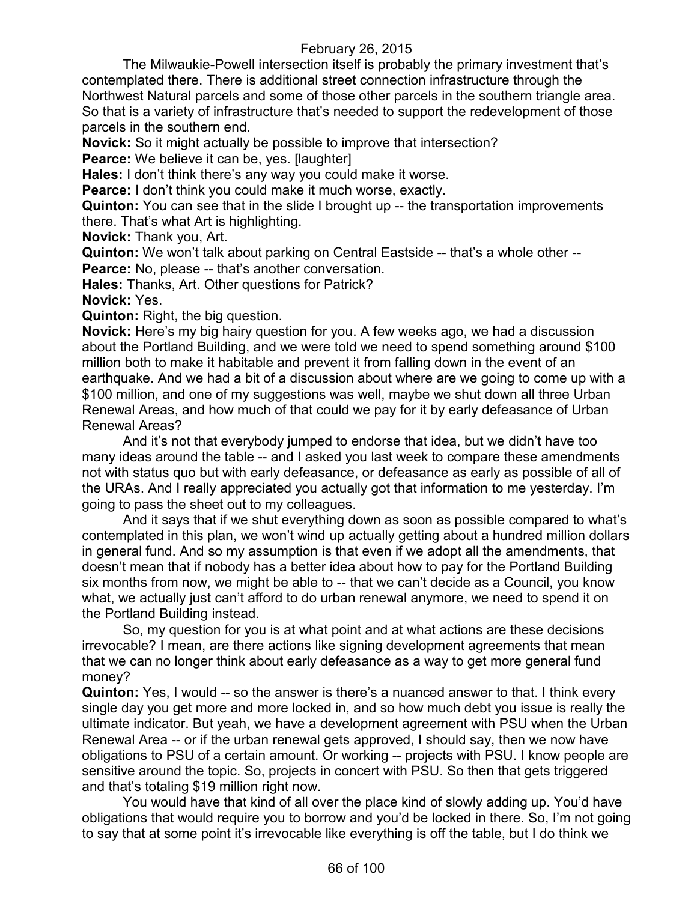The Milwaukie-Powell intersection itself is probably the primary investment that's contemplated there. There is additional street connection infrastructure through the Northwest Natural parcels and some of those other parcels in the southern triangle area. So that is a variety of infrastructure that's needed to support the redevelopment of those parcels in the southern end.

**Novick:** So it might actually be possible to improve that intersection?

**Pearce:** We believe it can be, yes. [laughter]

**Hales:** I don't think there's any way you could make it worse.

**Pearce:** I don't think you could make it much worse, exactly.

**Quinton:** You can see that in the slide I brought up -- the transportation improvements there. That's what Art is highlighting.

**Novick:** Thank you, Art.

**Quinton:** We won't talk about parking on Central Eastside -- that's a whole other -- **Pearce:** No, please -- that's another conversation.

**Hales:** Thanks, Art. Other questions for Patrick?

**Novick:** Yes.

**Quinton:** Right, the big question.

**Novick:** Here's my big hairy question for you. A few weeks ago, we had a discussion about the Portland Building, and we were told we need to spend something around \$100 million both to make it habitable and prevent it from falling down in the event of an earthquake. And we had a bit of a discussion about where are we going to come up with a \$100 million, and one of my suggestions was well, maybe we shut down all three Urban Renewal Areas, and how much of that could we pay for it by early defeasance of Urban Renewal Areas?

And it's not that everybody jumped to endorse that idea, but we didn't have too many ideas around the table -- and I asked you last week to compare these amendments not with status quo but with early defeasance, or defeasance as early as possible of all of the URAs. And I really appreciated you actually got that information to me yesterday. I'm going to pass the sheet out to my colleagues.

And it says that if we shut everything down as soon as possible compared to what's contemplated in this plan, we won't wind up actually getting about a hundred million dollars in general fund. And so my assumption is that even if we adopt all the amendments, that doesn't mean that if nobody has a better idea about how to pay for the Portland Building six months from now, we might be able to -- that we can't decide as a Council, you know what, we actually just can't afford to do urban renewal anymore, we need to spend it on the Portland Building instead.

So, my question for you is at what point and at what actions are these decisions irrevocable? I mean, are there actions like signing development agreements that mean that we can no longer think about early defeasance as a way to get more general fund money?

**Quinton:** Yes, I would -- so the answer is there's a nuanced answer to that. I think every single day you get more and more locked in, and so how much debt you issue is really the ultimate indicator. But yeah, we have a development agreement with PSU when the Urban Renewal Area -- or if the urban renewal gets approved, I should say, then we now have obligations to PSU of a certain amount. Or working -- projects with PSU. I know people are sensitive around the topic. So, projects in concert with PSU. So then that gets triggered and that's totaling \$19 million right now.

You would have that kind of all over the place kind of slowly adding up. You'd have obligations that would require you to borrow and you'd be locked in there. So, I'm not going to say that at some point it's irrevocable like everything is off the table, but I do think we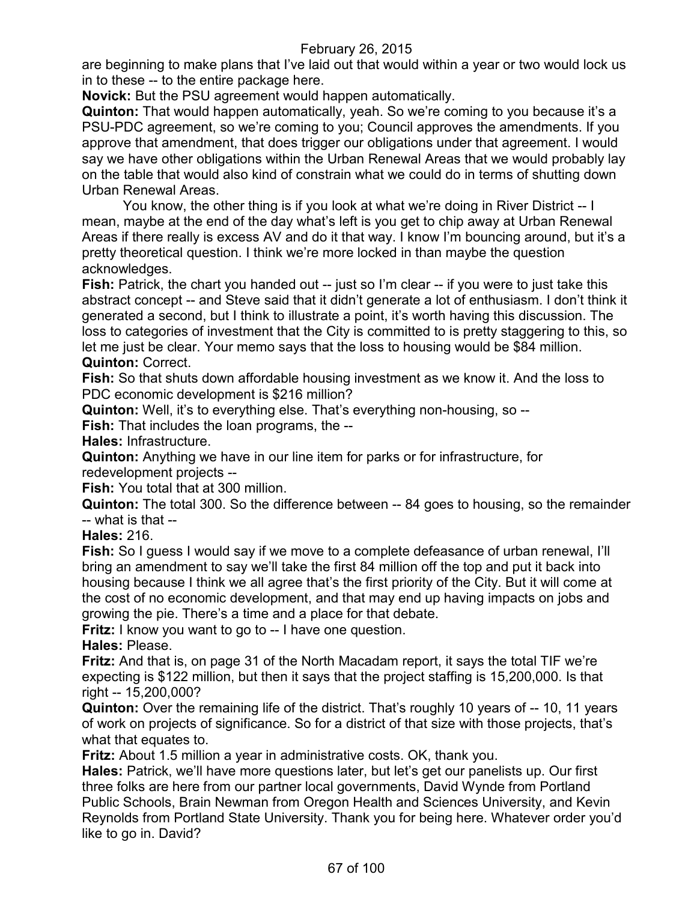are beginning to make plans that I've laid out that would within a year or two would lock us in to these -- to the entire package here.

**Novick:** But the PSU agreement would happen automatically.

**Quinton:** That would happen automatically, yeah. So we're coming to you because it's a PSU-PDC agreement, so we're coming to you; Council approves the amendments. If you approve that amendment, that does trigger our obligations under that agreement. I would say we have other obligations within the Urban Renewal Areas that we would probably lay on the table that would also kind of constrain what we could do in terms of shutting down Urban Renewal Areas.

You know, the other thing is if you look at what we're doing in River District -- I mean, maybe at the end of the day what's left is you get to chip away at Urban Renewal Areas if there really is excess AV and do it that way. I know I'm bouncing around, but it's a pretty theoretical question. I think we're more locked in than maybe the question acknowledges.

**Fish:** Patrick, the chart you handed out -- just so I'm clear -- if you were to just take this abstract concept -- and Steve said that it didn't generate a lot of enthusiasm. I don't think it generated a second, but I think to illustrate a point, it's worth having this discussion. The loss to categories of investment that the City is committed to is pretty staggering to this, so let me just be clear. Your memo says that the loss to housing would be \$84 million. **Quinton:** Correct.

**Fish:** So that shuts down affordable housing investment as we know it. And the loss to PDC economic development is \$216 million?

**Quinton:** Well, it's to everything else. That's everything non-housing, so --

**Fish:** That includes the loan programs, the --

**Hales:** Infrastructure.

**Quinton:** Anything we have in our line item for parks or for infrastructure, for redevelopment projects --

**Fish:** You total that at 300 million.

**Quinton:** The total 300. So the difference between -- 84 goes to housing, so the remainder -- what is that --

**Hales:** 216.

**Fish:** So I guess I would say if we move to a complete defeasance of urban renewal, I'll bring an amendment to say we'll take the first 84 million off the top and put it back into housing because I think we all agree that's the first priority of the City. But it will come at the cost of no economic development, and that may end up having impacts on jobs and growing the pie. There's a time and a place for that debate.

**Fritz:** I know you want to go to -- I have one question.

**Hales:** Please.

**Fritz:** And that is, on page 31 of the North Macadam report, it says the total TIF we're expecting is \$122 million, but then it says that the project staffing is 15,200,000. Is that right -- 15,200,000?

**Quinton:** Over the remaining life of the district. That's roughly 10 years of -- 10, 11 years of work on projects of significance. So for a district of that size with those projects, that's what that equates to.

**Fritz:** About 1.5 million a year in administrative costs. OK, thank you.

**Hales:** Patrick, we'll have more questions later, but let's get our panelists up. Our first three folks are here from our partner local governments, David Wynde from Portland Public Schools, Brain Newman from Oregon Health and Sciences University, and Kevin Reynolds from Portland State University. Thank you for being here. Whatever order you'd like to go in. David?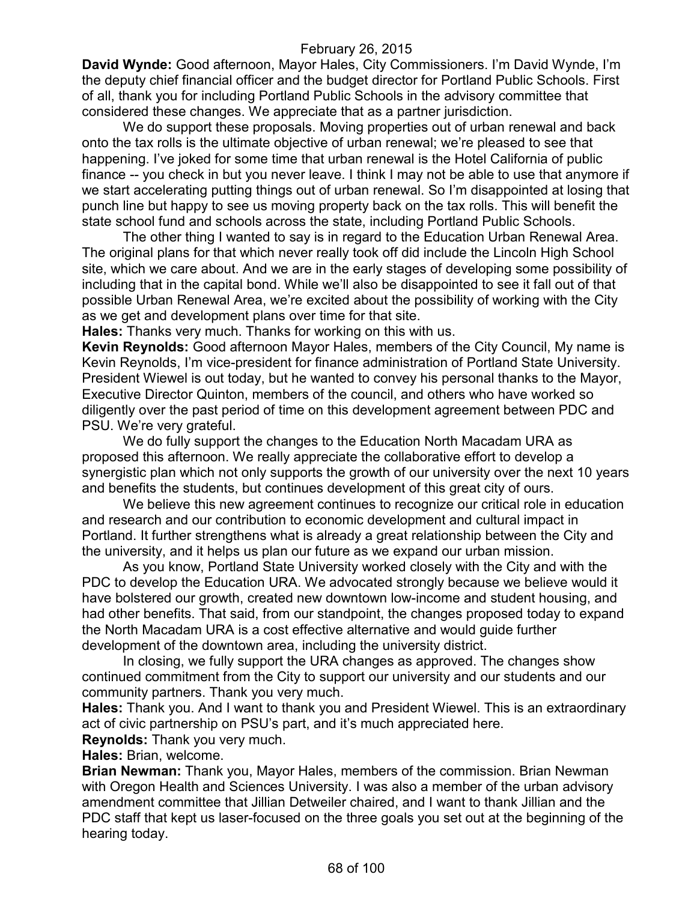**David Wynde:** Good afternoon, Mayor Hales, City Commissioners. I'm David Wynde, I'm the deputy chief financial officer and the budget director for Portland Public Schools. First of all, thank you for including Portland Public Schools in the advisory committee that considered these changes. We appreciate that as a partner jurisdiction.

We do support these proposals. Moving properties out of urban renewal and back onto the tax rolls is the ultimate objective of urban renewal; we're pleased to see that happening. I've joked for some time that urban renewal is the Hotel California of public finance -- you check in but you never leave. I think I may not be able to use that anymore if we start accelerating putting things out of urban renewal. So I'm disappointed at losing that punch line but happy to see us moving property back on the tax rolls. This will benefit the state school fund and schools across the state, including Portland Public Schools.

The other thing I wanted to say is in regard to the Education Urban Renewal Area. The original plans for that which never really took off did include the Lincoln High School site, which we care about. And we are in the early stages of developing some possibility of including that in the capital bond. While we'll also be disappointed to see it fall out of that possible Urban Renewal Area, we're excited about the possibility of working with the City as we get and development plans over time for that site.

**Hales:** Thanks very much. Thanks for working on this with us.

**Kevin Reynolds:** Good afternoon Mayor Hales, members of the City Council, My name is Kevin Reynolds, I'm vice-president for finance administration of Portland State University. President Wiewel is out today, but he wanted to convey his personal thanks to the Mayor, Executive Director Quinton, members of the council, and others who have worked so diligently over the past period of time on this development agreement between PDC and PSU. We're very grateful.

We do fully support the changes to the Education North Macadam URA as proposed this afternoon. We really appreciate the collaborative effort to develop a synergistic plan which not only supports the growth of our university over the next 10 years and benefits the students, but continues development of this great city of ours.

We believe this new agreement continues to recognize our critical role in education and research and our contribution to economic development and cultural impact in Portland. It further strengthens what is already a great relationship between the City and the university, and it helps us plan our future as we expand our urban mission.

As you know, Portland State University worked closely with the City and with the PDC to develop the Education URA. We advocated strongly because we believe would it have bolstered our growth, created new downtown low-income and student housing, and had other benefits. That said, from our standpoint, the changes proposed today to expand the North Macadam URA is a cost effective alternative and would guide further development of the downtown area, including the university district.

In closing, we fully support the URA changes as approved. The changes show continued commitment from the City to support our university and our students and our community partners. Thank you very much.

**Hales:** Thank you. And I want to thank you and President Wiewel. This is an extraordinary act of civic partnership on PSU's part, and it's much appreciated here.

**Reynolds:** Thank you very much.

**Hales:** Brian, welcome.

**Brian Newman:** Thank you, Mayor Hales, members of the commission. Brian Newman with Oregon Health and Sciences University. I was also a member of the urban advisory amendment committee that Jillian Detweiler chaired, and I want to thank Jillian and the PDC staff that kept us laser-focused on the three goals you set out at the beginning of the hearing today.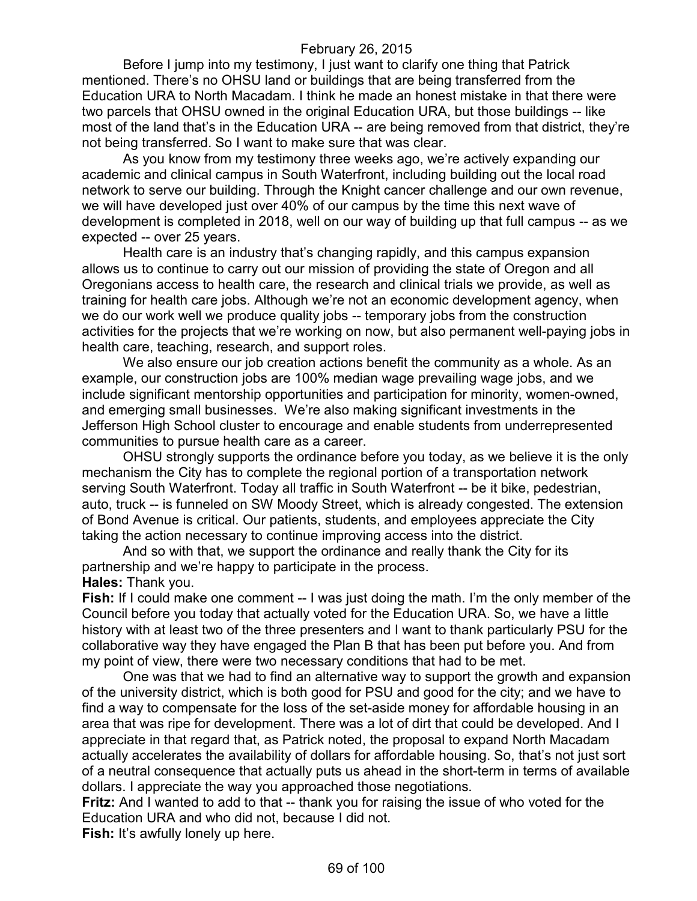Before I jump into my testimony, I just want to clarify one thing that Patrick mentioned. There's no OHSU land or buildings that are being transferred from the Education URA to North Macadam. I think he made an honest mistake in that there were two parcels that OHSU owned in the original Education URA, but those buildings -- like most of the land that's in the Education URA -- are being removed from that district, they're not being transferred. So I want to make sure that was clear.

As you know from my testimony three weeks ago, we're actively expanding our academic and clinical campus in South Waterfront, including building out the local road network to serve our building. Through the Knight cancer challenge and our own revenue, we will have developed just over 40% of our campus by the time this next wave of development is completed in 2018, well on our way of building up that full campus -- as we expected -- over 25 years.

Health care is an industry that's changing rapidly, and this campus expansion allows us to continue to carry out our mission of providing the state of Oregon and all Oregonians access to health care, the research and clinical trials we provide, as well as training for health care jobs. Although we're not an economic development agency, when we do our work well we produce quality jobs -- temporary jobs from the construction activities for the projects that we're working on now, but also permanent well-paying jobs in health care, teaching, research, and support roles.

We also ensure our job creation actions benefit the community as a whole. As an example, our construction jobs are 100% median wage prevailing wage jobs, and we include significant mentorship opportunities and participation for minority, women-owned, and emerging small businesses. We're also making significant investments in the Jefferson High School cluster to encourage and enable students from underrepresented communities to pursue health care as a career.

OHSU strongly supports the ordinance before you today, as we believe it is the only mechanism the City has to complete the regional portion of a transportation network serving South Waterfront. Today all traffic in South Waterfront -- be it bike, pedestrian, auto, truck -- is funneled on SW Moody Street, which is already congested. The extension of Bond Avenue is critical. Our patients, students, and employees appreciate the City taking the action necessary to continue improving access into the district.

And so with that, we support the ordinance and really thank the City for its partnership and we're happy to participate in the process. **Hales:** Thank you.

**Fish:** If I could make one comment -- I was just doing the math. I'm the only member of the Council before you today that actually voted for the Education URA. So, we have a little history with at least two of the three presenters and I want to thank particularly PSU for the collaborative way they have engaged the Plan B that has been put before you. And from my point of view, there were two necessary conditions that had to be met.

One was that we had to find an alternative way to support the growth and expansion of the university district, which is both good for PSU and good for the city; and we have to find a way to compensate for the loss of the set-aside money for affordable housing in an area that was ripe for development. There was a lot of dirt that could be developed. And I appreciate in that regard that, as Patrick noted, the proposal to expand North Macadam actually accelerates the availability of dollars for affordable housing. So, that's not just sort of a neutral consequence that actually puts us ahead in the short-term in terms of available dollars. I appreciate the way you approached those negotiations.

**Fritz:** And I wanted to add to that -- thank you for raising the issue of who voted for the Education URA and who did not, because I did not.

Fish: It's awfully lonely up here.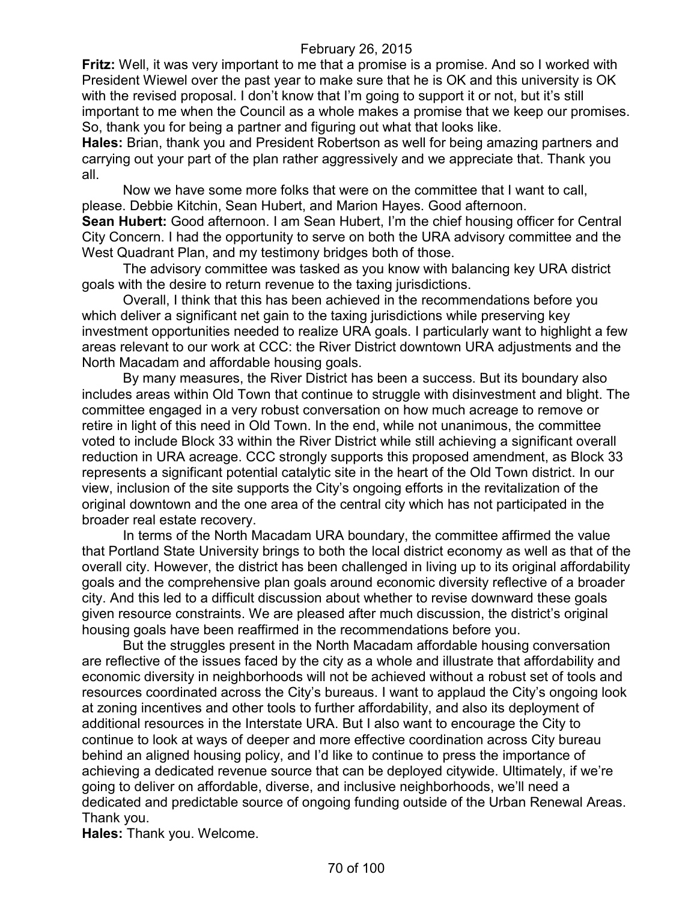**Fritz:** Well, it was very important to me that a promise is a promise. And so I worked with President Wiewel over the past year to make sure that he is OK and this university is OK with the revised proposal. I don't know that I'm going to support it or not, but it's still important to me when the Council as a whole makes a promise that we keep our promises. So, thank you for being a partner and figuring out what that looks like.

**Hales:** Brian, thank you and President Robertson as well for being amazing partners and carrying out your part of the plan rather aggressively and we appreciate that. Thank you all.

Now we have some more folks that were on the committee that I want to call, please. Debbie Kitchin, Sean Hubert, and Marion Hayes. Good afternoon.

**Sean Hubert:** Good afternoon. I am Sean Hubert, I'm the chief housing officer for Central City Concern. I had the opportunity to serve on both the URA advisory committee and the West Quadrant Plan, and my testimony bridges both of those.

The advisory committee was tasked as you know with balancing key URA district goals with the desire to return revenue to the taxing jurisdictions.

Overall, I think that this has been achieved in the recommendations before you which deliver a significant net gain to the taxing jurisdictions while preserving key investment opportunities needed to realize URA goals. I particularly want to highlight a few areas relevant to our work at CCC: the River District downtown URA adjustments and the North Macadam and affordable housing goals.

By many measures, the River District has been a success. But its boundary also includes areas within Old Town that continue to struggle with disinvestment and blight. The committee engaged in a very robust conversation on how much acreage to remove or retire in light of this need in Old Town. In the end, while not unanimous, the committee voted to include Block 33 within the River District while still achieving a significant overall reduction in URA acreage. CCC strongly supports this proposed amendment, as Block 33 represents a significant potential catalytic site in the heart of the Old Town district. In our view, inclusion of the site supports the City's ongoing efforts in the revitalization of the original downtown and the one area of the central city which has not participated in the broader real estate recovery.

In terms of the North Macadam URA boundary, the committee affirmed the value that Portland State University brings to both the local district economy as well as that of the overall city. However, the district has been challenged in living up to its original affordability goals and the comprehensive plan goals around economic diversity reflective of a broader city. And this led to a difficult discussion about whether to revise downward these goals given resource constraints. We are pleased after much discussion, the district's original housing goals have been reaffirmed in the recommendations before you.

But the struggles present in the North Macadam affordable housing conversation are reflective of the issues faced by the city as a whole and illustrate that affordability and economic diversity in neighborhoods will not be achieved without a robust set of tools and resources coordinated across the City's bureaus. I want to applaud the City's ongoing look at zoning incentives and other tools to further affordability, and also its deployment of additional resources in the Interstate URA. But I also want to encourage the City to continue to look at ways of deeper and more effective coordination across City bureau behind an aligned housing policy, and I'd like to continue to press the importance of achieving a dedicated revenue source that can be deployed citywide. Ultimately, if we're going to deliver on affordable, diverse, and inclusive neighborhoods, we'll need a dedicated and predictable source of ongoing funding outside of the Urban Renewal Areas. Thank you.

**Hales:** Thank you. Welcome.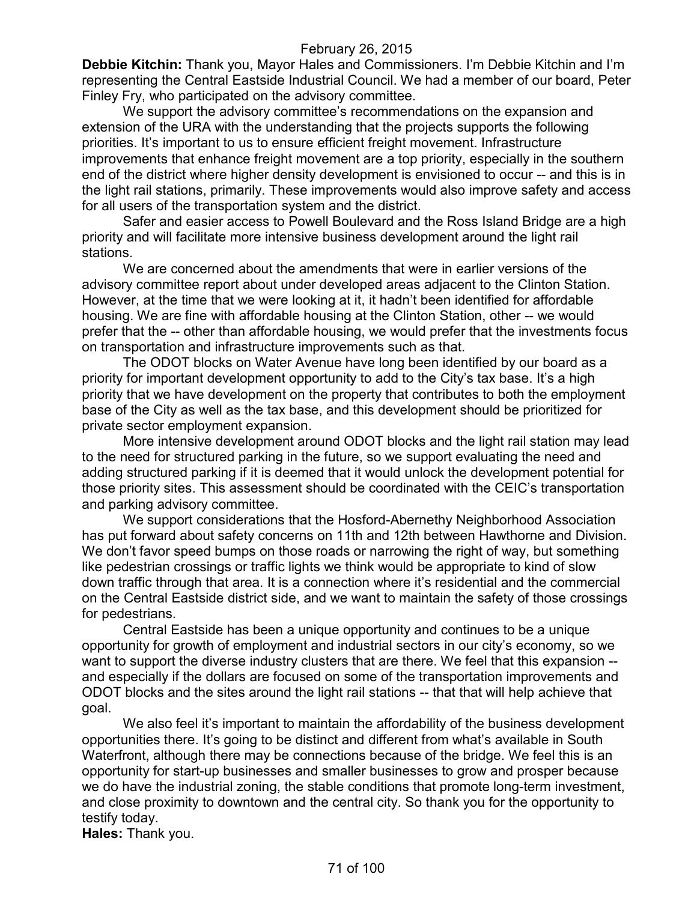**Debbie Kitchin:** Thank you, Mayor Hales and Commissioners. I'm Debbie Kitchin and I'm representing the Central Eastside Industrial Council. We had a member of our board, Peter Finley Fry, who participated on the advisory committee.

We support the advisory committee's recommendations on the expansion and extension of the URA with the understanding that the projects supports the following priorities. It's important to us to ensure efficient freight movement. Infrastructure improvements that enhance freight movement are a top priority, especially in the southern end of the district where higher density development is envisioned to occur -- and this is in the light rail stations, primarily. These improvements would also improve safety and access for all users of the transportation system and the district.

Safer and easier access to Powell Boulevard and the Ross Island Bridge are a high priority and will facilitate more intensive business development around the light rail stations.

We are concerned about the amendments that were in earlier versions of the advisory committee report about under developed areas adjacent to the Clinton Station. However, at the time that we were looking at it, it hadn't been identified for affordable housing. We are fine with affordable housing at the Clinton Station, other -- we would prefer that the -- other than affordable housing, we would prefer that the investments focus on transportation and infrastructure improvements such as that.

The ODOT blocks on Water Avenue have long been identified by our board as a priority for important development opportunity to add to the City's tax base. It's a high priority that we have development on the property that contributes to both the employment base of the City as well as the tax base, and this development should be prioritized for private sector employment expansion.

More intensive development around ODOT blocks and the light rail station may lead to the need for structured parking in the future, so we support evaluating the need and adding structured parking if it is deemed that it would unlock the development potential for those priority sites. This assessment should be coordinated with the CEIC's transportation and parking advisory committee.

We support considerations that the Hosford-Abernethy Neighborhood Association has put forward about safety concerns on 11th and 12th between Hawthorne and Division. We don't favor speed bumps on those roads or narrowing the right of way, but something like pedestrian crossings or traffic lights we think would be appropriate to kind of slow down traffic through that area. It is a connection where it's residential and the commercial on the Central Eastside district side, and we want to maintain the safety of those crossings for pedestrians.

Central Eastside has been a unique opportunity and continues to be a unique opportunity for growth of employment and industrial sectors in our city's economy, so we want to support the diverse industry clusters that are there. We feel that this expansion -and especially if the dollars are focused on some of the transportation improvements and ODOT blocks and the sites around the light rail stations -- that that will help achieve that goal.

We also feel it's important to maintain the affordability of the business development opportunities there. It's going to be distinct and different from what's available in South Waterfront, although there may be connections because of the bridge. We feel this is an opportunity for start-up businesses and smaller businesses to grow and prosper because we do have the industrial zoning, the stable conditions that promote long-term investment, and close proximity to downtown and the central city. So thank you for the opportunity to testify today.

**Hales:** Thank you.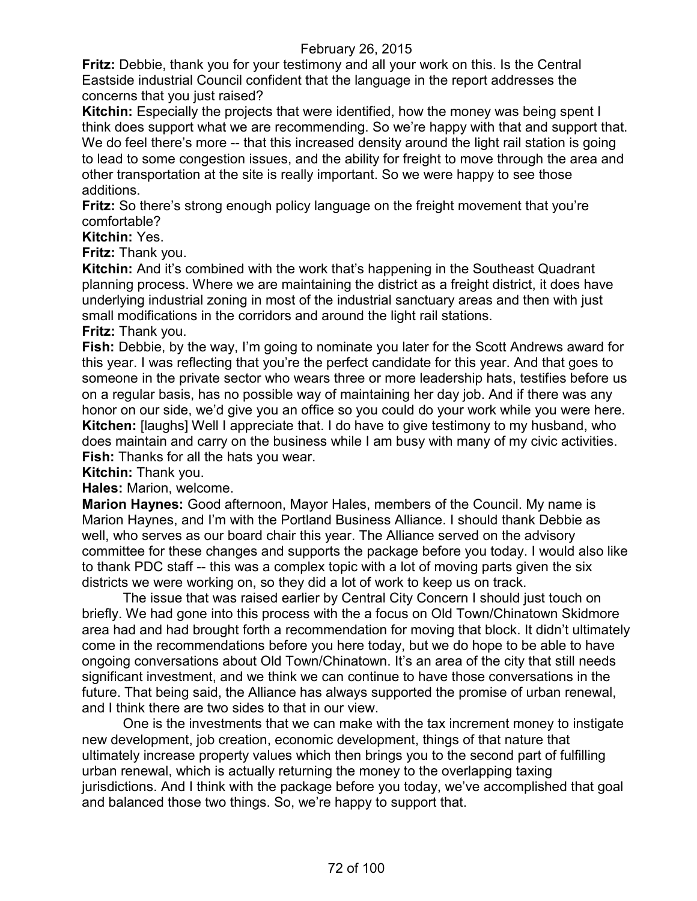**Fritz:** Debbie, thank you for your testimony and all your work on this. Is the Central Eastside industrial Council confident that the language in the report addresses the concerns that you just raised?

**Kitchin:** Especially the projects that were identified, how the money was being spent I think does support what we are recommending. So we're happy with that and support that. We do feel there's more -- that this increased density around the light rail station is going to lead to some congestion issues, and the ability for freight to move through the area and other transportation at the site is really important. So we were happy to see those additions.

**Fritz:** So there's strong enough policy language on the freight movement that you're comfortable?

#### **Kitchin:** Yes.

**Fritz:** Thank you.

**Kitchin:** And it's combined with the work that's happening in the Southeast Quadrant planning process. Where we are maintaining the district as a freight district, it does have underlying industrial zoning in most of the industrial sanctuary areas and then with just small modifications in the corridors and around the light rail stations. **Fritz:** Thank you.

**Fish:** Debbie, by the way, I'm going to nominate you later for the Scott Andrews award for this year. I was reflecting that you're the perfect candidate for this year. And that goes to someone in the private sector who wears three or more leadership hats, testifies before us on a regular basis, has no possible way of maintaining her day job. And if there was any honor on our side, we'd give you an office so you could do your work while you were here. **Kitchen:** [laughs] Well I appreciate that. I do have to give testimony to my husband, who does maintain and carry on the business while I am busy with many of my civic activities. **Fish:** Thanks for all the hats you wear.

**Kitchin:** Thank you.

**Hales:** Marion, welcome.

**Marion Haynes:** Good afternoon, Mayor Hales, members of the Council. My name is Marion Haynes, and I'm with the Portland Business Alliance. I should thank Debbie as well, who serves as our board chair this year. The Alliance served on the advisory committee for these changes and supports the package before you today. I would also like to thank PDC staff -- this was a complex topic with a lot of moving parts given the six districts we were working on, so they did a lot of work to keep us on track.

The issue that was raised earlier by Central City Concern I should just touch on briefly. We had gone into this process with the a focus on Old Town/Chinatown Skidmore area had and had brought forth a recommendation for moving that block. It didn't ultimately come in the recommendations before you here today, but we do hope to be able to have ongoing conversations about Old Town/Chinatown. It's an area of the city that still needs significant investment, and we think we can continue to have those conversations in the future. That being said, the Alliance has always supported the promise of urban renewal, and I think there are two sides to that in our view.

One is the investments that we can make with the tax increment money to instigate new development, job creation, economic development, things of that nature that ultimately increase property values which then brings you to the second part of fulfilling urban renewal, which is actually returning the money to the overlapping taxing jurisdictions. And I think with the package before you today, we've accomplished that goal and balanced those two things. So, we're happy to support that.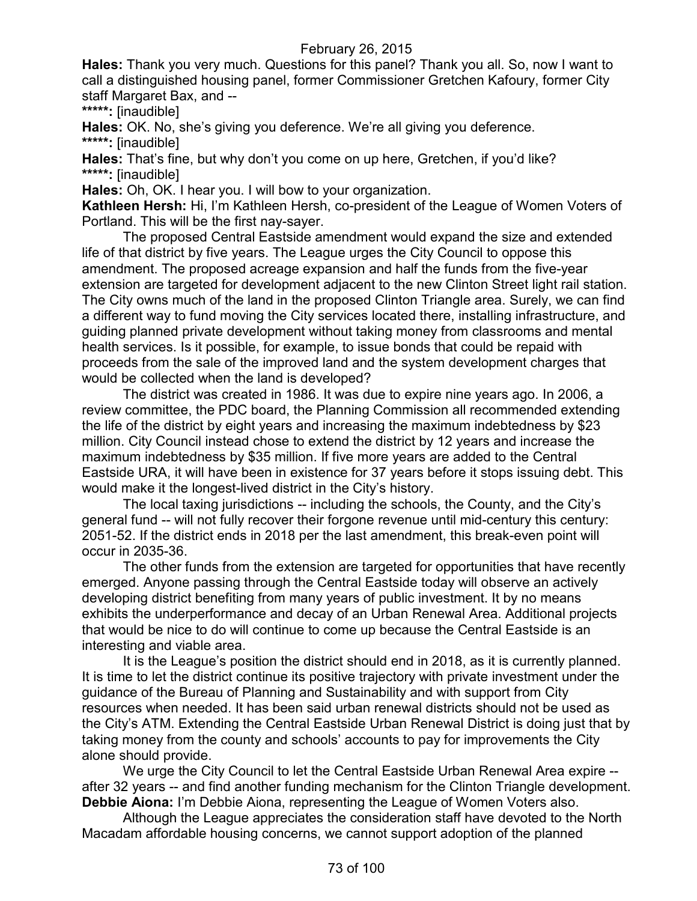**Hales:** Thank you very much. Questions for this panel? Thank you all. So, now I want to call a distinguished housing panel, former Commissioner Gretchen Kafoury, former City staff Margaret Bax, and --

**\*\*\*\*\*:** [inaudible]

**Hales:** OK. No, she's giving you deference. We're all giving you deference. **\*\*\*\*\*:** [inaudible]

**Hales:** That's fine, but why don't you come on up here, Gretchen, if you'd like? **\*\*\*\*\*:** [inaudible]

**Hales:** Oh, OK. I hear you. I will bow to your organization.

**Kathleen Hersh:** Hi, I'm Kathleen Hersh, co-president of the League of Women Voters of Portland. This will be the first nay-sayer.

The proposed Central Eastside amendment would expand the size and extended life of that district by five years. The League urges the City Council to oppose this amendment. The proposed acreage expansion and half the funds from the five-year extension are targeted for development adjacent to the new Clinton Street light rail station. The City owns much of the land in the proposed Clinton Triangle area. Surely, we can find a different way to fund moving the City services located there, installing infrastructure, and guiding planned private development without taking money from classrooms and mental health services. Is it possible, for example, to issue bonds that could be repaid with proceeds from the sale of the improved land and the system development charges that would be collected when the land is developed?

The district was created in 1986. It was due to expire nine years ago. In 2006, a review committee, the PDC board, the Planning Commission all recommended extending the life of the district by eight years and increasing the maximum indebtedness by \$23 million. City Council instead chose to extend the district by 12 years and increase the maximum indebtedness by \$35 million. If five more years are added to the Central Eastside URA, it will have been in existence for 37 years before it stops issuing debt. This would make it the longest-lived district in the City's history.

The local taxing jurisdictions -- including the schools, the County, and the City's general fund -- will not fully recover their forgone revenue until mid-century this century: 2051-52. If the district ends in 2018 per the last amendment, this break-even point will occur in 2035-36.

The other funds from the extension are targeted for opportunities that have recently emerged. Anyone passing through the Central Eastside today will observe an actively developing district benefiting from many years of public investment. It by no means exhibits the underperformance and decay of an Urban Renewal Area. Additional projects that would be nice to do will continue to come up because the Central Eastside is an interesting and viable area.

It is the League's position the district should end in 2018, as it is currently planned. It is time to let the district continue its positive trajectory with private investment under the guidance of the Bureau of Planning and Sustainability and with support from City resources when needed. It has been said urban renewal districts should not be used as the City's ATM. Extending the Central Eastside Urban Renewal District is doing just that by taking money from the county and schools' accounts to pay for improvements the City alone should provide.

We urge the City Council to let the Central Eastside Urban Renewal Area expire - after 32 years -- and find another funding mechanism for the Clinton Triangle development. **Debbie Aiona:** I'm Debbie Aiona, representing the League of Women Voters also.

Although the League appreciates the consideration staff have devoted to the North Macadam affordable housing concerns, we cannot support adoption of the planned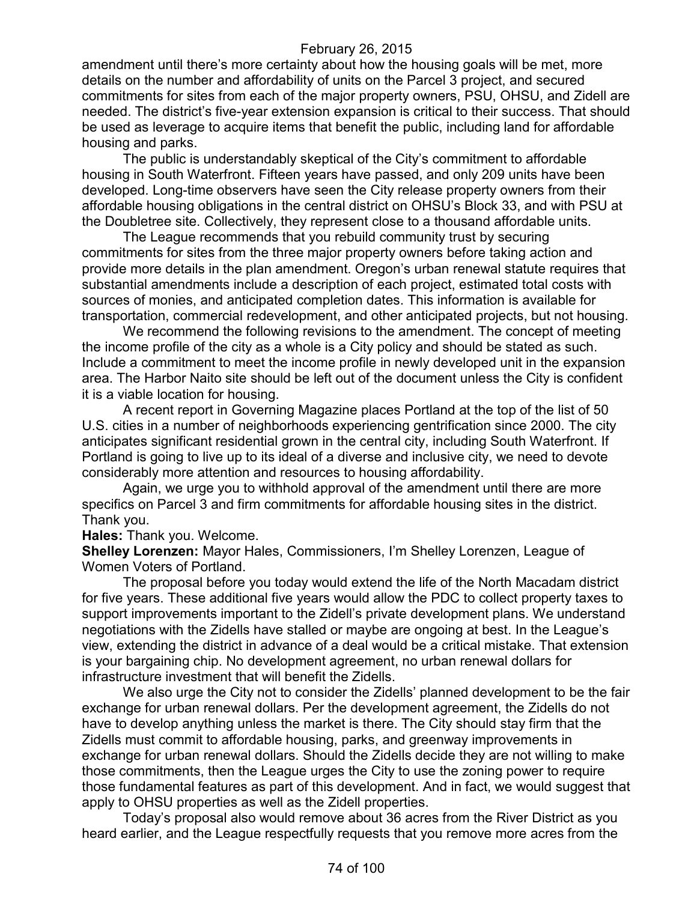amendment until there's more certainty about how the housing goals will be met, more details on the number and affordability of units on the Parcel 3 project, and secured commitments for sites from each of the major property owners, PSU, OHSU, and Zidell are needed. The district's five-year extension expansion is critical to their success. That should be used as leverage to acquire items that benefit the public, including land for affordable housing and parks.

The public is understandably skeptical of the City's commitment to affordable housing in South Waterfront. Fifteen years have passed, and only 209 units have been developed. Long-time observers have seen the City release property owners from their affordable housing obligations in the central district on OHSU's Block 33, and with PSU at the Doubletree site. Collectively, they represent close to a thousand affordable units.

The League recommends that you rebuild community trust by securing commitments for sites from the three major property owners before taking action and provide more details in the plan amendment. Oregon's urban renewal statute requires that substantial amendments include a description of each project, estimated total costs with sources of monies, and anticipated completion dates. This information is available for transportation, commercial redevelopment, and other anticipated projects, but not housing.

We recommend the following revisions to the amendment. The concept of meeting the income profile of the city as a whole is a City policy and should be stated as such. Include a commitment to meet the income profile in newly developed unit in the expansion area. The Harbor Naito site should be left out of the document unless the City is confident it is a viable location for housing.

A recent report in Governing Magazine places Portland at the top of the list of 50 U.S. cities in a number of neighborhoods experiencing gentrification since 2000. The city anticipates significant residential grown in the central city, including South Waterfront. If Portland is going to live up to its ideal of a diverse and inclusive city, we need to devote considerably more attention and resources to housing affordability.

Again, we urge you to withhold approval of the amendment until there are more specifics on Parcel 3 and firm commitments for affordable housing sites in the district. Thank you.

**Hales:** Thank you. Welcome.

**Shelley Lorenzen:** Mayor Hales, Commissioners, I'm Shelley Lorenzen, League of Women Voters of Portland.

The proposal before you today would extend the life of the North Macadam district for five years. These additional five years would allow the PDC to collect property taxes to support improvements important to the Zidell's private development plans. We understand negotiations with the Zidells have stalled or maybe are ongoing at best. In the League's view, extending the district in advance of a deal would be a critical mistake. That extension is your bargaining chip. No development agreement, no urban renewal dollars for infrastructure investment that will benefit the Zidells.

We also urge the City not to consider the Zidells' planned development to be the fair exchange for urban renewal dollars. Per the development agreement, the Zidells do not have to develop anything unless the market is there. The City should stay firm that the Zidells must commit to affordable housing, parks, and greenway improvements in exchange for urban renewal dollars. Should the Zidells decide they are not willing to make those commitments, then the League urges the City to use the zoning power to require those fundamental features as part of this development. And in fact, we would suggest that apply to OHSU properties as well as the Zidell properties.

Today's proposal also would remove about 36 acres from the River District as you heard earlier, and the League respectfully requests that you remove more acres from the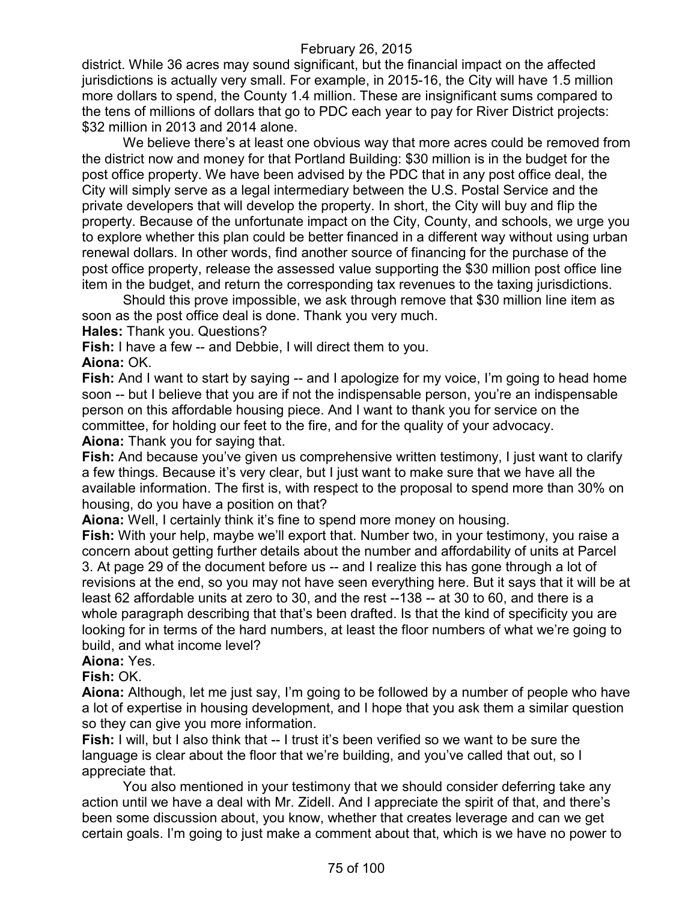district. While 36 acres may sound significant, but the financial impact on the affected jurisdictions is actually very small. For example, in 2015-16, the City will have 1.5 million more dollars to spend, the County 1.4 million. These are insignificant sums compared to the tens of millions of dollars that go to PDC each year to pay for River District projects: \$32 million in 2013 and 2014 alone.

We believe there's at least one obvious way that more acres could be removed from the district now and money for that Portland Building: \$30 million is in the budget for the post office property. We have been advised by the PDC that in any post office deal, the City will simply serve as a legal intermediary between the U.S. Postal Service and the private developers that will develop the property. In short, the City will buy and flip the property. Because of the unfortunate impact on the City, County, and schools, we urge you to explore whether this plan could be better financed in a different way without using urban renewal dollars. In other words, find another source of financing for the purchase of the post office property, release the assessed value supporting the \$30 million post office line item in the budget, and return the corresponding tax revenues to the taxing jurisdictions.

Should this prove impossible, we ask through remove that \$30 million line item as soon as the post office deal is done. Thank you very much.

**Hales:** Thank you. Questions?

**Fish:** I have a few -- and Debbie, I will direct them to you.

**Aiona:** OK.

**Fish:** And I want to start by saying -- and I apologize for my voice, I'm going to head home soon -- but I believe that you are if not the indispensable person, you're an indispensable person on this affordable housing piece. And I want to thank you for service on the committee, for holding our feet to the fire, and for the quality of your advocacy.

**Aiona:** Thank you for saying that.

**Fish:** And because you've given us comprehensive written testimony, I just want to clarify a few things. Because it's very clear, but I just want to make sure that we have all the available information. The first is, with respect to the proposal to spend more than 30% on housing, do you have a position on that?

**Aiona:** Well, I certainly think it's fine to spend more money on housing.

**Fish:** With your help, maybe we'll export that. Number two, in your testimony, you raise a concern about getting further details about the number and affordability of units at Parcel 3. At page 29 of the document before us -- and I realize this has gone through a lot of revisions at the end, so you may not have seen everything here. But it says that it will be at least 62 affordable units at zero to 30, and the rest --138 -- at 30 to 60, and there is a whole paragraph describing that that's been drafted. Is that the kind of specificity you are looking for in terms of the hard numbers, at least the floor numbers of what we're going to build, and what income level?

## **Aiona:** Yes.

#### **Fish:** OK.

**Aiona:** Although, let me just say, I'm going to be followed by a number of people who have a lot of expertise in housing development, and I hope that you ask them a similar question so they can give you more information.

**Fish:** I will, but I also think that -- I trust it's been verified so we want to be sure the language is clear about the floor that we're building, and you've called that out, so I appreciate that.

You also mentioned in your testimony that we should consider deferring take any action until we have a deal with Mr. Zidell. And I appreciate the spirit of that, and there's been some discussion about, you know, whether that creates leverage and can we get certain goals. I'm going to just make a comment about that, which is we have no power to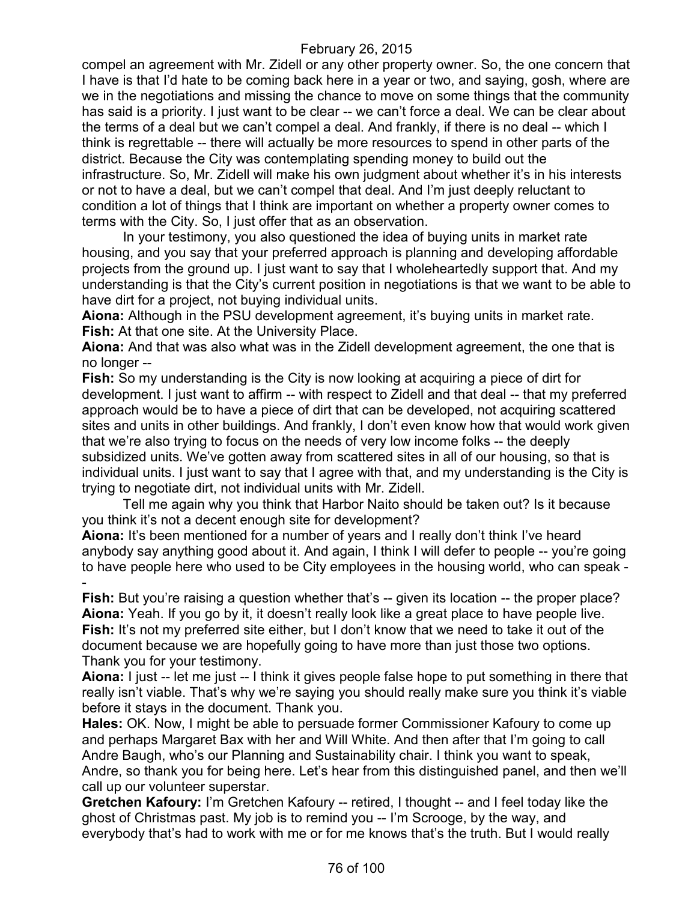compel an agreement with Mr. Zidell or any other property owner. So, the one concern that I have is that I'd hate to be coming back here in a year or two, and saying, gosh, where are we in the negotiations and missing the chance to move on some things that the community has said is a priority. I just want to be clear -- we can't force a deal. We can be clear about the terms of a deal but we can't compel a deal. And frankly, if there is no deal -- which I think is regrettable -- there will actually be more resources to spend in other parts of the district. Because the City was contemplating spending money to build out the infrastructure. So, Mr. Zidell will make his own judgment about whether it's in his interests or not to have a deal, but we can't compel that deal. And I'm just deeply reluctant to condition a lot of things that I think are important on whether a property owner comes to terms with the City. So, I just offer that as an observation.

In your testimony, you also questioned the idea of buying units in market rate housing, and you say that your preferred approach is planning and developing affordable projects from the ground up. I just want to say that I wholeheartedly support that. And my understanding is that the City's current position in negotiations is that we want to be able to have dirt for a project, not buying individual units.

**Aiona:** Although in the PSU development agreement, it's buying units in market rate. **Fish:** At that one site. At the University Place.

**Aiona:** And that was also what was in the Zidell development agreement, the one that is no longer --

**Fish:** So my understanding is the City is now looking at acquiring a piece of dirt for development. I just want to affirm -- with respect to Zidell and that deal -- that my preferred approach would be to have a piece of dirt that can be developed, not acquiring scattered sites and units in other buildings. And frankly, I don't even know how that would work given that we're also trying to focus on the needs of very low income folks -- the deeply subsidized units. We've gotten away from scattered sites in all of our housing, so that is individual units. I just want to say that I agree with that, and my understanding is the City is trying to negotiate dirt, not individual units with Mr. Zidell.

Tell me again why you think that Harbor Naito should be taken out? Is it because you think it's not a decent enough site for development?

**Aiona:** It's been mentioned for a number of years and I really don't think I've heard anybody say anything good about it. And again, I think I will defer to people -- you're going to have people here who used to be City employees in the housing world, who can speak - -

**Fish:** But you're raising a question whether that's -- given its location -- the proper place? **Aiona:** Yeah. If you go by it, it doesn't really look like a great place to have people live. Fish: It's not my preferred site either, but I don't know that we need to take it out of the document because we are hopefully going to have more than just those two options. Thank you for your testimony.

**Aiona:** I just -- let me just -- I think it gives people false hope to put something in there that really isn't viable. That's why we're saying you should really make sure you think it's viable before it stays in the document. Thank you.

**Hales:** OK. Now, I might be able to persuade former Commissioner Kafoury to come up and perhaps Margaret Bax with her and Will White. And then after that I'm going to call Andre Baugh, who's our Planning and Sustainability chair. I think you want to speak, Andre, so thank you for being here. Let's hear from this distinguished panel, and then we'll call up our volunteer superstar.

**Gretchen Kafoury:** I'm Gretchen Kafoury -- retired, I thought -- and I feel today like the ghost of Christmas past. My job is to remind you -- I'm Scrooge, by the way, and everybody that's had to work with me or for me knows that's the truth. But I would really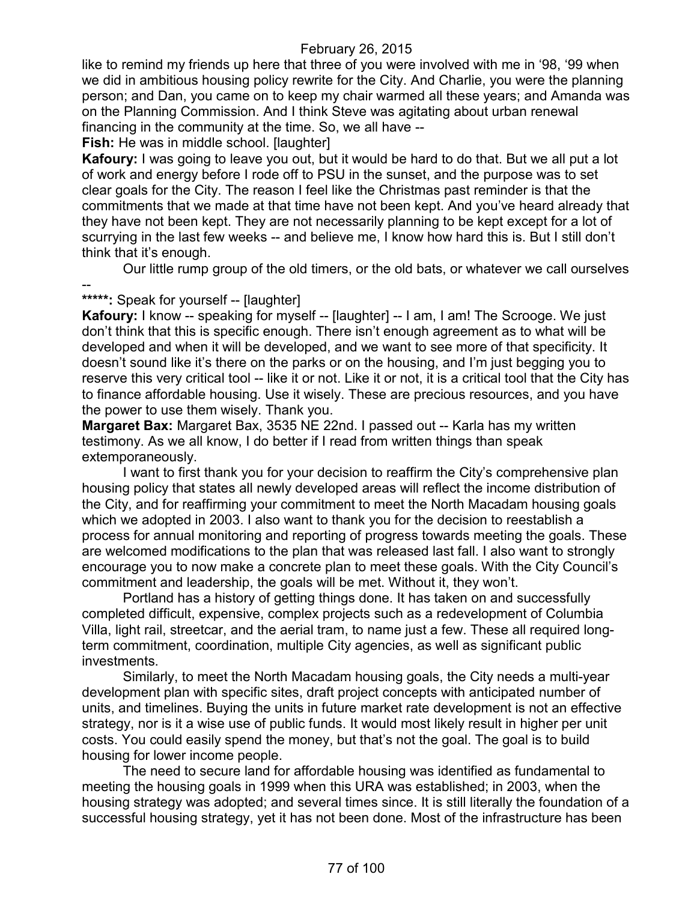like to remind my friends up here that three of you were involved with me in '98, '99 when we did in ambitious housing policy rewrite for the City. And Charlie, you were the planning person; and Dan, you came on to keep my chair warmed all these years; and Amanda was on the Planning Commission. And I think Steve was agitating about urban renewal financing in the community at the time. So, we all have --

**Fish:** He was in middle school. [laughter]

**Kafoury:** I was going to leave you out, but it would be hard to do that. But we all put a lot of work and energy before I rode off to PSU in the sunset, and the purpose was to set clear goals for the City. The reason I feel like the Christmas past reminder is that the commitments that we made at that time have not been kept. And you've heard already that they have not been kept. They are not necessarily planning to be kept except for a lot of scurrying in the last few weeks -- and believe me, I know how hard this is. But I still don't think that it's enough.

Our little rump group of the old timers, or the old bats, or whatever we call ourselves

# --

**\*\*\*\*\*:** Speak for yourself -- [laughter]

**Kafoury:** I know -- speaking for myself -- [laughter] -- I am, I am! The Scrooge. We just don't think that this is specific enough. There isn't enough agreement as to what will be developed and when it will be developed, and we want to see more of that specificity. It doesn't sound like it's there on the parks or on the housing, and I'm just begging you to reserve this very critical tool -- like it or not. Like it or not, it is a critical tool that the City has to finance affordable housing. Use it wisely. These are precious resources, and you have the power to use them wisely. Thank you.

**Margaret Bax:** Margaret Bax, 3535 NE 22nd. I passed out -- Karla has my written testimony. As we all know, I do better if I read from written things than speak extemporaneously.

I want to first thank you for your decision to reaffirm the City's comprehensive plan housing policy that states all newly developed areas will reflect the income distribution of the City, and for reaffirming your commitment to meet the North Macadam housing goals which we adopted in 2003. I also want to thank you for the decision to reestablish a process for annual monitoring and reporting of progress towards meeting the goals. These are welcomed modifications to the plan that was released last fall. I also want to strongly encourage you to now make a concrete plan to meet these goals. With the City Council's commitment and leadership, the goals will be met. Without it, they won't.

Portland has a history of getting things done. It has taken on and successfully completed difficult, expensive, complex projects such as a redevelopment of Columbia Villa, light rail, streetcar, and the aerial tram, to name just a few. These all required longterm commitment, coordination, multiple City agencies, as well as significant public investments.

Similarly, to meet the North Macadam housing goals, the City needs a multi-year development plan with specific sites, draft project concepts with anticipated number of units, and timelines. Buying the units in future market rate development is not an effective strategy, nor is it a wise use of public funds. It would most likely result in higher per unit costs. You could easily spend the money, but that's not the goal. The goal is to build housing for lower income people.

The need to secure land for affordable housing was identified as fundamental to meeting the housing goals in 1999 when this URA was established; in 2003, when the housing strategy was adopted; and several times since. It is still literally the foundation of a successful housing strategy, yet it has not been done. Most of the infrastructure has been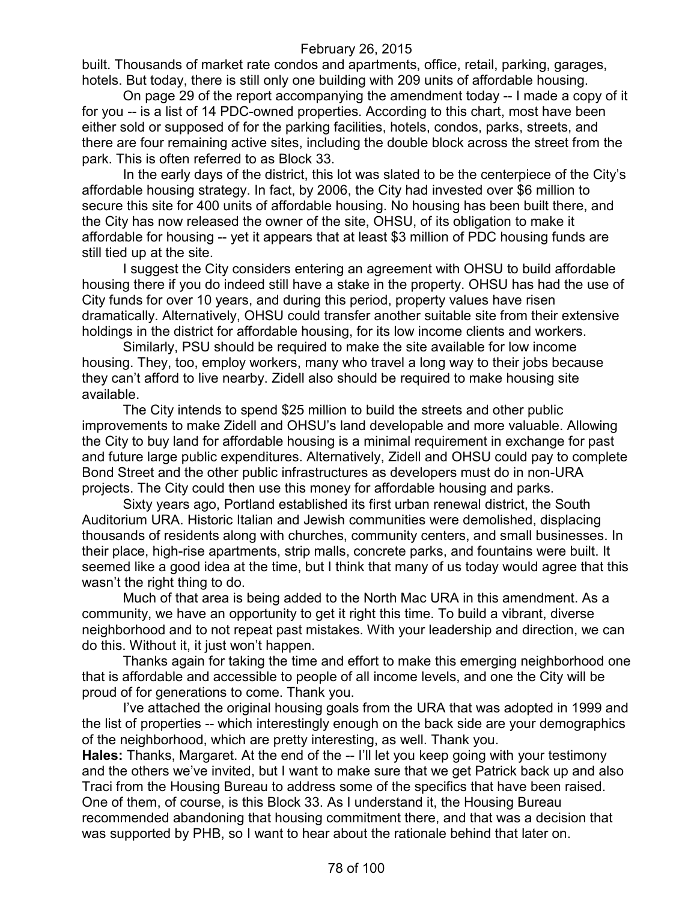built. Thousands of market rate condos and apartments, office, retail, parking, garages, hotels. But today, there is still only one building with 209 units of affordable housing.

On page 29 of the report accompanying the amendment today -- I made a copy of it for you -- is a list of 14 PDC-owned properties. According to this chart, most have been either sold or supposed of for the parking facilities, hotels, condos, parks, streets, and there are four remaining active sites, including the double block across the street from the park. This is often referred to as Block 33.

In the early days of the district, this lot was slated to be the centerpiece of the City's affordable housing strategy. In fact, by 2006, the City had invested over \$6 million to secure this site for 400 units of affordable housing. No housing has been built there, and the City has now released the owner of the site, OHSU, of its obligation to make it affordable for housing -- yet it appears that at least \$3 million of PDC housing funds are still tied up at the site.

I suggest the City considers entering an agreement with OHSU to build affordable housing there if you do indeed still have a stake in the property. OHSU has had the use of City funds for over 10 years, and during this period, property values have risen dramatically. Alternatively, OHSU could transfer another suitable site from their extensive holdings in the district for affordable housing, for its low income clients and workers.

Similarly, PSU should be required to make the site available for low income housing. They, too, employ workers, many who travel a long way to their jobs because they can't afford to live nearby. Zidell also should be required to make housing site available.

The City intends to spend \$25 million to build the streets and other public improvements to make Zidell and OHSU's land developable and more valuable. Allowing the City to buy land for affordable housing is a minimal requirement in exchange for past and future large public expenditures. Alternatively, Zidell and OHSU could pay to complete Bond Street and the other public infrastructures as developers must do in non-URA projects. The City could then use this money for affordable housing and parks.

Sixty years ago, Portland established its first urban renewal district, the South Auditorium URA. Historic Italian and Jewish communities were demolished, displacing thousands of residents along with churches, community centers, and small businesses. In their place, high-rise apartments, strip malls, concrete parks, and fountains were built. It seemed like a good idea at the time, but I think that many of us today would agree that this wasn't the right thing to do.

Much of that area is being added to the North Mac URA in this amendment. As a community, we have an opportunity to get it right this time. To build a vibrant, diverse neighborhood and to not repeat past mistakes. With your leadership and direction, we can do this. Without it, it just won't happen.

Thanks again for taking the time and effort to make this emerging neighborhood one that is affordable and accessible to people of all income levels, and one the City will be proud of for generations to come. Thank you.

I've attached the original housing goals from the URA that was adopted in 1999 and the list of properties -- which interestingly enough on the back side are your demographics of the neighborhood, which are pretty interesting, as well. Thank you.

**Hales:** Thanks, Margaret. At the end of the -- I'll let you keep going with your testimony and the others we've invited, but I want to make sure that we get Patrick back up and also Traci from the Housing Bureau to address some of the specifics that have been raised. One of them, of course, is this Block 33. As I understand it, the Housing Bureau recommended abandoning that housing commitment there, and that was a decision that was supported by PHB, so I want to hear about the rationale behind that later on.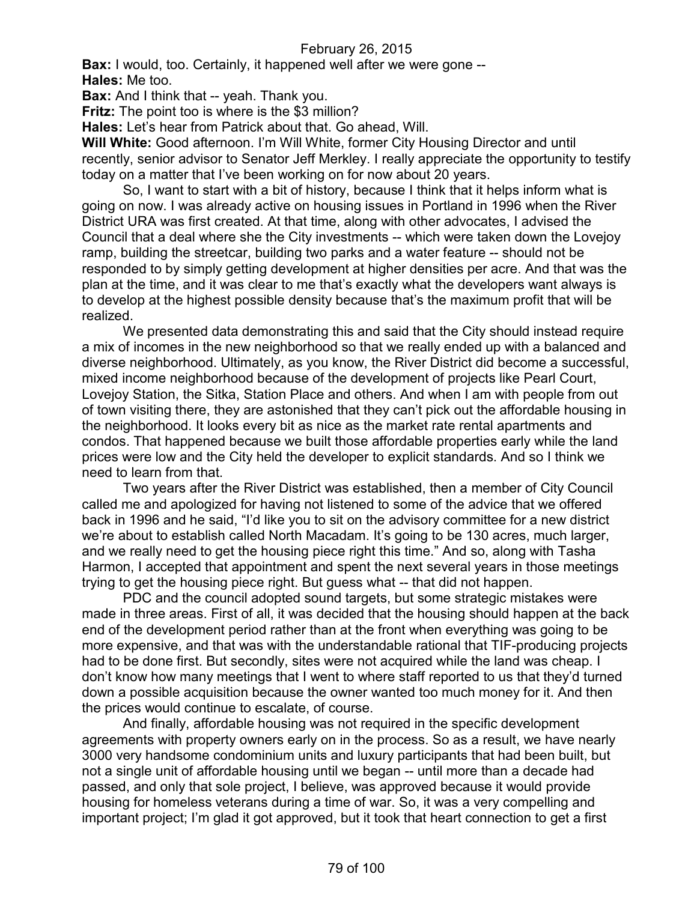**Bax:** I would, too. Certainly, it happened well after we were gone -- **Hales:** Me too.

**Bax:** And I think that -- yeah. Thank you.

**Fritz:** The point too is where is the \$3 million?

**Hales:** Let's hear from Patrick about that. Go ahead, Will.

**Will White:** Good afternoon. I'm Will White, former City Housing Director and until recently, senior advisor to Senator Jeff Merkley. I really appreciate the opportunity to testify today on a matter that I've been working on for now about 20 years.

So, I want to start with a bit of history, because I think that it helps inform what is going on now. I was already active on housing issues in Portland in 1996 when the River District URA was first created. At that time, along with other advocates, I advised the Council that a deal where she the City investments -- which were taken down the Lovejoy ramp, building the streetcar, building two parks and a water feature -- should not be responded to by simply getting development at higher densities per acre. And that was the plan at the time, and it was clear to me that's exactly what the developers want always is to develop at the highest possible density because that's the maximum profit that will be realized.

We presented data demonstrating this and said that the City should instead require a mix of incomes in the new neighborhood so that we really ended up with a balanced and diverse neighborhood. Ultimately, as you know, the River District did become a successful, mixed income neighborhood because of the development of projects like Pearl Court, Lovejoy Station, the Sitka, Station Place and others. And when I am with people from out of town visiting there, they are astonished that they can't pick out the affordable housing in the neighborhood. It looks every bit as nice as the market rate rental apartments and condos. That happened because we built those affordable properties early while the land prices were low and the City held the developer to explicit standards. And so I think we need to learn from that.

Two years after the River District was established, then a member of City Council called me and apologized for having not listened to some of the advice that we offered back in 1996 and he said, "I'd like you to sit on the advisory committee for a new district we're about to establish called North Macadam. It's going to be 130 acres, much larger, and we really need to get the housing piece right this time." And so, along with Tasha Harmon, I accepted that appointment and spent the next several years in those meetings trying to get the housing piece right. But guess what -- that did not happen.

PDC and the council adopted sound targets, but some strategic mistakes were made in three areas. First of all, it was decided that the housing should happen at the back end of the development period rather than at the front when everything was going to be more expensive, and that was with the understandable rational that TIF-producing projects had to be done first. But secondly, sites were not acquired while the land was cheap. I don't know how many meetings that I went to where staff reported to us that they'd turned down a possible acquisition because the owner wanted too much money for it. And then the prices would continue to escalate, of course.

And finally, affordable housing was not required in the specific development agreements with property owners early on in the process. So as a result, we have nearly 3000 very handsome condominium units and luxury participants that had been built, but not a single unit of affordable housing until we began -- until more than a decade had passed, and only that sole project, I believe, was approved because it would provide housing for homeless veterans during a time of war. So, it was a very compelling and important project; I'm glad it got approved, but it took that heart connection to get a first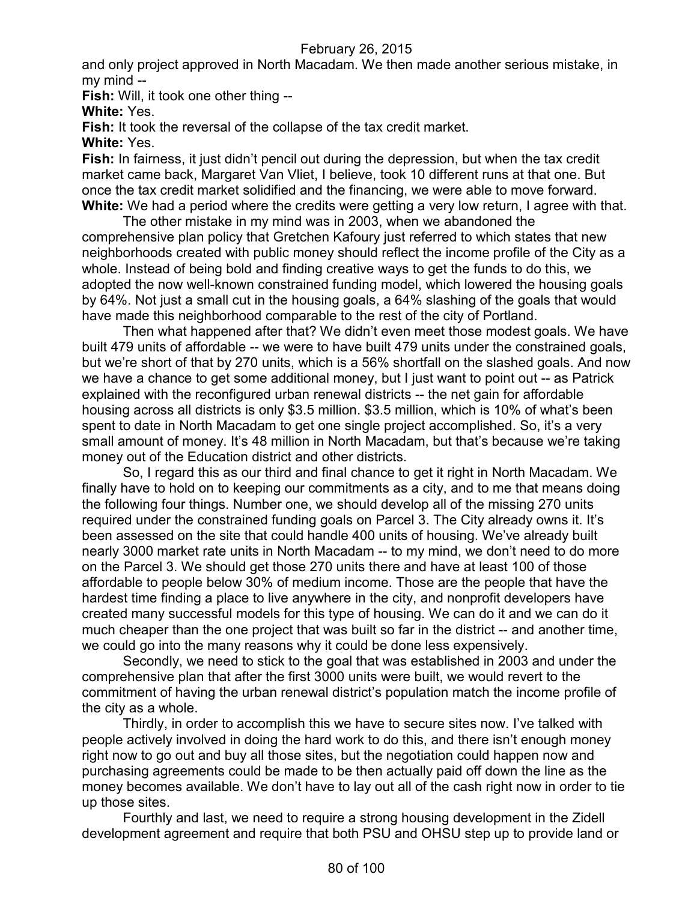and only project approved in North Macadam. We then made another serious mistake, in my mind --

**Fish:** Will, it took one other thing --

**White:** Yes.

Fish: It took the reversal of the collapse of the tax credit market.

**White:** Yes.

**Fish:** In fairness, it just didn't pencil out during the depression, but when the tax credit market came back, Margaret Van Vliet, I believe, took 10 different runs at that one. But once the tax credit market solidified and the financing, we were able to move forward. **White:** We had a period where the credits were getting a very low return, I agree with that.

The other mistake in my mind was in 2003, when we abandoned the comprehensive plan policy that Gretchen Kafoury just referred to which states that new neighborhoods created with public money should reflect the income profile of the City as a whole. Instead of being bold and finding creative ways to get the funds to do this, we adopted the now well-known constrained funding model, which lowered the housing goals by 64%. Not just a small cut in the housing goals, a 64% slashing of the goals that would have made this neighborhood comparable to the rest of the city of Portland.

Then what happened after that? We didn't even meet those modest goals. We have built 479 units of affordable -- we were to have built 479 units under the constrained goals, but we're short of that by 270 units, which is a 56% shortfall on the slashed goals. And now we have a chance to get some additional money, but I just want to point out -- as Patrick explained with the reconfigured urban renewal districts -- the net gain for affordable housing across all districts is only \$3.5 million. \$3.5 million, which is 10% of what's been spent to date in North Macadam to get one single project accomplished. So, it's a very small amount of money. It's 48 million in North Macadam, but that's because we're taking money out of the Education district and other districts.

So, I regard this as our third and final chance to get it right in North Macadam. We finally have to hold on to keeping our commitments as a city, and to me that means doing the following four things. Number one, we should develop all of the missing 270 units required under the constrained funding goals on Parcel 3. The City already owns it. It's been assessed on the site that could handle 400 units of housing. We've already built nearly 3000 market rate units in North Macadam -- to my mind, we don't need to do more on the Parcel 3. We should get those 270 units there and have at least 100 of those affordable to people below 30% of medium income. Those are the people that have the hardest time finding a place to live anywhere in the city, and nonprofit developers have created many successful models for this type of housing. We can do it and we can do it much cheaper than the one project that was built so far in the district -- and another time, we could go into the many reasons why it could be done less expensively.

Secondly, we need to stick to the goal that was established in 2003 and under the comprehensive plan that after the first 3000 units were built, we would revert to the commitment of having the urban renewal district's population match the income profile of the city as a whole.

Thirdly, in order to accomplish this we have to secure sites now. I've talked with people actively involved in doing the hard work to do this, and there isn't enough money right now to go out and buy all those sites, but the negotiation could happen now and purchasing agreements could be made to be then actually paid off down the line as the money becomes available. We don't have to lay out all of the cash right now in order to tie up those sites.

Fourthly and last, we need to require a strong housing development in the Zidell development agreement and require that both PSU and OHSU step up to provide land or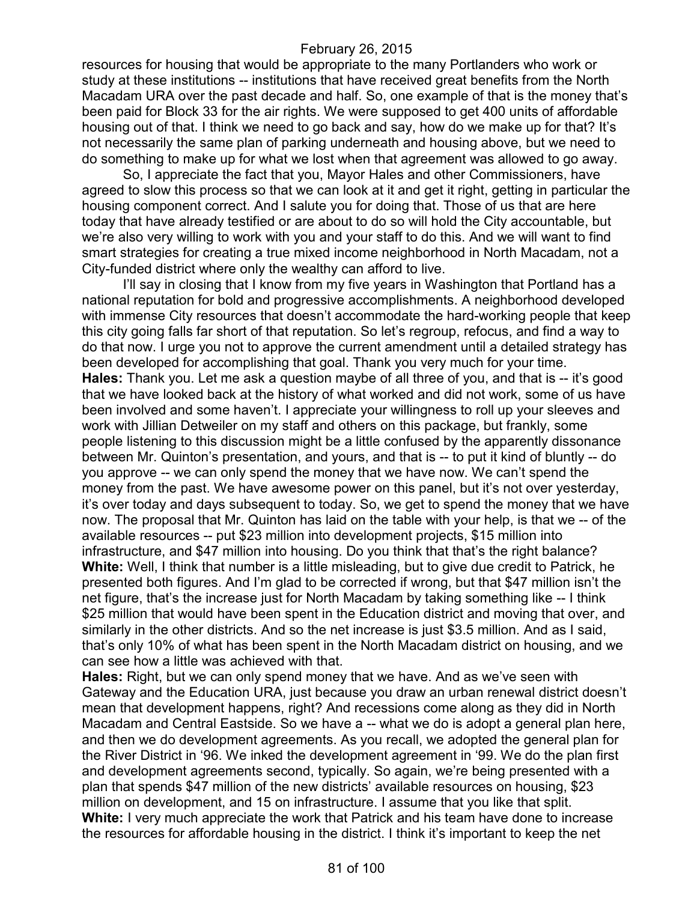resources for housing that would be appropriate to the many Portlanders who work or study at these institutions -- institutions that have received great benefits from the North Macadam URA over the past decade and half. So, one example of that is the money that's been paid for Block 33 for the air rights. We were supposed to get 400 units of affordable housing out of that. I think we need to go back and say, how do we make up for that? It's not necessarily the same plan of parking underneath and housing above, but we need to do something to make up for what we lost when that agreement was allowed to go away.

So, I appreciate the fact that you, Mayor Hales and other Commissioners, have agreed to slow this process so that we can look at it and get it right, getting in particular the housing component correct. And I salute you for doing that. Those of us that are here today that have already testified or are about to do so will hold the City accountable, but we're also very willing to work with you and your staff to do this. And we will want to find smart strategies for creating a true mixed income neighborhood in North Macadam, not a City-funded district where only the wealthy can afford to live.

I'll say in closing that I know from my five years in Washington that Portland has a national reputation for bold and progressive accomplishments. A neighborhood developed with immense City resources that doesn't accommodate the hard-working people that keep this city going falls far short of that reputation. So let's regroup, refocus, and find a way to do that now. I urge you not to approve the current amendment until a detailed strategy has been developed for accomplishing that goal. Thank you very much for your time. **Hales:** Thank you. Let me ask a question maybe of all three of you, and that is -- it's good that we have looked back at the history of what worked and did not work, some of us have been involved and some haven't. I appreciate your willingness to roll up your sleeves and work with Jillian Detweiler on my staff and others on this package, but frankly, some people listening to this discussion might be a little confused by the apparently dissonance between Mr. Quinton's presentation, and yours, and that is -- to put it kind of bluntly -- do you approve -- we can only spend the money that we have now. We can't spend the money from the past. We have awesome power on this panel, but it's not over yesterday, it's over today and days subsequent to today. So, we get to spend the money that we have now. The proposal that Mr. Quinton has laid on the table with your help, is that we -- of the available resources -- put \$23 million into development projects, \$15 million into infrastructure, and \$47 million into housing. Do you think that that's the right balance? **White:** Well, I think that number is a little misleading, but to give due credit to Patrick, he presented both figures. And I'm glad to be corrected if wrong, but that \$47 million isn't the net figure, that's the increase just for North Macadam by taking something like -- I think \$25 million that would have been spent in the Education district and moving that over, and similarly in the other districts. And so the net increase is just \$3.5 million. And as I said, that's only 10% of what has been spent in the North Macadam district on housing, and we can see how a little was achieved with that.

**Hales:** Right, but we can only spend money that we have. And as we've seen with Gateway and the Education URA, just because you draw an urban renewal district doesn't mean that development happens, right? And recessions come along as they did in North Macadam and Central Eastside. So we have a -- what we do is adopt a general plan here, and then we do development agreements. As you recall, we adopted the general plan for the River District in '96. We inked the development agreement in '99. We do the plan first and development agreements second, typically. So again, we're being presented with a plan that spends \$47 million of the new districts' available resources on housing, \$23 million on development, and 15 on infrastructure. I assume that you like that split. **White:** I very much appreciate the work that Patrick and his team have done to increase the resources for affordable housing in the district. I think it's important to keep the net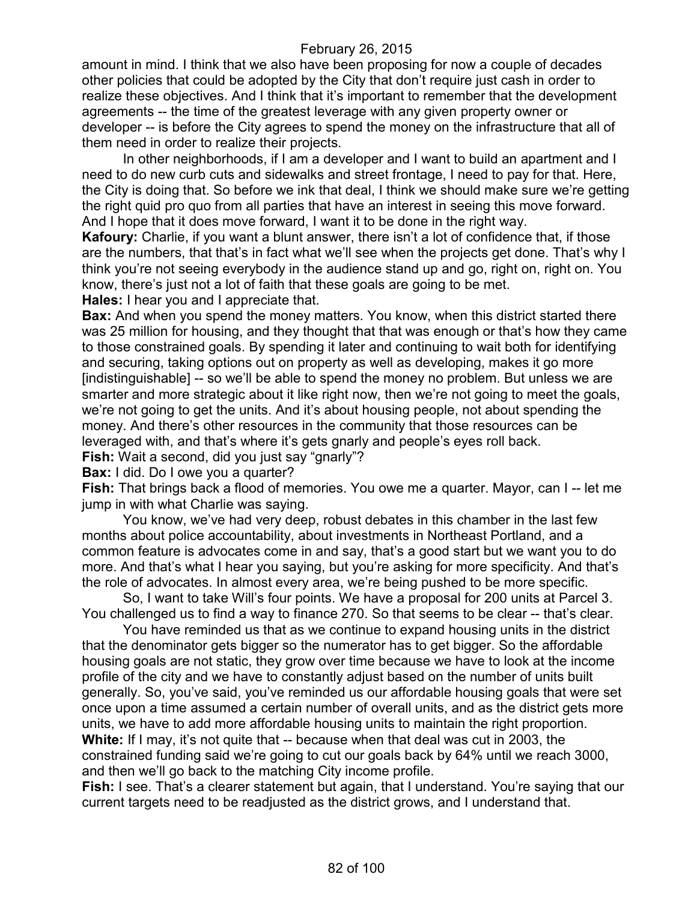amount in mind. I think that we also have been proposing for now a couple of decades other policies that could be adopted by the City that don't require just cash in order to realize these objectives. And I think that it's important to remember that the development agreements -- the time of the greatest leverage with any given property owner or developer -- is before the City agrees to spend the money on the infrastructure that all of them need in order to realize their projects.

In other neighborhoods, if I am a developer and I want to build an apartment and I need to do new curb cuts and sidewalks and street frontage, I need to pay for that. Here, the City is doing that. So before we ink that deal, I think we should make sure we're getting the right quid pro quo from all parties that have an interest in seeing this move forward. And I hope that it does move forward, I want it to be done in the right way.

**Kafoury:** Charlie, if you want a blunt answer, there isn't a lot of confidence that, if those are the numbers, that that's in fact what we'll see when the projects get done. That's why I think you're not seeing everybody in the audience stand up and go, right on, right on. You know, there's just not a lot of faith that these goals are going to be met. **Hales:** I hear you and I appreciate that.

**Bax:** And when you spend the money matters. You know, when this district started there was 25 million for housing, and they thought that that was enough or that's how they came to those constrained goals. By spending it later and continuing to wait both for identifying and securing, taking options out on property as well as developing, makes it go more [indistinguishable] -- so we'll be able to spend the money no problem. But unless we are smarter and more strategic about it like right now, then we're not going to meet the goals, we're not going to get the units. And it's about housing people, not about spending the money. And there's other resources in the community that those resources can be leveraged with, and that's where it's gets gnarly and people's eyes roll back.

**Fish:** Wait a second, did you just say "gnarly"?

**Bax:** I did. Do I owe you a quarter?

**Fish:** That brings back a flood of memories. You owe me a quarter. Mayor, can I -- let me jump in with what Charlie was saying.

You know, we've had very deep, robust debates in this chamber in the last few months about police accountability, about investments in Northeast Portland, and a common feature is advocates come in and say, that's a good start but we want you to do more. And that's what I hear you saying, but you're asking for more specificity. And that's the role of advocates. In almost every area, we're being pushed to be more specific.

So, I want to take Will's four points. We have a proposal for 200 units at Parcel 3. You challenged us to find a way to finance 270. So that seems to be clear -- that's clear.

You have reminded us that as we continue to expand housing units in the district that the denominator gets bigger so the numerator has to get bigger. So the affordable housing goals are not static, they grow over time because we have to look at the income profile of the city and we have to constantly adjust based on the number of units built generally. So, you've said, you've reminded us our affordable housing goals that were set once upon a time assumed a certain number of overall units, and as the district gets more units, we have to add more affordable housing units to maintain the right proportion. **White:** If I may, it's not quite that -- because when that deal was cut in 2003, the constrained funding said we're going to cut our goals back by 64% until we reach 3000, and then we'll go back to the matching City income profile.

**Fish:** I see. That's a clearer statement but again, that I understand. You're saying that our current targets need to be readjusted as the district grows, and I understand that.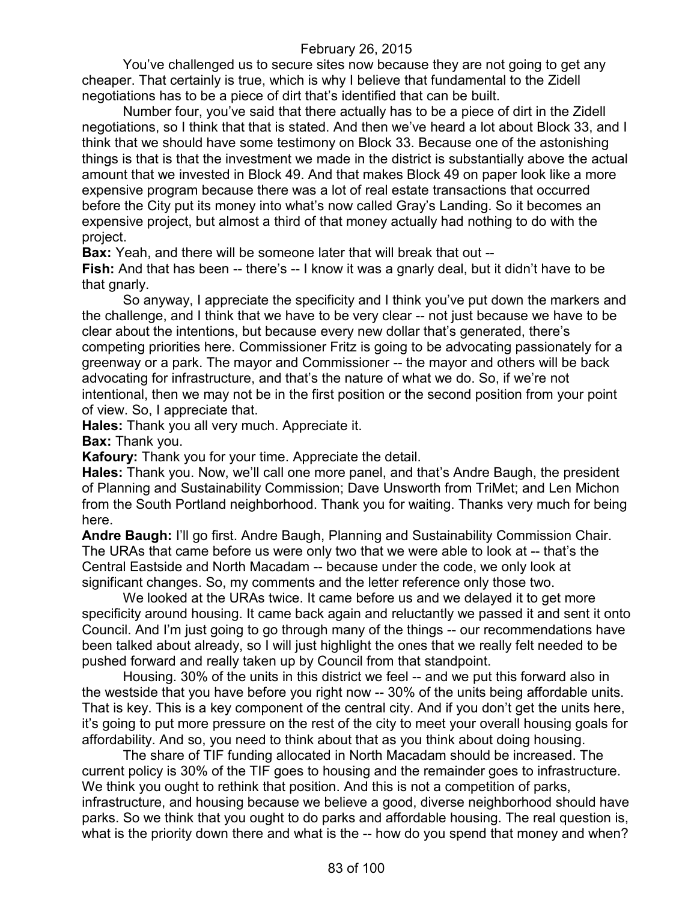You've challenged us to secure sites now because they are not going to get any cheaper. That certainly is true, which is why I believe that fundamental to the Zidell negotiations has to be a piece of dirt that's identified that can be built.

Number four, you've said that there actually has to be a piece of dirt in the Zidell negotiations, so I think that that is stated. And then we've heard a lot about Block 33, and I think that we should have some testimony on Block 33. Because one of the astonishing things is that is that the investment we made in the district is substantially above the actual amount that we invested in Block 49. And that makes Block 49 on paper look like a more expensive program because there was a lot of real estate transactions that occurred before the City put its money into what's now called Gray's Landing. So it becomes an expensive project, but almost a third of that money actually had nothing to do with the project.

**Bax:** Yeah, and there will be someone later that will break that out --

**Fish:** And that has been -- there's -- I know it was a gnarly deal, but it didn't have to be that gnarly.

So anyway, I appreciate the specificity and I think you've put down the markers and the challenge, and I think that we have to be very clear -- not just because we have to be clear about the intentions, but because every new dollar that's generated, there's competing priorities here. Commissioner Fritz is going to be advocating passionately for a greenway or a park. The mayor and Commissioner -- the mayor and others will be back advocating for infrastructure, and that's the nature of what we do. So, if we're not intentional, then we may not be in the first position or the second position from your point of view. So, I appreciate that.

**Hales:** Thank you all very much. Appreciate it.

**Bax:** Thank you.

**Kafoury:** Thank you for your time. Appreciate the detail.

**Hales:** Thank you. Now, we'll call one more panel, and that's Andre Baugh, the president of Planning and Sustainability Commission; Dave Unsworth from TriMet; and Len Michon from the South Portland neighborhood. Thank you for waiting. Thanks very much for being here.

**Andre Baugh:** I'll go first. Andre Baugh, Planning and Sustainability Commission Chair. The URAs that came before us were only two that we were able to look at -- that's the Central Eastside and North Macadam -- because under the code, we only look at significant changes. So, my comments and the letter reference only those two.

We looked at the URAs twice. It came before us and we delayed it to get more specificity around housing. It came back again and reluctantly we passed it and sent it onto Council. And I'm just going to go through many of the things -- our recommendations have been talked about already, so I will just highlight the ones that we really felt needed to be pushed forward and really taken up by Council from that standpoint.

Housing. 30% of the units in this district we feel -- and we put this forward also in the westside that you have before you right now -- 30% of the units being affordable units. That is key. This is a key component of the central city. And if you don't get the units here, it's going to put more pressure on the rest of the city to meet your overall housing goals for affordability. And so, you need to think about that as you think about doing housing.

The share of TIF funding allocated in North Macadam should be increased. The current policy is 30% of the TIF goes to housing and the remainder goes to infrastructure. We think you ought to rethink that position. And this is not a competition of parks, infrastructure, and housing because we believe a good, diverse neighborhood should have parks. So we think that you ought to do parks and affordable housing. The real question is, what is the priority down there and what is the -- how do you spend that money and when?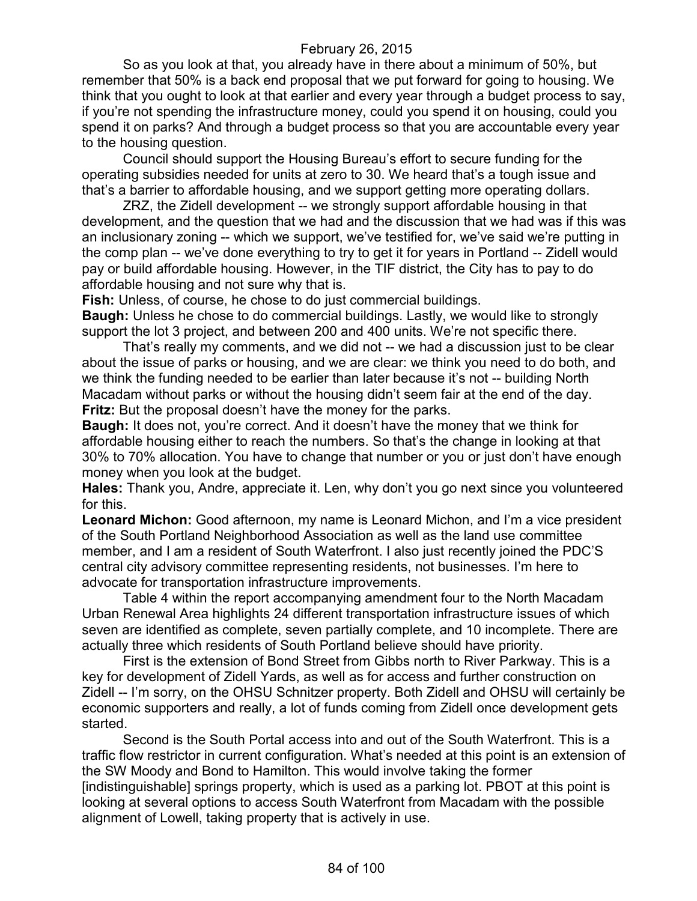So as you look at that, you already have in there about a minimum of 50%, but remember that 50% is a back end proposal that we put forward for going to housing. We think that you ought to look at that earlier and every year through a budget process to say, if you're not spending the infrastructure money, could you spend it on housing, could you spend it on parks? And through a budget process so that you are accountable every year to the housing question.

Council should support the Housing Bureau's effort to secure funding for the operating subsidies needed for units at zero to 30. We heard that's a tough issue and that's a barrier to affordable housing, and we support getting more operating dollars.

ZRZ, the Zidell development -- we strongly support affordable housing in that development, and the question that we had and the discussion that we had was if this was an inclusionary zoning -- which we support, we've testified for, we've said we're putting in the comp plan -- we've done everything to try to get it for years in Portland -- Zidell would pay or build affordable housing. However, in the TIF district, the City has to pay to do affordable housing and not sure why that is.

**Fish:** Unless, of course, he chose to do just commercial buildings.

**Baugh:** Unless he chose to do commercial buildings. Lastly, we would like to strongly support the lot 3 project, and between 200 and 400 units. We're not specific there.

That's really my comments, and we did not -- we had a discussion just to be clear about the issue of parks or housing, and we are clear: we think you need to do both, and we think the funding needed to be earlier than later because it's not -- building North Macadam without parks or without the housing didn't seem fair at the end of the day. **Fritz:** But the proposal doesn't have the money for the parks.

**Baugh:** It does not, you're correct. And it doesn't have the money that we think for affordable housing either to reach the numbers. So that's the change in looking at that 30% to 70% allocation. You have to change that number or you or just don't have enough money when you look at the budget.

**Hales:** Thank you, Andre, appreciate it. Len, why don't you go next since you volunteered for this.

**Leonard Michon:** Good afternoon, my name is Leonard Michon, and I'm a vice president of the South Portland Neighborhood Association as well as the land use committee member, and I am a resident of South Waterfront. I also just recently joined the PDC'S central city advisory committee representing residents, not businesses. I'm here to advocate for transportation infrastructure improvements.

Table 4 within the report accompanying amendment four to the North Macadam Urban Renewal Area highlights 24 different transportation infrastructure issues of which seven are identified as complete, seven partially complete, and 10 incomplete. There are actually three which residents of South Portland believe should have priority.

First is the extension of Bond Street from Gibbs north to River Parkway. This is a key for development of Zidell Yards, as well as for access and further construction on Zidell -- I'm sorry, on the OHSU Schnitzer property. Both Zidell and OHSU will certainly be economic supporters and really, a lot of funds coming from Zidell once development gets started.

Second is the South Portal access into and out of the South Waterfront. This is a traffic flow restrictor in current configuration. What's needed at this point is an extension of the SW Moody and Bond to Hamilton. This would involve taking the former [indistinguishable] springs property, which is used as a parking lot. PBOT at this point is looking at several options to access South Waterfront from Macadam with the possible alignment of Lowell, taking property that is actively in use.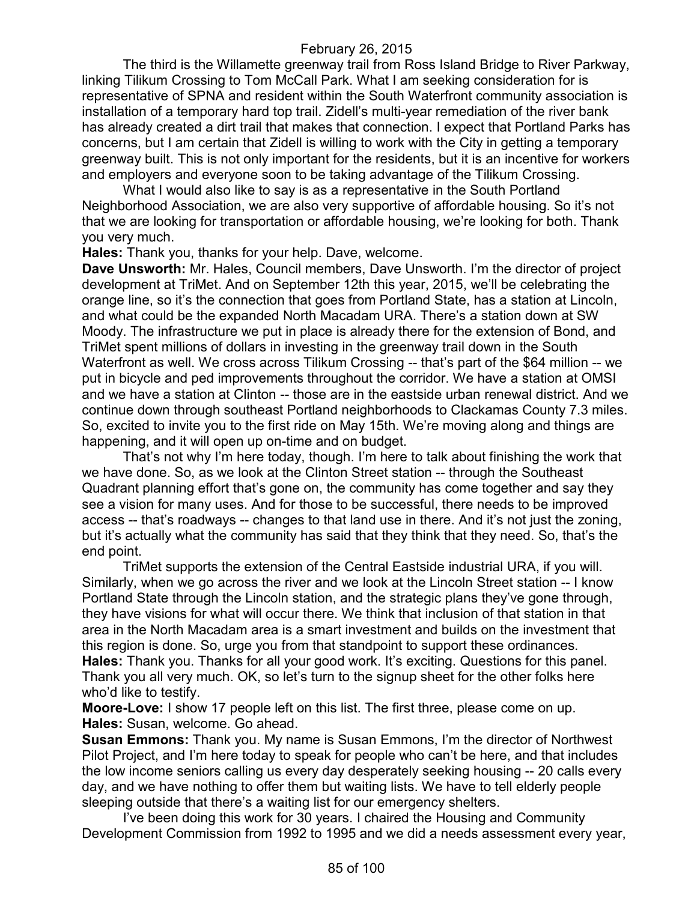The third is the Willamette greenway trail from Ross Island Bridge to River Parkway, linking Tilikum Crossing to Tom McCall Park. What I am seeking consideration for is representative of SPNA and resident within the South Waterfront community association is installation of a temporary hard top trail. Zidell's multi-year remediation of the river bank has already created a dirt trail that makes that connection. I expect that Portland Parks has concerns, but I am certain that Zidell is willing to work with the City in getting a temporary greenway built. This is not only important for the residents, but it is an incentive for workers and employers and everyone soon to be taking advantage of the Tilikum Crossing.

What I would also like to say is as a representative in the South Portland Neighborhood Association, we are also very supportive of affordable housing. So it's not that we are looking for transportation or affordable housing, we're looking for both. Thank you very much.

**Hales:** Thank you, thanks for your help. Dave, welcome.

**Dave Unsworth:** Mr. Hales, Council members, Dave Unsworth. I'm the director of project development at TriMet. And on September 12th this year, 2015, we'll be celebrating the orange line, so it's the connection that goes from Portland State, has a station at Lincoln, and what could be the expanded North Macadam URA. There's a station down at SW Moody. The infrastructure we put in place is already there for the extension of Bond, and TriMet spent millions of dollars in investing in the greenway trail down in the South Waterfront as well. We cross across Tilikum Crossing -- that's part of the \$64 million -- we put in bicycle and ped improvements throughout the corridor. We have a station at OMSI and we have a station at Clinton -- those are in the eastside urban renewal district. And we continue down through southeast Portland neighborhoods to Clackamas County 7.3 miles. So, excited to invite you to the first ride on May 15th. We're moving along and things are happening, and it will open up on-time and on budget.

That's not why I'm here today, though. I'm here to talk about finishing the work that we have done. So, as we look at the Clinton Street station -- through the Southeast Quadrant planning effort that's gone on, the community has come together and say they see a vision for many uses. And for those to be successful, there needs to be improved access -- that's roadways -- changes to that land use in there. And it's not just the zoning, but it's actually what the community has said that they think that they need. So, that's the end point.

TriMet supports the extension of the Central Eastside industrial URA, if you will. Similarly, when we go across the river and we look at the Lincoln Street station -- I know Portland State through the Lincoln station, and the strategic plans they've gone through, they have visions for what will occur there. We think that inclusion of that station in that area in the North Macadam area is a smart investment and builds on the investment that this region is done. So, urge you from that standpoint to support these ordinances. **Hales:** Thank you. Thanks for all your good work. It's exciting. Questions for this panel. Thank you all very much. OK, so let's turn to the signup sheet for the other folks here who'd like to testify.

**Moore-Love:** I show 17 people left on this list. The first three, please come on up. **Hales:** Susan, welcome. Go ahead.

**Susan Emmons:** Thank you. My name is Susan Emmons, I'm the director of Northwest Pilot Project, and I'm here today to speak for people who can't be here, and that includes the low income seniors calling us every day desperately seeking housing -- 20 calls every day, and we have nothing to offer them but waiting lists. We have to tell elderly people sleeping outside that there's a waiting list for our emergency shelters.

I've been doing this work for 30 years. I chaired the Housing and Community Development Commission from 1992 to 1995 and we did a needs assessment every year,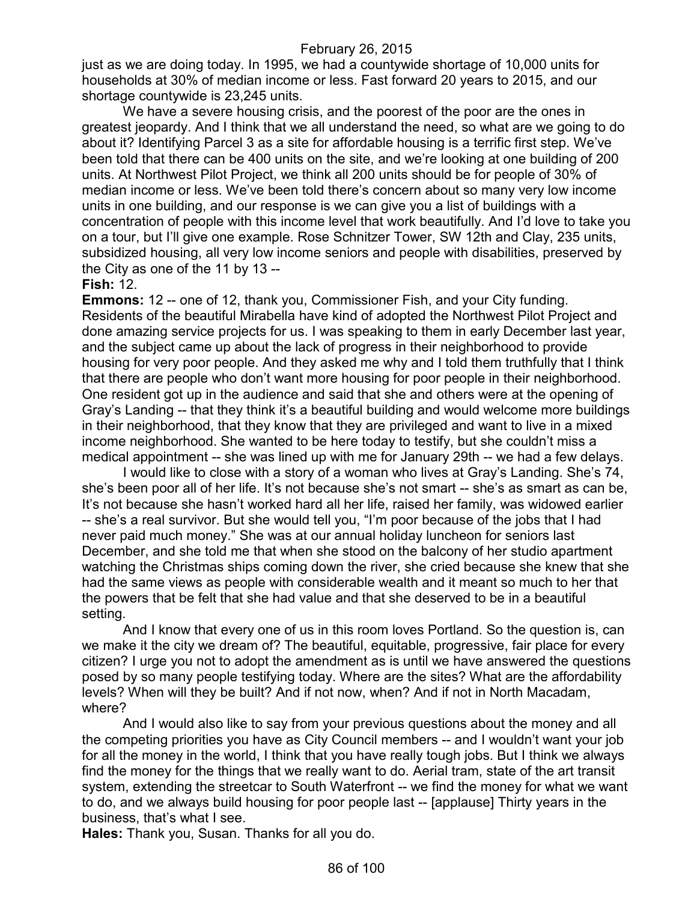just as we are doing today. In 1995, we had a countywide shortage of 10,000 units for households at 30% of median income or less. Fast forward 20 years to 2015, and our shortage countywide is 23,245 units.

We have a severe housing crisis, and the poorest of the poor are the ones in greatest jeopardy. And I think that we all understand the need, so what are we going to do about it? Identifying Parcel 3 as a site for affordable housing is a terrific first step. We've been told that there can be 400 units on the site, and we're looking at one building of 200 units. At Northwest Pilot Project, we think all 200 units should be for people of 30% of median income or less. We've been told there's concern about so many very low income units in one building, and our response is we can give you a list of buildings with a concentration of people with this income level that work beautifully. And I'd love to take you on a tour, but I'll give one example. Rose Schnitzer Tower, SW 12th and Clay, 235 units, subsidized housing, all very low income seniors and people with disabilities, preserved by the City as one of the 11 by 13 --

#### **Fish:** 12.

**Emmons:** 12 -- one of 12, thank you, Commissioner Fish, and your City funding. Residents of the beautiful Mirabella have kind of adopted the Northwest Pilot Project and done amazing service projects for us. I was speaking to them in early December last year, and the subject came up about the lack of progress in their neighborhood to provide housing for very poor people. And they asked me why and I told them truthfully that I think that there are people who don't want more housing for poor people in their neighborhood. One resident got up in the audience and said that she and others were at the opening of Gray's Landing -- that they think it's a beautiful building and would welcome more buildings in their neighborhood, that they know that they are privileged and want to live in a mixed income neighborhood. She wanted to be here today to testify, but she couldn't miss a medical appointment -- she was lined up with me for January 29th -- we had a few delays.

I would like to close with a story of a woman who lives at Gray's Landing. She's 74, she's been poor all of her life. It's not because she's not smart -- she's as smart as can be, It's not because she hasn't worked hard all her life, raised her family, was widowed earlier -- she's a real survivor. But she would tell you, "I'm poor because of the jobs that I had never paid much money." She was at our annual holiday luncheon for seniors last December, and she told me that when she stood on the balcony of her studio apartment watching the Christmas ships coming down the river, she cried because she knew that she had the same views as people with considerable wealth and it meant so much to her that the powers that be felt that she had value and that she deserved to be in a beautiful setting.

And I know that every one of us in this room loves Portland. So the question is, can we make it the city we dream of? The beautiful, equitable, progressive, fair place for every citizen? I urge you not to adopt the amendment as is until we have answered the questions posed by so many people testifying today. Where are the sites? What are the affordability levels? When will they be built? And if not now, when? And if not in North Macadam, where?

And I would also like to say from your previous questions about the money and all the competing priorities you have as City Council members -- and I wouldn't want your job for all the money in the world, I think that you have really tough jobs. But I think we always find the money for the things that we really want to do. Aerial tram, state of the art transit system, extending the streetcar to South Waterfront -- we find the money for what we want to do, and we always build housing for poor people last -- [applause] Thirty years in the business, that's what I see.

**Hales:** Thank you, Susan. Thanks for all you do.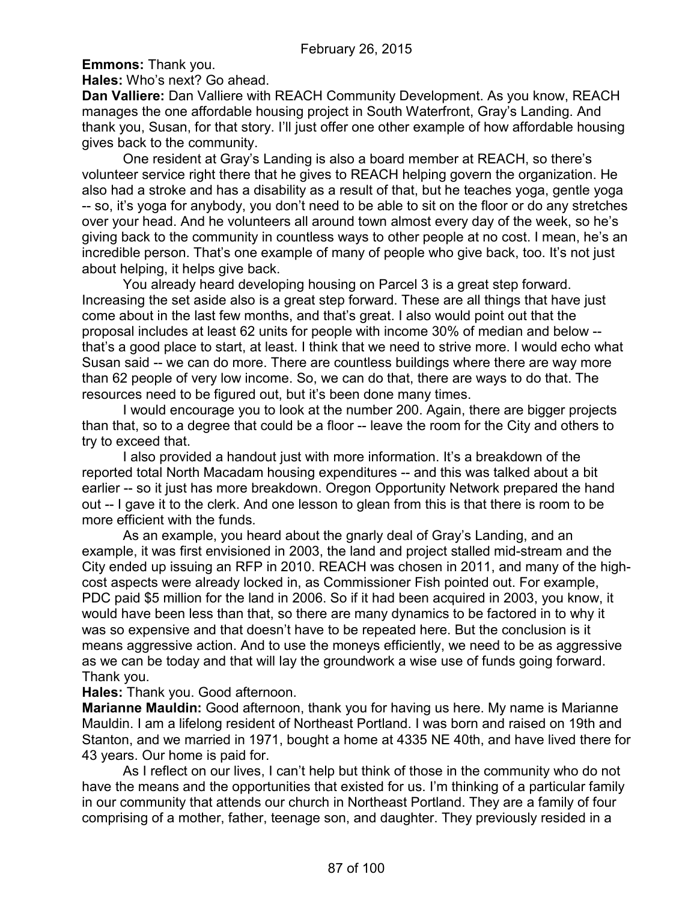**Emmons:** Thank you.

**Hales:** Who's next? Go ahead.

**Dan Valliere:** Dan Valliere with REACH Community Development. As you know, REACH manages the one affordable housing project in South Waterfront, Gray's Landing. And thank you, Susan, for that story. I'll just offer one other example of how affordable housing gives back to the community.

One resident at Gray's Landing is also a board member at REACH, so there's volunteer service right there that he gives to REACH helping govern the organization. He also had a stroke and has a disability as a result of that, but he teaches yoga, gentle yoga -- so, it's yoga for anybody, you don't need to be able to sit on the floor or do any stretches over your head. And he volunteers all around town almost every day of the week, so he's giving back to the community in countless ways to other people at no cost. I mean, he's an incredible person. That's one example of many of people who give back, too. It's not just about helping, it helps give back.

You already heard developing housing on Parcel 3 is a great step forward. Increasing the set aside also is a great step forward. These are all things that have just come about in the last few months, and that's great. I also would point out that the proposal includes at least 62 units for people with income 30% of median and below - that's a good place to start, at least. I think that we need to strive more. I would echo what Susan said -- we can do more. There are countless buildings where there are way more than 62 people of very low income. So, we can do that, there are ways to do that. The resources need to be figured out, but it's been done many times.

I would encourage you to look at the number 200. Again, there are bigger projects than that, so to a degree that could be a floor -- leave the room for the City and others to try to exceed that.

I also provided a handout just with more information. It's a breakdown of the reported total North Macadam housing expenditures -- and this was talked about a bit earlier -- so it just has more breakdown. Oregon Opportunity Network prepared the hand out -- I gave it to the clerk. And one lesson to glean from this is that there is room to be more efficient with the funds.

As an example, you heard about the gnarly deal of Gray's Landing, and an example, it was first envisioned in 2003, the land and project stalled mid-stream and the City ended up issuing an RFP in 2010. REACH was chosen in 2011, and many of the highcost aspects were already locked in, as Commissioner Fish pointed out. For example, PDC paid \$5 million for the land in 2006. So if it had been acquired in 2003, you know, it would have been less than that, so there are many dynamics to be factored in to why it was so expensive and that doesn't have to be repeated here. But the conclusion is it means aggressive action. And to use the moneys efficiently, we need to be as aggressive as we can be today and that will lay the groundwork a wise use of funds going forward. Thank you.

## **Hales:** Thank you. Good afternoon.

**Marianne Mauldin:** Good afternoon, thank you for having us here. My name is Marianne Mauldin. I am a lifelong resident of Northeast Portland. I was born and raised on 19th and Stanton, and we married in 1971, bought a home at 4335 NE 40th, and have lived there for 43 years. Our home is paid for.

As I reflect on our lives, I can't help but think of those in the community who do not have the means and the opportunities that existed for us. I'm thinking of a particular family in our community that attends our church in Northeast Portland. They are a family of four comprising of a mother, father, teenage son, and daughter. They previously resided in a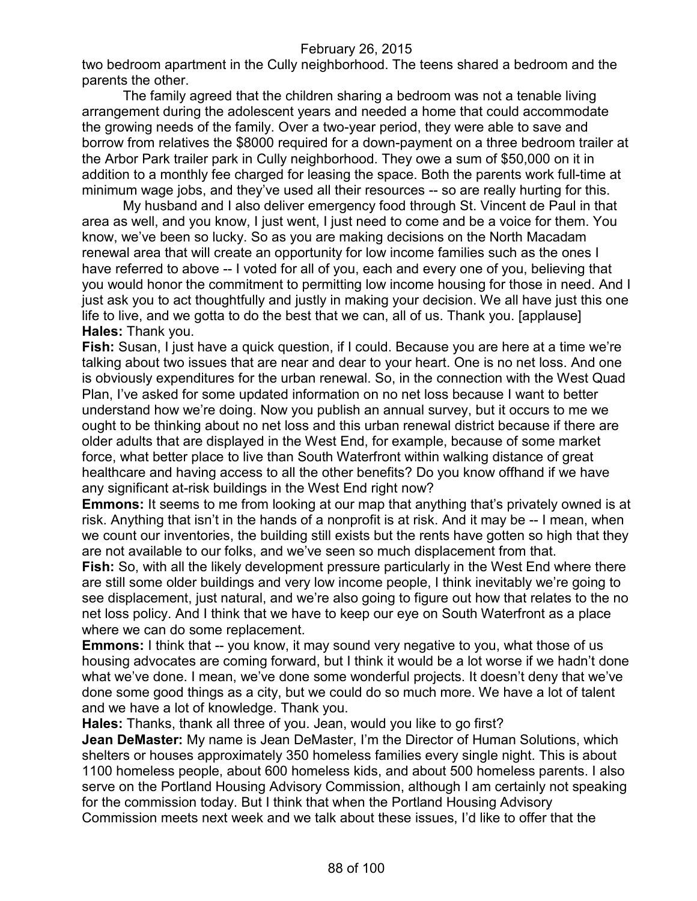two bedroom apartment in the Cully neighborhood. The teens shared a bedroom and the parents the other.

The family agreed that the children sharing a bedroom was not a tenable living arrangement during the adolescent years and needed a home that could accommodate the growing needs of the family. Over a two-year period, they were able to save and borrow from relatives the \$8000 required for a down-payment on a three bedroom trailer at the Arbor Park trailer park in Cully neighborhood. They owe a sum of \$50,000 on it in addition to a monthly fee charged for leasing the space. Both the parents work full-time at minimum wage jobs, and they've used all their resources -- so are really hurting for this.

My husband and I also deliver emergency food through St. Vincent de Paul in that area as well, and you know, I just went, I just need to come and be a voice for them. You know, we've been so lucky. So as you are making decisions on the North Macadam renewal area that will create an opportunity for low income families such as the ones I have referred to above -- I voted for all of you, each and every one of you, believing that you would honor the commitment to permitting low income housing for those in need. And I just ask you to act thoughtfully and justly in making your decision. We all have just this one life to live, and we gotta to do the best that we can, all of us. Thank you. [applause] **Hales:** Thank you.

**Fish:** Susan, I just have a quick question, if I could. Because you are here at a time we're talking about two issues that are near and dear to your heart. One is no net loss. And one is obviously expenditures for the urban renewal. So, in the connection with the West Quad Plan, I've asked for some updated information on no net loss because I want to better understand how we're doing. Now you publish an annual survey, but it occurs to me we ought to be thinking about no net loss and this urban renewal district because if there are older adults that are displayed in the West End, for example, because of some market force, what better place to live than South Waterfront within walking distance of great healthcare and having access to all the other benefits? Do you know offhand if we have any significant at-risk buildings in the West End right now?

**Emmons:** It seems to me from looking at our map that anything that's privately owned is at risk. Anything that isn't in the hands of a nonprofit is at risk. And it may be -- I mean, when we count our inventories, the building still exists but the rents have gotten so high that they are not available to our folks, and we've seen so much displacement from that.

**Fish:** So, with all the likely development pressure particularly in the West End where there are still some older buildings and very low income people, I think inevitably we're going to see displacement, just natural, and we're also going to figure out how that relates to the no net loss policy. And I think that we have to keep our eye on South Waterfront as a place where we can do some replacement.

**Emmons:** I think that -- you know, it may sound very negative to you, what those of us housing advocates are coming forward, but I think it would be a lot worse if we hadn't done what we've done. I mean, we've done some wonderful projects. It doesn't deny that we've done some good things as a city, but we could do so much more. We have a lot of talent and we have a lot of knowledge. Thank you.

**Hales:** Thanks, thank all three of you. Jean, would you like to go first?

**Jean DeMaster:** My name is Jean DeMaster, I'm the Director of Human Solutions, which shelters or houses approximately 350 homeless families every single night. This is about 1100 homeless people, about 600 homeless kids, and about 500 homeless parents. I also serve on the Portland Housing Advisory Commission, although I am certainly not speaking for the commission today. But I think that when the Portland Housing Advisory Commission meets next week and we talk about these issues, I'd like to offer that the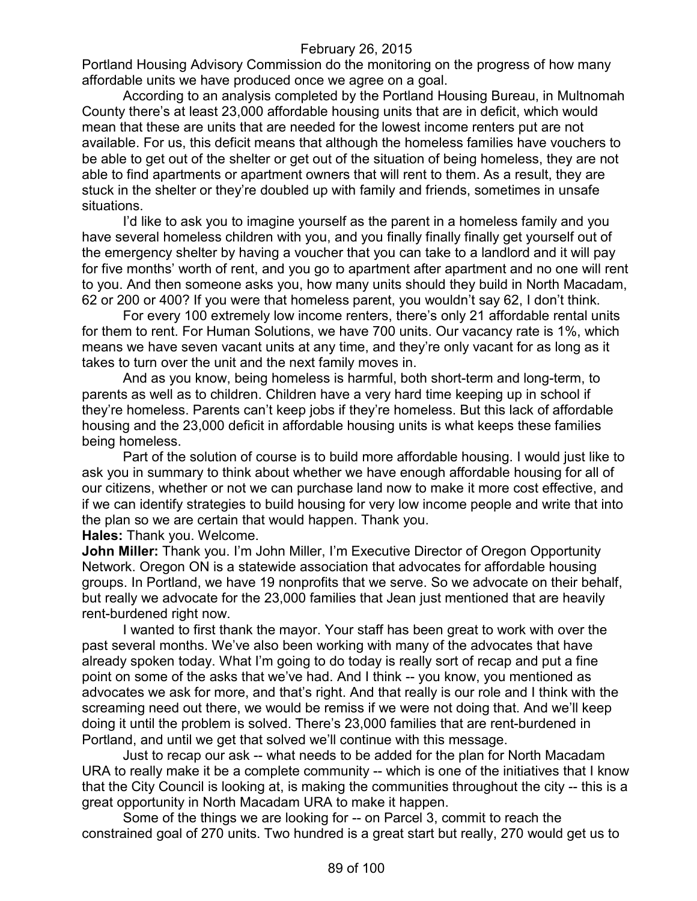Portland Housing Advisory Commission do the monitoring on the progress of how many affordable units we have produced once we agree on a goal.

According to an analysis completed by the Portland Housing Bureau, in Multnomah County there's at least 23,000 affordable housing units that are in deficit, which would mean that these are units that are needed for the lowest income renters put are not available. For us, this deficit means that although the homeless families have vouchers to be able to get out of the shelter or get out of the situation of being homeless, they are not able to find apartments or apartment owners that will rent to them. As a result, they are stuck in the shelter or they're doubled up with family and friends, sometimes in unsafe situations.

I'd like to ask you to imagine yourself as the parent in a homeless family and you have several homeless children with you, and you finally finally finally get yourself out of the emergency shelter by having a voucher that you can take to a landlord and it will pay for five months' worth of rent, and you go to apartment after apartment and no one will rent to you. And then someone asks you, how many units should they build in North Macadam, 62 or 200 or 400? If you were that homeless parent, you wouldn't say 62, I don't think.

For every 100 extremely low income renters, there's only 21 affordable rental units for them to rent. For Human Solutions, we have 700 units. Our vacancy rate is 1%, which means we have seven vacant units at any time, and they're only vacant for as long as it takes to turn over the unit and the next family moves in.

And as you know, being homeless is harmful, both short-term and long-term, to parents as well as to children. Children have a very hard time keeping up in school if they're homeless. Parents can't keep jobs if they're homeless. But this lack of affordable housing and the 23,000 deficit in affordable housing units is what keeps these families being homeless.

Part of the solution of course is to build more affordable housing. I would just like to ask you in summary to think about whether we have enough affordable housing for all of our citizens, whether or not we can purchase land now to make it more cost effective, and if we can identify strategies to build housing for very low income people and write that into the plan so we are certain that would happen. Thank you.

**Hales:** Thank you. Welcome.

**John Miller:** Thank you. I'm John Miller, I'm Executive Director of Oregon Opportunity Network. Oregon ON is a statewide association that advocates for affordable housing groups. In Portland, we have 19 nonprofits that we serve. So we advocate on their behalf, but really we advocate for the 23,000 families that Jean just mentioned that are heavily rent-burdened right now.

I wanted to first thank the mayor. Your staff has been great to work with over the past several months. We've also been working with many of the advocates that have already spoken today. What I'm going to do today is really sort of recap and put a fine point on some of the asks that we've had. And I think -- you know, you mentioned as advocates we ask for more, and that's right. And that really is our role and I think with the screaming need out there, we would be remiss if we were not doing that. And we'll keep doing it until the problem is solved. There's 23,000 families that are rent-burdened in Portland, and until we get that solved we'll continue with this message.

Just to recap our ask -- what needs to be added for the plan for North Macadam URA to really make it be a complete community -- which is one of the initiatives that I know that the City Council is looking at, is making the communities throughout the city -- this is a great opportunity in North Macadam URA to make it happen.

Some of the things we are looking for -- on Parcel 3, commit to reach the constrained goal of 270 units. Two hundred is a great start but really, 270 would get us to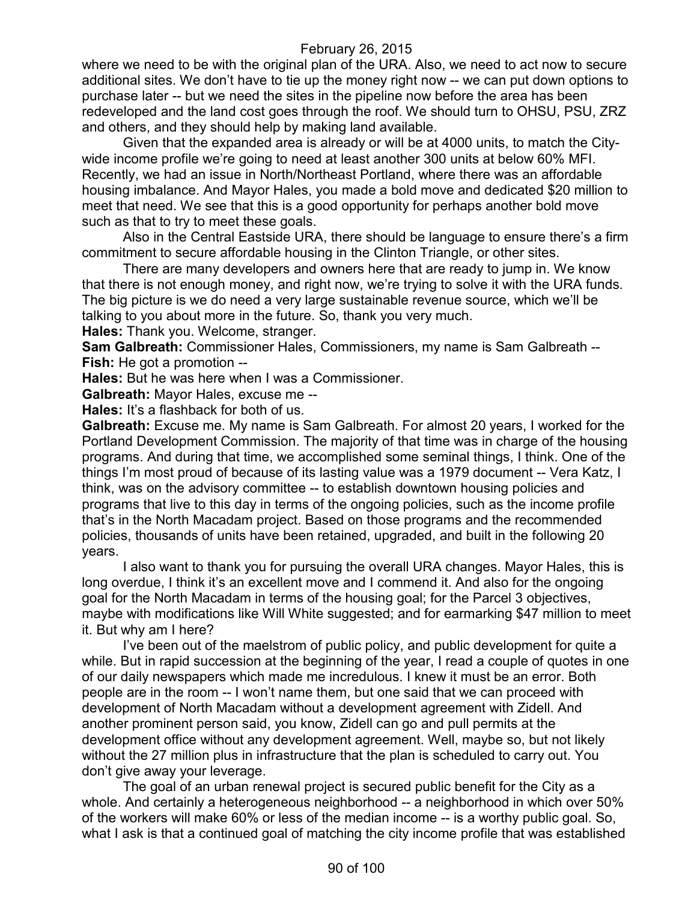where we need to be with the original plan of the URA. Also, we need to act now to secure additional sites. We don't have to tie up the money right now -- we can put down options to purchase later -- but we need the sites in the pipeline now before the area has been redeveloped and the land cost goes through the roof. We should turn to OHSU, PSU, ZRZ and others, and they should help by making land available.

Given that the expanded area is already or will be at 4000 units, to match the Citywide income profile we're going to need at least another 300 units at below 60% MFI. Recently, we had an issue in North/Northeast Portland, where there was an affordable housing imbalance. And Mayor Hales, you made a bold move and dedicated \$20 million to meet that need. We see that this is a good opportunity for perhaps another bold move such as that to try to meet these goals.

Also in the Central Eastside URA, there should be language to ensure there's a firm commitment to secure affordable housing in the Clinton Triangle, or other sites.

There are many developers and owners here that are ready to jump in. We know that there is not enough money, and right now, we're trying to solve it with the URA funds. The big picture is we do need a very large sustainable revenue source, which we'll be talking to you about more in the future. So, thank you very much.

**Hales:** Thank you. Welcome, stranger.

**Sam Galbreath:** Commissioner Hales, Commissioners, my name is Sam Galbreath -- **Fish:** He got a promotion --

**Hales:** But he was here when I was a Commissioner.

**Galbreath:** Mayor Hales, excuse me --

**Hales:** It's a flashback for both of us.

**Galbreath:** Excuse me. My name is Sam Galbreath. For almost 20 years, I worked for the Portland Development Commission. The majority of that time was in charge of the housing programs. And during that time, we accomplished some seminal things, I think. One of the things I'm most proud of because of its lasting value was a 1979 document -- Vera Katz, I think, was on the advisory committee -- to establish downtown housing policies and programs that live to this day in terms of the ongoing policies, such as the income profile that's in the North Macadam project. Based on those programs and the recommended policies, thousands of units have been retained, upgraded, and built in the following 20 years.

I also want to thank you for pursuing the overall URA changes. Mayor Hales, this is long overdue, I think it's an excellent move and I commend it. And also for the ongoing goal for the North Macadam in terms of the housing goal; for the Parcel 3 objectives, maybe with modifications like Will White suggested; and for earmarking \$47 million to meet it. But why am I here?

I've been out of the maelstrom of public policy, and public development for quite a while. But in rapid succession at the beginning of the year, I read a couple of quotes in one of our daily newspapers which made me incredulous. I knew it must be an error. Both people are in the room -- I won't name them, but one said that we can proceed with development of North Macadam without a development agreement with Zidell. And another prominent person said, you know, Zidell can go and pull permits at the development office without any development agreement. Well, maybe so, but not likely without the 27 million plus in infrastructure that the plan is scheduled to carry out. You don't give away your leverage.

The goal of an urban renewal project is secured public benefit for the City as a whole. And certainly a heterogeneous neighborhood -- a neighborhood in which over 50% of the workers will make 60% or less of the median income -- is a worthy public goal. So, what I ask is that a continued goal of matching the city income profile that was established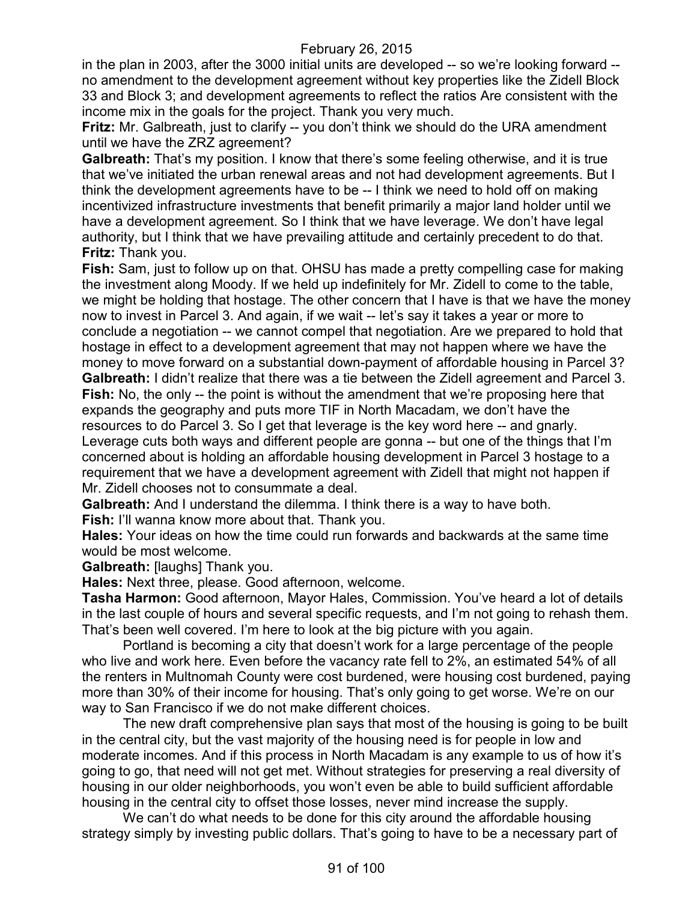in the plan in 2003, after the 3000 initial units are developed -- so we're looking forward - no amendment to the development agreement without key properties like the Zidell Block 33 and Block 3; and development agreements to reflect the ratios Are consistent with the income mix in the goals for the project. Thank you very much.

**Fritz:** Mr. Galbreath, just to clarify -- you don't think we should do the URA amendment until we have the ZRZ agreement?

**Galbreath:** That's my position. I know that there's some feeling otherwise, and it is true that we've initiated the urban renewal areas and not had development agreements. But I think the development agreements have to be -- I think we need to hold off on making incentivized infrastructure investments that benefit primarily a major land holder until we have a development agreement. So I think that we have leverage. We don't have legal authority, but I think that we have prevailing attitude and certainly precedent to do that. **Fritz:** Thank you.

**Fish:** Sam, just to follow up on that. OHSU has made a pretty compelling case for making the investment along Moody. If we held up indefinitely for Mr. Zidell to come to the table, we might be holding that hostage. The other concern that I have is that we have the money now to invest in Parcel 3. And again, if we wait -- let's say it takes a year or more to conclude a negotiation -- we cannot compel that negotiation. Are we prepared to hold that hostage in effect to a development agreement that may not happen where we have the money to move forward on a substantial down-payment of affordable housing in Parcel 3? **Galbreath:** I didn't realize that there was a tie between the Zidell agreement and Parcel 3. **Fish:** No, the only -- the point is without the amendment that we're proposing here that expands the geography and puts more TIF in North Macadam, we don't have the resources to do Parcel 3. So I get that leverage is the key word here -- and gnarly. Leverage cuts both ways and different people are gonna -- but one of the things that I'm concerned about is holding an affordable housing development in Parcel 3 hostage to a requirement that we have a development agreement with Zidell that might not happen if Mr. Zidell chooses not to consummate a deal.

**Galbreath:** And I understand the dilemma. I think there is a way to have both. **Fish:** I'll wanna know more about that. Thank you.

**Hales:** Your ideas on how the time could run forwards and backwards at the same time would be most welcome.

**Galbreath:** [laughs] Thank you.

**Hales:** Next three, please. Good afternoon, welcome.

**Tasha Harmon:** Good afternoon, Mayor Hales, Commission. You've heard a lot of details in the last couple of hours and several specific requests, and I'm not going to rehash them. That's been well covered. I'm here to look at the big picture with you again.

Portland is becoming a city that doesn't work for a large percentage of the people who live and work here. Even before the vacancy rate fell to 2%, an estimated 54% of all the renters in Multnomah County were cost burdened, were housing cost burdened, paying more than 30% of their income for housing. That's only going to get worse. We're on our way to San Francisco if we do not make different choices.

The new draft comprehensive plan says that most of the housing is going to be built in the central city, but the vast majority of the housing need is for people in low and moderate incomes. And if this process in North Macadam is any example to us of how it's going to go, that need will not get met. Without strategies for preserving a real diversity of housing in our older neighborhoods, you won't even be able to build sufficient affordable housing in the central city to offset those losses, never mind increase the supply.

We can't do what needs to be done for this city around the affordable housing strategy simply by investing public dollars. That's going to have to be a necessary part of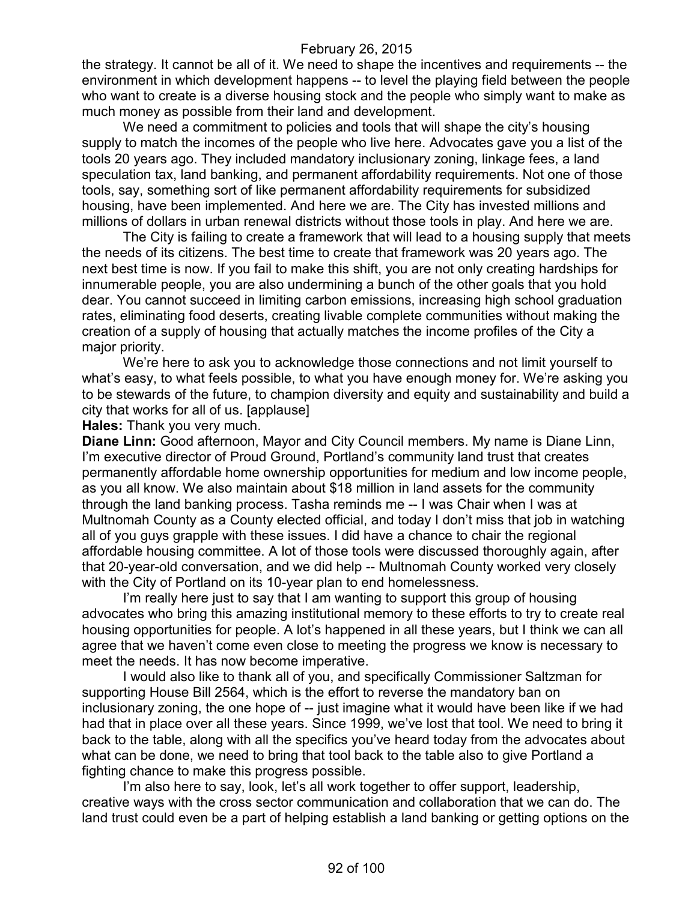the strategy. It cannot be all of it. We need to shape the incentives and requirements -- the environment in which development happens -- to level the playing field between the people who want to create is a diverse housing stock and the people who simply want to make as much money as possible from their land and development.

We need a commitment to policies and tools that will shape the city's housing supply to match the incomes of the people who live here. Advocates gave you a list of the tools 20 years ago. They included mandatory inclusionary zoning, linkage fees, a land speculation tax, land banking, and permanent affordability requirements. Not one of those tools, say, something sort of like permanent affordability requirements for subsidized housing, have been implemented. And here we are. The City has invested millions and millions of dollars in urban renewal districts without those tools in play. And here we are.

The City is failing to create a framework that will lead to a housing supply that meets the needs of its citizens. The best time to create that framework was 20 years ago. The next best time is now. If you fail to make this shift, you are not only creating hardships for innumerable people, you are also undermining a bunch of the other goals that you hold dear. You cannot succeed in limiting carbon emissions, increasing high school graduation rates, eliminating food deserts, creating livable complete communities without making the creation of a supply of housing that actually matches the income profiles of the City a major priority.

We're here to ask you to acknowledge those connections and not limit yourself to what's easy, to what feels possible, to what you have enough money for. We're asking you to be stewards of the future, to champion diversity and equity and sustainability and build a city that works for all of us. [applause]

**Hales:** Thank you very much.

**Diane Linn:** Good afternoon, Mayor and City Council members. My name is Diane Linn, I'm executive director of Proud Ground, Portland's community land trust that creates permanently affordable home ownership opportunities for medium and low income people, as you all know. We also maintain about \$18 million in land assets for the community through the land banking process. Tasha reminds me -- I was Chair when I was at Multnomah County as a County elected official, and today I don't miss that job in watching all of you guys grapple with these issues. I did have a chance to chair the regional affordable housing committee. A lot of those tools were discussed thoroughly again, after that 20-year-old conversation, and we did help -- Multnomah County worked very closely with the City of Portland on its 10-year plan to end homelessness.

I'm really here just to say that I am wanting to support this group of housing advocates who bring this amazing institutional memory to these efforts to try to create real housing opportunities for people. A lot's happened in all these years, but I think we can all agree that we haven't come even close to meeting the progress we know is necessary to meet the needs. It has now become imperative.

I would also like to thank all of you, and specifically Commissioner Saltzman for supporting House Bill 2564, which is the effort to reverse the mandatory ban on inclusionary zoning, the one hope of -- just imagine what it would have been like if we had had that in place over all these years. Since 1999, we've lost that tool. We need to bring it back to the table, along with all the specifics you've heard today from the advocates about what can be done, we need to bring that tool back to the table also to give Portland a fighting chance to make this progress possible.

I'm also here to say, look, let's all work together to offer support, leadership, creative ways with the cross sector communication and collaboration that we can do. The land trust could even be a part of helping establish a land banking or getting options on the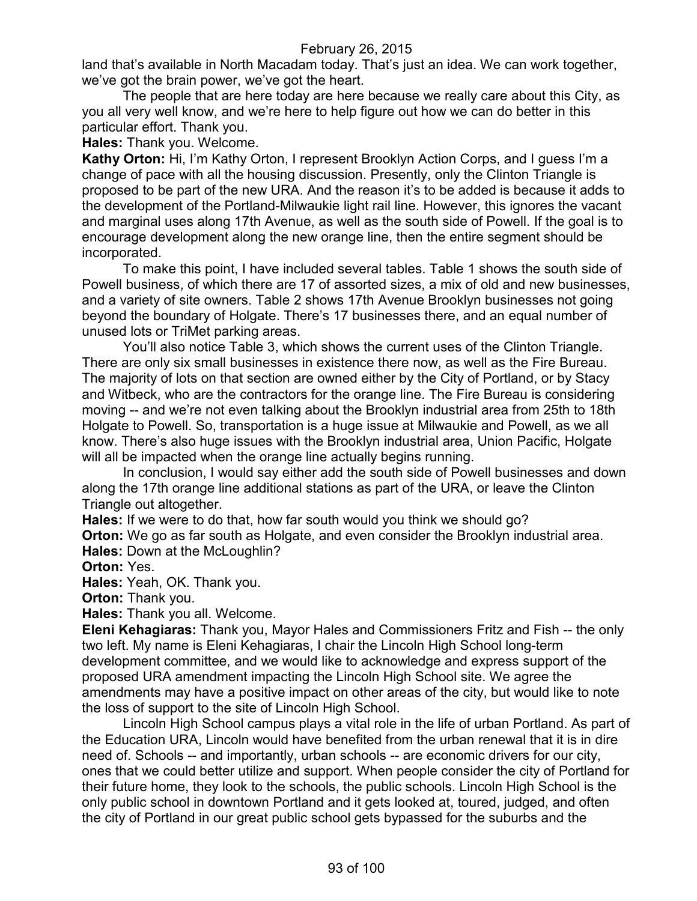land that's available in North Macadam today. That's just an idea. We can work together, we've got the brain power, we've got the heart.

The people that are here today are here because we really care about this City, as you all very well know, and we're here to help figure out how we can do better in this particular effort. Thank you.

**Hales:** Thank you. Welcome.

**Kathy Orton:** Hi, I'm Kathy Orton, I represent Brooklyn Action Corps, and I guess I'm a change of pace with all the housing discussion. Presently, only the Clinton Triangle is proposed to be part of the new URA. And the reason it's to be added is because it adds to the development of the Portland-Milwaukie light rail line. However, this ignores the vacant and marginal uses along 17th Avenue, as well as the south side of Powell. If the goal is to encourage development along the new orange line, then the entire segment should be incorporated.

To make this point, I have included several tables. Table 1 shows the south side of Powell business, of which there are 17 of assorted sizes, a mix of old and new businesses, and a variety of site owners. Table 2 shows 17th Avenue Brooklyn businesses not going beyond the boundary of Holgate. There's 17 businesses there, and an equal number of unused lots or TriMet parking areas.

You'll also notice Table 3, which shows the current uses of the Clinton Triangle. There are only six small businesses in existence there now, as well as the Fire Bureau. The majority of lots on that section are owned either by the City of Portland, or by Stacy and Witbeck, who are the contractors for the orange line. The Fire Bureau is considering moving -- and we're not even talking about the Brooklyn industrial area from 25th to 18th Holgate to Powell. So, transportation is a huge issue at Milwaukie and Powell, as we all know. There's also huge issues with the Brooklyn industrial area, Union Pacific, Holgate will all be impacted when the orange line actually begins running.

In conclusion, I would say either add the south side of Powell businesses and down along the 17th orange line additional stations as part of the URA, or leave the Clinton Triangle out altogether.

**Hales:** If we were to do that, how far south would you think we should go?

**Orton:** We go as far south as Holgate, and even consider the Brooklyn industrial area. **Hales:** Down at the McLoughlin?

**Orton:** Yes.

**Hales:** Yeah, OK. Thank you.

**Orton:** Thank you.

**Hales:** Thank you all. Welcome.

**Eleni Kehagiaras:** Thank you, Mayor Hales and Commissioners Fritz and Fish -- the only two left. My name is Eleni Kehagiaras, I chair the Lincoln High School long-term development committee, and we would like to acknowledge and express support of the proposed URA amendment impacting the Lincoln High School site. We agree the amendments may have a positive impact on other areas of the city, but would like to note the loss of support to the site of Lincoln High School.

Lincoln High School campus plays a vital role in the life of urban Portland. As part of the Education URA, Lincoln would have benefited from the urban renewal that it is in dire need of. Schools -- and importantly, urban schools -- are economic drivers for our city, ones that we could better utilize and support. When people consider the city of Portland for their future home, they look to the schools, the public schools. Lincoln High School is the only public school in downtown Portland and it gets looked at, toured, judged, and often the city of Portland in our great public school gets bypassed for the suburbs and the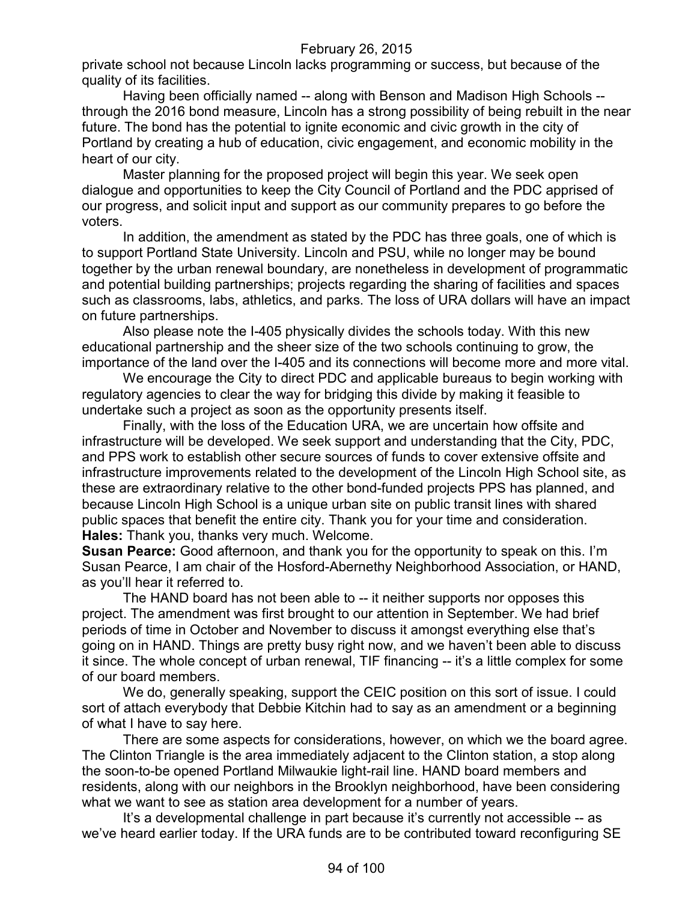private school not because Lincoln lacks programming or success, but because of the quality of its facilities.

Having been officially named -- along with Benson and Madison High Schools - through the 2016 bond measure, Lincoln has a strong possibility of being rebuilt in the near future. The bond has the potential to ignite economic and civic growth in the city of Portland by creating a hub of education, civic engagement, and economic mobility in the heart of our city.

Master planning for the proposed project will begin this year. We seek open dialogue and opportunities to keep the City Council of Portland and the PDC apprised of our progress, and solicit input and support as our community prepares to go before the voters.

In addition, the amendment as stated by the PDC has three goals, one of which is to support Portland State University. Lincoln and PSU, while no longer may be bound together by the urban renewal boundary, are nonetheless in development of programmatic and potential building partnerships; projects regarding the sharing of facilities and spaces such as classrooms, labs, athletics, and parks. The loss of URA dollars will have an impact on future partnerships.

Also please note the I-405 physically divides the schools today. With this new educational partnership and the sheer size of the two schools continuing to grow, the importance of the land over the I-405 and its connections will become more and more vital.

We encourage the City to direct PDC and applicable bureaus to begin working with regulatory agencies to clear the way for bridging this divide by making it feasible to undertake such a project as soon as the opportunity presents itself.

Finally, with the loss of the Education URA, we are uncertain how offsite and infrastructure will be developed. We seek support and understanding that the City, PDC, and PPS work to establish other secure sources of funds to cover extensive offsite and infrastructure improvements related to the development of the Lincoln High School site, as these are extraordinary relative to the other bond-funded projects PPS has planned, and because Lincoln High School is a unique urban site on public transit lines with shared public spaces that benefit the entire city. Thank you for your time and consideration. **Hales:** Thank you, thanks very much. Welcome.

**Susan Pearce:** Good afternoon, and thank you for the opportunity to speak on this. I'm Susan Pearce, I am chair of the Hosford-Abernethy Neighborhood Association, or HAND, as you'll hear it referred to.

The HAND board has not been able to -- it neither supports nor opposes this project. The amendment was first brought to our attention in September. We had brief periods of time in October and November to discuss it amongst everything else that's going on in HAND. Things are pretty busy right now, and we haven't been able to discuss it since. The whole concept of urban renewal, TIF financing -- it's a little complex for some of our board members.

We do, generally speaking, support the CEIC position on this sort of issue. I could sort of attach everybody that Debbie Kitchin had to say as an amendment or a beginning of what I have to say here.

There are some aspects for considerations, however, on which we the board agree. The Clinton Triangle is the area immediately adjacent to the Clinton station, a stop along the soon-to-be opened Portland Milwaukie light-rail line. HAND board members and residents, along with our neighbors in the Brooklyn neighborhood, have been considering what we want to see as station area development for a number of years.

It's a developmental challenge in part because it's currently not accessible -- as we've heard earlier today. If the URA funds are to be contributed toward reconfiguring SE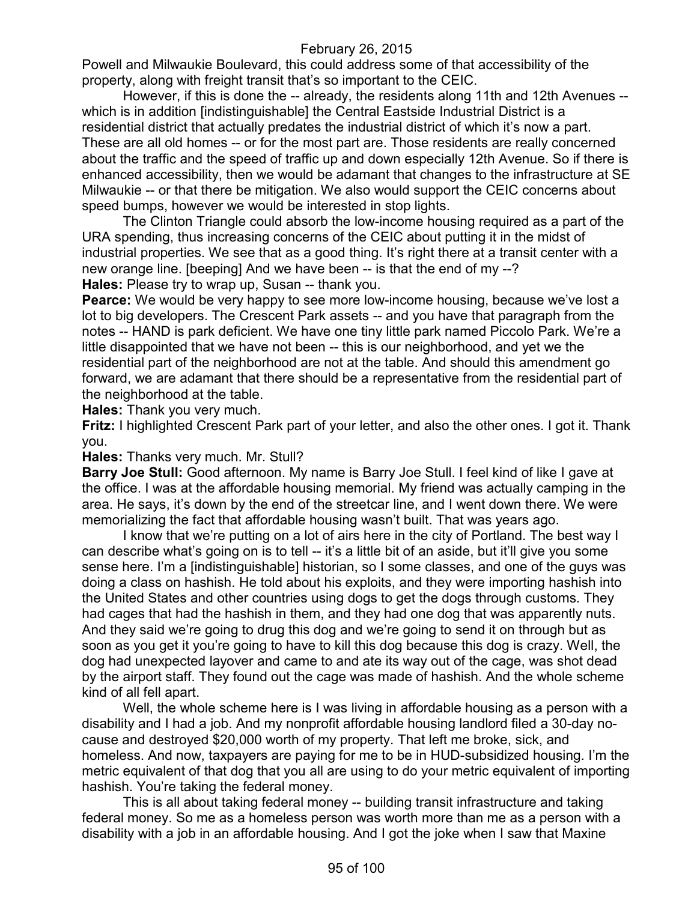Powell and Milwaukie Boulevard, this could address some of that accessibility of the property, along with freight transit that's so important to the CEIC.

However, if this is done the -- already, the residents along 11th and 12th Avenues - which is in addition [indistinguishable] the Central Eastside Industrial District is a residential district that actually predates the industrial district of which it's now a part. These are all old homes -- or for the most part are. Those residents are really concerned about the traffic and the speed of traffic up and down especially 12th Avenue. So if there is enhanced accessibility, then we would be adamant that changes to the infrastructure at SE Milwaukie -- or that there be mitigation. We also would support the CEIC concerns about speed bumps, however we would be interested in stop lights.

The Clinton Triangle could absorb the low-income housing required as a part of the URA spending, thus increasing concerns of the CEIC about putting it in the midst of industrial properties. We see that as a good thing. It's right there at a transit center with a new orange line. [beeping] And we have been -- is that the end of my --? **Hales:** Please try to wrap up, Susan -- thank you.

**Pearce:** We would be very happy to see more low-income housing, because we've lost a lot to big developers. The Crescent Park assets -- and you have that paragraph from the notes -- HAND is park deficient. We have one tiny little park named Piccolo Park. We're a little disappointed that we have not been -- this is our neighborhood, and yet we the residential part of the neighborhood are not at the table. And should this amendment go forward, we are adamant that there should be a representative from the residential part of the neighborhood at the table.

**Hales:** Thank you very much.

**Fritz:** I highlighted Crescent Park part of your letter, and also the other ones. I got it. Thank you.

**Hales:** Thanks very much. Mr. Stull?

**Barry Joe Stull:** Good afternoon. My name is Barry Joe Stull. I feel kind of like I gave at the office. I was at the affordable housing memorial. My friend was actually camping in the area. He says, it's down by the end of the streetcar line, and I went down there. We were memorializing the fact that affordable housing wasn't built. That was years ago.

I know that we're putting on a lot of airs here in the city of Portland. The best way I can describe what's going on is to tell -- it's a little bit of an aside, but it'll give you some sense here. I'm a [indistinguishable] historian, so I some classes, and one of the guys was doing a class on hashish. He told about his exploits, and they were importing hashish into the United States and other countries using dogs to get the dogs through customs. They had cages that had the hashish in them, and they had one dog that was apparently nuts. And they said we're going to drug this dog and we're going to send it on through but as soon as you get it you're going to have to kill this dog because this dog is crazy. Well, the dog had unexpected layover and came to and ate its way out of the cage, was shot dead by the airport staff. They found out the cage was made of hashish. And the whole scheme kind of all fell apart.

Well, the whole scheme here is I was living in affordable housing as a person with a disability and I had a job. And my nonprofit affordable housing landlord filed a 30-day nocause and destroyed \$20,000 worth of my property. That left me broke, sick, and homeless. And now, taxpayers are paying for me to be in HUD-subsidized housing. I'm the metric equivalent of that dog that you all are using to do your metric equivalent of importing hashish. You're taking the federal money.

This is all about taking federal money -- building transit infrastructure and taking federal money. So me as a homeless person was worth more than me as a person with a disability with a job in an affordable housing. And I got the joke when I saw that Maxine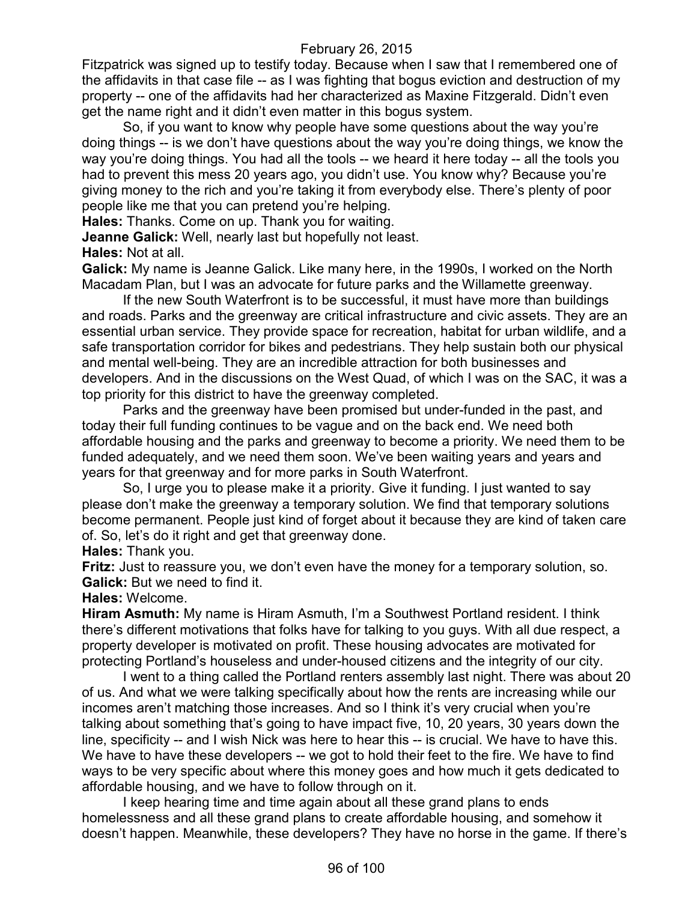Fitzpatrick was signed up to testify today. Because when I saw that I remembered one of the affidavits in that case file -- as I was fighting that bogus eviction and destruction of my property -- one of the affidavits had her characterized as Maxine Fitzgerald. Didn't even get the name right and it didn't even matter in this bogus system.

So, if you want to know why people have some questions about the way you're doing things -- is we don't have questions about the way you're doing things, we know the way you're doing things. You had all the tools -- we heard it here today -- all the tools you had to prevent this mess 20 years ago, you didn't use. You know why? Because you're giving money to the rich and you're taking it from everybody else. There's plenty of poor people like me that you can pretend you're helping.

**Hales:** Thanks. Come on up. Thank you for waiting.

**Jeanne Galick:** Well, nearly last but hopefully not least.

**Hales:** Not at all.

**Galick:** My name is Jeanne Galick. Like many here, in the 1990s, I worked on the North Macadam Plan, but I was an advocate for future parks and the Willamette greenway.

If the new South Waterfront is to be successful, it must have more than buildings and roads. Parks and the greenway are critical infrastructure and civic assets. They are an essential urban service. They provide space for recreation, habitat for urban wildlife, and a safe transportation corridor for bikes and pedestrians. They help sustain both our physical and mental well-being. They are an incredible attraction for both businesses and developers. And in the discussions on the West Quad, of which I was on the SAC, it was a top priority for this district to have the greenway completed.

Parks and the greenway have been promised but under-funded in the past, and today their full funding continues to be vague and on the back end. We need both affordable housing and the parks and greenway to become a priority. We need them to be funded adequately, and we need them soon. We've been waiting years and years and years for that greenway and for more parks in South Waterfront.

So, I urge you to please make it a priority. Give it funding. I just wanted to say please don't make the greenway a temporary solution. We find that temporary solutions become permanent. People just kind of forget about it because they are kind of taken care of. So, let's do it right and get that greenway done.

**Hales:** Thank you.

**Fritz:** Just to reassure you, we don't even have the money for a temporary solution, so. **Galick:** But we need to find it.

## **Hales:** Welcome.

**Hiram Asmuth:** My name is Hiram Asmuth, I'm a Southwest Portland resident. I think there's different motivations that folks have for talking to you guys. With all due respect, a property developer is motivated on profit. These housing advocates are motivated for protecting Portland's houseless and under-housed citizens and the integrity of our city.

I went to a thing called the Portland renters assembly last night. There was about 20 of us. And what we were talking specifically about how the rents are increasing while our incomes aren't matching those increases. And so I think it's very crucial when you're talking about something that's going to have impact five, 10, 20 years, 30 years down the line, specificity -- and I wish Nick was here to hear this -- is crucial. We have to have this. We have to have these developers -- we got to hold their feet to the fire. We have to find ways to be very specific about where this money goes and how much it gets dedicated to affordable housing, and we have to follow through on it.

I keep hearing time and time again about all these grand plans to ends homelessness and all these grand plans to create affordable housing, and somehow it doesn't happen. Meanwhile, these developers? They have no horse in the game. If there's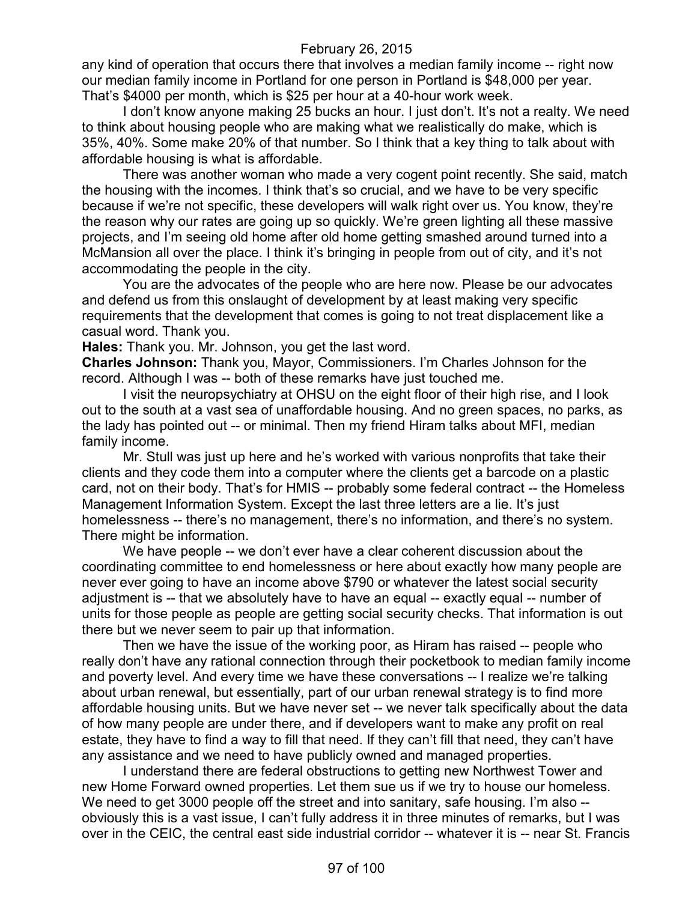any kind of operation that occurs there that involves a median family income -- right now our median family income in Portland for one person in Portland is \$48,000 per year. That's \$4000 per month, which is \$25 per hour at a 40-hour work week.

I don't know anyone making 25 bucks an hour. I just don't. It's not a realty. We need to think about housing people who are making what we realistically do make, which is 35%, 40%. Some make 20% of that number. So I think that a key thing to talk about with affordable housing is what is affordable.

There was another woman who made a very cogent point recently. She said, match the housing with the incomes. I think that's so crucial, and we have to be very specific because if we're not specific, these developers will walk right over us. You know, they're the reason why our rates are going up so quickly. We're green lighting all these massive projects, and I'm seeing old home after old home getting smashed around turned into a McMansion all over the place. I think it's bringing in people from out of city, and it's not accommodating the people in the city.

You are the advocates of the people who are here now. Please be our advocates and defend us from this onslaught of development by at least making very specific requirements that the development that comes is going to not treat displacement like a casual word. Thank you.

**Hales:** Thank you. Mr. Johnson, you get the last word.

**Charles Johnson:** Thank you, Mayor, Commissioners. I'm Charles Johnson for the record. Although I was -- both of these remarks have just touched me.

I visit the neuropsychiatry at OHSU on the eight floor of their high rise, and I look out to the south at a vast sea of unaffordable housing. And no green spaces, no parks, as the lady has pointed out -- or minimal. Then my friend Hiram talks about MFI, median family income.

Mr. Stull was just up here and he's worked with various nonprofits that take their clients and they code them into a computer where the clients get a barcode on a plastic card, not on their body. That's for HMIS -- probably some federal contract -- the Homeless Management Information System. Except the last three letters are a lie. It's just homelessness -- there's no management, there's no information, and there's no system. There might be information.

We have people -- we don't ever have a clear coherent discussion about the coordinating committee to end homelessness or here about exactly how many people are never ever going to have an income above \$790 or whatever the latest social security adjustment is -- that we absolutely have to have an equal -- exactly equal -- number of units for those people as people are getting social security checks. That information is out there but we never seem to pair up that information.

Then we have the issue of the working poor, as Hiram has raised -- people who really don't have any rational connection through their pocketbook to median family income and poverty level. And every time we have these conversations -- I realize we're talking about urban renewal, but essentially, part of our urban renewal strategy is to find more affordable housing units. But we have never set -- we never talk specifically about the data of how many people are under there, and if developers want to make any profit on real estate, they have to find a way to fill that need. If they can't fill that need, they can't have any assistance and we need to have publicly owned and managed properties.

I understand there are federal obstructions to getting new Northwest Tower and new Home Forward owned properties. Let them sue us if we try to house our homeless. We need to get 3000 people off the street and into sanitary, safe housing. I'm also -obviously this is a vast issue, I can't fully address it in three minutes of remarks, but I was over in the CEIC, the central east side industrial corridor -- whatever it is -- near St. Francis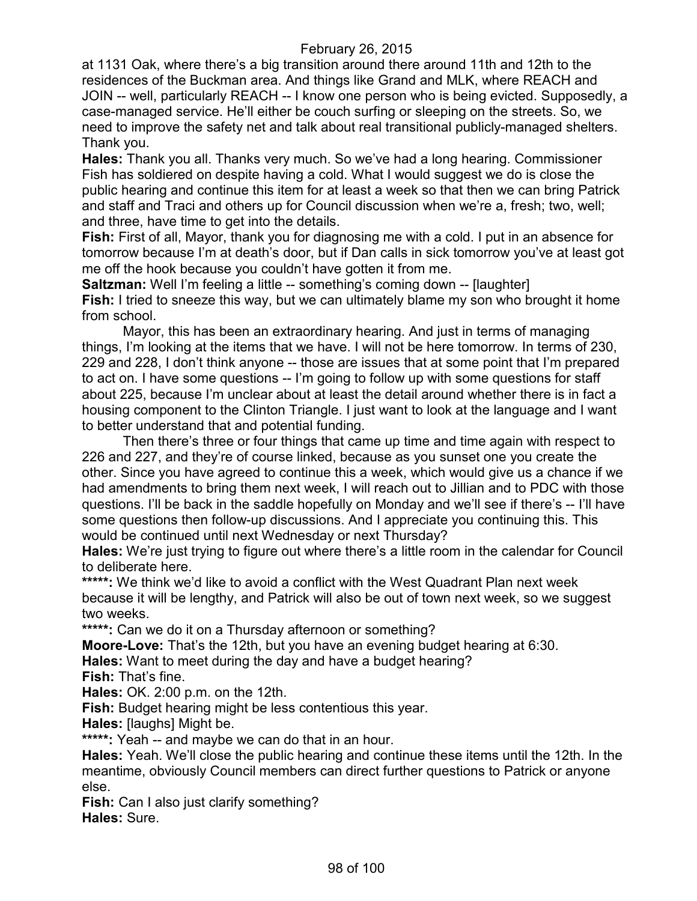at 1131 Oak, where there's a big transition around there around 11th and 12th to the residences of the Buckman area. And things like Grand and MLK, where REACH and JOIN -- well, particularly REACH -- I know one person who is being evicted. Supposedly, a case-managed service. He'll either be couch surfing or sleeping on the streets. So, we need to improve the safety net and talk about real transitional publicly-managed shelters. Thank you.

**Hales:** Thank you all. Thanks very much. So we've had a long hearing. Commissioner Fish has soldiered on despite having a cold. What I would suggest we do is close the public hearing and continue this item for at least a week so that then we can bring Patrick and staff and Traci and others up for Council discussion when we're a, fresh; two, well; and three, have time to get into the details.

**Fish:** First of all, Mayor, thank you for diagnosing me with a cold. I put in an absence for tomorrow because I'm at death's door, but if Dan calls in sick tomorrow you've at least got me off the hook because you couldn't have gotten it from me.

**Saltzman:** Well I'm feeling a little -- something's coming down -- [laughter] **Fish:** I tried to sneeze this way, but we can ultimately blame my son who brought it home from school.

Mayor, this has been an extraordinary hearing. And just in terms of managing things, I'm looking at the items that we have. I will not be here tomorrow. In terms of 230, 229 and 228, I don't think anyone -- those are issues that at some point that I'm prepared to act on. I have some questions -- I'm going to follow up with some questions for staff about 225, because I'm unclear about at least the detail around whether there is in fact a housing component to the Clinton Triangle. I just want to look at the language and I want to better understand that and potential funding.

Then there's three or four things that came up time and time again with respect to 226 and 227, and they're of course linked, because as you sunset one you create the other. Since you have agreed to continue this a week, which would give us a chance if we had amendments to bring them next week, I will reach out to Jillian and to PDC with those questions. I'll be back in the saddle hopefully on Monday and we'll see if there's -- I'll have some questions then follow-up discussions. And I appreciate you continuing this. This would be continued until next Wednesday or next Thursday?

**Hales:** We're just trying to figure out where there's a little room in the calendar for Council to deliberate here.

**\*\*\*\*\*:** We think we'd like to avoid a conflict with the West Quadrant Plan next week because it will be lengthy, and Patrick will also be out of town next week, so we suggest two weeks.

**\*\*\*\*\*:** Can we do it on a Thursday afternoon or something?

**Moore-Love:** That's the 12th, but you have an evening budget hearing at 6:30.

**Hales:** Want to meet during the day and have a budget hearing?

**Fish:** That's fine.

**Hales:** OK. 2:00 p.m. on the 12th.

**Fish:** Budget hearing might be less contentious this year.

**Hales:** [laughs] Might be.

\*\*\*\*\*: Yeah -- and maybe we can do that in an hour.

**Hales:** Yeah. We'll close the public hearing and continue these items until the 12th. In the meantime, obviously Council members can direct further questions to Patrick or anyone else.

**Fish:** Can I also just clarify something? **Hales:** Sure.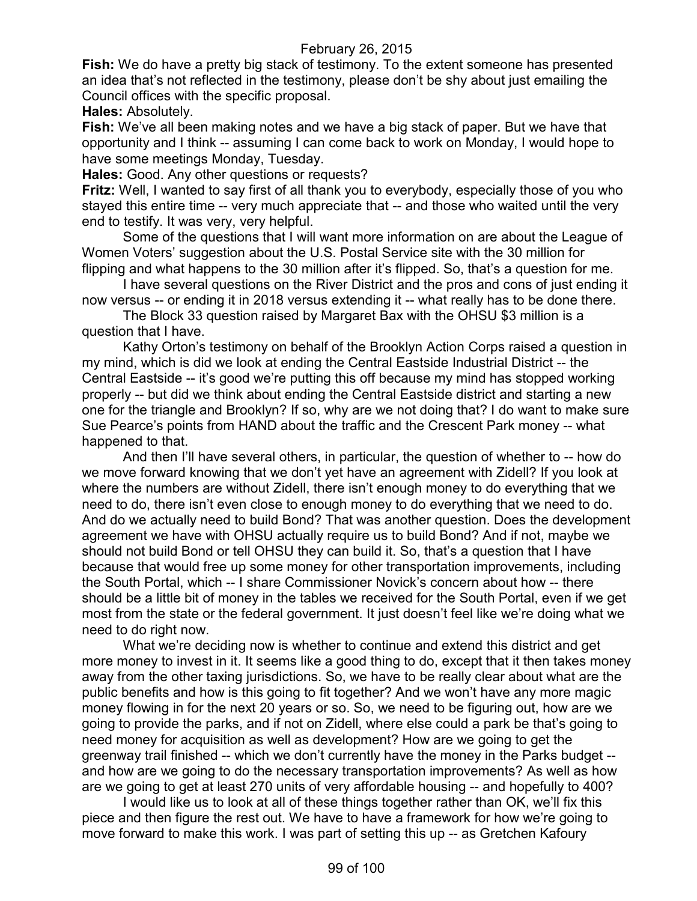**Fish:** We do have a pretty big stack of testimony. To the extent someone has presented an idea that's not reflected in the testimony, please don't be shy about just emailing the Council offices with the specific proposal.

**Hales:** Absolutely.

**Fish:** We've all been making notes and we have a big stack of paper. But we have that opportunity and I think -- assuming I can come back to work on Monday, I would hope to have some meetings Monday, Tuesday.

**Hales:** Good. Any other questions or requests?

**Fritz:** Well, I wanted to say first of all thank you to everybody, especially those of you who stayed this entire time -- very much appreciate that -- and those who waited until the very end to testify. It was very, very helpful.

Some of the questions that I will want more information on are about the League of Women Voters' suggestion about the U.S. Postal Service site with the 30 million for flipping and what happens to the 30 million after it's flipped. So, that's a question for me.

I have several questions on the River District and the pros and cons of just ending it now versus -- or ending it in 2018 versus extending it -- what really has to be done there.

The Block 33 question raised by Margaret Bax with the OHSU \$3 million is a question that I have.

Kathy Orton's testimony on behalf of the Brooklyn Action Corps raised a question in my mind, which is did we look at ending the Central Eastside Industrial District -- the Central Eastside -- it's good we're putting this off because my mind has stopped working properly -- but did we think about ending the Central Eastside district and starting a new one for the triangle and Brooklyn? If so, why are we not doing that? I do want to make sure Sue Pearce's points from HAND about the traffic and the Crescent Park money -- what happened to that.

And then I'll have several others, in particular, the question of whether to -- how do we move forward knowing that we don't yet have an agreement with Zidell? If you look at where the numbers are without Zidell, there isn't enough money to do everything that we need to do, there isn't even close to enough money to do everything that we need to do. And do we actually need to build Bond? That was another question. Does the development agreement we have with OHSU actually require us to build Bond? And if not, maybe we should not build Bond or tell OHSU they can build it. So, that's a question that I have because that would free up some money for other transportation improvements, including the South Portal, which -- I share Commissioner Novick's concern about how -- there should be a little bit of money in the tables we received for the South Portal, even if we get most from the state or the federal government. It just doesn't feel like we're doing what we need to do right now.

What we're deciding now is whether to continue and extend this district and get more money to invest in it. It seems like a good thing to do, except that it then takes money away from the other taxing jurisdictions. So, we have to be really clear about what are the public benefits and how is this going to fit together? And we won't have any more magic money flowing in for the next 20 years or so. So, we need to be figuring out, how are we going to provide the parks, and if not on Zidell, where else could a park be that's going to need money for acquisition as well as development? How are we going to get the greenway trail finished -- which we don't currently have the money in the Parks budget - and how are we going to do the necessary transportation improvements? As well as how are we going to get at least 270 units of very affordable housing -- and hopefully to 400?

I would like us to look at all of these things together rather than OK, we'll fix this piece and then figure the rest out. We have to have a framework for how we're going to move forward to make this work. I was part of setting this up -- as Gretchen Kafoury